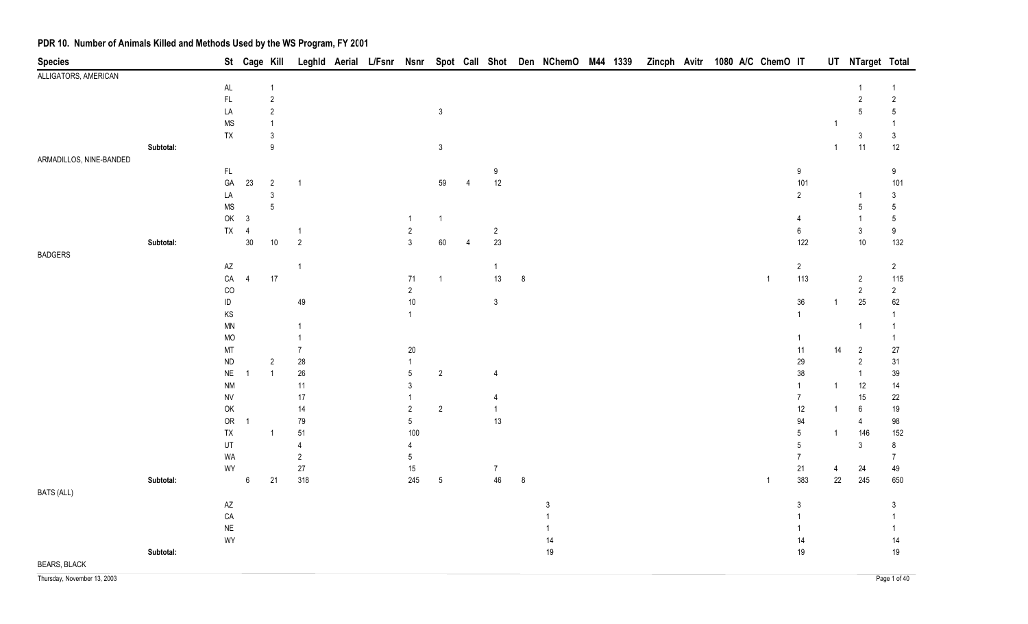| <b>Species</b>          |           |                                                                   | St Cage Kill             |                  |                | Leghld Aerial L/Fsnr Nsnr |                |                 |   |                  |         | Spot Call Shot Den NChemO M44 1339 |  | Zincph Avitr 1080 A/C ChemO IT |  |                |                 |                | UT NTarget Total            |                           |
|-------------------------|-----------|-------------------------------------------------------------------|--------------------------|------------------|----------------|---------------------------|----------------|-----------------|---|------------------|---------|------------------------------------|--|--------------------------------|--|----------------|-----------------|----------------|-----------------------------|---------------------------|
| ALLIGATORS, AMERICAN    |           |                                                                   |                          |                  |                |                           |                |                 |   |                  |         |                                    |  |                                |  |                |                 |                |                             |                           |
|                         |           | $\mathsf{AL}$                                                     |                          | $\overline{1}$   |                |                           |                |                 |   |                  |         |                                    |  |                                |  |                |                 |                |                             | $\overline{1}$            |
|                         |           | $\mathsf{FL}$                                                     |                          | $\sqrt{2}$       |                |                           |                |                 |   |                  |         |                                    |  |                                |  |                |                 |                | $\overline{c}$              | $\sqrt{2}$                |
|                         |           | LA                                                                |                          | $\sqrt{2}$       |                |                           |                | $\mathbf{3}$    |   |                  |         |                                    |  |                                |  |                |                 |                | $\mathbf 5$                 | $\overline{5}$            |
|                         |           | <b>MS</b>                                                         |                          | $\overline{1}$   |                |                           |                |                 |   |                  |         |                                    |  |                                |  |                |                 |                |                             | $\overline{1}$            |
|                         |           | TX                                                                |                          | $\mathfrak{3}$   |                |                           |                |                 |   |                  |         |                                    |  |                                |  |                |                 |                | $\mathfrak{Z}$              | $\mathsf 3$               |
|                         | Subtotal: |                                                                   |                          | $\boldsymbol{9}$ |                |                           |                | $\mathfrak{Z}$  |   |                  |         |                                    |  |                                |  |                |                 | $\mathbf{1}$   | 11                          | 12                        |
| ARMADILLOS, NINE-BANDED |           |                                                                   |                          |                  |                |                           |                |                 |   |                  |         |                                    |  |                                |  |                |                 |                |                             |                           |
|                         |           | $\mathsf{FL}$                                                     |                          |                  |                |                           |                |                 |   | $\boldsymbol{9}$ |         |                                    |  |                                |  |                | $9\,$           |                |                             | 9                         |
|                         |           | $\mathsf{GA}$                                                     | 23                       | $\sqrt{2}$       | $\overline{1}$ |                           |                | 59              | 4 | 12               |         |                                    |  |                                |  |                | 101             |                |                             | 101                       |
|                         |           | LA                                                                |                          | $\mathfrak{Z}$   |                |                           |                |                 |   |                  |         |                                    |  |                                |  |                | $\overline{2}$  |                |                             | $\mathfrak{Z}$            |
|                         |           | <b>MS</b><br>OK                                                   | $\mathbf{3}$             | $\sqrt{5}$       |                |                           | $\overline{1}$ |                 |   |                  |         |                                    |  |                                |  |                | $\overline{4}$  |                | $\mathbf 5$<br>$\mathbf{1}$ | $5\,$                     |
|                         |           | ${\sf TX}$                                                        |                          |                  | -1             |                           | $\sqrt{2}$     | $\mathbf{1}$    |   |                  |         |                                    |  |                                |  |                | $\,6\,$         |                | $\mathfrak{Z}$              | $5\,$<br>$\boldsymbol{9}$ |
|                         | Subtotal: |                                                                   | $\overline{4}$<br>$30\,$ | $10\,$           | $\overline{2}$ |                           | $\mathbf{3}$   | $60\,$          | 4 | $\sqrt{2}$<br>23 |         |                                    |  |                                |  |                | 122             |                | $10\,$                      | 132                       |
| <b>BADGERS</b>          |           |                                                                   |                          |                  |                |                           |                |                 |   |                  |         |                                    |  |                                |  |                |                 |                |                             |                           |
|                         |           | $\mathsf{A}\mathsf{Z}$                                            |                          |                  | $\overline{1}$ |                           |                |                 |   | $\mathbf{1}$     |         |                                    |  |                                |  |                | $\overline{2}$  |                |                             | $\overline{2}$            |
|                         |           | ${\sf CA}$                                                        | $\overline{4}$           | $17\,$           |                |                           | 71             | $\mathbf{1}$    |   | 13               | 8       |                                    |  |                                |  | $\overline{1}$ | 113             |                | $\overline{2}$              | 115                       |
|                         |           | CO                                                                |                          |                  |                |                           | $\overline{2}$ |                 |   |                  |         |                                    |  |                                |  |                |                 |                | $\overline{2}$              | $\overline{2}$            |
|                         |           | $\sf ID$                                                          |                          |                  | 49             |                           | 10             |                 |   | $\sqrt{3}$       |         |                                    |  |                                |  |                | 36              |                | $25\,$                      | 62                        |
|                         |           | $\mathsf{KS}% _{\mathsf{K}}^{\mathsf{K}}\left( \mathsf{K}\right)$ |                          |                  |                |                           | $\overline{1}$ |                 |   |                  |         |                                    |  |                                |  |                | $\mathbf{1}$    |                |                             | $\overline{1}$            |
|                         |           | MN                                                                |                          |                  | $\overline{1}$ |                           |                |                 |   |                  |         |                                    |  |                                |  |                |                 |                | $\mathbf{1}$                | $\overline{1}$            |
|                         |           | <b>MO</b>                                                         |                          |                  |                |                           |                |                 |   |                  |         |                                    |  |                                |  |                | $\mathbf{1}$    |                |                             | $\overline{1}$            |
|                         |           | MT                                                                |                          |                  | $\overline{7}$ |                           | 20             |                 |   |                  |         |                                    |  |                                |  |                | 11              | 14             | $\overline{2}$              | 27                        |
|                         |           | ${\sf ND}$                                                        |                          | $\sqrt{2}$       | $28\,$         |                           | $\mathbf{1}$   |                 |   |                  |         |                                    |  |                                |  |                | 29              |                | $\sqrt{2}$                  | 31                        |
|                         |           | $\sf NE$                                                          |                          | $\overline{1}$   | $26\,$         |                           | $\mathbf 5$    | $\overline{2}$  |   | 4                |         |                                    |  |                                |  |                | $38\,$          |                | $\overline{1}$              | 39                        |
|                         |           | <b>NM</b>                                                         |                          |                  | 11             |                           | $\mathfrak{Z}$ |                 |   |                  |         |                                    |  |                                |  |                | $\mathbf{1}$    | -1             | 12                          | 14                        |
|                         |           | ${\sf NV}$                                                        |                          |                  | 17             |                           | 1              |                 |   | 4                |         |                                    |  |                                |  |                | $\overline{7}$  |                | 15                          | 22                        |
|                         |           | OK                                                                |                          |                  | $14$           |                           | $\sqrt{2}$     | $\sqrt{2}$      |   | $\mathbf{1}$     |         |                                    |  |                                |  |                | 12              |                | 6                           | 19                        |
|                         |           | <b>OR</b>                                                         | $\overline{1}$           |                  | 79             |                           | $5\,$          |                 |   | 13               |         |                                    |  |                                |  |                | 94              |                | 4                           | 98                        |
|                         |           | ${\sf TX}$                                                        |                          | $\overline{1}$   | 51             |                           | 100            |                 |   |                  |         |                                    |  |                                |  |                | $5\phantom{.0}$ | $\overline{1}$ | 146                         | 152                       |
|                         |           | UT                                                                |                          |                  | $\overline{4}$ |                           | $\overline{4}$ |                 |   |                  |         |                                    |  |                                |  |                | $5\phantom{.0}$ |                | $\mathsf 3$                 | 8                         |
|                         |           | WA                                                                |                          |                  | $\overline{2}$ |                           | 5              |                 |   |                  |         |                                    |  |                                |  |                | $\overline{7}$  |                |                             | $\overline{7}$            |
|                         |           | WY                                                                |                          |                  | $27\,$         |                           | $15\,$         |                 |   | $\overline{7}$   |         |                                    |  |                                |  |                | 21              | 4              | 24                          | 49                        |
|                         | Subtotal: |                                                                   | $\,6$                    | 21               | 318            |                           | 245            | $5\phantom{.0}$ |   | 46               | $\,8\,$ |                                    |  |                                |  | $\overline{1}$ | 383             | 22             | 245                         | 650                       |
| <b>BATS (ALL)</b>       |           |                                                                   |                          |                  |                |                           |                |                 |   |                  |         |                                    |  |                                |  |                |                 |                |                             |                           |
|                         |           | $\mathsf{A}\mathsf{Z}$                                            |                          |                  |                |                           |                |                 |   |                  |         | $\mathfrak{Z}$                     |  |                                |  |                | $\mathfrak{Z}$  |                |                             | 3                         |
|                         |           | ${\sf CA}$                                                        |                          |                  |                |                           |                |                 |   |                  |         |                                    |  |                                |  |                | $\mathbf{1}$    |                |                             | $\overline{1}$            |
|                         |           | $\sf NE$                                                          |                          |                  |                |                           |                |                 |   |                  |         |                                    |  |                                |  |                | 1               |                |                             | $\overline{1}$            |
|                         |           | WY                                                                |                          |                  |                |                           |                |                 |   |                  |         | 14                                 |  |                                |  |                | 14              |                |                             | 14                        |
| <b>BEARS, BLACK</b>     | Subtotal: |                                                                   |                          |                  |                |                           |                |                 |   |                  |         | $19$                               |  |                                |  |                | 19              |                |                             | 19                        |
|                         |           |                                                                   |                          |                  |                |                           |                |                 |   |                  |         |                                    |  |                                |  |                |                 |                |                             |                           |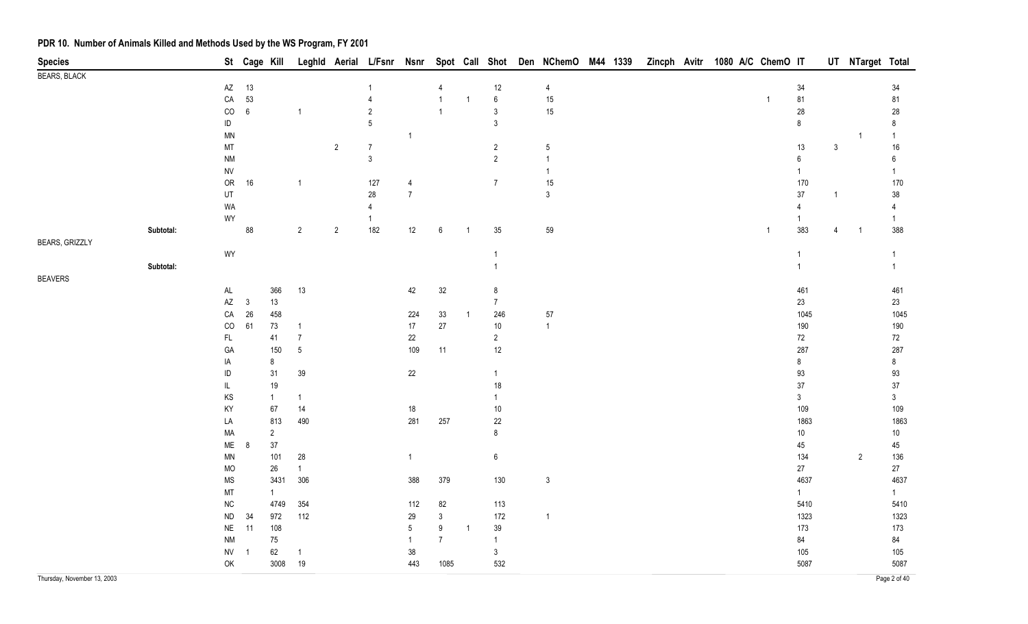| <b>Species</b>              |           |                        |              | St Cage Kill          |                |                |                 |                 |                |                |                   | Leghld Aerial L/Fsnr Nsnr Spot Call Shot Den NChemO M44 1339 |  |  | Zincph Avitr 1080 A/C ChemO IT |              |                  |                | UT NTarget Total |                 |
|-----------------------------|-----------|------------------------|--------------|-----------------------|----------------|----------------|-----------------|-----------------|----------------|----------------|-------------------|--------------------------------------------------------------|--|--|--------------------------------|--------------|------------------|----------------|------------------|-----------------|
| <b>BEARS, BLACK</b>         |           |                        |              |                       |                |                |                 |                 |                |                |                   |                                                              |  |  |                                |              |                  |                |                  |                 |
|                             |           | AZ                     | 13           |                       |                |                |                 |                 |                |                | $12\,$            | $\overline{4}$                                               |  |  |                                |              | 34               |                |                  | 34              |
|                             |           | ${\sf CA}$             | 53           |                       |                |                | $\overline{4}$  |                 |                | $\overline{1}$ | $\,6\,$           | 15                                                           |  |  |                                | $\mathbf{1}$ | 81               |                |                  | 81              |
|                             |           | $_{\rm CO}$            | $\,6\,$      |                       | $\mathbf{1}$   |                | $\overline{2}$  |                 |                |                | $\mathfrak{Z}$    | $15\,$                                                       |  |  |                                |              | $28\,$           |                |                  | 28              |
|                             |           | ID                     |              |                       |                |                | $5\phantom{.0}$ |                 |                |                | $\mathfrak{Z}$    |                                                              |  |  |                                |              | $\bf 8$          |                |                  | 8               |
|                             |           | $\textsf{MN}{}$        |              |                       |                |                |                 | $\overline{1}$  |                |                |                   |                                                              |  |  |                                |              |                  |                |                  | $\mathbf{1}$    |
|                             |           | MT                     |              |                       |                | $\overline{2}$ | $\overline{7}$  |                 |                |                | $\overline{2}$    | $\sqrt{5}$                                                   |  |  |                                |              | $13$             | $\mathbf{3}$   |                  | $16\,$          |
|                             |           | $\mathsf{N}\mathsf{M}$ |              |                       |                |                | $\mathbf{3}$    |                 |                |                | $\overline{2}$    |                                                              |  |  |                                |              | $\boldsymbol{6}$ |                |                  | $6\phantom{.}6$ |
|                             |           | <b>NV</b>              |              |                       |                |                |                 |                 |                |                |                   | $\mathbf{1}$                                                 |  |  |                                |              | $\mathbf{1}$     |                |                  | $\mathbf{1}$    |
|                             |           | ${\sf OR}$             | 16           |                       | $\mathbf{1}$   |                | 127             | 4               |                |                | $\overline{7}$    | $15\,$                                                       |  |  |                                |              | 170              |                |                  | 170             |
|                             |           | UT                     |              |                       |                |                | 28              | $\overline{7}$  |                |                |                   | $\mathsf 3$                                                  |  |  |                                |              | $37\,$           | $\overline{1}$ |                  | $38\,$          |
|                             |           | WA                     |              |                       |                |                | $\overline{4}$  |                 |                |                |                   |                                                              |  |  |                                |              | $\overline{4}$   |                |                  | $\overline{4}$  |
|                             |           | WY                     |              |                       |                |                | 1               |                 |                |                |                   |                                                              |  |  |                                |              | 1                |                |                  | $\mathbf{1}$    |
|                             | Subtotal: |                        | 88           |                       | $\overline{2}$ | $\overline{2}$ | 182             | $12$            | $\,6\,$        | $\overline{1}$ | $35\,$            | 59                                                           |  |  |                                | $\mathbf{1}$ | 383              | $\overline{4}$ | $\overline{1}$   | 388             |
| <b>BEARS, GRIZZLY</b>       |           |                        |              |                       |                |                |                 |                 |                |                |                   |                                                              |  |  |                                |              |                  |                |                  |                 |
|                             |           | WY                     |              |                       |                |                |                 |                 |                |                | $\mathbf{1}$      |                                                              |  |  |                                |              | $\mathbf{1}$     |                |                  | $\overline{1}$  |
|                             | Subtotal: |                        |              |                       |                |                |                 |                 |                |                | $\overline{1}$    |                                                              |  |  |                                |              | $\mathbf{1}$     |                |                  | $\overline{1}$  |
| <b>BEAVERS</b>              |           |                        |              |                       |                |                |                 |                 |                |                |                   |                                                              |  |  |                                |              |                  |                |                  |                 |
|                             |           | $\mathsf{AL}$          |              | 366                   | 13             |                |                 | 42              | 32             |                | $\bf 8$           |                                                              |  |  |                                |              | 461              |                |                  | 461             |
|                             |           | $\mathsf{A}\mathsf{Z}$ | $\mathbf{3}$ | 13                    |                |                |                 |                 |                |                | 7 <sup>7</sup>    |                                                              |  |  |                                |              | 23               |                |                  | 23              |
|                             |           | ${\sf CA}$             | 26           | 458                   |                |                |                 | 224             | 33             | $\overline{1}$ | 246               | 57                                                           |  |  |                                |              | 1045             |                |                  | 1045            |
|                             |           | $_{\rm CO}$            | 61           | 73                    | $\overline{1}$ |                |                 | 17              | $27\,$         |                | $10\,$            | $\overline{1}$                                               |  |  |                                |              | 190              |                |                  | 190             |
|                             |           | $\mathsf{FL}$          |              | 41                    | $\overline{7}$ |                |                 | 22              |                |                | $\overline{2}$    |                                                              |  |  |                                |              | $72\,$           |                |                  | 72              |
|                             |           | GA                     |              | 150                   | $\sqrt{5}$     |                |                 | 109             | 11             |                | $12\,$            |                                                              |  |  |                                |              | 287              |                |                  | 287             |
|                             |           | IA                     |              | $\,8\,$               |                |                |                 |                 |                |                |                   |                                                              |  |  |                                |              | $\bf 8$          |                |                  | $\bf 8$         |
|                             |           | ID                     |              | 31                    | $39\,$         |                |                 | $22\,$          |                |                | $\mathbf{1}$      |                                                              |  |  |                                |              | $93\,$           |                |                  | 93              |
|                             |           | IL                     |              | 19                    |                |                |                 |                 |                |                | $18\,$            |                                                              |  |  |                                |              | $37\,$           |                |                  | $37\,$          |
|                             |           | KS                     |              | $\overline{1}$        | $\mathbf{1}$   |                |                 |                 |                |                | $\mathbf{1}$      |                                                              |  |  |                                |              | $\mathfrak{Z}$   |                |                  | $\mathfrak{Z}$  |
|                             |           | KY                     |              | 67                    | 14             |                |                 | $18\,$<br>281   |                |                | $10\,$            |                                                              |  |  |                                |              | 109<br>1863      |                |                  | 109             |
|                             |           | LA<br>MA               |              | 813<br>$\overline{2}$ | 490            |                |                 |                 | 257            |                | $22\,$<br>$\bf 8$ |                                                              |  |  |                                |              | $10\,$           |                |                  | 1863            |
|                             |           | ME                     | 8            | $37\,$                |                |                |                 |                 |                |                |                   |                                                              |  |  |                                |              | 45               |                |                  | 10<br>45        |
|                             |           | $\textsf{MN}{}$        |              | 101                   | 28             |                |                 | $\mathbf{1}$    |                |                | $\boldsymbol{6}$  |                                                              |  |  |                                |              | 134              |                | $\overline{2}$   | 136             |
|                             |           | <b>MO</b>              |              | 26                    | $\mathbf{1}$   |                |                 |                 |                |                |                   |                                                              |  |  |                                |              | $27\,$           |                |                  | $27\,$          |
|                             |           | <b>MS</b>              |              | 3431                  | 306            |                |                 | 388             | 379            |                | 130               | $\mathbf{3}$                                                 |  |  |                                |              | 4637             |                |                  | 4637            |
|                             |           | MT                     |              | $\mathbf{1}$          |                |                |                 |                 |                |                |                   |                                                              |  |  |                                |              | $\mathbf{1}$     |                |                  | $\mathbf{1}$    |
|                             |           | ${\sf NC}$             |              | 4749                  | 354            |                |                 | 112             | 82             |                | 113               |                                                              |  |  |                                |              | 5410             |                |                  | 5410            |
|                             |           | ${\sf ND}$             | 34           | 972                   | 112            |                |                 | 29              | $\mathfrak{Z}$ |                | 172               | $\overline{1}$                                               |  |  |                                |              | 1323             |                |                  | 1323            |
|                             |           | $N\mathsf{E}$          | 11           | 108                   |                |                |                 | $5\phantom{.0}$ | $9\,$          | $\overline{1}$ | $39\,$            |                                                              |  |  |                                |              | 173              |                |                  | 173             |
|                             |           | $\mathsf{N}\mathsf{M}$ |              | $75\,$                |                |                |                 | $\mathbf{1}$    | $\overline{7}$ |                | $\mathbf{1}$      |                                                              |  |  |                                |              | 84               |                |                  | 84              |
|                             |           | <b>NV</b>              | -1           | 62                    | $\overline{1}$ |                |                 | $38\,$          |                |                | $\mathbf{3}$      |                                                              |  |  |                                |              | 105              |                |                  | 105             |
|                             |           | OK                     |              | 3008                  | 19             |                |                 | 443             | 1085           |                | 532               |                                                              |  |  |                                |              | 5087             |                |                  | 5087            |
|                             |           |                        |              |                       |                |                |                 |                 |                |                |                   |                                                              |  |  |                                |              |                  |                |                  |                 |
| Thursday, November 13, 2003 |           |                        |              |                       |                |                |                 |                 |                |                |                   |                                                              |  |  |                                |              |                  |                |                  | Page 2 of 40    |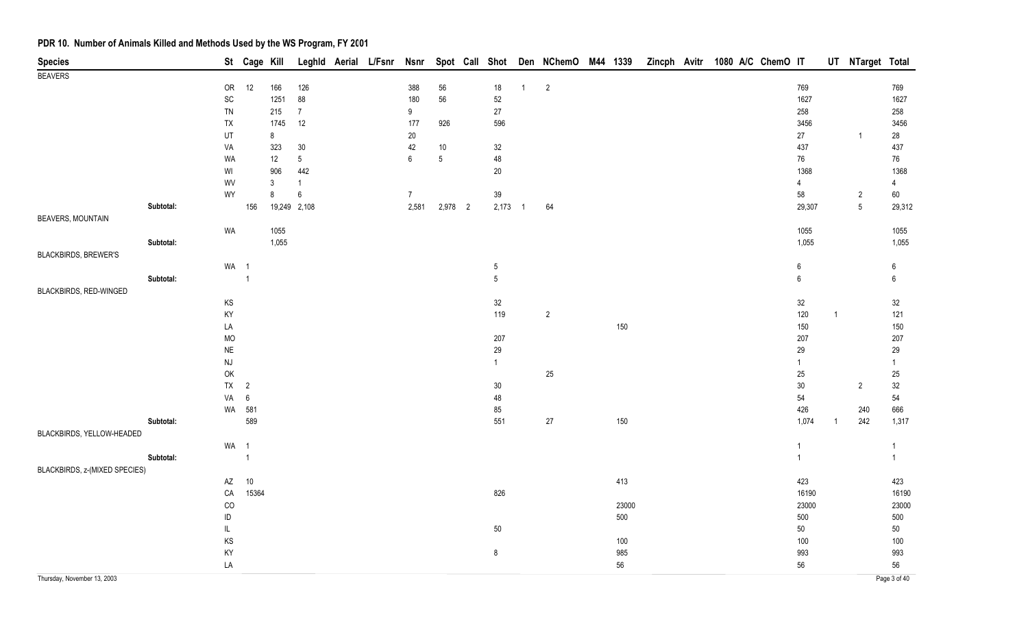| <b>Species</b>                |           |                              | St Cage Kill    |              |                         | Leghld Aerial L/Fsnr Nsnr |                         |                 |                     |              | Spot Call Shot Den NChemO M44 1339 |       |  | Zincph Avitr 1080 A/C ChemO IT |                |              | UT NTarget Total         |                |
|-------------------------------|-----------|------------------------------|-----------------|--------------|-------------------------|---------------------------|-------------------------|-----------------|---------------------|--------------|------------------------------------|-------|--|--------------------------------|----------------|--------------|--------------------------|----------------|
| <b>BEAVERS</b>                |           |                              |                 |              |                         |                           |                         |                 |                     |              |                                    |       |  |                                |                |              |                          |                |
|                               |           | OR                           | 12              | 166          | 126                     |                           | 388                     | 56              | $18\,$              | $\mathbf{1}$ | $\overline{2}$                     |       |  |                                | 769            |              |                          | 769            |
|                               |           | $\operatorname{\textsf{SC}}$ |                 | 1251         | 88                      |                           | 180                     | 56              | $52\,$              |              |                                    |       |  |                                | 1627           |              |                          | 1627           |
|                               |           | ${\sf TN}$                   |                 | 215          | $\overline{7}$          |                           | 9                       |                 | $27\,$              |              |                                    |       |  |                                | 258            |              |                          | 258            |
|                               |           | TX                           |                 | 1745         | 12                      |                           | 177                     | 926             | 596                 |              |                                    |       |  |                                | 3456           |              |                          | 3456           |
|                               |           | UT                           |                 | 8            |                         |                           | $20\,$                  |                 |                     |              |                                    |       |  |                                | 27             |              | $\overline{1}$           | 28             |
|                               |           | VA                           |                 | 323          | $30\,$                  |                           | 42                      | $10\,$          | $32\,$              |              |                                    |       |  |                                | 437            |              |                          | 437            |
|                               |           | WA                           |                 | $12$         | $5\phantom{.0}$         |                           | $6\phantom{a}$          | $5\phantom{.0}$ | 48                  |              |                                    |       |  |                                | 76             |              |                          | 76             |
|                               |           | WI                           |                 | 906          | 442                     |                           |                         |                 | $20\,$              |              |                                    |       |  |                                | 1368           |              |                          | 1368           |
|                               |           | WV<br>WY                     |                 | $\mathbf{3}$ | $\overline{1}$          |                           |                         |                 |                     |              |                                    |       |  |                                | $\overline{4}$ |              |                          | $\overline{4}$ |
|                               | Subtotal: |                              | 156             | 8            | $\,6\,$<br>19,249 2,108 |                           | $\overline{7}$<br>2,581 | 2,978 2         | $39\,$<br>$2,173$ 1 |              | 64                                 |       |  |                                | 58             |              | $\sqrt{2}$<br>$\sqrt{5}$ | 60             |
| <b>BEAVERS, MOUNTAIN</b>      |           |                              |                 |              |                         |                           |                         |                 |                     |              |                                    |       |  |                                | 29,307         |              |                          | 29,312         |
|                               |           | WA                           |                 | 1055         |                         |                           |                         |                 |                     |              |                                    |       |  |                                | 1055           |              |                          | 1055           |
|                               | Subtotal: |                              |                 | 1,055        |                         |                           |                         |                 |                     |              |                                    |       |  |                                | 1,055          |              |                          | 1,055          |
| <b>BLACKBIRDS, BREWER'S</b>   |           |                              |                 |              |                         |                           |                         |                 |                     |              |                                    |       |  |                                |                |              |                          |                |
|                               |           | WA 1                         |                 |              |                         |                           |                         |                 | $5\,$               |              |                                    |       |  |                                | 6              |              |                          | 6              |
|                               | Subtotal: |                              | $\overline{1}$  |              |                         |                           |                         |                 | $5\phantom{.0}$     |              |                                    |       |  |                                | 6              |              |                          | $6\phantom{a}$ |
| BLACKBIRDS, RED-WINGED        |           |                              |                 |              |                         |                           |                         |                 |                     |              |                                    |       |  |                                |                |              |                          |                |
|                               |           | KS                           |                 |              |                         |                           |                         |                 | $32\,$              |              |                                    |       |  |                                | 32             |              |                          | 32             |
|                               |           | KY                           |                 |              |                         |                           |                         |                 | 119                 |              | $\overline{2}$                     |       |  |                                | 120            | $\mathbf{1}$ |                          | 121            |
|                               |           | LA                           |                 |              |                         |                           |                         |                 |                     |              |                                    | 150   |  |                                | 150            |              |                          | 150            |
|                               |           | <b>MO</b>                    |                 |              |                         |                           |                         |                 | 207                 |              |                                    |       |  |                                | 207            |              |                          | 207            |
|                               |           | $\sf NE$                     |                 |              |                         |                           |                         |                 | 29                  |              |                                    |       |  |                                | 29             |              |                          | 29             |
|                               |           | $\mathsf{N}\mathsf{J}$       |                 |              |                         |                           |                         |                 | $\mathbf{1}$        |              |                                    |       |  |                                | $\mathbf{1}$   |              |                          | $\mathbf{1}$   |
|                               |           | OK                           |                 |              |                         |                           |                         |                 |                     |              | $25\,$                             |       |  |                                | 25             |              |                          | $25\,$         |
|                               |           | <b>TX</b>                    | $\overline{2}$  |              |                         |                           |                         |                 | $30\,$              |              |                                    |       |  |                                | $30\,$         |              | $\overline{c}$           | $32\,$         |
|                               |           | VA                           | $6\phantom{.}6$ |              |                         |                           |                         |                 | 48                  |              |                                    |       |  |                                | 54             |              |                          | 54             |
|                               |           |                              | WA 581          |              |                         |                           |                         |                 | 85                  |              |                                    |       |  |                                | 426            |              | 240                      | 666            |
|                               | Subtotal: |                              | 589             |              |                         |                           |                         |                 | 551                 |              | $27\,$                             | 150   |  |                                | 1,074          | $\mathbf{1}$ | 242                      | 1,317          |
| BLACKBIRDS, YELLOW-HEADED     |           |                              |                 |              |                         |                           |                         |                 |                     |              |                                    |       |  |                                |                |              |                          |                |
|                               |           | WA 1                         |                 |              |                         |                           |                         |                 |                     |              |                                    |       |  |                                | $\mathbf{1}$   |              |                          | $\mathbf{1}$   |
|                               | Subtotal: |                              | $\overline{1}$  |              |                         |                           |                         |                 |                     |              |                                    |       |  |                                | $\overline{1}$ |              |                          | $\mathbf{1}$   |
| BLACKBIRDS, z-(MIXED SPECIES) |           |                              |                 |              |                         |                           |                         |                 |                     |              |                                    |       |  |                                |                |              |                          |                |
|                               |           | $\mathsf{A}\mathsf{Z}$       | 10              |              |                         |                           |                         |                 |                     |              |                                    | 413   |  |                                | 423            |              |                          | 423            |
|                               |           | ${\sf CA}$                   | 15364           |              |                         |                           |                         |                 | 826                 |              |                                    |       |  |                                | 16190          |              |                          | 16190          |
|                               |           | CO                           |                 |              |                         |                           |                         |                 |                     |              |                                    | 23000 |  |                                | 23000          |              |                          | 23000          |
|                               |           | $\sf ID$                     |                 |              |                         |                           |                         |                 |                     |              |                                    | 500   |  |                                | 500            |              |                          | 500            |
|                               |           | IL                           |                 |              |                         |                           |                         |                 | $50\,$              |              |                                    |       |  |                                | 50             |              |                          | $50\,$         |
|                               |           | KS                           |                 |              |                         |                           |                         |                 |                     |              |                                    | 100   |  |                                | 100            |              |                          | 100            |
|                               |           | KY                           |                 |              |                         |                           |                         |                 | 8                   |              |                                    | 985   |  |                                | 993            |              |                          | 993            |
|                               |           | LA                           |                 |              |                         |                           |                         |                 |                     |              |                                    | 56    |  |                                | 56             |              |                          | 56             |
| Thursday, November 13, 2003   |           |                              |                 |              |                         |                           |                         |                 |                     |              |                                    |       |  |                                |                |              |                          | Page 3 of 40   |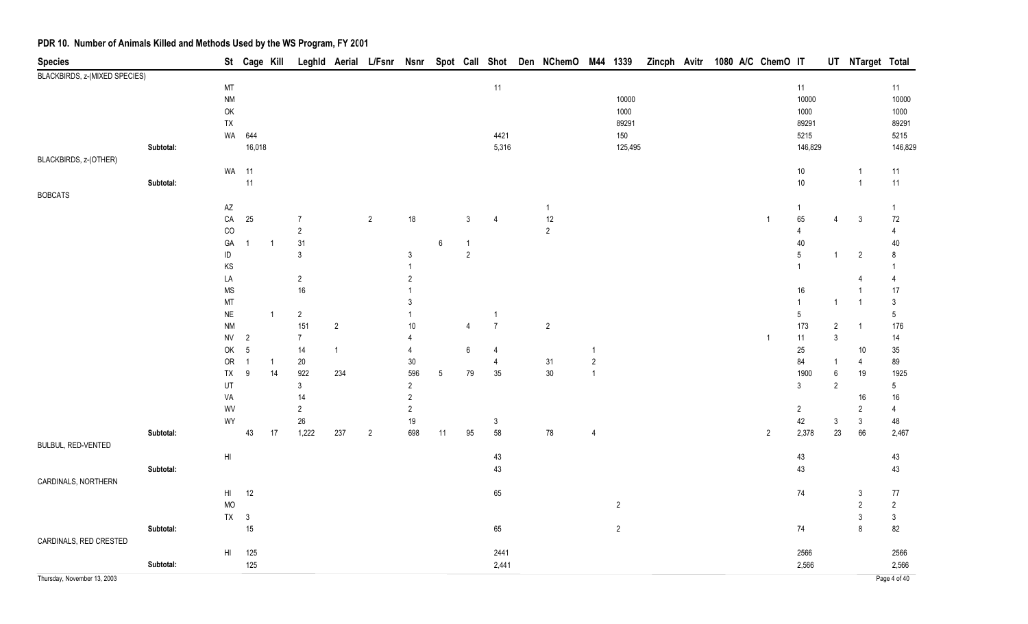| <b>Species</b>                |           |                        | St Cage Kill   |                |                |                | Leghld Aerial L/Fsnr Nsnr |                |                  |                |                | Spot Call Shot Den NChemO M44 1339 |                |                | Zincph Avitr |  | 1080 A/C ChemO IT |                |                  | UT NTarget Total        |                 |
|-------------------------------|-----------|------------------------|----------------|----------------|----------------|----------------|---------------------------|----------------|------------------|----------------|----------------|------------------------------------|----------------|----------------|--------------|--|-------------------|----------------|------------------|-------------------------|-----------------|
| BLACKBIRDS, z-(MIXED SPECIES) |           |                        |                |                |                |                |                           |                |                  |                |                |                                    |                |                |              |  |                   |                |                  |                         |                 |
|                               |           | MT                     |                |                |                |                |                           |                |                  |                | 11             |                                    |                |                |              |  |                   | 11             |                  |                         | 11              |
|                               |           | <b>NM</b>              |                |                |                |                |                           |                |                  |                |                |                                    |                | 10000          |              |  |                   | 10000          |                  |                         | 10000           |
|                               |           | $\mathsf{OK}$          |                |                |                |                |                           |                |                  |                |                |                                    |                | 1000           |              |  |                   | 1000           |                  |                         | 1000            |
|                               |           | TX                     |                |                |                |                |                           |                |                  |                |                |                                    |                | 89291          |              |  |                   | 89291          |                  |                         | 89291           |
|                               |           |                        | WA 644         |                |                |                |                           |                |                  |                | 4421           |                                    |                | 150            |              |  |                   | 5215           |                  |                         | 5215            |
|                               | Subtotal: |                        | 16,018         |                |                |                |                           |                |                  |                | 5,316          |                                    |                | 125,495        |              |  |                   | 146,829        |                  |                         | 146,829         |
| BLACKBIRDS, z-(OTHER)         |           | WA 11                  |                |                |                |                |                           |                |                  |                |                |                                    |                |                |              |  |                   | $10\,$         |                  | $\mathbf{1}$            | 11              |
|                               | Subtotal: |                        | 11             |                |                |                |                           |                |                  |                |                |                                    |                |                |              |  |                   | $10\,$         |                  | $\mathbf{1}$            | 11              |
| <b>BOBCATS</b>                |           |                        |                |                |                |                |                           |                |                  |                |                |                                    |                |                |              |  |                   |                |                  |                         |                 |
|                               |           | $\mathsf{A}\mathsf{Z}$ |                |                |                |                |                           |                |                  |                |                | $\mathbf{1}$                       |                |                |              |  |                   | -1             |                  |                         |                 |
|                               |           | $\mathsf{CA}$          | $25\,$         |                | $\overline{7}$ |                | $\sqrt{2}$                | 18             |                  | 3              | $\overline{4}$ | $12$                               |                |                |              |  | $\overline{1}$    | 65             | 4                | $\mathbf{3}$            | 72              |
|                               |           | CO                     |                |                | $\overline{2}$ |                |                           |                |                  |                |                | $\overline{2}$                     |                |                |              |  |                   | 4              |                  |                         | 4               |
|                               |           | GA                     | $\overline{1}$ | -1             | 31             |                |                           |                | $\boldsymbol{6}$ |                |                |                                    |                |                |              |  |                   | 40             |                  |                         | 40              |
|                               |           | $\sf ID$               |                |                | $\mathbf{3}$   |                |                           | $\mathbf{3}$   |                  | $\overline{2}$ |                |                                    |                |                |              |  |                   | $\sqrt{5}$     | 1                | $\overline{2}$          | 8               |
|                               |           | KS                     |                |                |                |                |                           |                |                  |                |                |                                    |                |                |              |  |                   |                |                  |                         |                 |
|                               |           | LA                     |                |                | $\overline{2}$ |                |                           | $\overline{2}$ |                  |                |                |                                    |                |                |              |  |                   |                |                  | Δ                       |                 |
|                               |           | <b>MS</b>              |                |                | $16\,$         |                |                           |                |                  |                |                |                                    |                |                |              |  |                   | 16             |                  | $\mathbf{1}$            | 17              |
|                               |           | $\mathsf{MT}$          |                |                |                |                |                           | 3              |                  |                |                |                                    |                |                |              |  |                   | $\mathbf{1}$   | $\mathbf{1}$     | $\overline{1}$          | 3               |
|                               |           | $\sf NE$               |                | $\overline{1}$ | $\sqrt{2}$     |                |                           |                |                  |                | $\overline{1}$ |                                    |                |                |              |  |                   | 5              |                  |                         | $\sqrt{5}$      |
|                               |           | <b>NM</b>              |                |                | 151            | $\overline{2}$ |                           | 10             |                  | $\overline{4}$ | $\overline{7}$ | $\overline{2}$                     |                |                |              |  |                   | 173            | $\sqrt{2}$       | $\mathbf{1}$            | 176             |
|                               |           | ${\sf NV}$             | $\overline{2}$ |                | $\overline{7}$ |                |                           | 4              |                  |                |                |                                    |                |                |              |  | $\mathbf{1}$      | 11             | $\mathsf 3$      |                         | 14              |
|                               |           | OK                     | $\overline{5}$ |                | 14             | $\overline{1}$ |                           | 4              |                  | 6              | $\overline{4}$ |                                    | 1              |                |              |  |                   | $25\,$         |                  | $10$                    | $35\,$          |
|                               |           | OR                     | $\overline{1}$ | $\mathbf{1}$   | $20\,$         |                |                           | 30             |                  |                | $\overline{4}$ | 31                                 | $\sqrt{2}$     |                |              |  |                   | 84             | $\mathbf{1}$     | $\overline{\mathbf{4}}$ | 89              |
|                               |           | TX                     | 9              | 14             | 922            | 234            |                           | 596            | $5\phantom{.0}$  | 79             | $35\,$         | $30\,$                             | $\overline{1}$ |                |              |  |                   | 1900           | $\boldsymbol{6}$ | 19                      | 1925            |
|                               |           | UT                     |                |                | $\mathfrak{Z}$ |                |                           | $\overline{2}$ |                  |                |                |                                    |                |                |              |  |                   | 3              | $\overline{2}$   |                         | $5\overline{)}$ |
|                               |           | VA                     |                |                | 14             |                |                           | $\overline{2}$ |                  |                |                |                                    |                |                |              |  |                   |                |                  | 16                      | $16\,$          |
|                               |           | WV                     |                |                | $\overline{2}$ |                |                           | $\sqrt{2}$     |                  |                |                |                                    |                |                |              |  |                   | $\overline{2}$ |                  | $\overline{2}$          | 4               |
|                               |           | WY                     |                |                | 26             |                |                           | 19             |                  |                | $\mathbf{3}$   |                                    |                |                |              |  |                   | 42             | $\mathsf{3}$     | $\mathbf{3}$            | 48              |
|                               | Subtotal: |                        | 43             | 17             | 1,222          | 237            | $\overline{2}$            | 698            | 11               | $95\,$         | 58             | ${\bf 78}$                         | $\overline{4}$ |                |              |  | $\overline{2}$    | 2,378          | $23\,$           | 66                      | 2,467           |
| BULBUL, RED-VENTED            |           |                        |                |                |                |                |                           |                |                  |                |                |                                    |                |                |              |  |                   |                |                  |                         |                 |
|                               |           | $\mathsf{H}\mathsf{I}$ |                |                |                |                |                           |                |                  |                | 43             |                                    |                |                |              |  |                   | 43             |                  |                         | 43              |
|                               | Subtotal: |                        |                |                |                |                |                           |                |                  |                | 43             |                                    |                |                |              |  |                   | 43             |                  |                         | 43              |
| CARDINALS, NORTHERN           |           |                        |                |                |                |                |                           |                |                  |                |                |                                    |                |                |              |  |                   |                |                  |                         |                 |
|                               |           | $H\parallel$           | 12             |                |                |                |                           |                |                  |                | 65             |                                    |                |                |              |  |                   | 74             |                  | 3                       | $77\,$          |
|                               |           | MO                     |                |                |                |                |                           |                |                  |                |                |                                    |                | $\overline{2}$ |              |  |                   |                |                  | $\overline{2}$          | $\sqrt{2}$      |
|                               |           | $TX$ 3                 |                |                |                |                |                           |                |                  |                |                |                                    |                |                |              |  |                   |                |                  | $\mathfrak{Z}$          | 3               |
|                               | Subtotal: |                        | 15             |                |                |                |                           |                |                  |                | 65             |                                    |                | $\sqrt{2}$     |              |  |                   | 74             |                  | 8                       | 82              |
| CARDINALS, RED CRESTED        |           |                        |                |                |                |                |                           |                |                  |                |                |                                    |                |                |              |  |                   |                |                  |                         |                 |
|                               |           | H <sub>1</sub>         | 125            |                |                |                |                           |                |                  |                | 2441           |                                    |                |                |              |  |                   | 2566           |                  |                         | 2566            |
|                               | Subtotal: |                        | 125            |                |                |                |                           |                |                  |                | 2,441          |                                    |                |                |              |  |                   | 2,566          |                  |                         | 2,566           |
| Thursday, November 13, 2003   |           |                        |                |                |                |                |                           |                |                  |                |                |                                    |                |                |              |  |                   |                |                  |                         | Page 4 of 40    |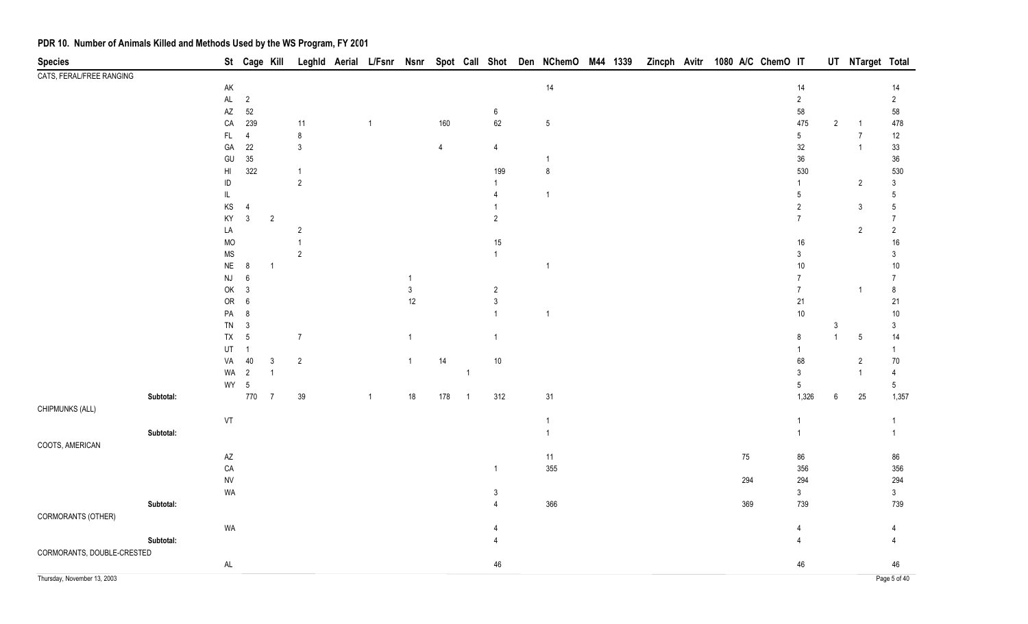| <b>Species</b>              |           |                              |                  | St Cage Kill   |                |                |                |                |                          |                  | Leghld Aerial L/Fsnr Nsnr Spot Call Shot Den NChemO M44 1339 Zincph Avitr 1080 A/C ChemO IT |  |  |        |                |                | UT NTarget Total |                |
|-----------------------------|-----------|------------------------------|------------------|----------------|----------------|----------------|----------------|----------------|--------------------------|------------------|---------------------------------------------------------------------------------------------|--|--|--------|----------------|----------------|------------------|----------------|
| CATS, FERAL/FREE RANGING    |           |                              |                  |                |                |                |                |                |                          |                  |                                                                                             |  |  |        |                |                |                  |                |
|                             |           | AK                           |                  |                |                |                |                |                |                          |                  | 14                                                                                          |  |  |        | 14             |                |                  | $14$           |
|                             |           | $\mathsf{AL}$                | $\overline{2}$   |                |                |                |                |                |                          |                  |                                                                                             |  |  |        | $\overline{2}$ |                |                  | $\overline{2}$ |
|                             |           | $\mathsf{A}\mathsf{Z}$       | $52\,$           |                |                |                |                |                |                          | $\boldsymbol{6}$ |                                                                                             |  |  |        | 58             |                |                  | 58             |
|                             |           | CA                           | 239              |                | 11             | $\overline{1}$ |                | 160            |                          | 62               | $\sqrt{5}$                                                                                  |  |  |        | 475            | $\overline{2}$ | -1               | 478            |
|                             |           | <b>FL</b>                    | $\overline{4}$   |                | 8              |                |                |                |                          |                  |                                                                                             |  |  |        | $5\,$          |                | $\overline{7}$   | 12             |
|                             |           | GA                           | $22\,$           |                | $\mathbf{3}$   |                |                | $\overline{4}$ |                          | $\overline{4}$   |                                                                                             |  |  |        | $32\,$         |                | $\mathbf{1}$     | $33\,$         |
|                             |           | GU                           | $35\,$           |                |                |                |                |                |                          |                  | $\overline{1}$                                                                              |  |  |        | $36\,$         |                |                  | $36\,$         |
|                             |           | H <sub>l</sub>               | 322              |                | $\overline{1}$ |                |                |                |                          | 199              | $\bf 8$                                                                                     |  |  |        | 530            |                |                  | 530            |
|                             |           | ID                           |                  |                | $\overline{2}$ |                |                |                |                          | 1                |                                                                                             |  |  |        |                |                | $\overline{2}$   | 3              |
|                             |           |                              |                  |                |                |                |                |                |                          |                  | $\overline{1}$                                                                              |  |  |        | 5              |                |                  | 5              |
|                             |           | KS                           | $\overline{4}$   |                |                |                |                |                |                          |                  |                                                                                             |  |  |        | $\overline{2}$ |                | $\mathfrak{Z}$   | 5              |
|                             |           | KY                           | $\mathbf{3}$     | $\overline{2}$ |                |                |                |                |                          | $\overline{2}$   |                                                                                             |  |  |        | $\overline{7}$ |                |                  |                |
|                             |           | LA                           |                  |                | $\overline{c}$ |                |                |                |                          |                  |                                                                                             |  |  |        |                |                | $\overline{2}$   | $\overline{2}$ |
|                             |           | <b>MO</b>                    |                  |                | $\overline{1}$ |                |                |                |                          | 15               |                                                                                             |  |  |        | $16\,$         |                |                  | 16             |
|                             |           | $\rm MS$                     |                  |                | $\overline{2}$ |                |                |                |                          | $\mathbf{1}$     |                                                                                             |  |  |        | 3              |                |                  | 3              |
|                             |           | <b>NE</b>                    | 8                | $\overline{1}$ |                |                |                |                |                          |                  | $\overline{1}$                                                                              |  |  |        | $10$           |                |                  | 10             |
|                             |           | NJ                           | $\boldsymbol{6}$ |                |                |                | $\mathbf 1$    |                |                          |                  |                                                                                             |  |  |        | $\overline{7}$ |                |                  | $\overline{7}$ |
|                             |           | OK                           | $\mathfrak{Z}$   |                |                |                | $\mathfrak{Z}$ |                |                          | $\overline{c}$   |                                                                                             |  |  |        | $\overline{7}$ |                | -1               | 8              |
|                             |           | OR                           | 6                |                |                |                | $12\,$         |                |                          | $\sqrt{3}$       |                                                                                             |  |  |        | $21$           |                |                  | 21             |
|                             |           | PA                           | 8                |                |                |                |                |                |                          | $\mathbf 1$      | $\overline{1}$                                                                              |  |  |        | $10$           |                |                  | 10             |
|                             |           | TN                           | 3                |                |                |                |                |                |                          |                  |                                                                                             |  |  |        |                | 3              |                  | 3              |
|                             |           | TX                           | $\sqrt{5}$       |                | $\overline{7}$ |                | $\mathbf{1}$   |                |                          | $\mathbf{1}$     |                                                                                             |  |  |        | 8              | $\mathbf{1}$   | $\sqrt{5}$       | 14             |
|                             |           | UT                           | $\overline{1}$   |                |                |                |                |                |                          |                  |                                                                                             |  |  |        |                |                |                  |                |
|                             |           | VA                           | $40\,$           | 3              | $\overline{c}$ |                | $\mathbf{1}$   | 14             |                          | $10\,$           |                                                                                             |  |  |        | 68             |                | $\overline{2}$   | $70\,$         |
|                             |           | WA                           | $\overline{2}$   |                |                |                |                |                | $\overline{1}$           |                  |                                                                                             |  |  |        | $\mathbf{3}$   |                | $\mathbf{1}$     | 4              |
|                             |           |                              | WY 5             |                |                |                |                |                |                          |                  |                                                                                             |  |  |        | 5              |                |                  | 5 <sub>5</sub> |
|                             | Subtotal: |                              | 770              | $\overline{7}$ | 39             | $\overline{1}$ | $18\,$         | 178            | $\overline{\phantom{1}}$ | 312              | 31                                                                                          |  |  |        | 1,326          | 6              | $25\,$           | 1,357          |
| CHIPMUNKS (ALL)             |           |                              |                  |                |                |                |                |                |                          |                  |                                                                                             |  |  |        |                |                |                  |                |
|                             |           | ${\sf VT}$                   |                  |                |                |                |                |                |                          |                  | $\overline{1}$<br>$\overline{1}$                                                            |  |  |        |                |                |                  | 1              |
|                             | Subtotal: |                              |                  |                |                |                |                |                |                          |                  |                                                                                             |  |  |        |                |                |                  |                |
| COOTS, AMERICAN             |           |                              |                  |                |                |                |                |                |                          |                  |                                                                                             |  |  | $75\,$ |                |                |                  |                |
|                             |           | $\mathsf{A}\mathsf{Z}$<br>CA |                  |                |                |                |                |                |                          | $\overline{1}$   | 11<br>355                                                                                   |  |  |        | 86<br>356      |                |                  | 86<br>356      |
|                             |           | <b>NV</b>                    |                  |                |                |                |                |                |                          |                  |                                                                                             |  |  | 294    | 294            |                |                  | 294            |
|                             |           | WA                           |                  |                |                |                |                |                |                          | 3                |                                                                                             |  |  |        | $\mathbf{3}$   |                |                  | $\mathbf{3}$   |
|                             | Subtotal: |                              |                  |                |                |                |                |                |                          | $\overline{4}$   | 366                                                                                         |  |  | 369    | 739            |                |                  | 739            |
| CORMORANTS (OTHER)          |           |                              |                  |                |                |                |                |                |                          |                  |                                                                                             |  |  |        |                |                |                  |                |
|                             |           | WA                           |                  |                |                |                |                |                |                          |                  |                                                                                             |  |  |        | 4              |                |                  |                |
|                             | Subtotal: |                              |                  |                |                |                |                |                |                          |                  |                                                                                             |  |  |        |                |                |                  |                |
| CORMORANTS, DOUBLE-CRESTED  |           |                              |                  |                |                |                |                |                |                          |                  |                                                                                             |  |  |        |                |                |                  |                |
|                             |           | $\mathsf{AL}$                |                  |                |                |                |                |                |                          | 46               |                                                                                             |  |  |        | 46             |                |                  | 46             |
|                             |           |                              |                  |                |                |                |                |                |                          |                  |                                                                                             |  |  |        |                |                |                  |                |
| Thursday, November 13, 2003 |           |                              |                  |                |                |                |                |                |                          |                  |                                                                                             |  |  |        |                |                |                  | Page 5 of 40   |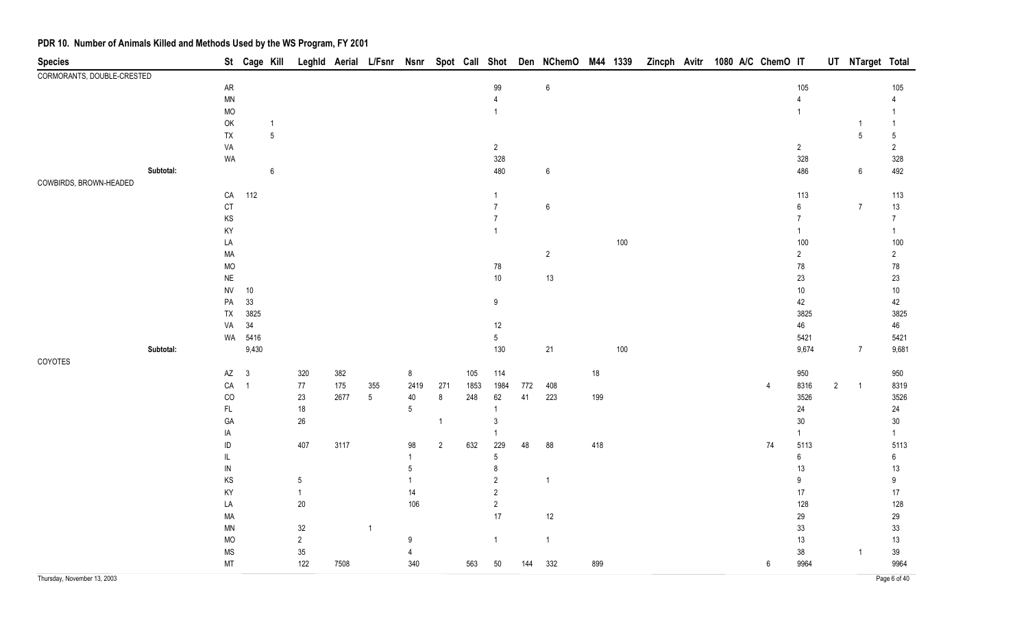| <b>Species</b>              |           |                        | St Cage Kill   |                  |            |      |                 |                |                |      |                |     | Leghld Aerial L/Fsnr Nsnr Spot Call Shot Den NChemO M44 1339 |     |         |  |  | Zincph Avitr 1080 A/C ChemO IT |                  |                | UT NTarget Total |                |
|-----------------------------|-----------|------------------------|----------------|------------------|------------|------|-----------------|----------------|----------------|------|----------------|-----|--------------------------------------------------------------|-----|---------|--|--|--------------------------------|------------------|----------------|------------------|----------------|
| CORMORANTS, DOUBLE-CRESTED  |           |                        |                |                  |            |      |                 |                |                |      |                |     |                                                              |     |         |  |  |                                |                  |                |                  |                |
|                             |           | ${\sf AR}$             |                |                  |            |      |                 |                |                |      | 99             |     | $\boldsymbol{6}$                                             |     |         |  |  |                                | 105              |                |                  | 105            |
|                             |           | $\textsf{MN}{}$        |                |                  |            |      |                 |                |                |      | $\overline{4}$ |     |                                                              |     |         |  |  |                                | $\overline{4}$   |                |                  |                |
|                             |           | $\rm MO$               |                |                  |            |      |                 |                |                |      |                |     |                                                              |     |         |  |  |                                | $\mathbf{1}$     |                |                  |                |
|                             |           | OK                     |                | $\mathbf{1}$     |            |      |                 |                |                |      |                |     |                                                              |     |         |  |  |                                |                  |                |                  | $\mathbf{1}$   |
|                             |           | ${\sf TX}$             |                | $\sqrt{5}$       |            |      |                 |                |                |      |                |     |                                                              |     |         |  |  |                                |                  |                | 5                | $\sqrt{5}$     |
|                             |           | VA                     |                |                  |            |      |                 |                |                |      | $\overline{2}$ |     |                                                              |     |         |  |  |                                | $\overline{2}$   |                |                  | $\overline{2}$ |
|                             |           | WA                     |                |                  |            |      |                 |                |                |      | 328            |     |                                                              |     |         |  |  |                                | 328              |                |                  | 328            |
|                             | Subtotal: |                        |                | $\boldsymbol{6}$ |            |      |                 |                |                |      | 480            |     | 6                                                            |     |         |  |  |                                | 486              |                | $\boldsymbol{6}$ | 492            |
| COWBIRDS, BROWN-HEADED      |           |                        |                |                  |            |      |                 |                |                |      |                |     |                                                              |     |         |  |  |                                |                  |                |                  |                |
|                             |           | ${\sf CA}$             | 112            |                  |            |      |                 |                |                |      | 1              |     |                                                              |     |         |  |  |                                | 113              |                |                  | 113            |
|                             |           | $\mathsf{C}\mathsf{T}$ |                |                  |            |      |                 |                |                |      | $\overline{7}$ |     | 6                                                            |     |         |  |  |                                | $\boldsymbol{6}$ |                | $\overline{7}$   | $13$           |
|                             |           | KS                     |                |                  |            |      |                 |                |                |      | $\overline{7}$ |     |                                                              |     |         |  |  |                                | $\overline{7}$   |                |                  | $\overline{7}$ |
|                             |           | KY                     |                |                  |            |      |                 |                |                |      |                |     |                                                              |     |         |  |  |                                | $\mathbf{1}$     |                |                  | $\mathbf{1}$   |
|                             |           | LA                     |                |                  |            |      |                 |                |                |      |                |     |                                                              |     | 100     |  |  |                                | 100              |                |                  | 100            |
|                             |           | MA                     |                |                  |            |      |                 |                |                |      |                |     | $\overline{c}$                                               |     |         |  |  |                                | $\overline{2}$   |                |                  | $\overline{2}$ |
|                             |           | MO                     |                |                  |            |      |                 |                |                |      | 78             |     |                                                              |     |         |  |  |                                | ${\bf 78}$       |                |                  | $78\,$         |
|                             |           | $\sf NE$               |                |                  |            |      |                 |                |                |      | $10\,$         |     | $13$                                                         |     |         |  |  |                                | 23               |                |                  | $23\,$         |
|                             |           | ${\sf NV}$             | $10\,$         |                  |            |      |                 |                |                |      |                |     |                                                              |     |         |  |  |                                | $10\,$           |                |                  | $10\,$         |
|                             |           | ${\sf PA}$             | 33             |                  |            |      |                 |                |                |      | $9\,$          |     |                                                              |     |         |  |  |                                | 42               |                |                  | 42             |
|                             |           | ${\sf TX}$             | 3825           |                  |            |      |                 |                |                |      |                |     |                                                              |     |         |  |  |                                | 3825             |                |                  | 3825           |
|                             |           | VA                     | $34\,$         |                  |            |      |                 |                |                |      | 12             |     |                                                              |     |         |  |  |                                | $46\,$           |                |                  |                |
|                             |           | WA                     | 5416           |                  |            |      |                 |                |                |      | 5              |     |                                                              |     |         |  |  |                                |                  |                |                  | 46             |
|                             | Subtotal: |                        | 9,430          |                  |            |      |                 |                |                |      | 130            |     |                                                              |     | $100\,$ |  |  |                                | 5421             |                | $\overline{7}$   | 5421           |
|                             |           |                        |                |                  |            |      |                 |                |                |      |                |     | 21                                                           |     |         |  |  |                                | 9,674            |                |                  | 9,681          |
| COYOTES                     |           |                        |                |                  |            |      |                 |                |                |      |                |     |                                                              |     |         |  |  |                                |                  |                |                  |                |
|                             |           | $AZ$ 3                 |                |                  | 320        | 382  |                 | 8              |                | 105  | 114            |     |                                                              | 18  |         |  |  |                                | 950              |                |                  | 950            |
|                             |           | $\mathsf{CA}$          | $\overline{1}$ |                  | $77\,$     | 175  | 355             | 2419           | 271            | 1853 | 1984           | 772 | 408                                                          |     |         |  |  |                                | 8316             | $\overline{2}$ | $\overline{1}$   | 8319           |
|                             |           | CO                     |                |                  | $23\,$     | 2677 | $5\phantom{.0}$ | $40\,$         | $\bf 8$        | 248  | 62             | 41  | 223                                                          | 199 |         |  |  |                                | 3526             |                |                  | 3526           |
|                             |           | FL.                    |                |                  | $18\,$     |      |                 | 5              |                |      |                |     |                                                              |     |         |  |  |                                | 24               |                |                  | 24             |
|                             |           | GA                     |                |                  | $26\,$     |      |                 |                | $\mathbf{1}$   |      | 3              |     |                                                              |     |         |  |  |                                | $30\,$           |                |                  | $30\,$         |
|                             |           | IA                     |                |                  |            |      |                 |                |                |      |                |     |                                                              |     |         |  |  |                                | $\mathbf{1}$     |                |                  | $\mathbf{1}$   |
|                             |           | ID                     |                |                  | 407        | 3117 |                 | 98             | $\overline{2}$ | 632  | 229            | 48  | 88                                                           | 418 |         |  |  | 74                             | 5113             |                |                  | 5113           |
|                             |           | IL                     |                |                  |            |      |                 | $\overline{1}$ |                |      | 5              |     |                                                              |     |         |  |  |                                | $6\overline{6}$  |                |                  | 6              |
|                             |           | ${\sf IN}$             |                |                  |            |      |                 | 5              |                |      | 8              |     |                                                              |     |         |  |  |                                | 13               |                |                  | $13$           |
|                             |           | KS                     |                |                  | $\sqrt{5}$ |      |                 |                |                |      | $\overline{c}$ |     | -1                                                           |     |         |  |  |                                | 9                |                |                  | 9              |
|                             |           | KY                     |                |                  |            |      |                 | 14             |                |      | $\overline{2}$ |     |                                                              |     |         |  |  |                                | $17$             |                |                  | $17\,$         |
|                             |           | LA                     |                |                  | 20         |      |                 | 106            |                |      | $\overline{2}$ |     |                                                              |     |         |  |  |                                | 128              |                |                  | 128            |
|                             |           | MA                     |                |                  |            |      |                 |                |                |      | 17             |     | 12                                                           |     |         |  |  |                                | 29               |                |                  | 29             |
|                             |           | $\mathsf{MN}$          |                |                  | $32\,$     |      | -1              |                |                |      |                |     |                                                              |     |         |  |  |                                | 33               |                |                  | 33             |
|                             |           | MO                     |                |                  | $\sqrt{2}$ |      |                 | 9              |                |      | $\mathbf{1}$   |     | $\overline{1}$                                               |     |         |  |  |                                | $13$             |                |                  | 13             |
|                             |           | <b>MS</b>              |                |                  | $35\,$     |      |                 | 4              |                |      |                |     |                                                              |     |         |  |  |                                | $38\,$           |                | -1               | $39\,$         |
|                             |           | MT                     |                |                  | 122        | 7508 |                 | 340            |                | 563  | 50             | 144 | 332                                                          | 899 |         |  |  | 6                              | 9964             |                |                  | 9964           |
| Thursday, November 13, 2003 |           |                        |                |                  |            |      |                 |                |                |      |                |     |                                                              |     |         |  |  |                                |                  |                |                  | Page 6 of 40   |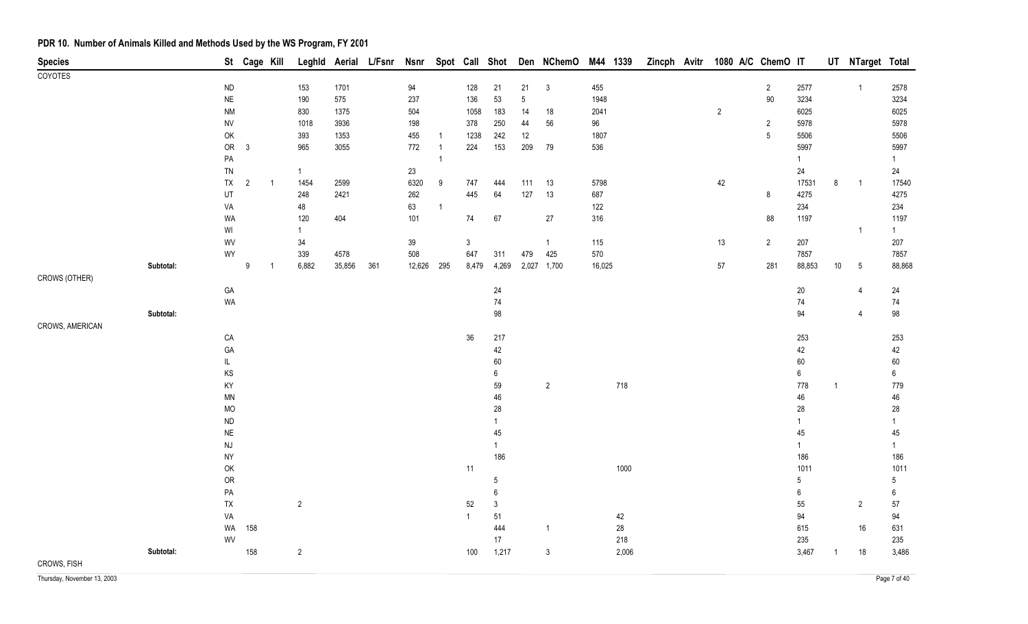| <b>Species</b>  |           |                                                               | St Cage Kill   |                |                     |        |     |               |                |                |                |                | Leghld Aerial L/Fsnr Nsnr Spot Call Shot Den NChemO | M44 1339 |        |  |                | Zincph Avitr 1080 A/C ChemO IT |                |        |                | UT NTarget Total |                      |
|-----------------|-----------|---------------------------------------------------------------|----------------|----------------|---------------------|--------|-----|---------------|----------------|----------------|----------------|----------------|-----------------------------------------------------|----------|--------|--|----------------|--------------------------------|----------------|--------|----------------|------------------|----------------------|
| <b>COYOTES</b>  |           |                                                               |                |                |                     |        |     |               |                |                |                |                |                                                     |          |        |  |                |                                |                |        |                |                  |                      |
|                 |           | $\sf ND$                                                      |                |                | 153                 | 1701   |     | 94            |                | 128            | 21             | 21             | $\mathbf{3}$                                        | 455      |        |  |                |                                | $\overline{2}$ | 2577   |                | $\overline{1}$   | 2578                 |
|                 |           | $\sf NE$                                                      |                |                | 190                 | 575    |     | 237           |                | 136            | 53             | $\overline{5}$ |                                                     | 1948     |        |  |                |                                | $90\,$         | 3234   |                |                  | 3234                 |
|                 |           | <b>NM</b>                                                     |                |                | 830                 | 1375   |     | 504           |                | 1058           | 183            | 14             | $18$                                                | 2041     |        |  | $\overline{c}$ |                                |                | 6025   |                |                  | 6025                 |
|                 |           | <b>NV</b>                                                     |                |                | 1018                | 3936   |     | 198           |                | 378            | 250            | 44             | 56                                                  | 96       |        |  |                |                                | $\sqrt{2}$     | 5978   |                |                  | 5978                 |
|                 |           | OK                                                            |                |                | 393                 | 1353   |     | 455           | $\overline{1}$ | 1238           | 242            | $12\,$         |                                                     | 1807     |        |  |                |                                | $\sqrt{5}$     | 5506   |                |                  | 5506                 |
|                 |           | ${\sf OR}$                                                    | $\mathbf{3}$   |                | 965                 | 3055   |     | 772           | $\overline{1}$ | 224            | 153            | 209            | 79                                                  | 536      |        |  |                |                                |                | 5997   |                |                  | 5997                 |
|                 |           | PA                                                            |                |                |                     |        |     |               |                |                |                |                |                                                     |          |        |  |                |                                |                | 1      |                |                  | 1                    |
|                 |           | ${\sf TN}$                                                    |                |                | $\mathbf{1}$        |        |     | 23            |                |                |                |                |                                                     |          |        |  |                |                                |                | 24     |                |                  | 24                   |
|                 |           | ${\sf TX}$                                                    | $\overline{2}$ | $\overline{1}$ | 1454                | 2599   |     | 6320          | 9              | 747            | 444            | 111            | 13                                                  | 5798     |        |  | 42             |                                |                | 17531  | 8              | $\overline{1}$   | 17540                |
|                 |           | UT                                                            |                |                | 248                 | 2421   |     | 262           |                | 445            | 64             | 127            | 13                                                  | 687      |        |  |                |                                | $\bf 8$        | 4275   |                |                  | 4275                 |
|                 |           | VA                                                            |                |                | 48                  |        |     | 63            | $\mathbf{1}$   |                |                |                |                                                     | 122      |        |  |                |                                |                | 234    |                |                  | 234                  |
|                 |           | WA                                                            |                |                | 120<br>$\mathbf{1}$ | 404    |     | 101           |                | 74             | $67\,$         |                | 27                                                  | 316      |        |  |                |                                | 88             | 1197   |                | $\mathbf{1}$     | 1197<br>$\mathbf{1}$ |
|                 |           | $\ensuremath{\mathsf{W}}\xspace\ensuremath{\mathsf{I}}$<br>WV |                |                |                     |        |     |               |                | $\mathbf{3}$   |                |                | $\mathbf{1}$                                        | 115      |        |  | 13             |                                | $\sqrt{2}$     | 207    |                |                  | 207                  |
|                 |           | WY                                                            |                |                | 34<br>339           | 4578   |     | $39\,$<br>508 |                | 647            | 311            | 479            | 425                                                 | 570      |        |  |                |                                |                | 7857   |                |                  | 7857                 |
|                 | Subtotal: |                                                               | $9\,$          | -1             | 6,882               | 35,856 | 361 | 12,626        | 295            | 8,479          | 4,269          |                | 2,027 1,700                                         | 16,025   |        |  | $57\,$         |                                | 281            | 88,853 | $10\,$         | $5\phantom{.0}$  | 88,868               |
| CROWS (OTHER)   |           |                                                               |                |                |                     |        |     |               |                |                |                |                |                                                     |          |        |  |                |                                |                |        |                |                  |                      |
|                 |           | GA                                                            |                |                |                     |        |     |               |                |                | 24             |                |                                                     |          |        |  |                |                                |                | $20\,$ |                | 4                | 24                   |
|                 |           | <b>WA</b>                                                     |                |                |                     |        |     |               |                |                | 74             |                |                                                     |          |        |  |                |                                |                | 74     |                |                  | 74                   |
|                 | Subtotal: |                                                               |                |                |                     |        |     |               |                |                | 98             |                |                                                     |          |        |  |                |                                |                | 94     |                | $\overline{4}$   | 98                   |
| CROWS, AMERICAN |           |                                                               |                |                |                     |        |     |               |                |                |                |                |                                                     |          |        |  |                |                                |                |        |                |                  |                      |
|                 |           | CA                                                            |                |                |                     |        |     |               |                | $36\,$         | 217            |                |                                                     |          |        |  |                |                                |                | 253    |                |                  | 253                  |
|                 |           | GA                                                            |                |                |                     |        |     |               |                |                | 42             |                |                                                     |          |        |  |                |                                |                | 42     |                |                  | 42                   |
|                 |           | $\mathsf{IL}$                                                 |                |                |                     |        |     |               |                |                | $60\,$         |                |                                                     |          |        |  |                |                                |                | 60     |                |                  | $60\,$               |
|                 |           | KS                                                            |                |                |                     |        |     |               |                |                | 6              |                |                                                     |          |        |  |                |                                |                | 6      |                |                  | 6                    |
|                 |           | KY                                                            |                |                |                     |        |     |               |                |                | 59             |                | $\overline{2}$                                      |          | 718    |  |                |                                |                | 778    | $\overline{1}$ |                  | 779                  |
|                 |           | MN                                                            |                |                |                     |        |     |               |                |                | 46             |                |                                                     |          |        |  |                |                                |                | 46     |                |                  | 46                   |
|                 |           | MO                                                            |                |                |                     |        |     |               |                |                | 28             |                |                                                     |          |        |  |                |                                |                | 28     |                |                  | 28                   |
|                 |           | $\sf ND$                                                      |                |                |                     |        |     |               |                |                | $\mathbf{1}$   |                |                                                     |          |        |  |                |                                |                | 1      |                |                  | $\mathbf{1}$         |
|                 |           | $\sf NE$                                                      |                |                |                     |        |     |               |                |                | 45             |                |                                                     |          |        |  |                |                                |                | 45     |                |                  | 45                   |
|                 |           | $\mathsf{N}\mathsf{J}$                                        |                |                |                     |        |     |               |                |                | $\mathbf{1}$   |                |                                                     |          |        |  |                |                                |                | 1      |                |                  | $\mathbf{1}$         |
|                 |           | <b>NY</b>                                                     |                |                |                     |        |     |               |                |                | 186            |                |                                                     |          |        |  |                |                                |                | 186    |                |                  | 186                  |
|                 |           | OK                                                            |                |                |                     |        |     |               |                | $11$           |                |                |                                                     |          | 1000   |  |                |                                |                | 1011   |                |                  | 1011                 |
|                 |           | ${\sf OR}$                                                    |                |                |                     |        |     |               |                |                | 5              |                |                                                     |          |        |  |                |                                |                | 5      |                |                  | 5                    |
|                 |           | PA                                                            |                |                |                     |        |     |               |                |                | $\,6\,$        |                |                                                     |          |        |  |                |                                |                | 6      |                |                  | 6                    |
|                 |           | ${\sf TX}$                                                    |                |                | $\overline{2}$      |        |     |               |                | $52\,$         | $\mathfrak{Z}$ |                |                                                     |          |        |  |                |                                |                | 55     |                | $\overline{2}$   | 57                   |
|                 |           | VA                                                            |                |                |                     |        |     |               |                | $\overline{1}$ | 51             |                |                                                     |          | 42     |  |                |                                |                | 94     |                |                  | 94                   |
|                 |           | WA                                                            | 158            |                |                     |        |     |               |                |                | 444            |                | $\mathbf{1}$                                        |          | $28\,$ |  |                |                                |                | 615    |                | 16               | 631                  |
|                 |           | WV                                                            |                |                |                     |        |     |               |                |                | 17             |                |                                                     |          | 218    |  |                |                                |                | 235    |                |                  | 235                  |
|                 | Subtotal: |                                                               | 158            |                | $\overline{2}$      |        |     |               |                | 100            | 1,217          |                | $\mathfrak{Z}$                                      |          | 2,006  |  |                |                                |                | 3,467  |                | $18$             | 3,486                |
| CROWS, FISH     |           |                                                               |                |                |                     |        |     |               |                |                |                |                |                                                     |          |        |  |                |                                |                |        |                |                  |                      |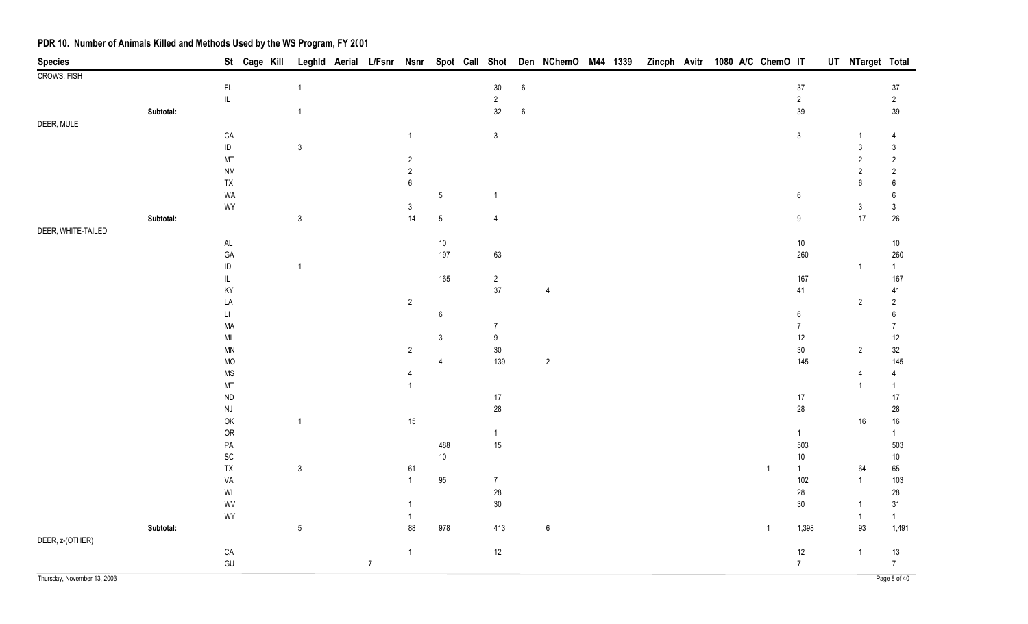| $\mathsf{FL}$<br>$30\,$<br>$\,6\,$<br>$37\,$<br>$37\,$<br>$\mathbf{1}$<br>$\ensuremath{\mathsf{IL}}\xspace$<br>$\overline{2}$<br>$\overline{2}$<br>$\overline{2}$<br>$32\,$<br>39<br>39<br>Subtotal:<br>$\,6\,$<br>$\mathbf{1}$<br>DEER, MULE<br>${\sf CA}$<br>$\mathbf{3}$<br>$\mathbf{3}$<br>4<br>$\sf ID$<br>$\mathfrak{Z}$<br>$\mathbf{3}$<br>$\mathfrak{Z}$<br>MT<br>$\sqrt{2}$<br>$\sqrt{2}$<br>$\overline{2}$<br>$\sqrt{2}$<br><b>NM</b><br>$\overline{\mathbf{c}}$<br>$\sqrt{2}$<br>TX<br>$\,6\,$<br>$\boldsymbol{6}$<br>$6\phantom{.}6$<br>WA<br>$\sqrt{5}$<br>$\boldsymbol{6}$<br>6<br>1<br>WY<br>$\mathfrak{Z}$<br>$\mathfrak{Z}$<br>3<br>$\mathsf 3$<br>14<br>17<br>$26\,$<br>Subtotal:<br>$\mathbf 5$<br>9<br>$\overline{4}$<br>DEER, WHITE-TAILED<br>$\mathsf{AL}$<br>$10\,$<br>$10\,$<br>$10\,$<br>GA<br>197<br>63<br>260<br>260<br>$\sf ID$<br>$\mathbf{1}$<br>$\mathbf{1}$<br>$\overline{1}$<br>$\mathsf{IL}$<br>165<br>$\sqrt{2}$<br>167<br>167<br>$37\,$<br>KY<br>41<br>41<br>4<br>LA<br>$\overline{2}$<br>$\overline{c}$<br>$\overline{2}$<br>$\sqcup$<br>$\boldsymbol{6}$<br>$\boldsymbol{6}$<br>$6\,$<br>MA<br>$\overline{7}$<br>$\overline{7}$<br>$\overline{7}$<br>$\boldsymbol{9}$<br>12<br>$12$<br>MI<br>$\mathbf{3}$<br>$30\,$<br>$30\,$<br>$32\,$<br>$\overline{2}$<br><b>MN</b><br>$\overline{2}$<br>139<br>$\overline{2}$<br><b>MO</b><br>145<br>145<br>4<br><b>MS</b><br>$\overline{4}$<br>4<br>4<br>MT<br>$\overline{1}$<br>$\overline{1}$<br>${\sf ND}$<br>$17$<br>$17$<br>$17$<br>$28\,$<br>28<br>$\mathsf{N}\mathsf{J}$<br>28<br>OK<br>$16\,$<br>15<br>16<br>$\mathbf{1}$<br>OR<br>$\mathbf{1}$<br>$\mathbf{1}$<br>$\mathbf{1}$<br>488<br>$15\,$<br>503<br>${\sf PA}$<br>503<br>SC<br>10<br>$10$<br>$10$<br>TX<br>65<br>$\mathfrak{Z}$<br>61<br>$\mathbf{1}$<br>$\mathbf{1}$<br>64<br>VA<br>95<br>102<br>$\overline{7}$<br>$\mathbf{1}$<br>103<br>$\mathbf{1}$<br>$28\,$<br>$\ensuremath{\mathsf{W}}\xspace\ensuremath{\mathsf{I}}$<br>28<br>28<br>$30\,$<br>$30\,$<br>WV<br>31<br>1<br>WY<br>$\mathbf{1}$<br>-1<br>Subtotal:<br>$\sqrt{5}$<br>88<br>978<br>413<br>$\,6\,$<br>1,398<br>93<br>1,491<br>$\mathbf{1}$<br>DEER, z-(OTHER)<br>12<br>${\sf CA}$<br>$12$<br>13<br>$\overline{1}$<br>$\mathbf{1}$<br>GU<br>$\overline{7}$<br>$\overline{7}$<br>$\overline{7}$ | <b>Species</b>              |  | St Cage Kill |  |  |  |  | Leghld Aerial L/Fsnr Nsnr Spot Call Shot Den NChemO M44 1339 |  | Zincph Avitr |  | 1080 A/C ChemO IT |  | UT NTarget Total |              |
|----------------------------------------------------------------------------------------------------------------------------------------------------------------------------------------------------------------------------------------------------------------------------------------------------------------------------------------------------------------------------------------------------------------------------------------------------------------------------------------------------------------------------------------------------------------------------------------------------------------------------------------------------------------------------------------------------------------------------------------------------------------------------------------------------------------------------------------------------------------------------------------------------------------------------------------------------------------------------------------------------------------------------------------------------------------------------------------------------------------------------------------------------------------------------------------------------------------------------------------------------------------------------------------------------------------------------------------------------------------------------------------------------------------------------------------------------------------------------------------------------------------------------------------------------------------------------------------------------------------------------------------------------------------------------------------------------------------------------------------------------------------------------------------------------------------------------------------------------------------------------------------------------------------------------------------------------------------------------------------------------------------------------------------------------------------------------------------------------------------------------------------------------------------------------------------------------------------------------------------------------------------------------------------------------------|-----------------------------|--|--------------|--|--|--|--|--------------------------------------------------------------|--|--------------|--|-------------------|--|------------------|--------------|
|                                                                                                                                                                                                                                                                                                                                                                                                                                                                                                                                                                                                                                                                                                                                                                                                                                                                                                                                                                                                                                                                                                                                                                                                                                                                                                                                                                                                                                                                                                                                                                                                                                                                                                                                                                                                                                                                                                                                                                                                                                                                                                                                                                                                                                                                                                          | <b>CROWS, FISH</b>          |  |              |  |  |  |  |                                                              |  |              |  |                   |  |                  |              |
|                                                                                                                                                                                                                                                                                                                                                                                                                                                                                                                                                                                                                                                                                                                                                                                                                                                                                                                                                                                                                                                                                                                                                                                                                                                                                                                                                                                                                                                                                                                                                                                                                                                                                                                                                                                                                                                                                                                                                                                                                                                                                                                                                                                                                                                                                                          |                             |  |              |  |  |  |  |                                                              |  |              |  |                   |  |                  |              |
|                                                                                                                                                                                                                                                                                                                                                                                                                                                                                                                                                                                                                                                                                                                                                                                                                                                                                                                                                                                                                                                                                                                                                                                                                                                                                                                                                                                                                                                                                                                                                                                                                                                                                                                                                                                                                                                                                                                                                                                                                                                                                                                                                                                                                                                                                                          |                             |  |              |  |  |  |  |                                                              |  |              |  |                   |  |                  |              |
|                                                                                                                                                                                                                                                                                                                                                                                                                                                                                                                                                                                                                                                                                                                                                                                                                                                                                                                                                                                                                                                                                                                                                                                                                                                                                                                                                                                                                                                                                                                                                                                                                                                                                                                                                                                                                                                                                                                                                                                                                                                                                                                                                                                                                                                                                                          |                             |  |              |  |  |  |  |                                                              |  |              |  |                   |  |                  |              |
|                                                                                                                                                                                                                                                                                                                                                                                                                                                                                                                                                                                                                                                                                                                                                                                                                                                                                                                                                                                                                                                                                                                                                                                                                                                                                                                                                                                                                                                                                                                                                                                                                                                                                                                                                                                                                                                                                                                                                                                                                                                                                                                                                                                                                                                                                                          |                             |  |              |  |  |  |  |                                                              |  |              |  |                   |  |                  |              |
|                                                                                                                                                                                                                                                                                                                                                                                                                                                                                                                                                                                                                                                                                                                                                                                                                                                                                                                                                                                                                                                                                                                                                                                                                                                                                                                                                                                                                                                                                                                                                                                                                                                                                                                                                                                                                                                                                                                                                                                                                                                                                                                                                                                                                                                                                                          |                             |  |              |  |  |  |  |                                                              |  |              |  |                   |  |                  |              |
|                                                                                                                                                                                                                                                                                                                                                                                                                                                                                                                                                                                                                                                                                                                                                                                                                                                                                                                                                                                                                                                                                                                                                                                                                                                                                                                                                                                                                                                                                                                                                                                                                                                                                                                                                                                                                                                                                                                                                                                                                                                                                                                                                                                                                                                                                                          |                             |  |              |  |  |  |  |                                                              |  |              |  |                   |  |                  |              |
|                                                                                                                                                                                                                                                                                                                                                                                                                                                                                                                                                                                                                                                                                                                                                                                                                                                                                                                                                                                                                                                                                                                                                                                                                                                                                                                                                                                                                                                                                                                                                                                                                                                                                                                                                                                                                                                                                                                                                                                                                                                                                                                                                                                                                                                                                                          |                             |  |              |  |  |  |  |                                                              |  |              |  |                   |  |                  |              |
|                                                                                                                                                                                                                                                                                                                                                                                                                                                                                                                                                                                                                                                                                                                                                                                                                                                                                                                                                                                                                                                                                                                                                                                                                                                                                                                                                                                                                                                                                                                                                                                                                                                                                                                                                                                                                                                                                                                                                                                                                                                                                                                                                                                                                                                                                                          |                             |  |              |  |  |  |  |                                                              |  |              |  |                   |  |                  |              |
|                                                                                                                                                                                                                                                                                                                                                                                                                                                                                                                                                                                                                                                                                                                                                                                                                                                                                                                                                                                                                                                                                                                                                                                                                                                                                                                                                                                                                                                                                                                                                                                                                                                                                                                                                                                                                                                                                                                                                                                                                                                                                                                                                                                                                                                                                                          |                             |  |              |  |  |  |  |                                                              |  |              |  |                   |  |                  |              |
|                                                                                                                                                                                                                                                                                                                                                                                                                                                                                                                                                                                                                                                                                                                                                                                                                                                                                                                                                                                                                                                                                                                                                                                                                                                                                                                                                                                                                                                                                                                                                                                                                                                                                                                                                                                                                                                                                                                                                                                                                                                                                                                                                                                                                                                                                                          |                             |  |              |  |  |  |  |                                                              |  |              |  |                   |  |                  |              |
|                                                                                                                                                                                                                                                                                                                                                                                                                                                                                                                                                                                                                                                                                                                                                                                                                                                                                                                                                                                                                                                                                                                                                                                                                                                                                                                                                                                                                                                                                                                                                                                                                                                                                                                                                                                                                                                                                                                                                                                                                                                                                                                                                                                                                                                                                                          |                             |  |              |  |  |  |  |                                                              |  |              |  |                   |  |                  |              |
|                                                                                                                                                                                                                                                                                                                                                                                                                                                                                                                                                                                                                                                                                                                                                                                                                                                                                                                                                                                                                                                                                                                                                                                                                                                                                                                                                                                                                                                                                                                                                                                                                                                                                                                                                                                                                                                                                                                                                                                                                                                                                                                                                                                                                                                                                                          |                             |  |              |  |  |  |  |                                                              |  |              |  |                   |  |                  |              |
|                                                                                                                                                                                                                                                                                                                                                                                                                                                                                                                                                                                                                                                                                                                                                                                                                                                                                                                                                                                                                                                                                                                                                                                                                                                                                                                                                                                                                                                                                                                                                                                                                                                                                                                                                                                                                                                                                                                                                                                                                                                                                                                                                                                                                                                                                                          |                             |  |              |  |  |  |  |                                                              |  |              |  |                   |  |                  |              |
|                                                                                                                                                                                                                                                                                                                                                                                                                                                                                                                                                                                                                                                                                                                                                                                                                                                                                                                                                                                                                                                                                                                                                                                                                                                                                                                                                                                                                                                                                                                                                                                                                                                                                                                                                                                                                                                                                                                                                                                                                                                                                                                                                                                                                                                                                                          |                             |  |              |  |  |  |  |                                                              |  |              |  |                   |  |                  |              |
|                                                                                                                                                                                                                                                                                                                                                                                                                                                                                                                                                                                                                                                                                                                                                                                                                                                                                                                                                                                                                                                                                                                                                                                                                                                                                                                                                                                                                                                                                                                                                                                                                                                                                                                                                                                                                                                                                                                                                                                                                                                                                                                                                                                                                                                                                                          |                             |  |              |  |  |  |  |                                                              |  |              |  |                   |  |                  |              |
|                                                                                                                                                                                                                                                                                                                                                                                                                                                                                                                                                                                                                                                                                                                                                                                                                                                                                                                                                                                                                                                                                                                                                                                                                                                                                                                                                                                                                                                                                                                                                                                                                                                                                                                                                                                                                                                                                                                                                                                                                                                                                                                                                                                                                                                                                                          |                             |  |              |  |  |  |  |                                                              |  |              |  |                   |  |                  |              |
|                                                                                                                                                                                                                                                                                                                                                                                                                                                                                                                                                                                                                                                                                                                                                                                                                                                                                                                                                                                                                                                                                                                                                                                                                                                                                                                                                                                                                                                                                                                                                                                                                                                                                                                                                                                                                                                                                                                                                                                                                                                                                                                                                                                                                                                                                                          |                             |  |              |  |  |  |  |                                                              |  |              |  |                   |  |                  |              |
|                                                                                                                                                                                                                                                                                                                                                                                                                                                                                                                                                                                                                                                                                                                                                                                                                                                                                                                                                                                                                                                                                                                                                                                                                                                                                                                                                                                                                                                                                                                                                                                                                                                                                                                                                                                                                                                                                                                                                                                                                                                                                                                                                                                                                                                                                                          |                             |  |              |  |  |  |  |                                                              |  |              |  |                   |  |                  |              |
|                                                                                                                                                                                                                                                                                                                                                                                                                                                                                                                                                                                                                                                                                                                                                                                                                                                                                                                                                                                                                                                                                                                                                                                                                                                                                                                                                                                                                                                                                                                                                                                                                                                                                                                                                                                                                                                                                                                                                                                                                                                                                                                                                                                                                                                                                                          |                             |  |              |  |  |  |  |                                                              |  |              |  |                   |  |                  |              |
|                                                                                                                                                                                                                                                                                                                                                                                                                                                                                                                                                                                                                                                                                                                                                                                                                                                                                                                                                                                                                                                                                                                                                                                                                                                                                                                                                                                                                                                                                                                                                                                                                                                                                                                                                                                                                                                                                                                                                                                                                                                                                                                                                                                                                                                                                                          |                             |  |              |  |  |  |  |                                                              |  |              |  |                   |  |                  |              |
|                                                                                                                                                                                                                                                                                                                                                                                                                                                                                                                                                                                                                                                                                                                                                                                                                                                                                                                                                                                                                                                                                                                                                                                                                                                                                                                                                                                                                                                                                                                                                                                                                                                                                                                                                                                                                                                                                                                                                                                                                                                                                                                                                                                                                                                                                                          |                             |  |              |  |  |  |  |                                                              |  |              |  |                   |  |                  |              |
|                                                                                                                                                                                                                                                                                                                                                                                                                                                                                                                                                                                                                                                                                                                                                                                                                                                                                                                                                                                                                                                                                                                                                                                                                                                                                                                                                                                                                                                                                                                                                                                                                                                                                                                                                                                                                                                                                                                                                                                                                                                                                                                                                                                                                                                                                                          |                             |  |              |  |  |  |  |                                                              |  |              |  |                   |  |                  |              |
|                                                                                                                                                                                                                                                                                                                                                                                                                                                                                                                                                                                                                                                                                                                                                                                                                                                                                                                                                                                                                                                                                                                                                                                                                                                                                                                                                                                                                                                                                                                                                                                                                                                                                                                                                                                                                                                                                                                                                                                                                                                                                                                                                                                                                                                                                                          |                             |  |              |  |  |  |  |                                                              |  |              |  |                   |  |                  |              |
|                                                                                                                                                                                                                                                                                                                                                                                                                                                                                                                                                                                                                                                                                                                                                                                                                                                                                                                                                                                                                                                                                                                                                                                                                                                                                                                                                                                                                                                                                                                                                                                                                                                                                                                                                                                                                                                                                                                                                                                                                                                                                                                                                                                                                                                                                                          |                             |  |              |  |  |  |  |                                                              |  |              |  |                   |  |                  |              |
|                                                                                                                                                                                                                                                                                                                                                                                                                                                                                                                                                                                                                                                                                                                                                                                                                                                                                                                                                                                                                                                                                                                                                                                                                                                                                                                                                                                                                                                                                                                                                                                                                                                                                                                                                                                                                                                                                                                                                                                                                                                                                                                                                                                                                                                                                                          |                             |  |              |  |  |  |  |                                                              |  |              |  |                   |  |                  |              |
|                                                                                                                                                                                                                                                                                                                                                                                                                                                                                                                                                                                                                                                                                                                                                                                                                                                                                                                                                                                                                                                                                                                                                                                                                                                                                                                                                                                                                                                                                                                                                                                                                                                                                                                                                                                                                                                                                                                                                                                                                                                                                                                                                                                                                                                                                                          |                             |  |              |  |  |  |  |                                                              |  |              |  |                   |  |                  |              |
|                                                                                                                                                                                                                                                                                                                                                                                                                                                                                                                                                                                                                                                                                                                                                                                                                                                                                                                                                                                                                                                                                                                                                                                                                                                                                                                                                                                                                                                                                                                                                                                                                                                                                                                                                                                                                                                                                                                                                                                                                                                                                                                                                                                                                                                                                                          |                             |  |              |  |  |  |  |                                                              |  |              |  |                   |  |                  |              |
|                                                                                                                                                                                                                                                                                                                                                                                                                                                                                                                                                                                                                                                                                                                                                                                                                                                                                                                                                                                                                                                                                                                                                                                                                                                                                                                                                                                                                                                                                                                                                                                                                                                                                                                                                                                                                                                                                                                                                                                                                                                                                                                                                                                                                                                                                                          |                             |  |              |  |  |  |  |                                                              |  |              |  |                   |  |                  |              |
|                                                                                                                                                                                                                                                                                                                                                                                                                                                                                                                                                                                                                                                                                                                                                                                                                                                                                                                                                                                                                                                                                                                                                                                                                                                                                                                                                                                                                                                                                                                                                                                                                                                                                                                                                                                                                                                                                                                                                                                                                                                                                                                                                                                                                                                                                                          |                             |  |              |  |  |  |  |                                                              |  |              |  |                   |  |                  |              |
|                                                                                                                                                                                                                                                                                                                                                                                                                                                                                                                                                                                                                                                                                                                                                                                                                                                                                                                                                                                                                                                                                                                                                                                                                                                                                                                                                                                                                                                                                                                                                                                                                                                                                                                                                                                                                                                                                                                                                                                                                                                                                                                                                                                                                                                                                                          |                             |  |              |  |  |  |  |                                                              |  |              |  |                   |  |                  |              |
|                                                                                                                                                                                                                                                                                                                                                                                                                                                                                                                                                                                                                                                                                                                                                                                                                                                                                                                                                                                                                                                                                                                                                                                                                                                                                                                                                                                                                                                                                                                                                                                                                                                                                                                                                                                                                                                                                                                                                                                                                                                                                                                                                                                                                                                                                                          |                             |  |              |  |  |  |  |                                                              |  |              |  |                   |  |                  |              |
|                                                                                                                                                                                                                                                                                                                                                                                                                                                                                                                                                                                                                                                                                                                                                                                                                                                                                                                                                                                                                                                                                                                                                                                                                                                                                                                                                                                                                                                                                                                                                                                                                                                                                                                                                                                                                                                                                                                                                                                                                                                                                                                                                                                                                                                                                                          |                             |  |              |  |  |  |  |                                                              |  |              |  |                   |  |                  |              |
|                                                                                                                                                                                                                                                                                                                                                                                                                                                                                                                                                                                                                                                                                                                                                                                                                                                                                                                                                                                                                                                                                                                                                                                                                                                                                                                                                                                                                                                                                                                                                                                                                                                                                                                                                                                                                                                                                                                                                                                                                                                                                                                                                                                                                                                                                                          |                             |  |              |  |  |  |  |                                                              |  |              |  |                   |  |                  |              |
|                                                                                                                                                                                                                                                                                                                                                                                                                                                                                                                                                                                                                                                                                                                                                                                                                                                                                                                                                                                                                                                                                                                                                                                                                                                                                                                                                                                                                                                                                                                                                                                                                                                                                                                                                                                                                                                                                                                                                                                                                                                                                                                                                                                                                                                                                                          |                             |  |              |  |  |  |  |                                                              |  |              |  |                   |  |                  |              |
|                                                                                                                                                                                                                                                                                                                                                                                                                                                                                                                                                                                                                                                                                                                                                                                                                                                                                                                                                                                                                                                                                                                                                                                                                                                                                                                                                                                                                                                                                                                                                                                                                                                                                                                                                                                                                                                                                                                                                                                                                                                                                                                                                                                                                                                                                                          |                             |  |              |  |  |  |  |                                                              |  |              |  |                   |  |                  |              |
|                                                                                                                                                                                                                                                                                                                                                                                                                                                                                                                                                                                                                                                                                                                                                                                                                                                                                                                                                                                                                                                                                                                                                                                                                                                                                                                                                                                                                                                                                                                                                                                                                                                                                                                                                                                                                                                                                                                                                                                                                                                                                                                                                                                                                                                                                                          |                             |  |              |  |  |  |  |                                                              |  |              |  |                   |  |                  |              |
|                                                                                                                                                                                                                                                                                                                                                                                                                                                                                                                                                                                                                                                                                                                                                                                                                                                                                                                                                                                                                                                                                                                                                                                                                                                                                                                                                                                                                                                                                                                                                                                                                                                                                                                                                                                                                                                                                                                                                                                                                                                                                                                                                                                                                                                                                                          |                             |  |              |  |  |  |  |                                                              |  |              |  |                   |  |                  |              |
|                                                                                                                                                                                                                                                                                                                                                                                                                                                                                                                                                                                                                                                                                                                                                                                                                                                                                                                                                                                                                                                                                                                                                                                                                                                                                                                                                                                                                                                                                                                                                                                                                                                                                                                                                                                                                                                                                                                                                                                                                                                                                                                                                                                                                                                                                                          |                             |  |              |  |  |  |  |                                                              |  |              |  |                   |  |                  |              |
|                                                                                                                                                                                                                                                                                                                                                                                                                                                                                                                                                                                                                                                                                                                                                                                                                                                                                                                                                                                                                                                                                                                                                                                                                                                                                                                                                                                                                                                                                                                                                                                                                                                                                                                                                                                                                                                                                                                                                                                                                                                                                                                                                                                                                                                                                                          |                             |  |              |  |  |  |  |                                                              |  |              |  |                   |  |                  |              |
|                                                                                                                                                                                                                                                                                                                                                                                                                                                                                                                                                                                                                                                                                                                                                                                                                                                                                                                                                                                                                                                                                                                                                                                                                                                                                                                                                                                                                                                                                                                                                                                                                                                                                                                                                                                                                                                                                                                                                                                                                                                                                                                                                                                                                                                                                                          |                             |  |              |  |  |  |  |                                                              |  |              |  |                   |  |                  |              |
|                                                                                                                                                                                                                                                                                                                                                                                                                                                                                                                                                                                                                                                                                                                                                                                                                                                                                                                                                                                                                                                                                                                                                                                                                                                                                                                                                                                                                                                                                                                                                                                                                                                                                                                                                                                                                                                                                                                                                                                                                                                                                                                                                                                                                                                                                                          | Thursday, November 13, 2003 |  |              |  |  |  |  |                                                              |  |              |  |                   |  |                  | Page 8 of 40 |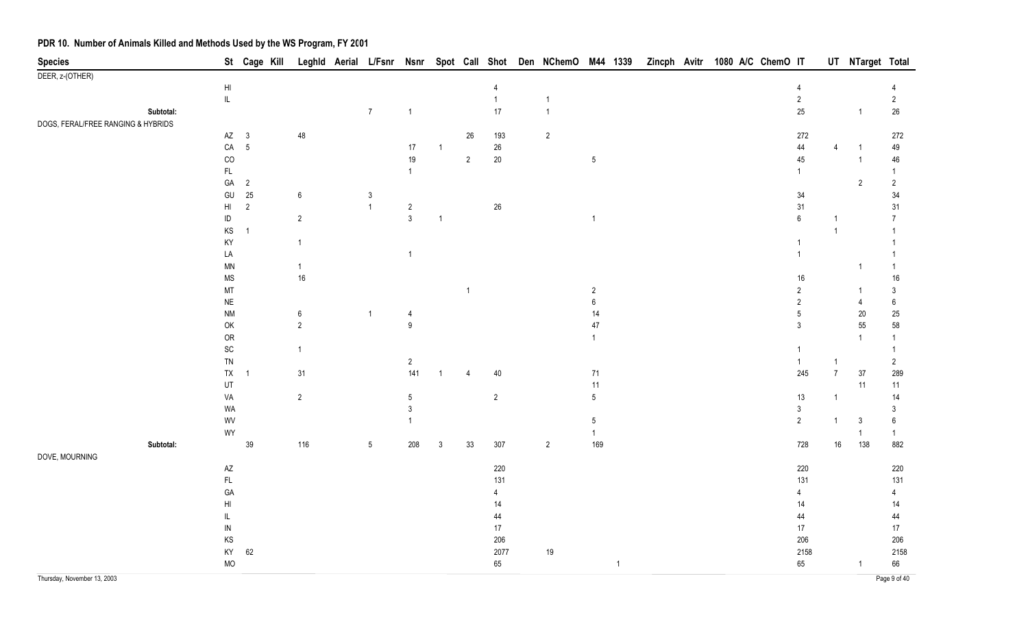| <b>Species</b>                     |           |                              | St Cage Kill   | Leghld Aerial    |                 |                |                |                |                | L/Fsnr Nsnr Spot Call Shot Den NChemO M44 1339 |                  |                |  |  | Zincph Avitr 1080 A/C ChemO IT |                |                | UT NTarget Total        |                  |
|------------------------------------|-----------|------------------------------|----------------|------------------|-----------------|----------------|----------------|----------------|----------------|------------------------------------------------|------------------|----------------|--|--|--------------------------------|----------------|----------------|-------------------------|------------------|
| DEER, z-(OTHER)                    |           |                              |                |                  |                 |                |                |                |                |                                                |                  |                |  |  |                                |                |                |                         |                  |
|                                    |           | $\mathsf{H}\mathsf{I}$       |                |                  |                 |                |                |                | 4              |                                                |                  |                |  |  |                                | 4              |                |                         | 4                |
|                                    |           | $\mathsf{IL}$                |                |                  |                 |                |                |                | $\mathbf{1}$   | $\mathbf{1}$                                   |                  |                |  |  |                                | $\sqrt{2}$     |                |                         | $\overline{2}$   |
|                                    | Subtotal: |                              |                |                  | $\overline{7}$  | $\overline{1}$ |                |                | 17             | 1                                              |                  |                |  |  |                                | 25             |                | $\overline{1}$          | $26\,$           |
| DOGS, FERAL/FREE RANGING & HYBRIDS |           |                              |                |                  |                 |                |                |                |                |                                                |                  |                |  |  |                                |                |                |                         |                  |
|                                    |           | $AZ$ 3                       |                | 48               |                 |                |                | $26\,$         | 193            | $\overline{2}$                                 |                  |                |  |  |                                | 272            |                |                         | 272              |
|                                    |           | ${\sf CA}$                   | $\overline{5}$ |                  |                 | 17             | $\overline{1}$ |                | $26\,$         |                                                |                  |                |  |  |                                | 44             | $\overline{4}$ |                         | 49               |
|                                    |           | CO                           |                |                  |                 | 19             |                | $\overline{2}$ | $20\,$         |                                                | $5\,$            |                |  |  |                                | 45             |                | $\overline{\mathbf{1}}$ | 46               |
|                                    |           | $\mathsf{FL}$                |                |                  |                 | $\overline{1}$ |                |                |                |                                                |                  |                |  |  |                                | $\mathbf{1}$   |                |                         | -1               |
|                                    |           | GA                           | $\overline{2}$ |                  |                 |                |                |                |                |                                                |                  |                |  |  |                                |                |                | $\overline{2}$          | $\overline{2}$   |
|                                    |           | GU                           | $25\,$         | $\boldsymbol{6}$ | 3               |                |                |                |                |                                                |                  |                |  |  |                                | 34             |                |                         | 34               |
|                                    |           | $\mathsf{HI}$                | $\overline{2}$ |                  | $\overline{1}$  | $\overline{2}$ |                |                | $26\,$         |                                                |                  |                |  |  |                                | 31             |                |                         | 31               |
|                                    |           | $\sf ID$                     |                | $\sqrt{2}$       |                 | $\mathbf{3}$   | $\overline{1}$ |                |                |                                                | $\mathbf{1}$     |                |  |  |                                | $\,6\,$        | $\mathbf{1}$   |                         | 7                |
|                                    |           | KS                           | $\overline{1}$ |                  |                 |                |                |                |                |                                                |                  |                |  |  |                                |                | $\overline{1}$ |                         | -1               |
|                                    |           | KY                           |                | $\mathbf{1}$     |                 |                |                |                |                |                                                |                  |                |  |  |                                | $\overline{1}$ |                |                         |                  |
|                                    |           | LA                           |                |                  |                 | -1             |                |                |                |                                                |                  |                |  |  |                                | $\overline{1}$ |                |                         |                  |
|                                    |           | <b>MN</b>                    |                | $\mathbf{1}$     |                 |                |                |                |                |                                                |                  |                |  |  |                                |                |                | 1                       | -1               |
|                                    |           | <b>MS</b>                    |                | $16\,$           |                 |                |                |                |                |                                                |                  |                |  |  |                                | 16             |                |                         | $16\,$           |
|                                    |           | MT                           |                |                  |                 |                |                | $\overline{1}$ |                |                                                | $\overline{2}$   |                |  |  |                                | $\overline{2}$ |                | -1                      | $\mathbf{3}$     |
|                                    |           | $\sf NE$                     |                |                  |                 |                |                |                |                |                                                | $\boldsymbol{6}$ |                |  |  |                                | $\overline{2}$ |                | $\overline{4}$          | $\boldsymbol{6}$ |
|                                    |           | <b>NM</b>                    |                | $\boldsymbol{6}$ | $\mathbf{1}$    | 4              |                |                |                |                                                | $14$             |                |  |  |                                | $\sqrt{5}$     |                | $20\,$                  | 25               |
|                                    |           | $\mathsf{OK}$                |                | $\sqrt{2}$       |                 | 9              |                |                |                |                                                | $47\,$           |                |  |  |                                | $\mathbf{3}$   |                | 55                      | 58               |
|                                    |           | OR                           |                |                  |                 |                |                |                |                |                                                | $\mathbf{1}$     |                |  |  |                                |                |                | 1                       |                  |
|                                    |           | $\operatorname{\textsf{SC}}$ |                | $\mathbf{1}$     |                 |                |                |                |                |                                                |                  |                |  |  |                                | $\overline{1}$ |                |                         | -1               |
|                                    |           | TN                           |                |                  |                 | $\overline{2}$ |                |                |                |                                                |                  |                |  |  |                                | $\overline{1}$ | $\overline{1}$ |                         | $\overline{2}$   |
|                                    |           | TX                           | $\overline{1}$ | 31               |                 | 141            |                | 4              | $40\,$         |                                                | 71               |                |  |  |                                | 245            | $\overline{7}$ | 37                      | 289              |
|                                    |           | UT                           |                |                  |                 |                |                |                |                |                                                | 11               |                |  |  |                                |                |                | 11                      | 11               |
|                                    |           | VA                           |                | $\sqrt{2}$       |                 | 5              |                |                | $\overline{2}$ |                                                | $5\phantom{.0}$  |                |  |  |                                | 13             | $\overline{1}$ |                         | 14               |
|                                    |           | WA                           |                |                  |                 | 3              |                |                |                |                                                |                  |                |  |  |                                | $\mathbf{3}$   |                |                         | 3                |
|                                    |           | WV                           |                |                  |                 |                |                |                |                |                                                | $5\phantom{.0}$  |                |  |  |                                | $\overline{2}$ | $\mathbf{1}$   | 3                       | $\boldsymbol{6}$ |
|                                    |           | WY                           |                |                  |                 |                |                |                |                |                                                | $\mathbf{1}$     |                |  |  |                                |                |                | $\mathbf{1}$            | $\mathbf{1}$     |
|                                    | Subtotal: |                              | $39\,$         | 116              | $5\phantom{.0}$ | 208            | $\mathfrak{Z}$ | 33             | 307            | $\overline{2}$                                 | 169              |                |  |  |                                | 728            | 16             | 138                     | 882              |
| DOVE, MOURNING                     |           |                              |                |                  |                 |                |                |                |                |                                                |                  |                |  |  |                                |                |                |                         |                  |
|                                    |           | $\mathsf{A}\mathsf{Z}$       |                |                  |                 |                |                |                | 220            |                                                |                  |                |  |  |                                | 220            |                |                         | 220              |
|                                    |           | $\mathsf{FL}$                |                |                  |                 |                |                |                | 131            |                                                |                  |                |  |  |                                | 131            |                |                         | 131              |
|                                    |           | GA                           |                |                  |                 |                |                |                | 4              |                                                |                  |                |  |  |                                | 4              |                |                         | 4                |
|                                    |           | $\mathsf{HI}$                |                |                  |                 |                |                |                | 14             |                                                |                  |                |  |  |                                | 14             |                |                         | 14               |
|                                    |           | L                            |                |                  |                 |                |                |                | 44             |                                                |                  |                |  |  |                                | 44             |                |                         | 44               |
|                                    |           | ${\sf IN}$                   |                |                  |                 |                |                |                | $17$           |                                                |                  |                |  |  |                                | 17             |                |                         | 17               |
|                                    |           | KS                           |                |                  |                 |                |                |                | 206            |                                                |                  |                |  |  |                                | 206            |                |                         | 206              |
|                                    |           | KY                           | $62\,$         |                  |                 |                |                |                | 2077           | $19$                                           |                  |                |  |  |                                | 2158           |                |                         | 2158             |
|                                    |           | <b>MO</b>                    |                |                  |                 |                |                |                | 65             |                                                |                  | $\overline{1}$ |  |  |                                | 65             |                | -1                      | 66               |
| Thursday, November 13, 2003        |           |                              |                |                  |                 |                |                |                |                |                                                |                  |                |  |  |                                |                |                |                         | Page 9 of 40     |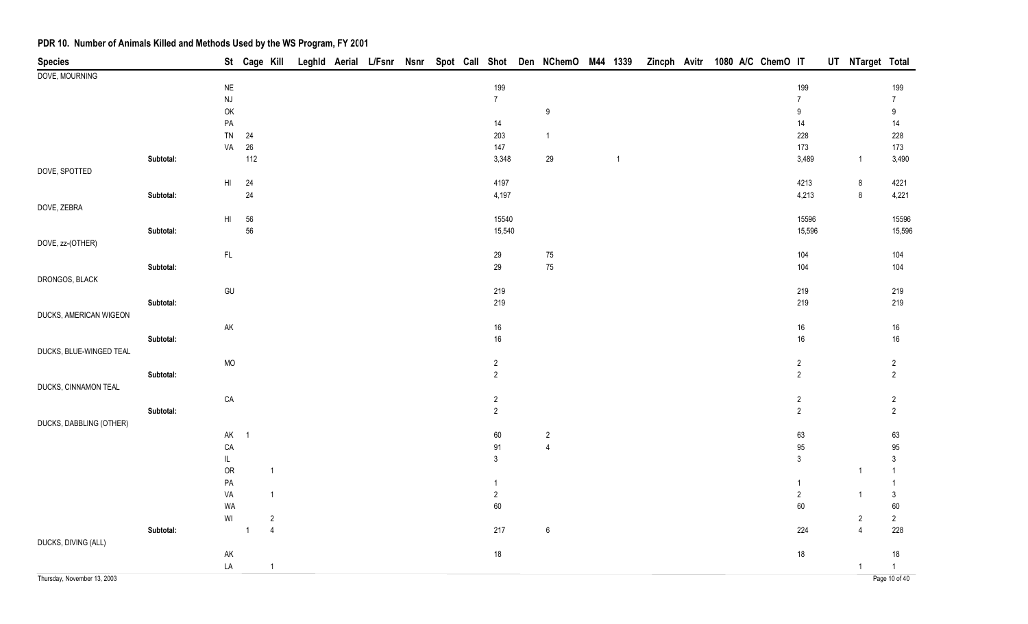| <b>Species</b>              |           |                        |                | St Cage Kill   |  |  |  |                  |                  |              |  | Leghld Aerial L/Fsnr Nsnr Spot Call Shot Den NChemO M44 1339 Zincph Avitr 1080 A/C ChemO IT |                  | UT NTarget Total |                  |
|-----------------------------|-----------|------------------------|----------------|----------------|--|--|--|------------------|------------------|--------------|--|---------------------------------------------------------------------------------------------|------------------|------------------|------------------|
| DOVE, MOURNING              |           |                        |                |                |  |  |  |                  |                  |              |  |                                                                                             |                  |                  |                  |
|                             |           | $\sf NE$               |                |                |  |  |  | 199              |                  |              |  |                                                                                             | 199              |                  | 199              |
|                             |           | <b>NJ</b>              |                |                |  |  |  | $\boldsymbol{7}$ |                  |              |  |                                                                                             | $\overline{7}$   |                  | $\overline{7}$   |
|                             |           | OK                     |                |                |  |  |  |                  | $\boldsymbol{9}$ |              |  |                                                                                             | $\boldsymbol{9}$ |                  | $\boldsymbol{9}$ |
|                             |           | $\mathsf{PA}$          |                |                |  |  |  | 14               |                  |              |  |                                                                                             | 14               |                  | 14               |
|                             |           | TN                     | 24             |                |  |  |  | 203              | $\overline{1}$   |              |  |                                                                                             | 228              |                  | 228              |
|                             |           | VA                     | $26\,$         |                |  |  |  | 147              |                  |              |  |                                                                                             | 173              |                  | 173              |
|                             | Subtotal: |                        | 112            |                |  |  |  | 3,348            | 29               | $\mathbf{1}$ |  |                                                                                             | 3,489            | $\overline{1}$   | 3,490            |
| DOVE, SPOTTED               |           |                        |                |                |  |  |  |                  |                  |              |  |                                                                                             |                  |                  |                  |
|                             |           | $\mathsf{H}\mathsf{I}$ | 24             |                |  |  |  | 4197             |                  |              |  |                                                                                             | 4213             | $\bf 8$          | 4221             |
|                             | Subtotal: |                        | 24             |                |  |  |  | 4,197            |                  |              |  |                                                                                             | 4,213            | $\bf 8$          | 4,221            |
| DOVE, ZEBRA                 |           |                        |                |                |  |  |  |                  |                  |              |  |                                                                                             |                  |                  |                  |
|                             |           | $\mathsf{HI}$          | 56             |                |  |  |  | 15540            |                  |              |  |                                                                                             | 15596            |                  | 15596            |
|                             | Subtotal: |                        | ${\bf 56}$     |                |  |  |  | 15,540           |                  |              |  |                                                                                             | 15,596           |                  | 15,596           |
| DOVE, zz-(OTHER)            |           |                        |                |                |  |  |  |                  |                  |              |  |                                                                                             |                  |                  |                  |
|                             |           | $\mathsf{FL}$          |                |                |  |  |  | 29               | $75\,$           |              |  |                                                                                             | 104              |                  | 104              |
|                             | Subtotal: |                        |                |                |  |  |  | 29               | 75               |              |  |                                                                                             | 104              |                  | 104              |
| DRONGOS, BLACK              |           |                        |                |                |  |  |  |                  |                  |              |  |                                                                                             |                  |                  |                  |
|                             |           | GU                     |                |                |  |  |  | 219              |                  |              |  |                                                                                             | 219              |                  | 219              |
|                             | Subtotal: |                        |                |                |  |  |  | 219              |                  |              |  |                                                                                             | 219              |                  | 219              |
| DUCKS, AMERICAN WIGEON      |           |                        |                |                |  |  |  |                  |                  |              |  |                                                                                             |                  |                  |                  |
|                             |           | AK                     |                |                |  |  |  | 16               |                  |              |  |                                                                                             | $16\,$           |                  | $16\,$           |
|                             | Subtotal: |                        |                |                |  |  |  | 16               |                  |              |  |                                                                                             | 16               |                  | $16\,$           |
| DUCKS, BLUE-WINGED TEAL     |           |                        |                |                |  |  |  |                  |                  |              |  |                                                                                             |                  |                  |                  |
|                             |           | <b>MO</b>              |                |                |  |  |  | $\sqrt{2}$       |                  |              |  |                                                                                             | $\overline{2}$   |                  | $\overline{c}$   |
|                             | Subtotal: |                        |                |                |  |  |  | $\overline{2}$   |                  |              |  |                                                                                             | $\overline{2}$   |                  | $\overline{2}$   |
| DUCKS, CINNAMON TEAL        |           |                        |                |                |  |  |  |                  |                  |              |  |                                                                                             |                  |                  |                  |
|                             |           | ${\sf CA}$             |                |                |  |  |  | $\overline{2}$   |                  |              |  |                                                                                             | $\overline{c}$   |                  | $\overline{c}$   |
|                             | Subtotal: |                        |                |                |  |  |  | $\overline{2}$   |                  |              |  |                                                                                             | $\overline{2}$   |                  | $\overline{2}$   |
| DUCKS, DABBLING (OTHER)     |           |                        |                |                |  |  |  |                  |                  |              |  |                                                                                             |                  |                  |                  |
|                             |           | AK                     | $\overline{1}$ |                |  |  |  | $60\,$           | $\sqrt{2}$       |              |  |                                                                                             | 63               |                  | 63               |
|                             |           | CA                     |                |                |  |  |  | 91               | $\overline{4}$   |              |  |                                                                                             | 95               |                  | $95\,$           |
|                             |           | $\mathsf{IL}$          |                |                |  |  |  | $\mathfrak{Z}$   |                  |              |  |                                                                                             | $\mathfrak{Z}$   |                  | $\mathfrak{Z}$   |
|                             |           | ${\sf OR}$             |                | $\mathbf{1}$   |  |  |  |                  |                  |              |  |                                                                                             |                  | $\overline{1}$   | $\mathbf{1}$     |
|                             |           | ${\sf PA}$             |                |                |  |  |  | $\mathbf{1}$     |                  |              |  |                                                                                             | 1                |                  | $\mathbf{1}$     |
|                             |           | VA                     |                | $\mathbf{1}$   |  |  |  | $\sqrt{2}$       |                  |              |  |                                                                                             | $\overline{2}$   | $\mathbf{1}$     | $\mathsf 3$      |
|                             |           | WA                     |                |                |  |  |  | $60\,$           |                  |              |  |                                                                                             | 60               |                  | $60\,$           |
|                             |           | WI                     |                | $\sqrt{2}$     |  |  |  |                  |                  |              |  |                                                                                             |                  | $\overline{c}$   | $\overline{2}$   |
|                             | Subtotal: |                        | $\overline{1}$ | $\overline{4}$ |  |  |  | $217\,$          | $\boldsymbol{6}$ |              |  |                                                                                             | 224              | $\overline{4}$   | 228              |
| DUCKS, DIVING (ALL)         |           |                        |                |                |  |  |  |                  |                  |              |  |                                                                                             |                  |                  |                  |
|                             |           | AK                     |                |                |  |  |  | 18               |                  |              |  |                                                                                             | 18               |                  | 18               |
|                             |           | LA                     |                | $\mathbf{1}$   |  |  |  |                  |                  |              |  |                                                                                             |                  | $\mathbf{1}$     | $\mathbf{1}$     |
| Thursday, November 13, 2003 |           |                        |                |                |  |  |  |                  |                  |              |  |                                                                                             |                  |                  | Page 10 of 40    |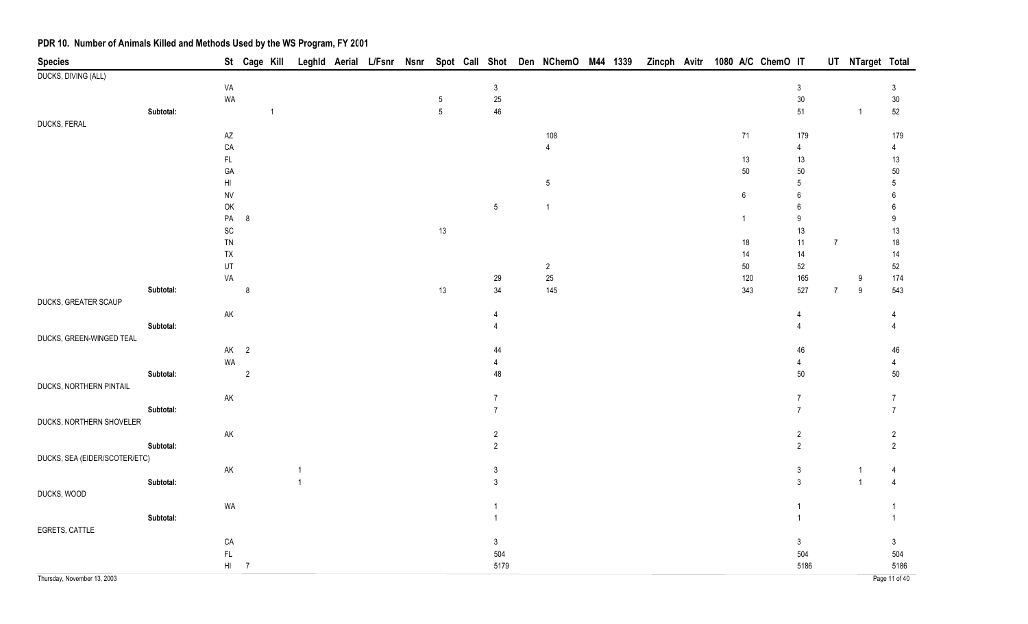| <b>Species</b>                |           |                        | St Cage Kill   |                |              |  |                 |                 | Leghld Aerial L/Fsnr Nsnr Spot Call Shot Den NChemO M44 1339 |  |  | Zincph Avitr 1080 A/C ChemO IT |                             |                | UT NTarget Total |                       |
|-------------------------------|-----------|------------------------|----------------|----------------|--------------|--|-----------------|-----------------|--------------------------------------------------------------|--|--|--------------------------------|-----------------------------|----------------|------------------|-----------------------|
| DUCKS, DIVING (ALL)           |           |                        |                |                |              |  |                 |                 |                                                              |  |  |                                |                             |                |                  |                       |
|                               |           | VA                     |                |                |              |  |                 | $\mathbf{3}$    |                                                              |  |  |                                | $\mathbf{3}$                |                |                  | $\sqrt{3}$            |
|                               |           | WA                     |                |                |              |  | $\sqrt{5}$      | $25\,$          |                                                              |  |  |                                | $30\,$                      |                |                  | $30\,$                |
|                               | Subtotal: |                        |                | $\overline{1}$ |              |  | $5\phantom{.0}$ | 46              |                                                              |  |  |                                | $51\,$                      |                | $\overline{1}$   | 52                    |
| DUCKS, FERAL                  |           |                        |                |                |              |  |                 |                 |                                                              |  |  |                                |                             |                |                  |                       |
|                               |           | $\mathsf{A}\mathsf{Z}$ |                |                |              |  |                 |                 | 108                                                          |  |  | $71$                           | 179                         |                |                  | 179                   |
|                               |           | CA                     |                |                |              |  |                 |                 | $\overline{4}$                                               |  |  |                                | $\overline{4}$              |                |                  | $\overline{4}$        |
|                               |           | FL.                    |                |                |              |  |                 |                 |                                                              |  |  | $13$                           | $13$                        |                |                  | 13                    |
|                               |           | GA                     |                |                |              |  |                 |                 |                                                              |  |  | $50\,$                         | $50\,$                      |                |                  | $50\,$                |
|                               |           | H <sub>l</sub>         |                |                |              |  |                 |                 | $5\,$                                                        |  |  |                                | $\sqrt{5}$                  |                |                  | $5\,$                 |
|                               |           | <b>NV</b>              |                |                |              |  |                 |                 | $\mathbf{1}$                                                 |  |  | $\boldsymbol{6}$               | $\boldsymbol{6}$            |                |                  | 6                     |
|                               |           | OK<br>${\sf PA}$       | $\bf 8$        |                |              |  |                 | $5\phantom{.0}$ |                                                              |  |  |                                | $\,6\,$<br>$\boldsymbol{9}$ |                |                  | 6<br>$\boldsymbol{9}$ |
|                               |           |                        |                |                |              |  | 13              |                 |                                                              |  |  | $\overline{1}$                 | 13                          |                |                  | $13$                  |
|                               |           | SC<br>TN               |                |                |              |  |                 |                 |                                                              |  |  |                                | $11$                        | $\overline{7}$ |                  | $18\,$                |
|                               |           | TX                     |                |                |              |  |                 |                 |                                                              |  |  | $18$<br>14                     | 14                          |                |                  | 14                    |
|                               |           | UT                     |                |                |              |  |                 |                 | $\overline{2}$                                               |  |  | $50\,$                         | 52                          |                |                  | $52\,$                |
|                               |           | VA                     |                |                |              |  |                 | 29              | $25\,$                                                       |  |  | 120                            | 165                         |                | 9                | 174                   |
|                               | Subtotal: |                        | $\bf 8$        |                |              |  | 13              | 34              | 145                                                          |  |  | 343                            | 527                         | $\overline{7}$ | $9\,$            | 543                   |
| DUCKS, GREATER SCAUP          |           |                        |                |                |              |  |                 |                 |                                                              |  |  |                                |                             |                |                  |                       |
|                               |           | ${\sf AK}$             |                |                |              |  |                 | 4               |                                                              |  |  |                                | 4                           |                |                  |                       |
|                               | Subtotal: |                        |                |                |              |  |                 | $\overline{4}$  |                                                              |  |  |                                | $\overline{4}$              |                |                  | $\overline{4}$        |
| DUCKS, GREEN-WINGED TEAL      |           |                        |                |                |              |  |                 |                 |                                                              |  |  |                                |                             |                |                  |                       |
|                               |           |                        | $AK$ 2         |                |              |  |                 | 44              |                                                              |  |  |                                | 46                          |                |                  | 46                    |
|                               |           | WA                     |                |                |              |  |                 | $\overline{4}$  |                                                              |  |  |                                | $\overline{4}$              |                |                  | $\overline{4}$        |
|                               | Subtotal: |                        | $\overline{2}$ |                |              |  |                 | 48              |                                                              |  |  |                                | 50                          |                |                  | $50\,$                |
| DUCKS, NORTHERN PINTAIL       |           |                        |                |                |              |  |                 |                 |                                                              |  |  |                                |                             |                |                  |                       |
|                               |           | $\mathsf{AK}$          |                |                |              |  |                 | $\overline{7}$  |                                                              |  |  |                                | $\overline{7}$              |                |                  | $\overline{7}$        |
|                               | Subtotal: |                        |                |                |              |  |                 | $\overline{7}$  |                                                              |  |  |                                | $\overline{7}$              |                |                  | $\overline{7}$        |
| DUCKS, NORTHERN SHOVELER      |           |                        |                |                |              |  |                 |                 |                                                              |  |  |                                |                             |                |                  |                       |
|                               |           | $\mathsf{AK}$          |                |                |              |  |                 | $\sqrt{2}$      |                                                              |  |  |                                | $\overline{2}$              |                |                  | $\overline{2}$        |
|                               | Subtotal: |                        |                |                |              |  |                 | $\overline{2}$  |                                                              |  |  |                                | $\overline{2}$              |                |                  | $\overline{2}$        |
| DUCKS, SEA (EIDER/SCOTER/ETC) |           |                        |                |                |              |  |                 |                 |                                                              |  |  |                                |                             |                |                  |                       |
|                               |           | $\mathsf{AK}$          |                |                |              |  |                 | $\mathsf 3$     |                                                              |  |  |                                | $\mathbf{3}$                |                |                  | 4                     |
|                               | Subtotal: |                        |                |                | $\mathbf{1}$ |  |                 | 3               |                                                              |  |  |                                | $\mathbf{3}$                |                | $\overline{1}$   | $\overline{4}$        |
| DUCKS, WOOD                   |           |                        |                |                |              |  |                 |                 |                                                              |  |  |                                |                             |                |                  |                       |
|                               |           | WA                     |                |                |              |  |                 |                 |                                                              |  |  |                                | $\overline{1}$              |                |                  |                       |
|                               | Subtotal: |                        |                |                |              |  |                 |                 |                                                              |  |  |                                | $\mathbf{1}$                |                |                  | $\mathbf{1}$          |
| EGRETS, CATTLE                |           |                        |                |                |              |  |                 |                 |                                                              |  |  |                                |                             |                |                  |                       |
|                               |           | CA                     |                |                |              |  |                 | 3 <sup>1</sup>  |                                                              |  |  |                                | $\mathfrak{Z}$              |                |                  | $\mathfrak{Z}$        |
|                               |           | FL                     |                |                |              |  |                 | 504             |                                                              |  |  |                                | 504                         |                |                  | 504                   |
|                               |           |                        | $HI$ 7         |                |              |  |                 | 5179            |                                                              |  |  |                                | 5186                        |                |                  | 5186                  |
| Thursday, November 13, 2003   |           |                        |                |                |              |  |                 |                 |                                                              |  |  |                                |                             |                |                  | Page 11 of 40         |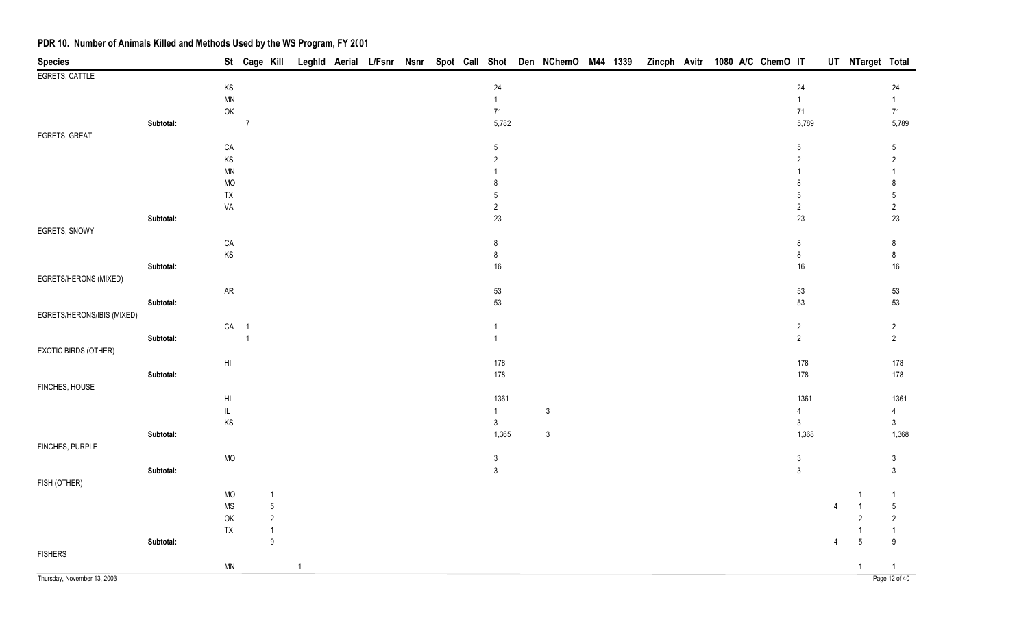| <b>Species</b>              |           |                            |                | St Cage Kill |                |  |  |                 | Leghld Aerial L/Fsnr Nsnr Spot Call Shot Den NChemO M44 1339 |  | Zincph Avitr 1080 A/C ChemO IT |  |  |                |   | UT NTarget Total |                               |
|-----------------------------|-----------|----------------------------|----------------|--------------|----------------|--|--|-----------------|--------------------------------------------------------------|--|--------------------------------|--|--|----------------|---|------------------|-------------------------------|
| EGRETS, CATTLE              |           |                            |                |              |                |  |  |                 |                                                              |  |                                |  |  |                |   |                  |                               |
|                             |           | KS                         |                |              |                |  |  | $24\,$          |                                                              |  |                                |  |  | 24             |   |                  | 24                            |
|                             |           | $\ensuremath{\mathsf{MN}}$ |                |              |                |  |  | $\mathbf{1}$    |                                                              |  |                                |  |  | $\mathbf{1}$   |   |                  | 1                             |
|                             |           | $\mathsf{OK}$              |                |              |                |  |  | $71$            |                                                              |  |                                |  |  | 71             |   |                  | 71                            |
|                             | Subtotal: |                            | $\overline{7}$ |              |                |  |  | 5,782           |                                                              |  |                                |  |  | 5,789          |   |                  | 5,789                         |
| EGRETS, GREAT               |           |                            |                |              |                |  |  |                 |                                                              |  |                                |  |  |                |   |                  |                               |
|                             |           | CA                         |                |              |                |  |  | $5\phantom{.0}$ |                                                              |  |                                |  |  | 5              |   |                  | $5\phantom{.0}$               |
|                             |           | KS                         |                |              |                |  |  | 2               |                                                              |  |                                |  |  | $\overline{2}$ |   |                  | $\overline{2}$                |
|                             |           | $\ensuremath{\mathsf{MN}}$ |                |              |                |  |  |                 |                                                              |  |                                |  |  |                |   |                  | 1                             |
|                             |           | MO                         |                |              |                |  |  | 8               |                                                              |  |                                |  |  | 8              |   |                  | 8                             |
|                             |           | TX                         |                |              |                |  |  | 5               |                                                              |  |                                |  |  | 5              |   |                  | $\sqrt{5}$                    |
|                             |           | VA                         |                |              |                |  |  | $\sqrt{2}$      |                                                              |  |                                |  |  | $\sqrt{2}$     |   |                  | $\sqrt{2}$                    |
|                             | Subtotal: |                            |                |              |                |  |  | $23\,$          |                                                              |  |                                |  |  | 23             |   |                  | $23\,$                        |
| EGRETS, SNOWY               |           |                            |                |              |                |  |  |                 |                                                              |  |                                |  |  |                |   |                  |                               |
|                             |           | CA                         |                |              |                |  |  | $\bf 8$         |                                                              |  |                                |  |  | 8              |   |                  | 8                             |
|                             |           | KS                         |                |              |                |  |  | $\bf 8$         |                                                              |  |                                |  |  | 8              |   |                  | $\bf 8$                       |
|                             | Subtotal: |                            |                |              |                |  |  | $16\,$          |                                                              |  |                                |  |  | 16             |   |                  | $16\,$                        |
| EGRETS/HERONS (MIXED)       |           |                            |                |              |                |  |  |                 |                                                              |  |                                |  |  |                |   |                  |                               |
|                             |           | ${\sf AR}$                 |                |              |                |  |  | $53\,$          |                                                              |  |                                |  |  | 53             |   |                  | 53                            |
|                             | Subtotal: |                            |                |              |                |  |  | 53              |                                                              |  |                                |  |  | 53             |   |                  | 53                            |
| EGRETS/HERONS/IBIS (MIXED)  |           |                            |                |              |                |  |  |                 |                                                              |  |                                |  |  |                |   |                  |                               |
|                             |           | CA 1                       |                |              |                |  |  | $\mathbf{1}$    |                                                              |  |                                |  |  | $\overline{c}$ |   |                  | $\overline{c}$                |
|                             | Subtotal: |                            | $\overline{1}$ |              |                |  |  | $\mathbf{1}$    |                                                              |  |                                |  |  | $\overline{c}$ |   |                  | $\overline{2}$                |
| EXOTIC BIRDS (OTHER)        |           |                            |                |              |                |  |  |                 |                                                              |  |                                |  |  |                |   |                  |                               |
|                             |           | H <sub>l</sub>             |                |              |                |  |  | 178             |                                                              |  |                                |  |  | 178            |   |                  | 178                           |
|                             | Subtotal: |                            |                |              |                |  |  | 178             |                                                              |  |                                |  |  | $178\,$        |   |                  | 178                           |
| FINCHES, HOUSE              |           |                            |                |              |                |  |  |                 |                                                              |  |                                |  |  |                |   |                  |                               |
|                             |           | H <sub>l</sub>             |                |              |                |  |  | 1361            |                                                              |  |                                |  |  | 1361           |   |                  | 1361                          |
|                             |           | $\mathsf{IL}$              |                |              |                |  |  | $\mathbf{1}$    | $\mathbf{3}$                                                 |  |                                |  |  | 4              |   |                  | $\overline{4}$                |
|                             |           | KS                         |                |              |                |  |  | $\mathfrak{Z}$  |                                                              |  |                                |  |  | $\mathfrak{S}$ |   |                  | $\mathbf{3}$                  |
|                             | Subtotal: |                            |                |              |                |  |  | 1,365           | $\mathbf{3}$                                                 |  |                                |  |  | 1,368          |   |                  | 1,368                         |
| FINCHES, PURPLE             |           |                            |                |              |                |  |  |                 |                                                              |  |                                |  |  |                |   |                  |                               |
|                             |           | $\rm MO$                   |                |              |                |  |  | $\mathbf{3}$    |                                                              |  |                                |  |  | $\mathbf{3}$   |   |                  | $\mathfrak{Z}$                |
|                             | Subtotal: |                            |                |              |                |  |  | $\mathfrak{Z}$  |                                                              |  |                                |  |  | $\mathbf{3}$   |   |                  | $\mathfrak{Z}$                |
| FISH (OTHER)                |           |                            |                |              |                |  |  |                 |                                                              |  |                                |  |  |                |   |                  |                               |
|                             |           | $\rm MO$                   |                | -1           |                |  |  |                 |                                                              |  |                                |  |  |                |   |                  | -1                            |
|                             |           | $\rm MS$                   |                | $\sqrt{5}$   |                |  |  |                 |                                                              |  |                                |  |  |                |   |                  | $5\,$                         |
|                             |           | OK                         |                | $\sqrt{2}$   |                |  |  |                 |                                                              |  |                                |  |  |                |   | $\overline{2}$   | $\overline{2}$                |
|                             |           | TX                         |                | $\mathbf{1}$ |                |  |  |                 |                                                              |  |                                |  |  |                |   |                  | -1<br>$\boldsymbol{9}$        |
|                             | Subtotal: |                            |                | 9            |                |  |  |                 |                                                              |  |                                |  |  |                | 4 | $\overline{5}$   |                               |
| <b>FISHERS</b>              |           | MN                         |                |              |                |  |  |                 |                                                              |  |                                |  |  |                |   |                  |                               |
|                             |           |                            |                |              | $\overline{1}$ |  |  |                 |                                                              |  |                                |  |  |                |   | $\mathbf{1}$     | $\mathbf{1}$<br>Page 12 of 40 |
| Thursday, November 13, 2003 |           |                            |                |              |                |  |  |                 |                                                              |  |                                |  |  |                |   |                  |                               |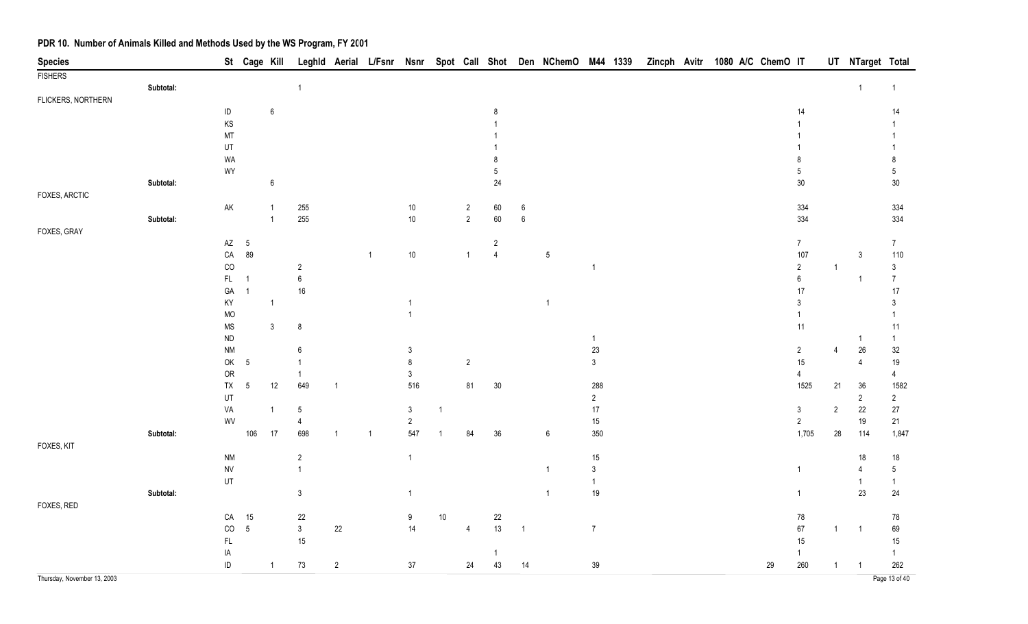| <b>Species</b>              |           |                        | St Cage Kill    |                |                  |                |                |                  |                |                |                 |                  | Leghld Aerial L/Fsnr Nsnr Spot Call Shot Den NChemO M44 1339 |                |  |  | Zincph Avitr 1080 A/C ChemO IT |                  |                | UT NTarget Total        |                |
|-----------------------------|-----------|------------------------|-----------------|----------------|------------------|----------------|----------------|------------------|----------------|----------------|-----------------|------------------|--------------------------------------------------------------|----------------|--|--|--------------------------------|------------------|----------------|-------------------------|----------------|
| <b>FISHERS</b>              |           |                        |                 |                |                  |                |                |                  |                |                |                 |                  |                                                              |                |  |  |                                |                  |                |                         |                |
|                             | Subtotal: |                        |                 |                | $\overline{1}$   |                |                |                  |                |                |                 |                  |                                                              |                |  |  |                                |                  |                | $\overline{1}$          | $\overline{1}$ |
| FLICKERS, NORTHERN          |           |                        |                 |                |                  |                |                |                  |                |                |                 |                  |                                                              |                |  |  |                                |                  |                |                         |                |
|                             |           | ID                     |                 | 6              |                  |                |                |                  |                |                | 8               |                  |                                                              |                |  |  |                                | 14               |                |                         | 14             |
|                             |           | KS                     |                 |                |                  |                |                |                  |                |                |                 |                  |                                                              |                |  |  |                                |                  |                |                         |                |
|                             |           | MT                     |                 |                |                  |                |                |                  |                |                |                 |                  |                                                              |                |  |  |                                |                  |                |                         |                |
|                             |           | UT                     |                 |                |                  |                |                |                  |                |                |                 |                  |                                                              |                |  |  |                                |                  |                |                         | -1             |
|                             |           | WA                     |                 |                |                  |                |                |                  |                |                | 8               |                  |                                                              |                |  |  |                                | 8                |                |                         | 8              |
|                             |           | WY                     |                 |                |                  |                |                |                  |                |                | $5\phantom{.0}$ |                  |                                                              |                |  |  |                                | $5\phantom{.0}$  |                |                         | $\sqrt{5}$     |
|                             | Subtotal: |                        |                 | $\,6\,$        |                  |                |                |                  |                |                | 24              |                  |                                                              |                |  |  |                                | $30\,$           |                |                         | $30\,$         |
| FOXES, ARCTIC               |           |                        |                 |                |                  |                |                |                  |                |                |                 |                  |                                                              |                |  |  |                                |                  |                |                         |                |
|                             |           | AK                     |                 | $\mathbf 1$    | 255              |                |                | $10\,$           |                | $\overline{c}$ | $60\,$          | 6                |                                                              |                |  |  |                                | 334              |                |                         | 334            |
|                             | Subtotal: |                        |                 | $\mathbf{1}$   | 255              |                |                | $10\,$           |                | $\overline{2}$ | 60              | $\boldsymbol{6}$ |                                                              |                |  |  |                                | 334              |                |                         | 334            |
| FOXES, GRAY                 |           |                        |                 |                |                  |                |                |                  |                |                |                 |                  |                                                              |                |  |  |                                |                  |                |                         |                |
|                             |           | $\mathsf{A}\mathsf{Z}$ | $5\phantom{.0}$ |                |                  |                |                |                  |                |                | $\sqrt{2}$      |                  |                                                              |                |  |  |                                | $\boldsymbol{7}$ |                |                         | $\overline{7}$ |
|                             |           | ${\sf CA}$             | 89              |                |                  |                | $\overline{1}$ | $10\,$           |                | $\mathbf{1}$   | $\overline{4}$  |                  | $\sqrt{5}$                                                   |                |  |  |                                | 107              |                | $\mathbf{3}$            | 110            |
|                             |           | $_{\rm CO}$            |                 |                | $\overline{2}$   |                |                |                  |                |                |                 |                  |                                                              | $\overline{1}$ |  |  |                                | $\overline{2}$   | $\overline{1}$ |                         | $\mathfrak{Z}$ |
|                             |           | FL.                    | $\overline{1}$  |                | $\boldsymbol{6}$ |                |                |                  |                |                |                 |                  |                                                              |                |  |  |                                | $\boldsymbol{6}$ |                | $\overline{\mathbf{1}}$ | $\overline{7}$ |
|                             |           | ${\sf GA}$             | $\overline{1}$  |                | $16\,$           |                |                |                  |                |                |                 |                  |                                                              |                |  |  |                                | 17               |                |                         | $17$           |
|                             |           | KY                     |                 | $\mathbf{1}$   |                  |                |                | $\overline{1}$   |                |                |                 |                  | $\overline{1}$                                               |                |  |  |                                | $\mathfrak{Z}$   |                |                         | $\mathfrak{Z}$ |
|                             |           | <b>MO</b>              |                 |                |                  |                |                | $\overline{1}$   |                |                |                 |                  |                                                              |                |  |  |                                | $\mathbf{1}$     |                |                         | -1             |
|                             |           | <b>MS</b>              |                 | $\mathbf{3}$   | 8                |                |                |                  |                |                |                 |                  |                                                              |                |  |  |                                | 11               |                |                         | 11             |
|                             |           | ${\sf ND}$             |                 |                |                  |                |                |                  |                |                |                 |                  |                                                              | $\mathbf{1}$   |  |  |                                |                  |                | -1                      | $\overline{1}$ |
|                             |           | <b>NM</b>              |                 |                | $\,6\,$          |                |                | $\mathfrak{Z}$   |                |                |                 |                  |                                                              | $23\,$         |  |  |                                | $\overline{2}$   | $\overline{4}$ | $26\,$                  | 32             |
|                             |           | OK                     | $5\phantom{.0}$ |                | $\mathbf{1}$     |                |                | $\bf 8$          |                | $\sqrt{2}$     |                 |                  |                                                              | $\mathfrak{Z}$ |  |  |                                | 15               |                | $\overline{4}$          | $19$           |
|                             |           | OR                     |                 |                | $\overline{1}$   |                |                | $\mathbf{3}$     |                |                |                 |                  |                                                              |                |  |  |                                | $\overline{4}$   |                |                         | 4              |
|                             |           | ${\sf TX}$             | $\sqrt{5}$      | 12             | 649              | $\overline{1}$ |                | 516              |                | 81             | $30\,$          |                  |                                                              | 288            |  |  |                                | 1525             | 21             | $36\,$                  | 1582           |
|                             |           | UT                     |                 |                |                  |                |                |                  |                |                |                 |                  |                                                              | $\overline{2}$ |  |  |                                |                  |                | $\overline{2}$          | $\overline{2}$ |
|                             |           | VA                     |                 | $\mathbf 1$    | 5                |                |                | $\mathbf{3}$     | $\overline{1}$ |                |                 |                  |                                                              | $17\,$         |  |  |                                | $\mathbf{3}$     | $\sqrt{2}$     | 22                      | $27\,$         |
|                             |           | WV                     |                 |                | $\overline{4}$   |                |                | $\overline{2}$   |                |                |                 |                  |                                                              | $15\,$         |  |  |                                | $\overline{2}$   |                | 19                      | 21             |
|                             | Subtotal: |                        | 106             | 17             | 698              | $\overline{1}$ | $\overline{1}$ | 547              |                | 84             | $36\,$          |                  | $\boldsymbol{6}$                                             | 350            |  |  |                                | 1,705            | 28             | 114                     | 1,847          |
| FOXES, KIT                  |           |                        |                 |                |                  |                |                |                  |                |                |                 |                  |                                                              |                |  |  |                                |                  |                |                         |                |
|                             |           | $\mathsf{N}\mathsf{M}$ |                 |                | $\overline{c}$   |                |                | $\mathbf{1}$     |                |                |                 |                  |                                                              | $15\,$         |  |  |                                |                  |                | 18                      | $18$           |
|                             |           | <b>NV</b>              |                 |                | $\overline{1}$   |                |                |                  |                |                |                 |                  | $\overline{1}$                                               | $\mathfrak{Z}$ |  |  |                                | $\mathbf{1}$     |                | $\overline{4}$          | $\sqrt{5}$     |
|                             |           | UT                     |                 |                |                  |                |                |                  |                |                |                 |                  |                                                              | $\mathbf{1}$   |  |  |                                |                  |                | -1                      | $\mathbf{1}$   |
|                             | Subtotal: |                        |                 |                | $\mathfrak{Z}$   |                |                | $\overline{1}$   |                |                |                 |                  | $\overline{1}$                                               | $19$           |  |  |                                | $\overline{1}$   |                | 23                      | 24             |
| FOXES, RED                  |           |                        |                 |                |                  |                |                |                  |                |                |                 |                  |                                                              |                |  |  |                                |                  |                |                         |                |
|                             |           | ${\sf CA}$             | 15              |                | $22\,$           |                |                | $\boldsymbol{9}$ | $10$           |                | $22\,$          |                  |                                                              |                |  |  |                                | $78\,$           |                |                         | $78\,$         |
|                             |           | $\rm CO$               | $\overline{5}$  |                | $\mathfrak{Z}$   | $22\,$         |                | 14               |                | $\overline{4}$ | 13              | $\overline{1}$   |                                                              | $\overline{7}$ |  |  |                                | $67\,$           | $\mathbf{1}$   | $\overline{1}$          | 69             |
|                             |           | $\mathsf{FL}$          |                 |                | $15\,$           |                |                |                  |                |                |                 |                  |                                                              |                |  |  |                                | 15               |                |                         | 15             |
|                             |           | IA                     |                 |                |                  |                |                |                  |                |                | -1              |                  |                                                              |                |  |  |                                | $\mathbf{1}$     |                |                         | $\mathbf{1}$   |
|                             |           | $\sf ID$               |                 | $\overline{1}$ | $73\,$           | $\overline{2}$ |                | $37\,$           |                | 24             | 43              | 14               |                                                              | $39\,$         |  |  | 29                             | 260              | 1              | $\overline{1}$          | 262            |
| Thursday, November 13, 2003 |           |                        |                 |                |                  |                |                |                  |                |                |                 |                  |                                                              |                |  |  |                                |                  |                |                         | Page 13 of 40  |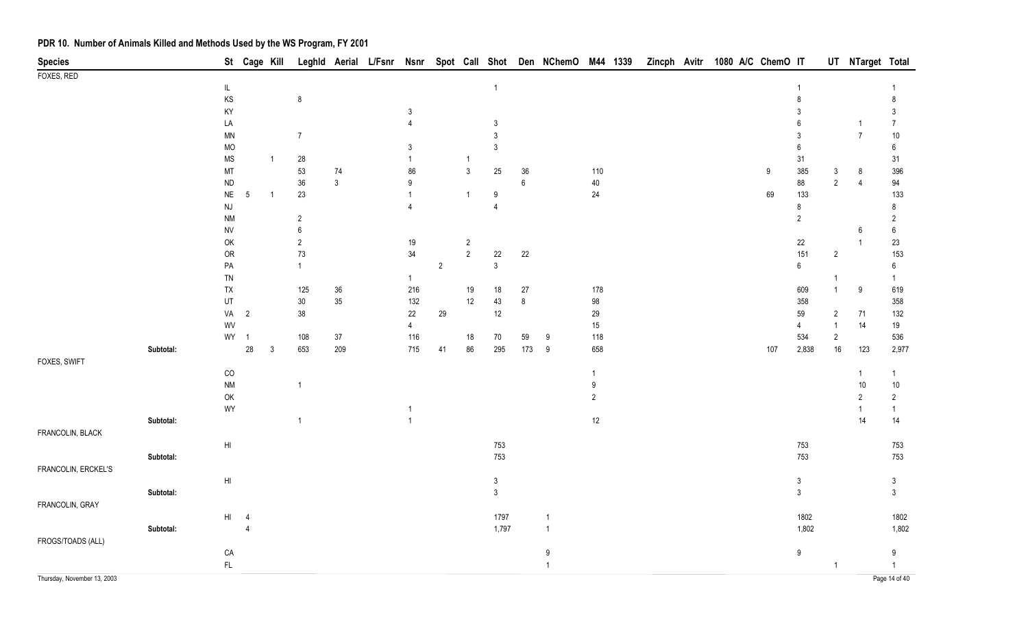| <b>Species</b>              |           |                                   | St Cage Kill             |              |                  |                  | Leghld Aerial L/Fsnr Nsnr |                                |                |                |                              |               | Spot Call Shot Den NChemO M44 1339 |                  | Zincph Avitr |  | 1080 A/C ChemO IT |                                  |                              | UT NTarget Total |                                    |
|-----------------------------|-----------|-----------------------------------|--------------------------|--------------|------------------|------------------|---------------------------|--------------------------------|----------------|----------------|------------------------------|---------------|------------------------------------|------------------|--------------|--|-------------------|----------------------------------|------------------------------|------------------|------------------------------------|
| FOXES, RED                  |           |                                   |                          |              |                  |                  |                           |                                |                |                |                              |               |                                    |                  |              |  |                   |                                  |                              |                  |                                    |
|                             |           | $\ensuremath{\mathsf{IL}}\xspace$ |                          |              |                  |                  |                           |                                |                |                | $\mathbf{1}$                 |               |                                    |                  |              |  |                   |                                  |                              |                  |                                    |
|                             |           | KS                                |                          |              | $\bf 8$          |                  |                           |                                |                |                |                              |               |                                    |                  |              |  |                   | 8                                |                              |                  | 8                                  |
|                             |           | KY<br>LA                          |                          |              |                  |                  |                           | $\mathbf{3}$<br>$\overline{4}$ |                |                | $\mathbf{3}$                 |               |                                    |                  |              |  |                   | 3<br>6                           |                              | -1               | $\mathfrak{Z}$<br>$\boldsymbol{7}$ |
|                             |           | $\textsf{MN}{}$                   |                          |              | $\overline{7}$   |                  |                           |                                |                |                | $\mathfrak{Z}$               |               |                                    |                  |              |  |                   | $\sqrt{3}$                       |                              | $\overline{7}$   | $10\,$                             |
|                             |           | MO                                |                          |              |                  |                  |                           | 3                              |                |                | 3                            |               |                                    |                  |              |  |                   | 6                                |                              |                  | 6                                  |
|                             |           | $\mathsf{MS}\xspace$              |                          | $\mathbf{1}$ | $28\,$           |                  |                           | $\mathbf{1}$                   |                | $\mathbf{1}$   |                              |               |                                    |                  |              |  |                   | 31                               |                              |                  | 31                                 |
|                             |           | MT                                |                          |              | 53               | 74               |                           | 86                             |                | $\mathfrak{Z}$ | 25                           | $36\,$        |                                    | 110              |              |  | 9                 | 385                              | $\mathbf{3}$                 | $\,8\,$          | 396                                |
|                             |           | $\sf ND$                          |                          |              | $36\,$           | $\mathfrak{Z}$   |                           | 9                              |                |                |                              | $\,6\,$       |                                    | 40               |              |  |                   | 88                               | $\overline{2}$               | $\overline{4}$   | 94                                 |
|                             |           | $N\mathsf{E}$                     | $5\phantom{.0}$          | $\mathbf{1}$ | 23               |                  |                           | $\overline{1}$                 |                | $\mathbf{1}$   | 9                            |               |                                    | $24\,$           |              |  | 69                | 133                              |                              |                  | 133                                |
|                             |           | $\mathsf{N}\mathsf{J}$            |                          |              |                  |                  |                           | $\overline{4}$                 |                |                | 4                            |               |                                    |                  |              |  |                   | 8                                |                              |                  | 8                                  |
|                             |           | <b>NM</b>                         |                          |              | $\overline{c}$   |                  |                           |                                |                |                |                              |               |                                    |                  |              |  |                   | $\overline{2}$                   |                              |                  | $\overline{2}$                     |
|                             |           | <b>NV</b>                         |                          |              | $\boldsymbol{6}$ |                  |                           |                                |                |                |                              |               |                                    |                  |              |  |                   |                                  |                              | 6                | $\,6\,$                            |
|                             |           | OK                                |                          |              | $\sqrt{2}$       |                  |                           | $19$                           |                | $\overline{c}$ |                              |               |                                    |                  |              |  |                   | 22                               |                              | $\overline{1}$   | $23\,$                             |
|                             |           | OR                                |                          |              | $73\,$           |                  |                           | 34                             |                | $\overline{2}$ | 22                           | 22            |                                    |                  |              |  |                   | 151                              | $\sqrt{2}$                   |                  | 153                                |
|                             |           | ${\sf PA}$                        |                          |              | $\mathbf{1}$     |                  |                           |                                | $\overline{2}$ |                | $\mathbf{3}$                 |               |                                    |                  |              |  |                   | $6\phantom{a}$                   |                              |                  | $\boldsymbol{6}$                   |
|                             |           | TN                                |                          |              |                  |                  |                           | $\mathbf{1}$                   |                |                |                              |               |                                    |                  |              |  |                   |                                  | $\mathbf{1}$<br>$\mathbf{1}$ |                  | $\mathbf{1}$                       |
|                             |           | TX<br>UT                          |                          |              | 125<br>$30\,$    | $36\,$<br>$35\,$ |                           | 216<br>132                     |                | 19<br>12       | $18$<br>43                   | 27<br>$\bf 8$ |                                    | 178<br>98        |              |  |                   | 609<br>358                       |                              | $\boldsymbol{9}$ | 619<br>358                         |
|                             |           | VA                                | $\overline{\phantom{a}}$ |              | $38\,$           |                  |                           | $22\,$                         | 29             |                | 12                           |               |                                    | 29               |              |  |                   | 59                               | $\overline{2}$               | 71               | 132                                |
|                             |           | WV                                |                          |              |                  |                  |                           | $\overline{4}$                 |                |                |                              |               |                                    | 15               |              |  |                   | $\overline{4}$                   | $\mathbf{1}$                 | 14               | 19                                 |
|                             |           | WY 1                              |                          |              | 108              | $37\,$           |                           | 116                            |                | $18\,$         | $70\,$                       | 59            | $9\,$                              | 118              |              |  |                   | 534                              | $\sqrt{2}$                   |                  | 536                                |
|                             | Subtotal: |                                   | $28\,$                   | $\mathbf{3}$ | 653              | 209              |                           | 715                            | 41             | 86             | 295                          | 173           | 9                                  | 658              |              |  | 107               | 2,838                            | 16                           | 123              | 2,977                              |
| FOXES, SWIFT                |           |                                   |                          |              |                  |                  |                           |                                |                |                |                              |               |                                    |                  |              |  |                   |                                  |                              |                  |                                    |
|                             |           | $_{\rm CO}$                       |                          |              |                  |                  |                           |                                |                |                |                              |               |                                    | $\overline{1}$   |              |  |                   |                                  |                              | $\overline{1}$   | $\mathbf{1}$                       |
|                             |           | $\mathsf{N}\mathsf{M}$            |                          |              | $\overline{1}$   |                  |                           |                                |                |                |                              |               |                                    | $\boldsymbol{9}$ |              |  |                   |                                  |                              | $10$             | $10\,$                             |
|                             |           | $\mathsf{OK}$                     |                          |              |                  |                  |                           |                                |                |                |                              |               |                                    | $\sqrt{2}$       |              |  |                   |                                  |                              | $\overline{2}$   | $\overline{2}$                     |
|                             |           | WY                                |                          |              |                  |                  |                           | -1                             |                |                |                              |               |                                    |                  |              |  |                   |                                  |                              | $\overline{1}$   | $\mathbf{1}$                       |
|                             | Subtotal: |                                   |                          |              | $\overline{1}$   |                  |                           | $\overline{1}$                 |                |                |                              |               |                                    | $12\,$           |              |  |                   |                                  |                              | 14               | 14                                 |
| FRANCOLIN, BLACK            |           |                                   |                          |              |                  |                  |                           |                                |                |                |                              |               |                                    |                  |              |  |                   |                                  |                              |                  |                                    |
|                             |           | $\mathsf{HI}$                     |                          |              |                  |                  |                           |                                |                |                | 753                          |               |                                    |                  |              |  |                   | 753                              |                              |                  | 753                                |
|                             | Subtotal: |                                   |                          |              |                  |                  |                           |                                |                |                | 753                          |               |                                    |                  |              |  |                   | 753                              |                              |                  | 753                                |
| FRANCOLIN, ERCKEL'S         |           |                                   |                          |              |                  |                  |                           |                                |                |                |                              |               |                                    |                  |              |  |                   |                                  |                              |                  |                                    |
|                             | Subtotal: | $\mathsf{HI}$                     |                          |              |                  |                  |                           |                                |                |                | $\sqrt{3}$<br>$\mathfrak{Z}$ |               |                                    |                  |              |  |                   | $\mathfrak{Z}$<br>$\mathfrak{Z}$ |                              |                  | $\mathfrak{Z}$<br>$\mathfrak{Z}$   |
| FRANCOLIN, GRAY             |           |                                   |                          |              |                  |                  |                           |                                |                |                |                              |               |                                    |                  |              |  |                   |                                  |                              |                  |                                    |
|                             |           | H1                                | $\overline{4}$           |              |                  |                  |                           |                                |                |                | 1797                         |               | $\overline{1}$                     |                  |              |  |                   | 1802                             |                              |                  | 1802                               |
|                             | Subtotal: |                                   | $\overline{4}$           |              |                  |                  |                           |                                |                |                | 1,797                        |               | $\overline{1}$                     |                  |              |  |                   | 1,802                            |                              |                  | 1,802                              |
| FROGS/TOADS (ALL)           |           |                                   |                          |              |                  |                  |                           |                                |                |                |                              |               |                                    |                  |              |  |                   |                                  |                              |                  |                                    |
|                             |           | ${\sf CA}$                        |                          |              |                  |                  |                           |                                |                |                |                              |               | 9                                  |                  |              |  |                   | 9                                |                              |                  | 9                                  |
|                             |           | $\mathsf{FL}$                     |                          |              |                  |                  |                           |                                |                |                |                              |               | $\mathbf{1}$                       |                  |              |  |                   |                                  | $\overline{1}$               |                  | $\overline{1}$                     |
| Thursday, November 13, 2003 |           |                                   |                          |              |                  |                  |                           |                                |                |                |                              |               |                                    |                  |              |  |                   |                                  |                              |                  | Page 14 of 40                      |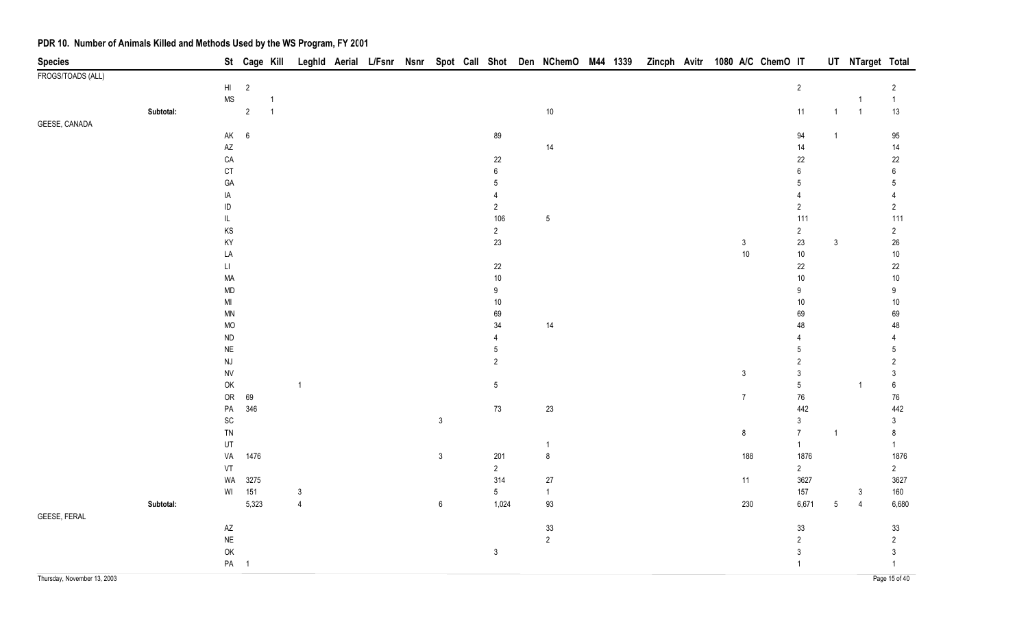| <b>Species</b>              |           |                                   | St Cage Kill    |                |                |  |                  |                       | Leghld Aerial L/Fsnr Nsnr Spot Call Shot Den NChemO M44 1339 |  |  |                        | Zincph Avitr 1080 A/C ChemO IT |                         |                | UT NTarget Total |                |
|-----------------------------|-----------|-----------------------------------|-----------------|----------------|----------------|--|------------------|-----------------------|--------------------------------------------------------------|--|--|------------------------|--------------------------------|-------------------------|----------------|------------------|----------------|
| FROGS/TOADS (ALL)           |           |                                   |                 |                |                |  |                  |                       |                                                              |  |  |                        |                                |                         |                |                  |                |
|                             |           | $\mathsf{H}\mathsf{I}$            | $\overline{2}$  |                |                |  |                  |                       |                                                              |  |  |                        |                                | $\overline{2}$          |                |                  | $\overline{2}$ |
|                             |           | $\ensuremath{\mathsf{MS}}\xspace$ |                 | $\mathbf 1$    |                |  |                  |                       |                                                              |  |  |                        |                                |                         |                | -1               | $\mathbf{1}$   |
|                             | Subtotal: |                                   | $\sqrt{2}$      | $\overline{1}$ |                |  |                  |                       | $10\,$                                                       |  |  |                        |                                | 11                      | $\mathbf{1}$   | $\overline{1}$   | 13             |
| GEESE, CANADA               |           |                                   |                 |                |                |  |                  |                       |                                                              |  |  |                        |                                |                         |                |                  |                |
|                             |           | AK                                | $\,6\,$         |                |                |  |                  | 89                    |                                                              |  |  |                        |                                | 94                      | $\overline{1}$ |                  | $95\,$         |
|                             |           | $\mathsf{A}\mathsf{Z}$            |                 |                |                |  |                  |                       | 14                                                           |  |  |                        |                                | 14                      |                |                  | 14             |
|                             |           | ${\sf CA}$                        |                 |                |                |  |                  | 22                    |                                                              |  |  |                        |                                | 22                      |                |                  | $22\,$         |
|                             |           | CT                                |                 |                |                |  |                  | 6                     |                                                              |  |  |                        |                                | 6                       |                |                  | 6              |
|                             |           | GA                                |                 |                |                |  |                  | 5                     |                                                              |  |  |                        |                                | 5                       |                |                  | $5\,$          |
|                             |           | IA                                |                 |                |                |  |                  | $\boldsymbol{\Delta}$ |                                                              |  |  |                        |                                | $\overline{4}$          |                |                  | $\overline{4}$ |
|                             |           | $\sf ID$                          |                 |                |                |  |                  | $\sqrt{2}$            |                                                              |  |  |                        |                                | $\overline{2}$          |                |                  | $\overline{2}$ |
|                             |           | $\mathsf{IL}$                     |                 |                |                |  |                  | 106                   | $\sqrt{5}$                                                   |  |  |                        |                                | 111                     |                |                  | 111            |
|                             |           | $\mathsf{KS}$                     |                 |                |                |  |                  | $\overline{2}$        |                                                              |  |  |                        |                                | $\mathbf{2}$            |                |                  | $\overline{c}$ |
|                             |           | KY                                |                 |                |                |  |                  | 23                    |                                                              |  |  | $\mathbf{3}$<br>$10\,$ |                                | 23                      | $\mathfrak{Z}$ |                  | $26\,$         |
|                             |           | LA<br>$\mathsf{L}\mathsf{L}$      |                 |                |                |  |                  | 22                    |                                                              |  |  |                        |                                | 10 <sub>1</sub><br>22   |                |                  | $10\,$<br>22   |
|                             |           | MA                                |                 |                |                |  |                  | 10 <sub>1</sub>       |                                                              |  |  |                        |                                | $10\,$                  |                |                  | $10\,$         |
|                             |           | MD                                |                 |                |                |  |                  | $9\,$                 |                                                              |  |  |                        |                                | $9\,$                   |                |                  | $9\,$          |
|                             |           | $\mathsf{MI}$                     |                 |                |                |  |                  | $10\,$                |                                                              |  |  |                        |                                | $10\,$                  |                |                  | $10\,$         |
|                             |           | <b>MN</b>                         |                 |                |                |  |                  | 69                    |                                                              |  |  |                        |                                | 69                      |                |                  | 69             |
|                             |           | <b>MO</b>                         |                 |                |                |  |                  | 34                    | 14                                                           |  |  |                        |                                | 48                      |                |                  | 48             |
|                             |           | ${\sf ND}$                        |                 |                |                |  |                  | $\overline{4}$        |                                                              |  |  |                        |                                | 4                       |                |                  | 4              |
|                             |           | $\sf NE$                          |                 |                |                |  |                  | 5                     |                                                              |  |  |                        |                                | 5                       |                |                  | $5\,$          |
|                             |           | <b>NJ</b>                         |                 |                |                |  |                  | $\sqrt{2}$            |                                                              |  |  |                        |                                | $\overline{\mathbf{c}}$ |                |                  | $\overline{2}$ |
|                             |           | ${\sf NV}$                        |                 |                |                |  |                  |                       |                                                              |  |  | $\mathbf{3}$           |                                | $\mathfrak{Z}$          |                |                  | $\mathfrak{Z}$ |
|                             |           | $\mathsf{OK}$                     |                 |                | $\overline{1}$ |  |                  | $5\,$                 |                                                              |  |  |                        |                                | $\sqrt{5}$              |                | $\overline{1}$   | $\bf 6$        |
|                             |           | ${\sf OR}$                        | 69              |                |                |  |                  |                       |                                                              |  |  | $\overline{7}$         |                                | $76\,$                  |                |                  | 76             |
|                             |           | ${\sf PA}$                        | 346             |                |                |  |                  | $73$                  | 23                                                           |  |  |                        |                                | 442                     |                |                  | 442            |
|                             |           | $\operatorname{\textsf{SC}}$      |                 |                |                |  | $\mathbf{3}$     |                       |                                                              |  |  |                        |                                | $\mathfrak{Z}$          |                |                  | $\mathfrak{Z}$ |
|                             |           | ${\sf TN}$                        |                 |                |                |  |                  |                       |                                                              |  |  | $\bf 8$                |                                | $\overline{7}$          | $\mathbf{1}$   |                  | $\bf 8$        |
|                             |           | UT                                |                 |                |                |  |                  |                       | $\overline{1}$                                               |  |  |                        |                                | 1                       |                |                  | 1              |
|                             |           | VA                                | 1476            |                |                |  | $\mathfrak{Z}$   | 201                   | $\,8\,$                                                      |  |  | 188                    |                                | 1876                    |                |                  | 1876           |
|                             |           | VT                                |                 |                |                |  |                  | $\overline{2}$        |                                                              |  |  |                        |                                | $2\overline{ }$         |                |                  | $\overline{2}$ |
|                             |           | WA                                | 3275            |                |                |  |                  | 314                   | 27                                                           |  |  | 11                     |                                | 3627                    |                |                  | 3627           |
|                             |           | WI                                | 151             |                | $\mathfrak{Z}$ |  |                  | $5\phantom{.0}$       | $\overline{1}$                                               |  |  |                        |                                | 157                     |                | $\sqrt{3}$       | 160            |
|                             | Subtotal: |                                   | 5,323           |                | $\overline{4}$ |  | $\boldsymbol{6}$ | 1,024                 | 93                                                           |  |  | 230                    |                                | 6,671                   | $\sqrt{5}$     | $\overline{4}$   | 6,680          |
| GEESE, FERAL                |           |                                   |                 |                |                |  |                  |                       |                                                              |  |  |                        |                                |                         |                |                  |                |
|                             |           | $\mathsf{A}\mathsf{Z}$            |                 |                |                |  |                  |                       | 33                                                           |  |  |                        |                                | 33                      |                |                  | $33\,$         |
|                             |           | $\sf NE$                          |                 |                |                |  |                  |                       | $\overline{2}$                                               |  |  |                        |                                | $\overline{2}$          |                |                  | $\overline{2}$ |
|                             |           | $\mathsf{OK}$                     |                 |                |                |  |                  | $\mathsf 3$           |                                                              |  |  |                        |                                | $\mathfrak{z}$          |                |                  | $\mathfrak{Z}$ |
|                             |           |                                   | PA <sub>1</sub> |                |                |  |                  |                       |                                                              |  |  |                        |                                | $\mathbf{1}$            |                |                  | $\mathbf{1}$   |
| Thursday, November 13, 2003 |           |                                   |                 |                |                |  |                  |                       |                                                              |  |  |                        |                                |                         |                |                  | Page 15 of 40  |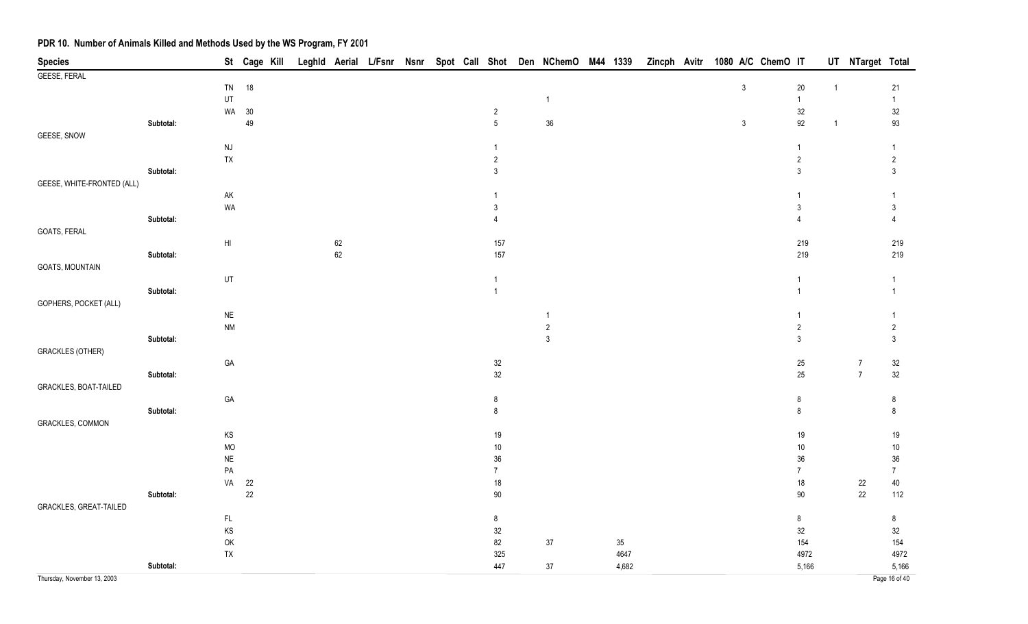| <b>Species</b>                |           |                        | St Cage Kill |  |        |  |  |                  | Leghld Aerial L/Fsnr Nsnr Spot Call Shot Den NChemO M44 1339 |        |  |                | Zincph Avitr 1080 A/C ChemO IT |                |              | UT NTarget Total |                 |
|-------------------------------|-----------|------------------------|--------------|--|--------|--|--|------------------|--------------------------------------------------------------|--------|--|----------------|--------------------------------|----------------|--------------|------------------|-----------------|
| GEESE, FERAL                  |           |                        |              |  |        |  |  |                  |                                                              |        |  |                |                                |                |              |                  |                 |
|                               |           | TN                     | 18           |  |        |  |  |                  |                                                              |        |  | $\mathfrak{Z}$ |                                | $20\,$         | $\mathbf{1}$ |                  | 21              |
|                               |           | UT                     |              |  |        |  |  |                  | $\mathbf{1}$                                                 |        |  |                |                                | $\mathbf{1}$   |              |                  | $\mathbf{1}$    |
|                               |           | WA                     | 30           |  |        |  |  | $\overline{c}$   |                                                              |        |  |                |                                | 32             |              |                  | $32\,$          |
|                               | Subtotal: |                        | 49           |  |        |  |  | $5\overline{)}$  | $36\,$                                                       |        |  | $\mathsf 3$    |                                | 92             | $\mathbf{1}$ |                  | 93              |
| GEESE, SNOW                   |           |                        |              |  |        |  |  |                  |                                                              |        |  |                |                                |                |              |                  |                 |
|                               |           | $\mathsf{N}\mathsf{J}$ |              |  |        |  |  | $\mathbf{1}$     |                                                              |        |  |                |                                | 1              |              |                  | $\mathbf{1}$    |
|                               |           | TX                     |              |  |        |  |  | $\overline{2}$   |                                                              |        |  |                |                                | $\sqrt{2}$     |              |                  | $\overline{2}$  |
|                               | Subtotal: |                        |              |  |        |  |  | $\mathfrak{Z}$   |                                                              |        |  |                |                                | 3              |              |                  | $\mathfrak{Z}$  |
| GEESE, WHITE-FRONTED (ALL)    |           |                        |              |  |        |  |  |                  |                                                              |        |  |                |                                |                |              |                  |                 |
|                               |           | $\mathsf{AK}$          |              |  |        |  |  | -1               |                                                              |        |  |                |                                |                |              |                  | 1               |
|                               |           | WA                     |              |  |        |  |  | 3                |                                                              |        |  |                |                                | 3              |              |                  | $\mathsf 3$     |
|                               | Subtotal: |                        |              |  |        |  |  | $\overline{4}$   |                                                              |        |  |                |                                | $\overline{4}$ |              |                  | $\overline{4}$  |
| GOATS, FERAL                  |           |                        |              |  |        |  |  |                  |                                                              |        |  |                |                                |                |              |                  |                 |
|                               |           | $\mathsf{H}\mathsf{I}$ |              |  | 62     |  |  | 157              |                                                              |        |  |                |                                | 219            |              |                  | 219             |
|                               | Subtotal: |                        |              |  | $62\,$ |  |  | 157              |                                                              |        |  |                |                                | 219            |              |                  | 219             |
| GOATS, MOUNTAIN               |           |                        |              |  |        |  |  |                  |                                                              |        |  |                |                                |                |              |                  |                 |
|                               |           | UT                     |              |  |        |  |  | $\mathbf{1}$     |                                                              |        |  |                |                                | 1              |              |                  | $\mathbf{1}$    |
|                               | Subtotal: |                        |              |  |        |  |  | $\overline{1}$   |                                                              |        |  |                |                                | $\mathbf{1}$   |              |                  | $\mathbf{1}$    |
| GOPHERS, POCKET (ALL)         |           |                        |              |  |        |  |  |                  |                                                              |        |  |                |                                |                |              |                  |                 |
|                               |           | $N\mathsf{E}$          |              |  |        |  |  |                  | $\overline{1}$                                               |        |  |                |                                |                |              |                  | $\mathbf{1}$    |
|                               |           | $\mathsf{N}\mathsf{M}$ |              |  |        |  |  |                  | $\sqrt{2}$                                                   |        |  |                |                                | $\sqrt{2}$     |              |                  | $\sqrt{2}$      |
|                               | Subtotal: |                        |              |  |        |  |  |                  | $\mathbf{3}$                                                 |        |  |                |                                | $\mathfrak{z}$ |              |                  | $\mathfrak{Z}$  |
| <b>GRACKLES (OTHER)</b>       |           |                        |              |  |        |  |  |                  |                                                              |        |  |                |                                |                |              | $\overline{7}$   |                 |
|                               |           | GA                     |              |  |        |  |  | $32\,$<br>$32\,$ |                                                              |        |  |                |                                | 25<br>25       |              | $\overline{7}$   | 32              |
|                               | Subtotal: |                        |              |  |        |  |  |                  |                                                              |        |  |                |                                |                |              |                  | $32\,$          |
| GRACKLES, BOAT-TAILED         |           | GA                     |              |  |        |  |  | 8                |                                                              |        |  |                |                                |                |              |                  |                 |
|                               | Subtotal: |                        |              |  |        |  |  | 8                |                                                              |        |  |                |                                | 8<br>8         |              |                  | 8<br>$\bf 8$    |
| <b>GRACKLES, COMMON</b>       |           |                        |              |  |        |  |  |                  |                                                              |        |  |                |                                |                |              |                  |                 |
|                               |           | $\mathsf{KS}$          |              |  |        |  |  | $19$             |                                                              |        |  |                |                                | 19             |              |                  | 19              |
|                               |           | <b>MO</b>              |              |  |        |  |  | $10\,$           |                                                              |        |  |                |                                | $10\,$         |              |                  | $10\,$          |
|                               |           | $\sf NE$               |              |  |        |  |  | $36\,$           |                                                              |        |  |                |                                | $36\,$         |              |                  | $36\,$          |
|                               |           | ${\sf PA}$             |              |  |        |  |  | $\boldsymbol{7}$ |                                                              |        |  |                |                                | $\overline{7}$ |              |                  | $7\overline{ }$ |
|                               |           | VA                     | 22           |  |        |  |  | $18\,$           |                                                              |        |  |                |                                | $18\,$         |              | $22\,$           | $40\,$          |
|                               | Subtotal: |                        | $22\,$       |  |        |  |  | $90\,$           |                                                              |        |  |                |                                | $90\,$         |              | 22               | $112$           |
| <b>GRACKLES, GREAT-TAILED</b> |           |                        |              |  |        |  |  |                  |                                                              |        |  |                |                                |                |              |                  |                 |
|                               |           | $\mathsf{FL}$          |              |  |        |  |  | 8                |                                                              |        |  |                |                                | 8              |              |                  | $\bf 8$         |
|                               |           | $\mathsf{KS}$          |              |  |        |  |  | $32\,$           |                                                              |        |  |                |                                | 32             |              |                  | 32              |
|                               |           | OK                     |              |  |        |  |  | 82               | $37\,$                                                       | $35\,$ |  |                |                                | 154            |              |                  | 154             |
|                               |           | TX                     |              |  |        |  |  | 325              |                                                              | 4647   |  |                |                                | 4972           |              |                  | 4972            |
|                               | Subtotal: |                        |              |  |        |  |  | 447              | $37\,$                                                       | 4,682  |  |                |                                | 5,166          |              |                  | 5,166           |
| Thursday, November 13, 2003   |           |                        |              |  |        |  |  |                  |                                                              |        |  |                |                                |                |              |                  | Page 16 of 40   |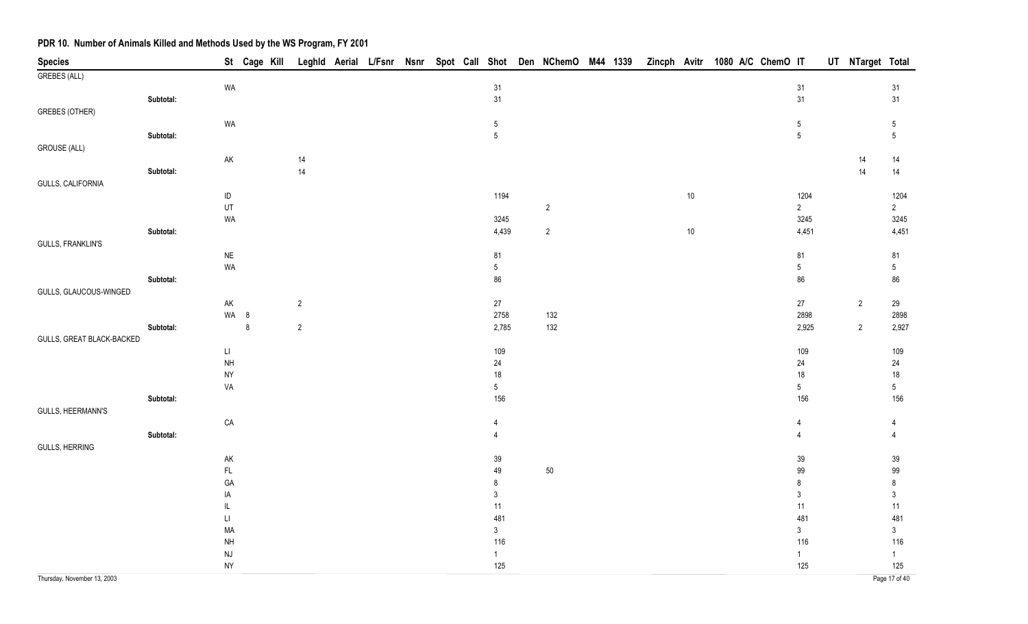| <b>Species</b>              |           |                                           |         | St Cage Kill |                |  |  |                       | Leghld Aerial L/Fsnr Nsnr Spot Call Shot Den NChemO M44 1339 |  |        | Zincph Avitr 1080 A/C ChemO IT |                     | UT NTarget Total |                     |
|-----------------------------|-----------|-------------------------------------------|---------|--------------|----------------|--|--|-----------------------|--------------------------------------------------------------|--|--------|--------------------------------|---------------------|------------------|---------------------|
| <b>GREBES (ALL)</b>         |           |                                           |         |              |                |  |  |                       |                                                              |  |        |                                |                     |                  |                     |
|                             |           | WA                                        |         |              |                |  |  | 31                    |                                                              |  |        |                                | 31                  |                  | 31                  |
|                             | Subtotal: |                                           |         |              |                |  |  | 31                    |                                                              |  |        |                                | 31                  |                  | 31                  |
| <b>GREBES (OTHER)</b>       |           |                                           |         |              |                |  |  |                       |                                                              |  |        |                                |                     |                  |                     |
|                             |           | WA                                        |         |              |                |  |  | 5                     |                                                              |  |        |                                | $\sqrt{5}$          |                  | $\sqrt{5}$          |
|                             | Subtotal: |                                           |         |              |                |  |  | $5\overline{)}$       |                                                              |  |        |                                | $\overline{5}$      |                  | $5\,$               |
| <b>GROUSE (ALL)</b>         |           |                                           |         |              |                |  |  |                       |                                                              |  |        |                                |                     |                  |                     |
|                             | Subtotal: | $\mathsf{AK}$                             |         |              | 14<br>14       |  |  |                       |                                                              |  |        |                                |                     | 14<br>14         | 14<br>14            |
| GULLS, CALIFORNIA           |           |                                           |         |              |                |  |  |                       |                                                              |  |        |                                |                     |                  |                     |
|                             |           | $\sf ID$                                  |         |              |                |  |  | 1194                  |                                                              |  | $10\,$ |                                | 1204                |                  | 1204                |
|                             |           | UT                                        |         |              |                |  |  |                       | $\sqrt{2}$                                                   |  |        |                                | $\sqrt{2}$          |                  | $\sqrt{2}$          |
|                             |           | WA                                        |         |              |                |  |  | 3245                  |                                                              |  |        |                                | 3245                |                  | 3245                |
|                             | Subtotal: |                                           |         |              |                |  |  | 4,439                 | $\overline{2}$                                               |  | $10\,$ |                                | 4,451               |                  | 4,451               |
| GULLS, FRANKLIN'S           |           |                                           |         |              |                |  |  |                       |                                                              |  |        |                                |                     |                  |                     |
|                             |           | $\sf NE$                                  |         |              |                |  |  | 81                    |                                                              |  |        |                                | 81                  |                  | 81                  |
|                             |           | WA                                        |         |              |                |  |  | $5\phantom{.0}$       |                                                              |  |        |                                | $\sqrt{5}$          |                  | $\sqrt{5}$          |
|                             | Subtotal: |                                           |         |              |                |  |  | 86                    |                                                              |  |        |                                | 86                  |                  | 86                  |
| GULLS, GLAUCOUS-WINGED      |           |                                           |         |              |                |  |  |                       |                                                              |  |        |                                |                     |                  |                     |
|                             |           | $\mathsf{AK}$                             |         |              | $\overline{2}$ |  |  | 27                    |                                                              |  |        |                                | $27\,$              | $\overline{2}$   | 29                  |
|                             |           |                                           | WA 8    |              |                |  |  | 2758                  | 132                                                          |  |        |                                | 2898                |                  | 2898                |
|                             | Subtotal: |                                           | $\bf 8$ |              | $\overline{2}$ |  |  | 2,785                 | 132                                                          |  |        |                                | 2,925               | $\overline{2}$   | 2,927               |
| GULLS, GREAT BLACK-BACKED   |           |                                           |         |              |                |  |  |                       |                                                              |  |        |                                |                     |                  |                     |
|                             |           | $\mathsf{L}\mathsf{I}$<br>$\mathsf{NH}\,$ |         |              |                |  |  | 109                   |                                                              |  |        |                                | 109<br>$24\,$       |                  | 109                 |
|                             |           | <b>NY</b>                                 |         |              |                |  |  | 24<br>$18\,$          |                                                              |  |        |                                | $18\,$              |                  | 24<br>$18$          |
|                             |           | VA                                        |         |              |                |  |  | $5\phantom{.0}$       |                                                              |  |        |                                | $\sqrt{5}$          |                  | $\sqrt{5}$          |
|                             | Subtotal: |                                           |         |              |                |  |  | 156                   |                                                              |  |        |                                | 156                 |                  | 156                 |
| GULLS, HEERMANN'S           |           |                                           |         |              |                |  |  |                       |                                                              |  |        |                                |                     |                  |                     |
|                             |           | ${\sf CA}$                                |         |              |                |  |  | $\overline{4}$        |                                                              |  |        |                                | 4                   |                  | 4                   |
|                             | Subtotal: |                                           |         |              |                |  |  | $\overline{4}$        |                                                              |  |        |                                | $\overline{4}$      |                  | $\overline{4}$      |
| <b>GULLS, HERRING</b>       |           |                                           |         |              |                |  |  |                       |                                                              |  |        |                                |                     |                  |                     |
|                             |           | AK                                        |         |              |                |  |  | 39                    |                                                              |  |        |                                | $39\,$              |                  | 39                  |
|                             |           | $\mathsf{FL}$                             |         |              |                |  |  | 49                    | 50                                                           |  |        |                                | 99                  |                  | 99                  |
|                             |           | GA                                        |         |              |                |  |  | 8                     |                                                              |  |        |                                | $\bf 8$             |                  | $\bf 8$             |
|                             |           | IA                                        |         |              |                |  |  | $\mathfrak{Z}$        |                                                              |  |        |                                | $\mathfrak{Z}$      |                  | $\mathfrak{Z}$      |
|                             |           | $\mathsf{IL}$                             |         |              |                |  |  | 11                    |                                                              |  |        |                                | 11                  |                  | 11                  |
|                             |           | $\sqcup$                                  |         |              |                |  |  | 481                   |                                                              |  |        |                                | 481                 |                  | 481                 |
|                             |           | MA                                        |         |              |                |  |  | $\mathfrak{Z}$<br>116 |                                                              |  |        |                                | $\mathbf{3}$        |                  | $\mathfrak{Z}$      |
|                             |           | $\mathsf{NH}\,$<br>$\mathsf{N}\mathsf{J}$ |         |              |                |  |  | 1                     |                                                              |  |        |                                | 116<br>$\mathbf{1}$ |                  | 116<br>$\mathbf{1}$ |
|                             |           | <b>NY</b>                                 |         |              |                |  |  | 125                   |                                                              |  |        |                                | 125                 |                  | 125                 |
| Thursday, November 13, 2003 |           |                                           |         |              |                |  |  |                       |                                                              |  |        |                                |                     |                  | Page 17 of 40       |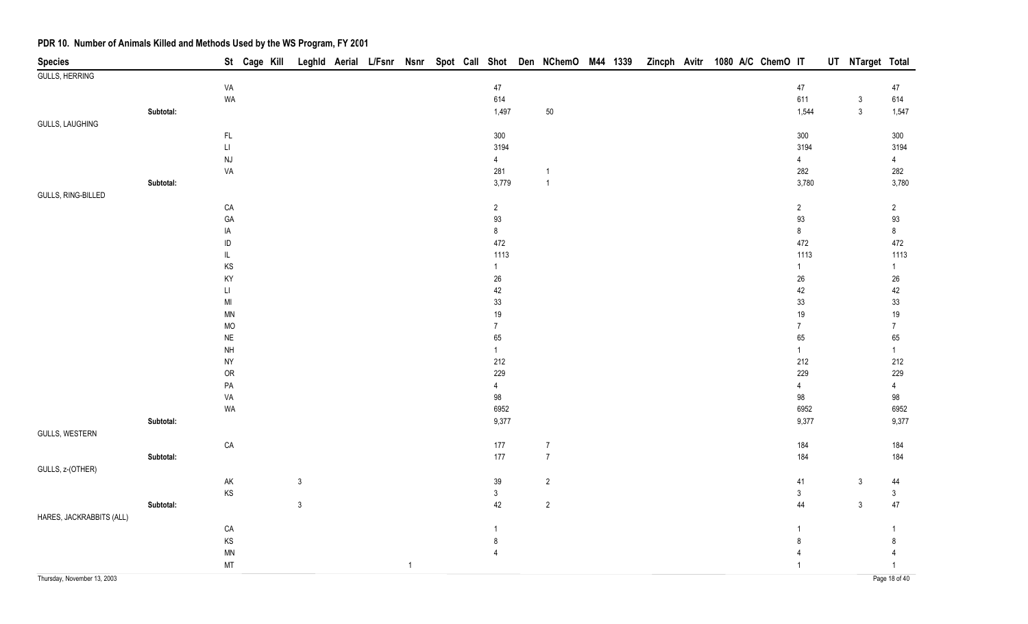| <b>Species</b>           |           |                            | St Cage Kill |              |  |              |  |                |                  |  |  | Leghld Aerial L/Fsnr Nsnr Spot Call Shot Den NChemO M44 1339 Zincph Avitr 1080 A/C ChemO IT |                   | UT NTarget Total |                |
|--------------------------|-----------|----------------------------|--------------|--------------|--|--------------|--|----------------|------------------|--|--|---------------------------------------------------------------------------------------------|-------------------|------------------|----------------|
| <b>GULLS, HERRING</b>    |           |                            |              |              |  |              |  |                |                  |  |  |                                                                                             |                   |                  |                |
|                          |           | VA                         |              |              |  |              |  | $47\,$         |                  |  |  |                                                                                             | $47\,$            |                  | 47             |
|                          |           | WA                         |              |              |  |              |  | 614            |                  |  |  |                                                                                             | 611               | $\sqrt{3}$       | 614            |
|                          | Subtotal: |                            |              |              |  |              |  | 1,497          | 50               |  |  |                                                                                             | 1,544             | $\mathfrak{Z}$   | 1,547          |
| <b>GULLS, LAUGHING</b>   |           |                            |              |              |  |              |  |                |                  |  |  |                                                                                             |                   |                  |                |
|                          |           | $\mathsf{FL}{}$            |              |              |  |              |  | 300            |                  |  |  |                                                                                             | $300\,$           |                  | $300\,$        |
|                          |           | $\mathsf{L}\mathsf{I}$     |              |              |  |              |  | 3194           |                  |  |  |                                                                                             | 3194              |                  | 3194           |
|                          |           | $\mathsf{N}\mathsf{J}$     |              |              |  |              |  | $\overline{4}$ |                  |  |  |                                                                                             | $\overline{4}$    |                  | $\overline{4}$ |
|                          |           | VA                         |              |              |  |              |  | 281            | $\mathbf{1}$     |  |  |                                                                                             | 282               |                  | 282            |
|                          | Subtotal: |                            |              |              |  |              |  | 3,779          | $\overline{1}$   |  |  |                                                                                             | 3,780             |                  | 3,780          |
| GULLS, RING-BILLED       |           |                            |              |              |  |              |  |                |                  |  |  |                                                                                             |                   |                  |                |
|                          |           | CA                         |              |              |  |              |  | $\overline{2}$ |                  |  |  |                                                                                             | $\overline{2}$    |                  | $\overline{2}$ |
|                          |           | GA<br>IA                   |              |              |  |              |  | 93<br>$\bf 8$  |                  |  |  |                                                                                             | $93\,$<br>$\bf 8$ |                  | 93<br>$8\,$    |
|                          |           | $\sf ID$                   |              |              |  |              |  | 472            |                  |  |  |                                                                                             | 472               |                  | 472            |
|                          |           | IL.                        |              |              |  |              |  | 1113           |                  |  |  |                                                                                             | 1113              |                  | 1113           |
|                          |           | KS                         |              |              |  |              |  | $\mathbf{1}$   |                  |  |  |                                                                                             | 1                 |                  | 1              |
|                          |           | KY                         |              |              |  |              |  | $26\,$         |                  |  |  |                                                                                             | $26\,$            |                  | $26\,$         |
|                          |           | $\mathsf{L}\mathsf{I}$     |              |              |  |              |  | 42             |                  |  |  |                                                                                             | 42                |                  | 42             |
|                          |           | $\mathsf{MI}$              |              |              |  |              |  | $33\,$         |                  |  |  |                                                                                             | $33\,$            |                  | 33             |
|                          |           | <b>MN</b>                  |              |              |  |              |  | $19$           |                  |  |  |                                                                                             | 19                |                  | 19             |
|                          |           | <b>MO</b>                  |              |              |  |              |  | $\overline{7}$ |                  |  |  |                                                                                             | $\overline{7}$    |                  | $\overline{7}$ |
|                          |           | <b>NE</b>                  |              |              |  |              |  | 65             |                  |  |  |                                                                                             | 65                |                  | 65             |
|                          |           | <b>NH</b>                  |              |              |  |              |  | $\mathbf{1}$   |                  |  |  |                                                                                             | $\mathbf{1}$      |                  | $\mathbf{1}$   |
|                          |           | <b>NY</b>                  |              |              |  |              |  | 212            |                  |  |  |                                                                                             | 212               |                  | 212            |
|                          |           | <b>OR</b>                  |              |              |  |              |  | 229            |                  |  |  |                                                                                             | 229               |                  | 229            |
|                          |           | $\mathsf{PA}$              |              |              |  |              |  | $\overline{4}$ |                  |  |  |                                                                                             | $\overline{4}$    |                  | $\overline{4}$ |
|                          |           | VA                         |              |              |  |              |  | 98             |                  |  |  |                                                                                             | 98                |                  | 98             |
|                          |           | WA                         |              |              |  |              |  | 6952           |                  |  |  |                                                                                             | 6952              |                  | 6952           |
|                          | Subtotal: |                            |              |              |  |              |  | 9,377          |                  |  |  |                                                                                             | 9,377             |                  | 9,377          |
| GULLS, WESTERN           |           |                            |              |              |  |              |  |                |                  |  |  |                                                                                             |                   |                  |                |
|                          |           | CA                         |              |              |  |              |  | $177$          | $\boldsymbol{7}$ |  |  |                                                                                             | 184               |                  | 184            |
|                          | Subtotal: |                            |              |              |  |              |  | $177$          | $\overline{7}$   |  |  |                                                                                             | 184               |                  | 184            |
| GULLS, z-(OTHER)         |           |                            |              |              |  |              |  |                |                  |  |  |                                                                                             |                   |                  |                |
|                          |           | ${\sf AK}$                 |              | $\mathbf{3}$ |  |              |  | $39\,$         | $\sqrt{2}$       |  |  |                                                                                             | $41$              | $\mathfrak{Z}$   | 44             |
|                          |           | $\mathsf{KS}$              |              |              |  |              |  | $\mathfrak{Z}$ |                  |  |  |                                                                                             | $\mathfrak{S}$    |                  | $\mathfrak{S}$ |
|                          | Subtotal: |                            |              | $\sqrt{3}$   |  |              |  | 42             | $\sqrt{2}$       |  |  |                                                                                             | 44                | $\sqrt{3}$       | $47\,$         |
| HARES, JACKRABBITS (ALL) |           |                            |              |              |  |              |  |                |                  |  |  |                                                                                             |                   |                  |                |
|                          |           | CA                         |              |              |  |              |  | $\mathbf{1}$   |                  |  |  |                                                                                             | 1                 |                  | 1              |
|                          |           | $\mathsf{KS}$              |              |              |  |              |  | 8              |                  |  |  |                                                                                             | 8                 |                  | 8              |
|                          |           | $\ensuremath{\mathsf{MN}}$ |              |              |  |              |  | $\overline{4}$ |                  |  |  |                                                                                             |                   |                  | 4              |
|                          |           | MT                         |              |              |  | $\mathbf{1}$ |  |                |                  |  |  |                                                                                             |                   |                  | $\mathbf{1}$   |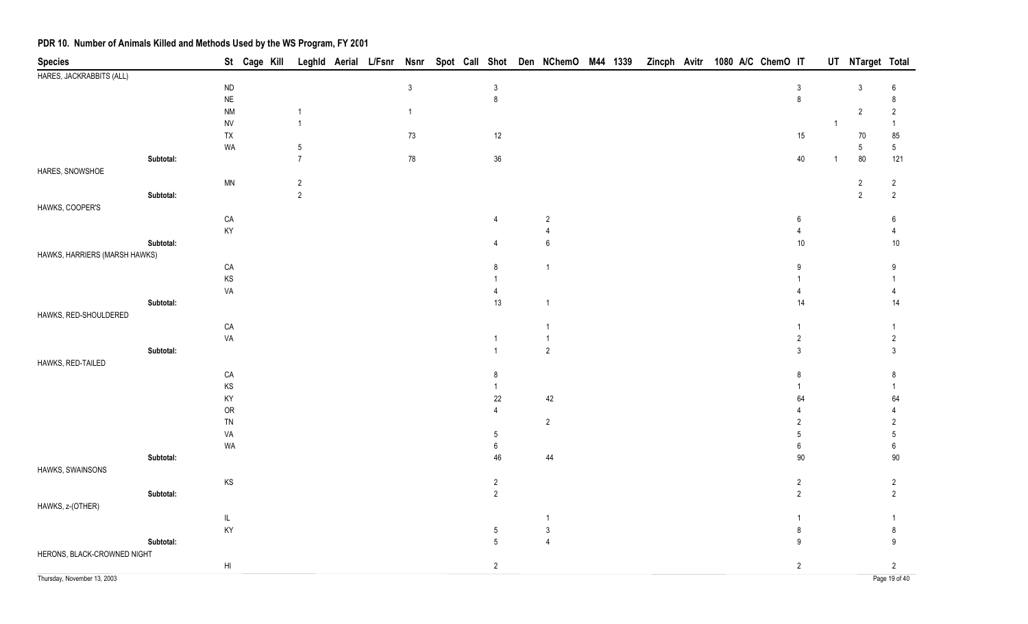| <b>Species</b>                |           |                                   | St Cage Kill |                     | Leghld Aerial L/Fsnr Nsnr |              |  |                 | Spot Call Shot Den NChemO M44 1339 |  | Zincph Avitr |  | 1080 A/C ChemO IT |                  |                | UT NTarget Total |                        |
|-------------------------------|-----------|-----------------------------------|--------------|---------------------|---------------------------|--------------|--|-----------------|------------------------------------|--|--------------|--|-------------------|------------------|----------------|------------------|------------------------|
| HARES, JACKRABBITS (ALL)      |           |                                   |              |                     |                           |              |  |                 |                                    |  |              |  |                   |                  |                |                  |                        |
|                               |           | $\sf ND$                          |              |                     |                           | $\mathbf{3}$ |  | $\mathsf 3$     |                                    |  |              |  |                   | $\mathfrak{Z}$   |                | $\mathfrak{Z}$   | 6                      |
|                               |           | $\sf NE$                          |              |                     |                           |              |  | 8               |                                    |  |              |  |                   | $\bf 8$          |                |                  | 8                      |
|                               |           | $\mathsf{N}\mathsf{M}$            |              | 1                   |                           | $\mathbf{1}$ |  |                 |                                    |  |              |  |                   |                  |                | $\overline{2}$   | $\overline{2}$         |
|                               |           | <b>NV</b>                         |              | $\mathbf{1}$        |                           |              |  |                 |                                    |  |              |  |                   |                  | $\overline{1}$ |                  | $\mathbf{1}$           |
|                               |           | TX                                |              |                     |                           | $73\,$       |  | 12              |                                    |  |              |  |                   | 15               |                | 70               | 85                     |
|                               | Subtotal: | WA                                |              | 5<br>$\overline{7}$ |                           |              |  | 36              |                                    |  |              |  |                   | $40\,$           |                | 5                | $5\phantom{.0}$<br>121 |
| HARES, SNOWSHOE               |           |                                   |              |                     |                           | ${\bf 78}$   |  |                 |                                    |  |              |  |                   |                  | $\overline{1}$ | 80               |                        |
|                               |           | <b>MN</b>                         |              | $\overline{c}$      |                           |              |  |                 |                                    |  |              |  |                   |                  |                | $\sqrt{2}$       | $\overline{2}$         |
|                               | Subtotal: |                                   |              | $\overline{2}$      |                           |              |  |                 |                                    |  |              |  |                   |                  |                | $\sqrt{2}$       | $\sqrt{2}$             |
| HAWKS, COOPER'S               |           |                                   |              |                     |                           |              |  |                 |                                    |  |              |  |                   |                  |                |                  |                        |
|                               |           | ${\sf CA}$                        |              |                     |                           |              |  | 4               | $\sqrt{2}$                         |  |              |  |                   | $\boldsymbol{6}$ |                |                  | 6                      |
|                               |           | KY                                |              |                     |                           |              |  |                 | 4                                  |  |              |  |                   |                  |                |                  |                        |
|                               | Subtotal: |                                   |              |                     |                           |              |  | $\overline{4}$  | $\boldsymbol{6}$                   |  |              |  |                   | $10\,$           |                |                  | $10\,$                 |
| HAWKS, HARRIERS (MARSH HAWKS) |           |                                   |              |                     |                           |              |  |                 |                                    |  |              |  |                   |                  |                |                  |                        |
|                               |           | ${\sf CA}$                        |              |                     |                           |              |  | 8               | $\overline{1}$                     |  |              |  |                   | 9                |                |                  | 9                      |
|                               |           | $\mathsf{KS}$                     |              |                     |                           |              |  |                 |                                    |  |              |  |                   |                  |                |                  |                        |
|                               |           | VA                                |              |                     |                           |              |  |                 |                                    |  |              |  |                   |                  |                |                  |                        |
|                               | Subtotal: |                                   |              |                     |                           |              |  | 13              | $\overline{1}$                     |  |              |  |                   | 14               |                |                  | 14                     |
| HAWKS, RED-SHOULDERED         |           |                                   |              |                     |                           |              |  |                 |                                    |  |              |  |                   |                  |                |                  |                        |
|                               |           | CA                                |              |                     |                           |              |  |                 |                                    |  |              |  |                   |                  |                |                  |                        |
|                               |           | VA                                |              |                     |                           |              |  | 1               |                                    |  |              |  |                   | $\overline{2}$   |                |                  | $\overline{2}$         |
|                               | Subtotal: |                                   |              |                     |                           |              |  |                 | $\sqrt{2}$                         |  |              |  |                   | 3                |                |                  | 3                      |
| HAWKS, RED-TAILED             |           |                                   |              |                     |                           |              |  |                 |                                    |  |              |  |                   |                  |                |                  |                        |
|                               |           | CA                                |              |                     |                           |              |  | 8               |                                    |  |              |  |                   | 8                |                |                  | 8                      |
|                               |           | KS                                |              |                     |                           |              |  | 1               |                                    |  |              |  |                   |                  |                |                  |                        |
|                               |           | KY                                |              |                     |                           |              |  | 22              | 42                                 |  |              |  |                   | 64               |                |                  | 64                     |
|                               |           | ${\sf OR}$                        |              |                     |                           |              |  |                 |                                    |  |              |  |                   |                  |                |                  |                        |
|                               |           | TN                                |              |                     |                           |              |  |                 | $\sqrt{2}$                         |  |              |  |                   |                  |                |                  | 2                      |
|                               |           | VA                                |              |                     |                           |              |  | 5               |                                    |  |              |  |                   | 5                |                |                  | 5                      |
|                               |           | WA                                |              |                     |                           |              |  | 6<br>46         |                                    |  |              |  |                   | 6<br>90          |                |                  | 6<br>90                |
| HAWKS, SWAINSONS              | Subtotal: |                                   |              |                     |                           |              |  |                 | 44                                 |  |              |  |                   |                  |                |                  |                        |
|                               |           | KS                                |              |                     |                           |              |  | $\overline{2}$  |                                    |  |              |  |                   | $\overline{2}$   |                |                  | $\overline{2}$         |
|                               | Subtotal: |                                   |              |                     |                           |              |  | $\overline{2}$  |                                    |  |              |  |                   | $\overline{2}$   |                |                  | 2                      |
| HAWKS, z-(OTHER)              |           |                                   |              |                     |                           |              |  |                 |                                    |  |              |  |                   |                  |                |                  |                        |
|                               |           | $\ensuremath{\mathsf{IL}}\xspace$ |              |                     |                           |              |  |                 |                                    |  |              |  |                   |                  |                |                  |                        |
|                               |           | KY                                |              |                     |                           |              |  | $5\phantom{.0}$ | $\mathbf{3}$                       |  |              |  |                   | 8                |                |                  | 8                      |
|                               | Subtotal: |                                   |              |                     |                           |              |  | $5\overline{)}$ | $\overline{4}$                     |  |              |  |                   | 9                |                |                  | 9                      |
| HERONS, BLACK-CROWNED NIGHT   |           |                                   |              |                     |                           |              |  |                 |                                    |  |              |  |                   |                  |                |                  |                        |
|                               |           | $\mathsf{H}\mathsf{I}$            |              |                     |                           |              |  | $\overline{2}$  |                                    |  |              |  |                   | $\sqrt{2}$       |                |                  | $\sqrt{2}$             |
| Thursday, November 13, 2003   |           |                                   |              |                     |                           |              |  |                 |                                    |  |              |  |                   |                  |                |                  | Page 19 of 40          |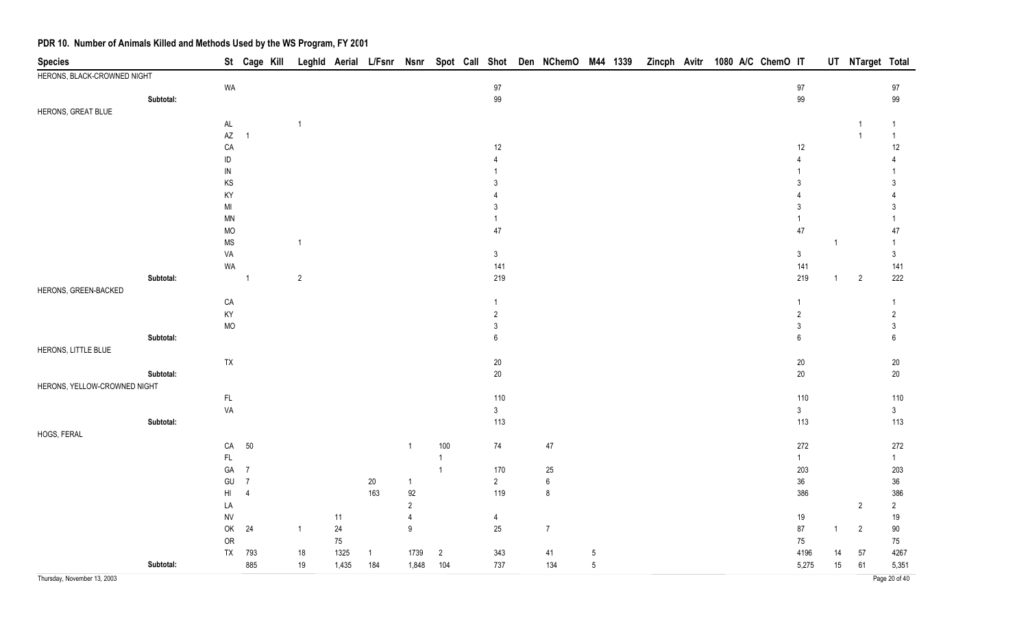| <b>Species</b>               |           |                        | St Cage Kill Leghld Aerial L/Fsnr Nsnr Spot Call Shot Den NChemO M44 1339 Zincph Avitr 1080 A/C ChemO IT |                |        |                |                  |                |                     |                  |                 |  |  |  |                     |                | UT NTarget Total |                 |
|------------------------------|-----------|------------------------|----------------------------------------------------------------------------------------------------------|----------------|--------|----------------|------------------|----------------|---------------------|------------------|-----------------|--|--|--|---------------------|----------------|------------------|-----------------|
| HERONS, BLACK-CROWNED NIGHT  |           |                        |                                                                                                          |                |        |                |                  |                |                     |                  |                 |  |  |  |                     |                |                  |                 |
|                              |           | WA                     |                                                                                                          |                |        |                |                  |                | $97\,$              |                  |                 |  |  |  | $97\,$              |                |                  | $97\,$          |
|                              | Subtotal: |                        |                                                                                                          |                |        |                |                  |                | 99                  |                  |                 |  |  |  | $99\,$              |                |                  | 99              |
| HERONS, GREAT BLUE           |           |                        |                                                                                                          |                |        |                |                  |                |                     |                  |                 |  |  |  |                     |                |                  |                 |
|                              |           | $\mathsf{AL}$          |                                                                                                          | $\overline{1}$ |        |                |                  |                |                     |                  |                 |  |  |  |                     |                |                  | -1              |
|                              |           | $\mathsf{A}\mathsf{Z}$ | $\overline{1}$                                                                                           |                |        |                |                  |                |                     |                  |                 |  |  |  |                     |                | -1               | $\overline{1}$  |
|                              |           | CA                     |                                                                                                          |                |        |                |                  |                | $12$                |                  |                 |  |  |  | 12                  |                |                  | $12$            |
|                              |           | ID                     |                                                                                                          |                |        |                |                  |                |                     |                  |                 |  |  |  |                     |                |                  |                 |
|                              |           | ${\sf IN}$             |                                                                                                          |                |        |                |                  |                |                     |                  |                 |  |  |  |                     |                |                  |                 |
|                              |           | KS                     |                                                                                                          |                |        |                |                  |                | 3                   |                  |                 |  |  |  | 3                   |                |                  | 3               |
|                              |           | KY                     |                                                                                                          |                |        |                |                  |                |                     |                  |                 |  |  |  |                     |                |                  |                 |
|                              |           | $\mathsf{MI}$          |                                                                                                          |                |        |                |                  |                | 3                   |                  |                 |  |  |  | 3                   |                |                  | 3               |
|                              |           | <b>MN</b>              |                                                                                                          |                |        |                |                  |                |                     |                  |                 |  |  |  |                     |                |                  |                 |
|                              |           | MO                     |                                                                                                          |                |        |                |                  |                | 47                  |                  |                 |  |  |  | 47                  |                |                  | 47              |
|                              |           | <b>MS</b>              |                                                                                                          | -1             |        |                |                  |                |                     |                  |                 |  |  |  |                     | $\overline{1}$ |                  |                 |
|                              |           | VA                     |                                                                                                          |                |        |                |                  |                | $\mathbf{3}$<br>141 |                  |                 |  |  |  | $\mathbf{3}$<br>141 |                |                  | $\sqrt{3}$      |
|                              | Subtotal: | WA                     | $\overline{1}$                                                                                           | $\sqrt{2}$     |        |                |                  |                | 219                 |                  |                 |  |  |  | 219                 | $\overline{1}$ | $\overline{2}$   | 141<br>222      |
| HERONS, GREEN-BACKED         |           |                        |                                                                                                          |                |        |                |                  |                |                     |                  |                 |  |  |  |                     |                |                  |                 |
|                              |           | ${\sf CA}$             |                                                                                                          |                |        |                |                  |                | 1                   |                  |                 |  |  |  | -1                  |                |                  | $\overline{1}$  |
|                              |           | KY                     |                                                                                                          |                |        |                |                  |                | $\overline{2}$      |                  |                 |  |  |  | $\overline{2}$      |                |                  | $\sqrt{2}$      |
|                              |           | MO                     |                                                                                                          |                |        |                |                  |                | 3                   |                  |                 |  |  |  | 3                   |                |                  | $\mathbf{3}$    |
|                              | Subtotal: |                        |                                                                                                          |                |        |                |                  |                | $\boldsymbol{6}$    |                  |                 |  |  |  | $6\,$               |                |                  | $6\phantom{1}6$ |
| HERONS, LITTLE BLUE          |           |                        |                                                                                                          |                |        |                |                  |                |                     |                  |                 |  |  |  |                     |                |                  |                 |
|                              |           | TX                     |                                                                                                          |                |        |                |                  |                | $20\,$              |                  |                 |  |  |  | $20\,$              |                |                  | $20\,$          |
|                              | Subtotal: |                        |                                                                                                          |                |        |                |                  |                | $20\,$              |                  |                 |  |  |  | $20\,$              |                |                  | $20\,$          |
| HERONS, YELLOW-CROWNED NIGHT |           |                        |                                                                                                          |                |        |                |                  |                |                     |                  |                 |  |  |  |                     |                |                  |                 |
|                              |           | $\mathsf{FL}$          |                                                                                                          |                |        |                |                  |                | 110                 |                  |                 |  |  |  | 110                 |                |                  | 110             |
|                              |           | VA                     |                                                                                                          |                |        |                |                  |                | $\sqrt{3}$          |                  |                 |  |  |  | $\mathfrak{Z}$      |                |                  | $\mathbf{3}$    |
|                              | Subtotal: |                        |                                                                                                          |                |        |                |                  |                | 113                 |                  |                 |  |  |  | 113                 |                |                  | 113             |
| HOGS, FERAL                  |           |                        |                                                                                                          |                |        |                |                  |                |                     |                  |                 |  |  |  |                     |                |                  |                 |
|                              |           | CA                     | 50                                                                                                       |                |        |                | $\mathbf{1}$     | 100            | 74                  | $47\,$           |                 |  |  |  | 272                 |                |                  | 272             |
|                              |           | $\mathsf{FL}$          |                                                                                                          |                |        |                |                  | $\mathbf{1}$   |                     |                  |                 |  |  |  | $\mathbf{1}$        |                |                  | $\mathbf{1}$    |
|                              |           | GA                     | $\sqrt{7}$                                                                                               |                |        |                |                  | $\overline{1}$ | 170                 | $25\,$           |                 |  |  |  | 203                 |                |                  | 203             |
|                              |           | GU                     | $\overline{7}$                                                                                           |                |        | $20\,$         | $\mathbf{1}$     |                | $\overline{2}$      | $\boldsymbol{6}$ |                 |  |  |  | $36\,$              |                |                  | 36              |
|                              |           | HI                     | $\overline{4}$                                                                                           |                |        | 163            | $92\,$           |                | 119                 | 8                |                 |  |  |  | 386                 |                |                  | 386             |
|                              |           | LA                     |                                                                                                          |                |        |                | $\overline{2}$   |                |                     |                  |                 |  |  |  |                     |                | $\overline{2}$   | $\overline{2}$  |
|                              |           | <b>NV</b>              |                                                                                                          |                | 11     |                | 4                |                | $\overline{4}$      |                  |                 |  |  |  | 19                  |                |                  | $19$            |
|                              |           | OK                     | 24                                                                                                       | $\overline{1}$ | 24     |                | $\boldsymbol{9}$ |                | $25\,$              | $\overline{7}$   |                 |  |  |  | 87                  | -1             | $\sqrt{2}$       | $90\,$          |
|                              |           | OR                     |                                                                                                          |                | $75\,$ |                |                  |                |                     |                  |                 |  |  |  | $75\,$              |                |                  | 75              |
|                              |           | ${\sf TX}$             | 793                                                                                                      | $18$           | 1325   | $\overline{1}$ | 1739             | $\sqrt{2}$     | 343                 | 41               | $\overline{5}$  |  |  |  | 4196                | 14             | $57\,$           | 4267            |
|                              | Subtotal: |                        | 885                                                                                                      | $19$           | 1,435  | 184            | 1,848            | 104            | 737                 | 134              | $5\phantom{.0}$ |  |  |  | 5,275               | 15             | 61               | 5,351           |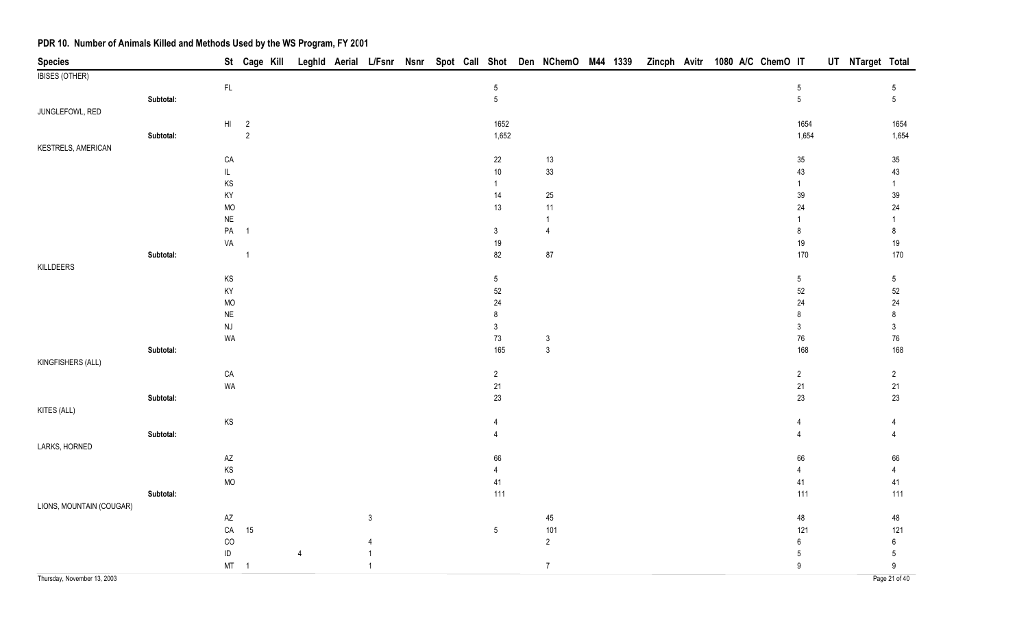| <b>Species</b>              |           |                                     |                |                |                |  |                 |                |  |  | St Cage Kill Leghld Aerial L/Fsnr Nsnr Spot Call Shot Den NChemO M44 1339 Zincph Avitr 1080 A/C ChemO IT |                  | UT NTarget Total |                     |
|-----------------------------|-----------|-------------------------------------|----------------|----------------|----------------|--|-----------------|----------------|--|--|----------------------------------------------------------------------------------------------------------|------------------|------------------|---------------------|
| <b>IBISES (OTHER)</b>       |           |                                     |                |                |                |  |                 |                |  |  |                                                                                                          |                  |                  |                     |
|                             |           | $\mathsf{FL}$                       |                |                |                |  | $\,$ 5 $\,$     |                |  |  |                                                                                                          | $\,$ 5 $\,$      |                  | 5                   |
|                             | Subtotal: |                                     |                |                |                |  | $5\phantom{.0}$ |                |  |  |                                                                                                          | $5\phantom{.0}$  |                  | $5\overline{)}$     |
| JUNGLEFOWL, RED             |           |                                     |                |                |                |  |                 |                |  |  |                                                                                                          |                  |                  |                     |
|                             |           | HI                                  | $\overline{2}$ |                |                |  | 1652            |                |  |  |                                                                                                          | 1654             |                  | 1654                |
|                             | Subtotal: |                                     | $\overline{2}$ |                |                |  | 1,652           |                |  |  |                                                                                                          | 1,654            |                  | 1,654               |
| <b>KESTRELS, AMERICAN</b>   |           |                                     |                |                |                |  |                 |                |  |  |                                                                                                          |                  |                  |                     |
|                             |           | CA                                  |                |                |                |  | 22              | 13             |  |  |                                                                                                          | $35\,$           |                  | $35\,$              |
|                             |           | IL                                  |                |                |                |  | $10\,$          | 33             |  |  |                                                                                                          | 43               |                  | 43                  |
|                             |           | $\mathsf{KS}$                       |                |                |                |  | $\mathbf{1}$    |                |  |  |                                                                                                          | $\mathbf{1}$     |                  | $\mathbf{1}$        |
|                             |           | KY                                  |                |                |                |  | 14              | $25\,$         |  |  |                                                                                                          | 39               |                  | $39\,$              |
|                             |           | <b>MO</b>                           |                |                |                |  | 13              | $11$           |  |  |                                                                                                          | 24               |                  | $24\,$              |
|                             |           | $\sf NE$                            |                |                |                |  |                 | $\overline{1}$ |  |  |                                                                                                          | 1                |                  | $\mathbf{1}$        |
|                             |           | ${\sf PA}$                          | $\overline{1}$ |                |                |  | 3               | $\overline{4}$ |  |  |                                                                                                          | 8                |                  | 8                   |
|                             |           | VA                                  |                |                |                |  | 19              |                |  |  |                                                                                                          | 19               |                  | 19                  |
|                             | Subtotal: |                                     | $\overline{1}$ |                |                |  | 82              | $87\,$         |  |  |                                                                                                          | 170              |                  | 170                 |
| KILLDEERS                   |           |                                     |                |                |                |  |                 |                |  |  |                                                                                                          |                  |                  |                     |
|                             |           | KS                                  |                |                |                |  | $5\,$           |                |  |  |                                                                                                          | $5\,$            |                  | $5\phantom{.0}$     |
|                             |           | KY                                  |                |                |                |  | 52              |                |  |  |                                                                                                          | 52               |                  | $52\,$              |
|                             |           | <b>MO</b>                           |                |                |                |  | $24\,$<br>8     |                |  |  |                                                                                                          | 24<br>8          |                  | $24\,$              |
|                             |           | <b>NE</b><br>$\mathsf{N}\mathsf{J}$ |                |                |                |  | $\sqrt{3}$      |                |  |  |                                                                                                          | $\mathsf 3$      |                  | 8<br>$\mathfrak{S}$ |
|                             |           | WA                                  |                |                |                |  | $73\,$          | $\mathbf{3}$   |  |  |                                                                                                          | ${\bf 76}$       |                  | 76                  |
|                             | Subtotal: |                                     |                |                |                |  | 165             | $\mathbf{3}$   |  |  |                                                                                                          | 168              |                  | 168                 |
| KINGFISHERS (ALL)           |           |                                     |                |                |                |  |                 |                |  |  |                                                                                                          |                  |                  |                     |
|                             |           | CA                                  |                |                |                |  | $\overline{c}$  |                |  |  |                                                                                                          | $\overline{c}$   |                  | $\overline{2}$      |
|                             |           | WA                                  |                |                |                |  | 21              |                |  |  |                                                                                                          | 21               |                  | 21                  |
|                             | Subtotal: |                                     |                |                |                |  | 23              |                |  |  |                                                                                                          | 23               |                  | 23                  |
| KITES (ALL)                 |           |                                     |                |                |                |  |                 |                |  |  |                                                                                                          |                  |                  |                     |
|                             |           | $\mathsf{KS}$                       |                |                |                |  | $\overline{4}$  |                |  |  |                                                                                                          | 4                |                  | 4                   |
|                             | Subtotal: |                                     |                |                |                |  | $\overline{4}$  |                |  |  |                                                                                                          |                  |                  | $\Delta$            |
| LARKS, HORNED               |           |                                     |                |                |                |  |                 |                |  |  |                                                                                                          |                  |                  |                     |
|                             |           | $\mathsf{A}\mathsf{Z}$              |                |                |                |  | 66              |                |  |  |                                                                                                          | 66               |                  | 66                  |
|                             |           | KS                                  |                |                |                |  | $\overline{4}$  |                |  |  |                                                                                                          | $\overline{4}$   |                  | $\overline{4}$      |
|                             |           | <b>MO</b>                           |                |                |                |  | 41              |                |  |  |                                                                                                          | $41$             |                  | 41                  |
|                             | Subtotal: |                                     |                |                |                |  | 111             |                |  |  |                                                                                                          | 111              |                  | 111                 |
| LIONS, MOUNTAIN (COUGAR)    |           |                                     |                |                |                |  |                 |                |  |  |                                                                                                          |                  |                  |                     |
|                             |           | AZ                                  |                |                | $\mathbf{3}$   |  |                 | 45             |  |  |                                                                                                          | 48               |                  | 48                  |
|                             |           | ${\sf CA}$                          | 15             |                |                |  | $5\phantom{.0}$ | 101            |  |  |                                                                                                          | 121              |                  | 121                 |
|                             |           | CO                                  |                |                | $\overline{4}$ |  |                 | $\overline{2}$ |  |  |                                                                                                          | $\boldsymbol{6}$ |                  | $\bf 6$             |
|                             |           | ID                                  |                | $\overline{4}$ | $\mathbf{1}$   |  |                 |                |  |  |                                                                                                          | $\overline{5}$   |                  | $5\phantom{.0}$     |
|                             |           |                                     | $MT \t 1$      |                | $\overline{1}$ |  |                 | $\overline{7}$ |  |  |                                                                                                          | $\boldsymbol{9}$ |                  | 9                   |
| Thursday, November 13, 2003 |           |                                     |                |                |                |  |                 |                |  |  |                                                                                                          |                  |                  | Page 21 of 40       |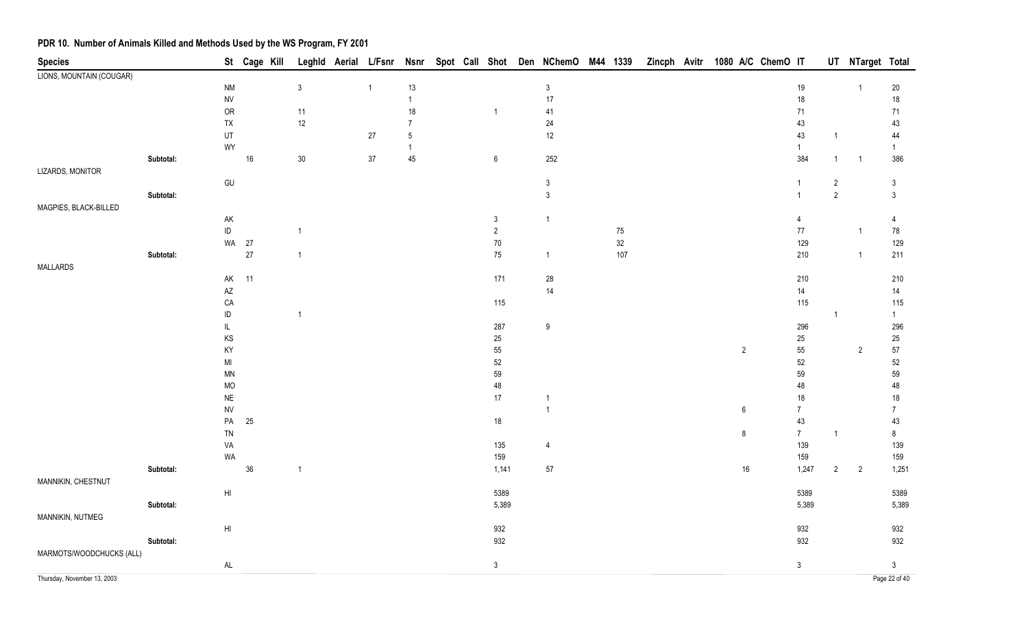| <b>Species</b>              |           |                        | St Cage Kill |                |              |                |  |                  | Leghld Aerial L/Fsnr Nsnr Spot Call Shot Den NChemO M44 1339 |        | Zincph Avitr 1080 A/C ChemO IT |  |                |                     |                | UT NTarget Total |                     |
|-----------------------------|-----------|------------------------|--------------|----------------|--------------|----------------|--|------------------|--------------------------------------------------------------|--------|--------------------------------|--|----------------|---------------------|----------------|------------------|---------------------|
| LIONS, MOUNTAIN (COUGAR)    |           |                        |              |                |              |                |  |                  |                                                              |        |                                |  |                |                     |                |                  |                     |
|                             |           | <b>NM</b>              |              | $\sqrt{3}$     | $\mathbf{1}$ | $13$           |  |                  | $\sqrt{3}$                                                   |        |                                |  |                | $19$                |                | $\overline{1}$   | $20\,$              |
|                             |           | <b>NV</b>              |              |                |              | $\mathbf{1}$   |  |                  | 17                                                           |        |                                |  |                | $18\,$              |                |                  | $18\,$              |
|                             |           | OR                     |              | $11$           |              | $18\,$         |  | $\mathbf{1}$     | 41                                                           |        |                                |  |                | $71$                |                |                  | $71$                |
|                             |           | ${\sf TX}$             |              | $12\,$         |              | $\overline{7}$ |  |                  | 24                                                           |        |                                |  |                | 43                  |                |                  | 43                  |
|                             |           | UT                     |              |                | $27\,$       | 5              |  |                  | $12$                                                         |        |                                |  |                | 43                  | $\mathbf{1}$   |                  | 44                  |
|                             |           | WY                     |              |                |              | $\mathbf{1}$   |  |                  |                                                              |        |                                |  |                | $\mathbf{1}$<br>384 |                |                  | $\mathbf{1}$<br>386 |
| LIZARDS, MONITOR            | Subtotal: |                        | $16\,$       | 30             | $37\,$       | 45             |  | $\boldsymbol{6}$ | 252                                                          |        |                                |  |                |                     | $\mathbf{1}$   | $\overline{1}$   |                     |
|                             |           | GU                     |              |                |              |                |  |                  | $\sqrt{3}$                                                   |        |                                |  |                | $\overline{1}$      | $\overline{c}$ |                  | $\mathfrak{Z}$      |
|                             | Subtotal: |                        |              |                |              |                |  |                  | $\sqrt{3}$                                                   |        |                                |  |                | $\overline{1}$      | $\sqrt{2}$     |                  | $\mathfrak{Z}$      |
| MAGPIES, BLACK-BILLED       |           |                        |              |                |              |                |  |                  |                                                              |        |                                |  |                |                     |                |                  |                     |
|                             |           | AK                     |              |                |              |                |  | 3                | $\overline{1}$                                               |        |                                |  |                | $\overline{4}$      |                |                  | 4                   |
|                             |           | $\sf ID$               |              | $\overline{1}$ |              |                |  | $\overline{2}$   |                                                              | $75\,$ |                                |  |                | $77\,$              |                | $\mathbf{1}$     | 78                  |
|                             |           |                        | WA 27        |                |              |                |  | $70\,$           |                                                              | $32\,$ |                                |  |                | 129                 |                |                  | 129                 |
|                             | Subtotal: |                        | $27\,$       | $\overline{1}$ |              |                |  | $75\,$           | $\overline{1}$                                               | 107    |                                |  |                | 210                 |                | $\overline{1}$   | 211                 |
| MALLARDS                    |           |                        |              |                |              |                |  |                  |                                                              |        |                                |  |                |                     |                |                  |                     |
|                             |           | $\mathsf{AK}$          | 11           |                |              |                |  | $171$            | 28                                                           |        |                                |  |                | 210                 |                |                  | $210\,$             |
|                             |           | $\mathsf{A}\mathsf{Z}$ |              |                |              |                |  |                  | 14                                                           |        |                                |  |                | 14                  |                |                  | $14$                |
|                             |           | ${\sf CA}$             |              |                |              |                |  | 115              |                                                              |        |                                |  |                | 115                 |                |                  | 115                 |
|                             |           | $\sf ID$               |              | $\overline{1}$ |              |                |  |                  |                                                              |        |                                |  |                |                     | $\mathbf{1}$   |                  | 1                   |
|                             |           | $\mathsf{IL}$          |              |                |              |                |  | 287              | 9                                                            |        |                                |  |                | 296                 |                |                  | 296                 |
|                             |           | KS                     |              |                |              |                |  | $25\,$           |                                                              |        |                                |  |                | 25                  |                |                  | $25\,$              |
|                             |           | KY                     |              |                |              |                |  | 55               |                                                              |        |                                |  | $\overline{2}$ | 55                  |                | $\overline{2}$   | 57                  |
|                             |           | $\mathsf{MI}$          |              |                |              |                |  | 52               |                                                              |        |                                |  |                | 52                  |                |                  | $52\,$              |
|                             |           | <b>MN</b><br><b>MO</b> |              |                |              |                |  | 59<br>48         |                                                              |        |                                |  |                | 59<br>48            |                |                  | 59<br>48            |
|                             |           | $\sf NE$               |              |                |              |                |  | 17               | $\mathbf{1}$                                                 |        |                                |  |                | $18$                |                |                  | $18$                |
|                             |           | ${\sf NV}$             |              |                |              |                |  |                  | $\overline{1}$                                               |        |                                |  | 6              | $\overline{7}$      |                |                  | $\overline{7}$      |
|                             |           | PA                     | 25           |                |              |                |  | 18               |                                                              |        |                                |  |                | $43\,$              |                |                  | 43                  |
|                             |           | ${\sf TN}$             |              |                |              |                |  |                  |                                                              |        |                                |  | $\bf 8$        | 7 <sup>7</sup>      | $\mathbf{1}$   |                  | $\bf 8$             |
|                             |           | VA                     |              |                |              |                |  | 135              | $\overline{4}$                                               |        |                                |  |                | 139                 |                |                  | 139                 |
|                             |           | WA                     |              |                |              |                |  | 159              |                                                              |        |                                |  |                | 159                 |                |                  | 159                 |
|                             | Subtotal: |                        | $36\,$       | $\overline{1}$ |              |                |  | 1,141            | $57\,$                                                       |        |                                |  | $16\,$         | 1,247               | $\overline{2}$ | $\overline{2}$   | 1,251               |
| MANNIKIN, CHESTNUT          |           |                        |              |                |              |                |  |                  |                                                              |        |                                |  |                |                     |                |                  |                     |
|                             |           | $\mathsf{HI}$          |              |                |              |                |  | 5389             |                                                              |        |                                |  |                | 5389                |                |                  | 5389                |
|                             | Subtotal: |                        |              |                |              |                |  | 5,389            |                                                              |        |                                |  |                | 5,389               |                |                  | 5,389               |
| MANNIKIN, NUTMEG            |           |                        |              |                |              |                |  |                  |                                                              |        |                                |  |                |                     |                |                  |                     |
|                             |           | $\mathsf{H}\mathsf{I}$ |              |                |              |                |  | 932              |                                                              |        |                                |  |                | 932                 |                |                  | 932                 |
|                             | Subtotal: |                        |              |                |              |                |  | 932              |                                                              |        |                                |  |                | 932                 |                |                  | 932                 |
| MARMOTS/WOODCHUCKS (ALL)    |           |                        |              |                |              |                |  |                  |                                                              |        |                                |  |                |                     |                |                  |                     |
|                             |           | $\mathsf{AL}$          |              |                |              |                |  | $\mathbf{3}$     |                                                              |        |                                |  |                | 3 <sup>7</sup>      |                |                  | $\mathfrak{Z}$      |
| Thursday, November 13, 2003 |           |                        |              |                |              |                |  |                  |                                                              |        |                                |  |                |                     |                |                  | Page 22 of 40       |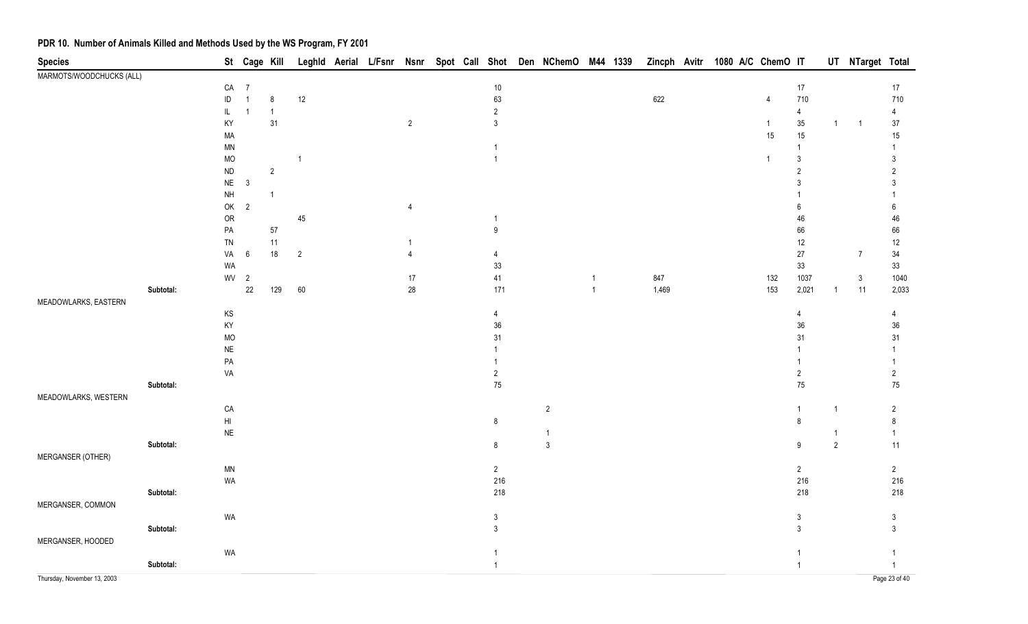| <b>Species</b>              |           |                 | St Cage Kill            |                |                |  |                |  |                  | Leghld Aerial L/Fsnr Nsnr Spot Call Shot Den NChemO M44 1339 |                |       |  | Zincph Avitr 1080 A/C ChemO IT |                  |                | UT NTarget Total |                |
|-----------------------------|-----------|-----------------|-------------------------|----------------|----------------|--|----------------|--|------------------|--------------------------------------------------------------|----------------|-------|--|--------------------------------|------------------|----------------|------------------|----------------|
| MARMOTS/WOODCHUCKS (ALL)    |           |                 |                         |                |                |  |                |  |                  |                                                              |                |       |  |                                |                  |                |                  |                |
|                             |           | CA              | $\overline{7}$          |                |                |  |                |  | $10\,$           |                                                              |                |       |  |                                | $17$             |                |                  | $17\,$         |
|                             |           | ID              | $\overline{1}$          | 8              | 12             |  |                |  | 63               |                                                              |                | 622   |  | 4                              | 710              |                |                  | 710            |
|                             |           | L               | $\overline{1}$          | $\overline{1}$ |                |  |                |  | $\overline{2}$   |                                                              |                |       |  |                                | $\overline{4}$   |                |                  | $\overline{4}$ |
|                             |           | KY              |                         | 31             |                |  | $\overline{2}$ |  | $\mathfrak{Z}$   |                                                              |                |       |  | $\mathbf{1}$                   | $35\,$           | $\overline{1}$ | $\overline{1}$   | $37\,$         |
|                             |           | MA              |                         |                |                |  |                |  |                  |                                                              |                |       |  | 15                             | 15               |                |                  | 15             |
|                             |           | $\mathsf{MN}$   |                         |                |                |  |                |  | 1                |                                                              |                |       |  |                                | -1               |                |                  |                |
|                             |           | MO              |                         |                | $\overline{1}$ |  |                |  | $\overline{1}$   |                                                              |                |       |  | $\mathbf{1}$                   | 3                |                |                  | 3              |
|                             |           | $\sf ND$        |                         | $\sqrt{2}$     |                |  |                |  |                  |                                                              |                |       |  |                                | $\overline{2}$   |                |                  | $\overline{2}$ |
|                             |           | <b>NE</b>       | $\overline{\mathbf{3}}$ |                |                |  |                |  |                  |                                                              |                |       |  |                                | 3                |                |                  | 3              |
|                             |           | $\mathsf{NH}\,$ |                         | $\mathbf{1}$   |                |  |                |  |                  |                                                              |                |       |  |                                |                  |                |                  |                |
|                             |           | OK              | $\overline{2}$          |                |                |  | 4              |  |                  |                                                              |                |       |  |                                | 6                |                |                  | 6              |
|                             |           | OR              |                         |                | $45\,$         |  |                |  | $\mathbf{1}$     |                                                              |                |       |  |                                | 46               |                |                  | 46             |
|                             |           | ${\sf PA}$      |                         | $57\,$         |                |  |                |  | $\boldsymbol{9}$ |                                                              |                |       |  |                                | 66               |                |                  | 66             |
|                             |           | ${\sf TN}$      |                         | 11             |                |  | $\overline{1}$ |  |                  |                                                              |                |       |  |                                | $12$             |                |                  | $12$           |
|                             |           | VA              | 6                       | $18$           | $\overline{2}$ |  | 4              |  | 4                |                                                              |                |       |  |                                | 27               |                | $\overline{7}$   | $34\,$         |
|                             |           | WA              |                         |                |                |  |                |  | $33\,$           |                                                              |                |       |  |                                | $33\,$           |                |                  | 33             |
|                             |           | WV              | $\overline{2}$          |                |                |  | $17\,$         |  | $41\,$           |                                                              | $\overline{1}$ | 847   |  | 132                            | 1037             |                | $\mathbf{3}$     | 1040           |
|                             | Subtotal: |                 | $22\,$                  | 129            | 60             |  | $28\,$         |  | 171              |                                                              | $\overline{1}$ | 1,469 |  | 153                            | 2,021            | $\mathbf{1}$   | 11               | 2,033          |
| MEADOWLARKS, EASTERN        |           |                 |                         |                |                |  |                |  |                  |                                                              |                |       |  |                                |                  |                |                  |                |
|                             |           | $\mathsf{KS}$   |                         |                |                |  |                |  | $\overline{4}$   |                                                              |                |       |  |                                | 4                |                |                  | 4              |
|                             |           | KY              |                         |                |                |  |                |  | $36\,$           |                                                              |                |       |  |                                | $36\,$           |                |                  | $36\,$         |
|                             |           | <b>MO</b>       |                         |                |                |  |                |  | 31               |                                                              |                |       |  |                                | 31               |                |                  | 31             |
|                             |           | $\sf NE$        |                         |                |                |  |                |  |                  |                                                              |                |       |  |                                |                  |                |                  |                |
|                             |           | $\mathsf{PA}$   |                         |                |                |  |                |  |                  |                                                              |                |       |  |                                |                  |                |                  |                |
|                             |           | VA              |                         |                |                |  |                |  | $\overline{2}$   |                                                              |                |       |  |                                | $\overline{2}$   |                |                  | $\overline{2}$ |
|                             | Subtotal: |                 |                         |                |                |  |                |  | 75               |                                                              |                |       |  |                                | $75\,$           |                |                  | $75\,$         |
| MEADOWLARKS, WESTERN        |           |                 |                         |                |                |  |                |  |                  |                                                              |                |       |  |                                |                  |                |                  |                |
|                             |           | CA              |                         |                |                |  |                |  |                  | $\overline{c}$                                               |                |       |  |                                | $\overline{1}$   | $\overline{1}$ |                  | $\overline{2}$ |
|                             |           | H               |                         |                |                |  |                |  | $\bf 8$          |                                                              |                |       |  |                                | $\bf 8$          |                |                  | $\bf 8$        |
|                             |           | $\sf NE$        |                         |                |                |  |                |  |                  | $\overline{1}$                                               |                |       |  |                                |                  | $\overline{1}$ |                  | $\overline{1}$ |
|                             | Subtotal: |                 |                         |                |                |  |                |  | $\bf 8$          | $\mathsf 3$                                                  |                |       |  |                                | $\boldsymbol{9}$ | $\overline{2}$ |                  | 11             |
| MERGANSER (OTHER)           |           |                 |                         |                |                |  |                |  |                  |                                                              |                |       |  |                                |                  |                |                  |                |
|                             |           | <b>MN</b>       |                         |                |                |  |                |  | $\overline{2}$   |                                                              |                |       |  |                                | $\overline{c}$   |                |                  | $\overline{c}$ |
|                             |           | WA              |                         |                |                |  |                |  | 216              |                                                              |                |       |  |                                | 216              |                |                  | 216            |
|                             | Subtotal: |                 |                         |                |                |  |                |  | 218              |                                                              |                |       |  |                                | 218              |                |                  | 218            |
| MERGANSER, COMMON           |           |                 |                         |                |                |  |                |  |                  |                                                              |                |       |  |                                |                  |                |                  |                |
|                             |           | WA              |                         |                |                |  |                |  | $\mathbf{3}$     |                                                              |                |       |  |                                | $\mathfrak{Z}$   |                |                  | $\mathfrak{Z}$ |
|                             | Subtotal: |                 |                         |                |                |  |                |  | $\mathfrak{Z}$   |                                                              |                |       |  |                                | $\mathbf{3}$     |                |                  | $\mathbf{3}$   |
| MERGANSER, HOODED           |           |                 |                         |                |                |  |                |  |                  |                                                              |                |       |  |                                |                  |                |                  |                |
|                             |           | WA              |                         |                |                |  |                |  | $\overline{1}$   |                                                              |                |       |  |                                | $\overline{1}$   |                |                  | $\mathbf{1}$   |
|                             | Subtotal: |                 |                         |                |                |  |                |  | $\mathbf{1}$     |                                                              |                |       |  |                                | $\mathbf{1}$     |                |                  | $\mathbf{1}$   |
| Thursday, November 13, 2003 |           |                 |                         |                |                |  |                |  |                  |                                                              |                |       |  |                                |                  |                |                  | Page 23 of 40  |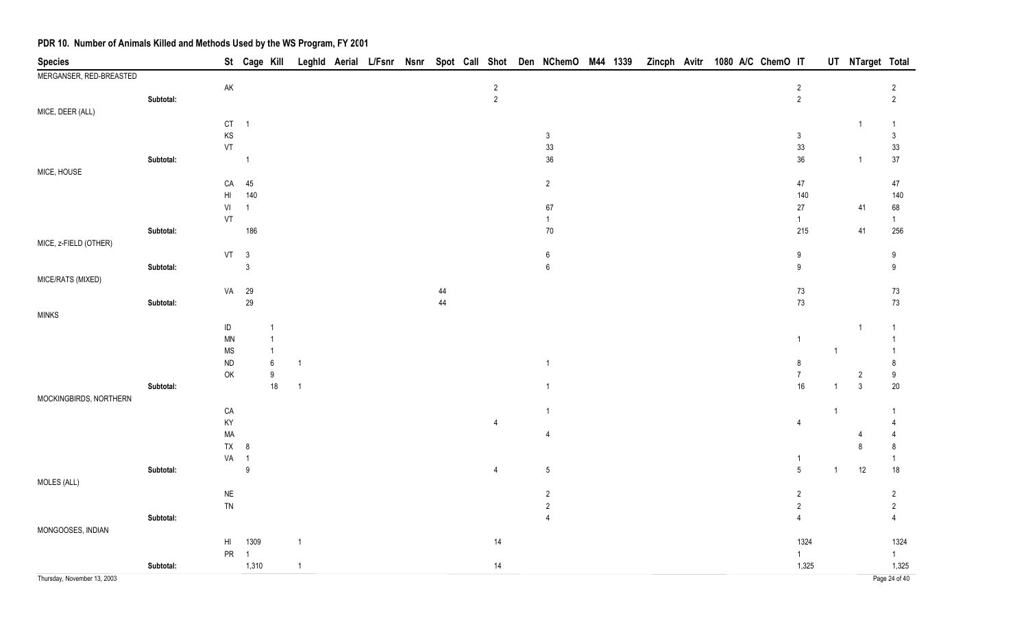| <b>Species</b>              |           |               | St Cage Kill               |                          |                |  |    |                | Leghld Aerial L/Fsnr Nsnr Spot Call Shot Den NChemO M44 1339 |  | Zincph Avitr 1080 A/C ChemO IT |  |  |                            |                | UT NTarget Total               |                        |
|-----------------------------|-----------|---------------|----------------------------|--------------------------|----------------|--|----|----------------|--------------------------------------------------------------|--|--------------------------------|--|--|----------------------------|----------------|--------------------------------|------------------------|
| MERGANSER, RED-BREASTED     |           |               |                            |                          |                |  |    |                |                                                              |  |                                |  |  |                            |                |                                |                        |
|                             |           | $\mathsf{AK}$ |                            |                          |                |  |    | $\overline{2}$ |                                                              |  |                                |  |  | $\sqrt{2}$                 |                |                                | $\overline{2}$         |
|                             | Subtotal: |               |                            |                          |                |  |    | $\sqrt{2}$     |                                                              |  |                                |  |  | $\overline{2}$             |                |                                | $\overline{2}$         |
| MICE, DEER (ALL)            |           |               |                            |                          |                |  |    |                |                                                              |  |                                |  |  |                            |                |                                |                        |
|                             |           | CT            | $\overline{\phantom{0}}$ 1 |                          |                |  |    |                |                                                              |  |                                |  |  |                            |                | -1                             | $\overline{1}$         |
|                             |           | KS            |                            |                          |                |  |    |                | $\mathfrak{Z}$<br>33                                         |  |                                |  |  | $\mathfrak{Z}$<br>33       |                |                                | $\mathfrak{Z}$         |
|                             | Subtotal: | VT            | $\mathbf 1$                |                          |                |  |    |                | $36\,$                                                       |  |                                |  |  | $36\,$                     |                | $\overline{1}$                 | 33<br>$37\,$           |
| MICE, HOUSE                 |           |               |                            |                          |                |  |    |                |                                                              |  |                                |  |  |                            |                |                                |                        |
|                             |           | CA            | 45                         |                          |                |  |    |                | $\overline{2}$                                               |  |                                |  |  | 47                         |                |                                | 47                     |
|                             |           | HI            | 140                        |                          |                |  |    |                |                                                              |  |                                |  |  | 140                        |                |                                | 140                    |
|                             |           | VI            | $\mathbf{1}$               |                          |                |  |    |                | 67                                                           |  |                                |  |  | 27                         |                | 41                             | 68                     |
|                             |           | VT            |                            |                          |                |  |    |                | $\mathbf{1}$                                                 |  |                                |  |  | $\mathbf{1}$               |                |                                | $\overline{1}$         |
|                             | Subtotal: |               | 186                        |                          |                |  |    |                | $70\,$                                                       |  |                                |  |  | 215                        |                | 41                             | 256                    |
| MICE, z-FIELD (OTHER)       |           |               |                            |                          |                |  |    |                |                                                              |  |                                |  |  |                            |                |                                |                        |
|                             |           |               | VT 3                       |                          |                |  |    |                | 6                                                            |  |                                |  |  | $9\,$                      |                |                                | 9                      |
|                             | Subtotal: |               | $\mathsf 3$                |                          |                |  |    |                | $\boldsymbol{6}$                                             |  |                                |  |  | $\boldsymbol{9}$           |                |                                | $\boldsymbol{9}$       |
| MICE/RATS (MIXED)           |           |               |                            |                          |                |  |    |                |                                                              |  |                                |  |  |                            |                |                                |                        |
|                             |           | VA            | 29                         |                          |                |  | 44 |                |                                                              |  |                                |  |  | $73\,$                     |                |                                | 73                     |
|                             | Subtotal: |               | 29                         |                          |                |  | 44 |                |                                                              |  |                                |  |  | $73\,$                     |                |                                | $73\,$                 |
| <b>MINKS</b>                |           |               |                            |                          |                |  |    |                |                                                              |  |                                |  |  |                            |                |                                |                        |
|                             |           | $\sf ID$      |                            |                          |                |  |    |                |                                                              |  |                                |  |  |                            |                | -1                             | $\overline{1}$         |
|                             |           | MN            |                            |                          |                |  |    |                |                                                              |  |                                |  |  | $\mathbf{1}$               |                |                                |                        |
|                             |           | <b>MS</b>     |                            | -1                       |                |  |    |                |                                                              |  |                                |  |  |                            | $\overline{1}$ |                                |                        |
|                             |           | ND            |                            | $\boldsymbol{6}$         | -1             |  |    |                | -1                                                           |  |                                |  |  | $\bf 8$                    |                |                                | 8                      |
|                             | Subtotal: | OK            |                            | $\boldsymbol{9}$<br>$18$ | $\overline{1}$ |  |    |                |                                                              |  |                                |  |  | $\boldsymbol{7}$<br>$16\,$ | $\overline{1}$ | $\overline{2}$<br>$\mathbf{3}$ | $\boldsymbol{9}$<br>20 |
| MOCKINGBIRDS, NORTHERN      |           |               |                            |                          |                |  |    |                |                                                              |  |                                |  |  |                            |                |                                |                        |
|                             |           | CA            |                            |                          |                |  |    |                | -1                                                           |  |                                |  |  |                            | $\overline{1}$ |                                | -1                     |
|                             |           | KY            |                            |                          |                |  |    | 4              |                                                              |  |                                |  |  | $\overline{4}$             |                |                                |                        |
|                             |           | MA            |                            |                          |                |  |    |                | 4                                                            |  |                                |  |  |                            |                |                                |                        |
|                             |           | <b>TX</b>     | 8                          |                          |                |  |    |                |                                                              |  |                                |  |  |                            |                | 8                              | 8                      |
|                             |           | VA 1          |                            |                          |                |  |    |                |                                                              |  |                                |  |  | 1                          |                |                                | 1                      |
|                             | Subtotal: |               | $\boldsymbol{9}$           |                          |                |  |    | $\overline{4}$ | $\sqrt{5}$                                                   |  |                                |  |  | $\sqrt{5}$                 | $\mathbf{1}$   | 12                             | $18$                   |
| MOLES (ALL)                 |           |               |                            |                          |                |  |    |                |                                                              |  |                                |  |  |                            |                |                                |                        |
|                             |           | $N\mathsf{E}$ |                            |                          |                |  |    |                | $\overline{c}$                                               |  |                                |  |  | $\overline{2}$             |                |                                | $\overline{2}$         |
|                             |           | ${\sf TN}$    |                            |                          |                |  |    |                | $\overline{2}$                                               |  |                                |  |  | $\sqrt{2}$                 |                |                                | $\sqrt{2}$             |
|                             | Subtotal: |               |                            |                          |                |  |    |                |                                                              |  |                                |  |  | $\overline{4}$             |                |                                | $\overline{4}$         |
| MONGOOSES, INDIAN           |           |               |                            |                          |                |  |    |                |                                                              |  |                                |  |  |                            |                |                                |                        |
|                             |           | $\mathsf{HI}$ | 1309                       |                          | $\overline{1}$ |  |    | 14             |                                                              |  |                                |  |  | 1324                       |                |                                | 1324                   |
|                             |           |               | PR <sub>1</sub>            |                          |                |  |    |                |                                                              |  |                                |  |  | 1                          |                |                                | 1                      |
|                             | Subtotal: |               | 1,310                      |                          | $\overline{1}$ |  |    | 14             |                                                              |  |                                |  |  | 1,325                      |                |                                | 1,325                  |
| Thursday, November 13, 2003 |           |               |                            |                          |                |  |    |                |                                                              |  |                                |  |  |                            |                |                                | Page 24 of 40          |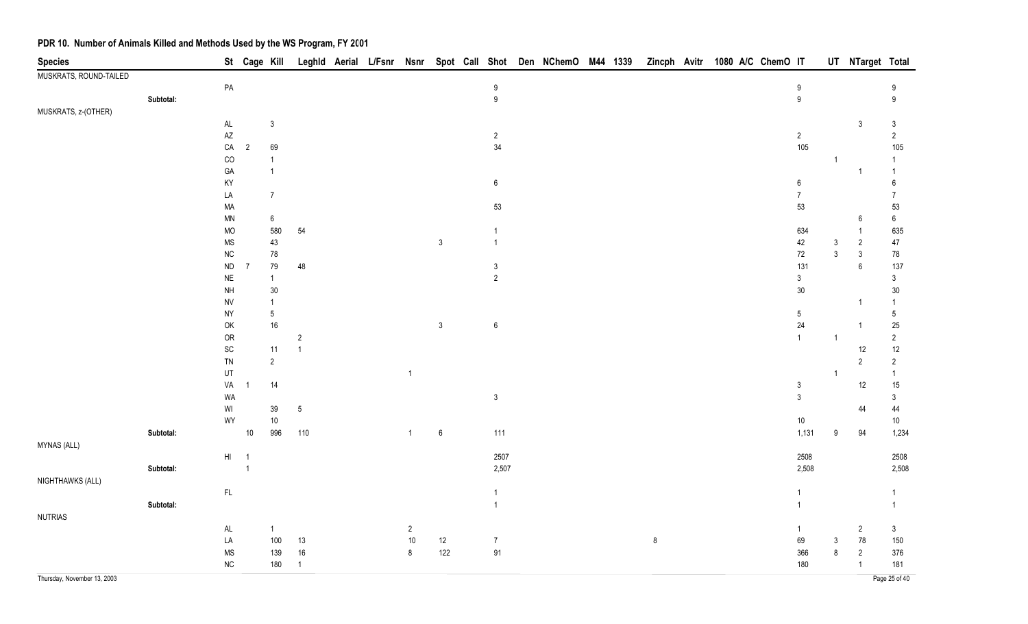| <b>Species</b>              |           |                              | St Cage Kill   |                  |                |  |                |                  |                  | Leghld Aerial L/Fsnr Nsnr Spot Call Shot Den NChemO M44 1339 |  | Zincph Avitr 1080 A/C ChemO IT |  |  |                  |                         | UT NTarget Total |                |
|-----------------------------|-----------|------------------------------|----------------|------------------|----------------|--|----------------|------------------|------------------|--------------------------------------------------------------|--|--------------------------------|--|--|------------------|-------------------------|------------------|----------------|
| MUSKRATS, ROUND-TAILED      |           |                              |                |                  |                |  |                |                  |                  |                                                              |  |                                |  |  |                  |                         |                  |                |
|                             |           | ${\sf PA}$                   |                |                  |                |  |                |                  | $\boldsymbol{9}$ |                                                              |  |                                |  |  | $9\,$            |                         |                  | 9              |
|                             | Subtotal: |                              |                |                  |                |  |                |                  | $\boldsymbol{9}$ |                                                              |  |                                |  |  | $\boldsymbol{9}$ |                         |                  | 9              |
| MUSKRATS, z-(OTHER)         |           |                              |                |                  |                |  |                |                  |                  |                                                              |  |                                |  |  |                  |                         |                  |                |
|                             |           | $\mathsf{AL}$                |                | $\mathbf{3}$     |                |  |                |                  |                  |                                                              |  |                                |  |  |                  |                         | 3                | $\mathfrak{Z}$ |
|                             |           | $\mathsf{A}\mathsf{Z}$       |                |                  |                |  |                |                  | $\overline{c}$   |                                                              |  |                                |  |  | $\sqrt{2}$       |                         |                  | $\overline{2}$ |
|                             |           | ${\sf CA}$                   | $\overline{2}$ | 69               |                |  |                |                  | 34               |                                                              |  |                                |  |  | 105              |                         |                  | 105            |
|                             |           | $_{\rm CO}$                  |                | $\mathbf{1}$     |                |  |                |                  |                  |                                                              |  |                                |  |  |                  | $\overline{1}$          |                  | $\mathbf{1}$   |
|                             |           | GA                           |                | $\mathbf{1}$     |                |  |                |                  |                  |                                                              |  |                                |  |  |                  |                         | -1               | -1             |
|                             |           | KY                           |                |                  |                |  |                |                  | $\boldsymbol{6}$ |                                                              |  |                                |  |  | $\boldsymbol{6}$ |                         |                  | 6              |
|                             |           | LA                           |                | $\boldsymbol{7}$ |                |  |                |                  |                  |                                                              |  |                                |  |  | $\overline{7}$   |                         |                  | $\overline{7}$ |
|                             |           | MA                           |                |                  |                |  |                |                  | 53               |                                                              |  |                                |  |  | 53               |                         |                  | 53             |
|                             |           | $\textsf{MN}{}$              |                | $\boldsymbol{6}$ |                |  |                |                  |                  |                                                              |  |                                |  |  |                  |                         | 6                | $\,6\,$        |
|                             |           | MO                           |                | 580              | 54             |  |                |                  | $\mathbf{1}$     |                                                              |  |                                |  |  | 634              |                         | $\mathbf{1}$     | 635            |
|                             |           | $\rm MS$                     |                | $43\,$           |                |  |                | $\mathfrak{Z}$   | $\mathbf{1}$     |                                                              |  |                                |  |  | 42               | $\mathbf{3}$            | $\overline{2}$   | 47             |
|                             |           | ${\sf NC}$                   |                | $78\,$           |                |  |                |                  |                  |                                                              |  |                                |  |  | $72\,$           | $\mathbf{3}$            | $\mathbf{3}$     | $78\,$         |
|                             |           | ${\sf ND}$                   | $\overline{7}$ | $79\,$           | 48             |  |                |                  | $\mathfrak{S}$   |                                                              |  |                                |  |  | 131              |                         | $\,6$            | 137            |
|                             |           | $\sf NE$                     |                | $\overline{1}$   |                |  |                |                  | $\overline{2}$   |                                                              |  |                                |  |  | $\mathfrak{Z}$   |                         |                  | $\mathfrak{Z}$ |
|                             |           | $\mathsf{NH}\,$              |                | $30\,$           |                |  |                |                  |                  |                                                              |  |                                |  |  | $30\,$           |                         |                  | $30\,$         |
|                             |           | <b>NV</b>                    |                | $\overline{1}$   |                |  |                |                  |                  |                                                              |  |                                |  |  |                  |                         | 1                | $\mathbf{1}$   |
|                             |           | <b>NY</b>                    |                | $\sqrt{5}$       |                |  |                |                  |                  |                                                              |  |                                |  |  | $\sqrt{5}$       |                         |                  | $\sqrt{5}$     |
|                             |           | $\mathsf{OK}$                |                | $16\,$           |                |  |                | $\mathfrak{Z}$   | $\boldsymbol{6}$ |                                                              |  |                                |  |  | 24               |                         | 1                | $25\,$         |
|                             |           | ${\sf OR}$                   |                |                  | $\sqrt{2}$     |  |                |                  |                  |                                                              |  |                                |  |  | $\mathbf{1}$     | $\overline{1}$          |                  | $\sqrt{2}$     |
|                             |           | $\operatorname{\textsf{SC}}$ |                | $11$             | $\overline{1}$ |  |                |                  |                  |                                                              |  |                                |  |  |                  |                         | 12               | 12             |
|                             |           | ${\sf TN}$                   |                | $\sqrt{2}$       |                |  |                |                  |                  |                                                              |  |                                |  |  |                  |                         | $\sqrt{2}$       | $\overline{2}$ |
|                             |           | UT                           |                |                  |                |  | $\overline{1}$ |                  |                  |                                                              |  |                                |  |  |                  | $\overline{\mathbf{1}}$ |                  | $\overline{1}$ |
|                             |           | VA                           | -1             | 14               |                |  |                |                  |                  |                                                              |  |                                |  |  | $\mathsf 3$      |                         | 12               | 15             |
|                             |           | WA                           |                |                  |                |  |                |                  | $\mathfrak{Z}$   |                                                              |  |                                |  |  | $\mathfrak{Z}$   |                         |                  | $\mathfrak{Z}$ |
|                             |           | WI                           |                | 39               | $\sqrt{5}$     |  |                |                  |                  |                                                              |  |                                |  |  |                  |                         | 44               | 44             |
|                             |           | WY                           |                | $10\,$           |                |  |                |                  |                  |                                                              |  |                                |  |  | $10\,$           |                         |                  | $10\,$         |
|                             | Subtotal: |                              | 10             | 996              | 110            |  | $\mathbf{1}$   | $\boldsymbol{6}$ | $111$            |                                                              |  |                                |  |  | 1,131            | 9                       | 94               | 1,234          |
| MYNAS (ALL)                 |           |                              |                |                  |                |  |                |                  |                  |                                                              |  |                                |  |  |                  |                         |                  |                |
|                             |           | $\mathsf{HI}$                | $\overline{1}$ |                  |                |  |                |                  | 2507             |                                                              |  |                                |  |  | 2508             |                         |                  | 2508           |
|                             | Subtotal: |                              | $\overline{1}$ |                  |                |  |                |                  | 2,507            |                                                              |  |                                |  |  | 2,508            |                         |                  | 2,508          |
| NIGHTHAWKS (ALL)            |           |                              |                |                  |                |  |                |                  |                  |                                                              |  |                                |  |  |                  |                         |                  |                |
|                             |           | $\mathsf{FL}$                |                |                  |                |  |                |                  | $\mathbf{1}$     |                                                              |  |                                |  |  | $\mathbf{1}$     |                         |                  | $\mathbf{1}$   |
|                             | Subtotal: |                              |                |                  |                |  |                |                  | $\mathbf{1}$     |                                                              |  |                                |  |  | $\mathbf{1}$     |                         |                  | $\mathbf{1}$   |
| <b>NUTRIAS</b>              |           |                              |                |                  |                |  |                |                  |                  |                                                              |  |                                |  |  |                  |                         |                  |                |
|                             |           | $\mathsf{AL}$                |                | $\overline{1}$   |                |  | $\overline{2}$ |                  |                  |                                                              |  |                                |  |  | $\mathbf{1}$     |                         | $\overline{2}$   | $\mathbf{3}$   |
|                             |           | LA                           |                | 100              | 13             |  | $10\,$         | 12               | $\boldsymbol{7}$ |                                                              |  | $\bf 8$                        |  |  | 69               | $\mathbf{3}$            | $78\,$           | 150            |
|                             |           | $\rm MS$                     |                | 139              | $16\,$         |  | $\bf 8$        | 122              | 91               |                                                              |  |                                |  |  | 366              | $\bf 8$                 | $\sqrt{2}$       | 376            |
|                             |           | ${\sf NC}$                   |                | 180              | $\overline{1}$ |  |                |                  |                  |                                                              |  |                                |  |  | 180              |                         | $\overline{1}$   | 181            |
| Thursday, November 13, 2003 |           |                              |                |                  |                |  |                |                  |                  |                                                              |  |                                |  |  |                  |                         |                  | Page 25 of 40  |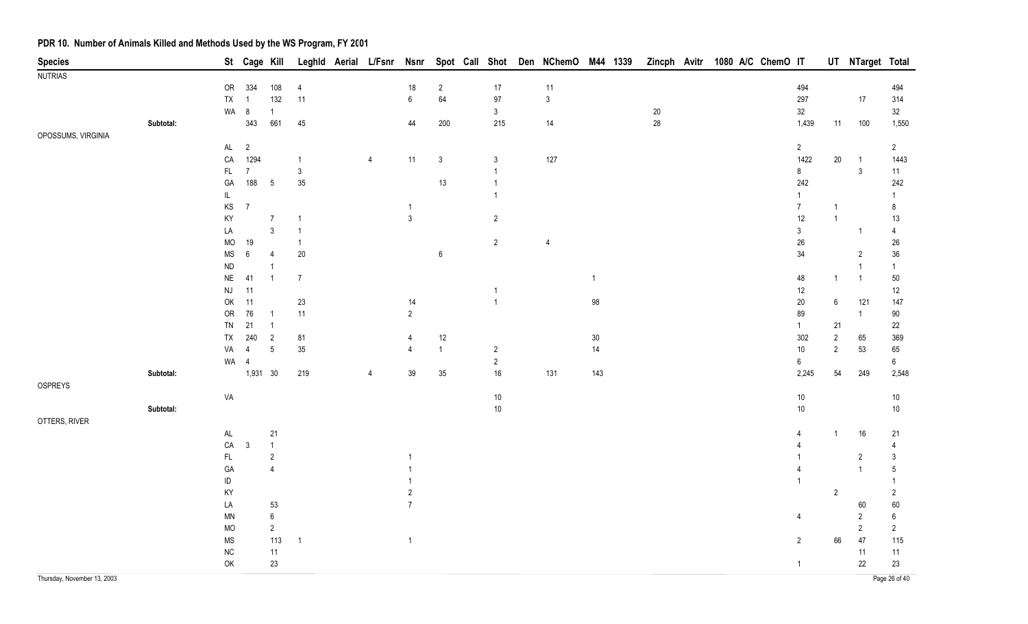| <b>Species</b>              |           |                        | St Cage Kill   |                |                | Leghld Aerial L/Fsnr | <b>Nsnr</b>     |                  | Spot Call Shot          | Den NChemO M44 1339 |                |        | Zincph Avitr 1080 A/C ChemO IT |                  |                | UT NTarget Total |                  |
|-----------------------------|-----------|------------------------|----------------|----------------|----------------|----------------------|-----------------|------------------|-------------------------|---------------------|----------------|--------|--------------------------------|------------------|----------------|------------------|------------------|
| <b>NUTRIAS</b>              |           |                        |                |                |                |                      |                 |                  |                         |                     |                |        |                                |                  |                |                  |                  |
|                             |           | OR                     | 334            | 108            | 4              |                      | 18              | $\overline{2}$   | $17$                    | 11                  |                |        |                                | 494              |                |                  | 494              |
|                             |           | TX                     | 1              | 132            | 11             |                      | $6\overline{6}$ | 64               | $97\,$                  | $\mathsf 3$         |                |        |                                | 297              |                | $17$             | 314              |
|                             |           | WA 8                   |                | $\overline{1}$ |                |                      |                 |                  | $\mathbf{3}$            |                     |                | $20\,$ |                                | 32               |                |                  | 32               |
|                             | Subtotal: |                        | 343            | 661            | 45             |                      | 44              | $200\,$          | 215                     | 14                  |                | $28\,$ |                                | 1,439            | 11             | 100              | 1,550            |
| OPOSSUMS, VIRGINIA          |           |                        |                |                |                |                      |                 |                  |                         |                     |                |        |                                |                  |                |                  |                  |
|                             |           | $\mathsf{AL}$          | $\overline{2}$ |                |                |                      |                 |                  |                         |                     |                |        |                                | $2\overline{ }$  |                |                  | $2^{\circ}$      |
|                             |           | ${\sf CA}$             | 1294           |                | $\mathbf{1}$   | $\overline{4}$       | 11              | $\mathfrak{Z}$   | 3                       | 127                 |                |        |                                | 1422             | $20\,$         | $\overline{1}$   | 1443             |
|                             |           | $\mathsf{FL}$          | $\overline{7}$ |                | $\mathsf 3$    |                      |                 |                  | 1                       |                     |                |        |                                | 8                |                | $\sqrt{3}$       | 11               |
|                             |           | GA                     | 188            | $\overline{5}$ | $35\,$         |                      |                 | 13               | 1                       |                     |                |        |                                | 242              |                |                  | 242              |
|                             |           | IL                     |                |                |                |                      |                 |                  | 1                       |                     |                |        |                                | $\mathbf{1}$     |                |                  | 1                |
|                             |           | $\mathsf{KS}$          | $\overline{7}$ |                |                |                      |                 |                  |                         |                     |                |        |                                | $\boldsymbol{7}$ | $\mathbf{1}$   |                  | 8                |
|                             |           | KY                     |                | $\overline{7}$ | $\mathbf{1}$   |                      | $\mathfrak{Z}$  |                  | $\overline{2}$          |                     |                |        |                                | 12               | $\mathbf{1}$   |                  | 13               |
|                             |           | LA                     |                | $\mathbf{3}$   |                |                      |                 |                  |                         |                     |                |        |                                | $\mathfrak{Z}$   |                | $\overline{1}$   | 4                |
|                             |           | <b>MO</b>              | 19             |                | $\mathbf{1}$   |                      |                 |                  | $\overline{2}$          | $\overline{4}$      |                |        |                                | $26\,$           |                |                  | $26\,$           |
|                             |           | <b>MS</b>              | $\,6\,$        | $\overline{4}$ | $20\,$         |                      |                 | $\boldsymbol{6}$ |                         |                     |                |        |                                | 34               |                | $\overline{2}$   | $36\,$           |
|                             |           | ${\sf ND}$             |                | $\mathbf{1}$   |                |                      |                 |                  |                         |                     |                |        |                                |                  |                | $\overline{1}$   | $\mathbf{1}$     |
|                             |           | $\sf NE$               | 41             | $\overline{1}$ | $\overline{7}$ |                      |                 |                  |                         |                     | $\overline{1}$ |        |                                | 48               | $\mathbf{1}$   | $\mathbf{1}$     | $50\,$           |
|                             |           | $\mathsf{N}\mathsf{J}$ | 11             |                |                |                      |                 |                  | -1                      |                     |                |        |                                | 12               |                |                  | 12               |
|                             |           | OK                     | 11             |                | $23\,$         |                      | 14              |                  | $\overline{1}$          |                     | 98             |        |                                | $20\,$           | 6              | 121              | 147              |
|                             |           | ${\sf OR}$             | 76             | $\overline{1}$ | 11             |                      | $\overline{2}$  |                  |                         |                     |                |        |                                | 89               |                | $\mathbf{1}$     | $90\,$           |
|                             |           | TN                     | 21             | $\overline{1}$ |                |                      |                 |                  |                         |                     |                |        |                                | $\mathbf{1}$     | 21             |                  | 22               |
|                             |           | ${\sf TX}$             | 240            | $\overline{2}$ | 81             |                      | 4               | 12               |                         |                     | $30\,$         |        |                                | 302              | $\sqrt{2}$     | 65               | 369              |
|                             |           | VA                     | $\overline{4}$ | $\sqrt{5}$     | $35\,$         |                      | 4               | $\mathbf{1}$     | $\overline{\mathbf{c}}$ |                     | 14             |        |                                | 10 <sub>1</sub>  | $\overline{2}$ | 53               | 65               |
|                             |           | WA 4                   |                |                |                |                      |                 |                  | $\sqrt{2}$              |                     |                |        |                                | $\boldsymbol{6}$ |                |                  | $\boldsymbol{6}$ |
|                             | Subtotal: |                        | 1,931 30       |                | 219            | $\overline{4}$       | 39              | 35               | 16                      | 131                 | $143$          |        |                                | 2,245            | 54             | 249              | 2,548            |
| OSPREYS                     |           |                        |                |                |                |                      |                 |                  |                         |                     |                |        |                                |                  |                |                  |                  |
|                             |           | VA                     |                |                |                |                      |                 |                  | $10\,$                  |                     |                |        |                                | 10 <sub>1</sub>  |                |                  | $10\,$           |
|                             | Subtotal: |                        |                |                |                |                      |                 |                  | $10\,$                  |                     |                |        |                                | 10 <sup>°</sup>  |                |                  | $10\,$           |
| OTTERS, RIVER               |           |                        |                |                |                |                      |                 |                  |                         |                     |                |        |                                |                  |                |                  |                  |
|                             |           | $\mathsf{AL}$          |                | 21             |                |                      |                 |                  |                         |                     |                |        |                                | 4                | $\mathbf{1}$   | 16               | 21               |
|                             |           | ${\sf CA}$             | $\mathfrak{Z}$ | $\overline{1}$ |                |                      |                 |                  |                         |                     |                |        |                                |                  |                |                  | $\overline{4}$   |
|                             |           | $\mathsf{FL}$          |                | $\overline{2}$ |                |                      |                 |                  |                         |                     |                |        |                                |                  |                | $\overline{2}$   | $\mathfrak{Z}$   |
|                             |           | GA                     |                | $\overline{4}$ |                |                      |                 |                  |                         |                     |                |        |                                | 4                |                | $\mathbf{1}$     | $5\,$            |
|                             |           | $\sf ID$               |                |                |                |                      |                 |                  |                         |                     |                |        |                                |                  |                |                  | -1               |
|                             |           | KY                     |                |                |                |                      | $\overline{c}$  |                  |                         |                     |                |        |                                |                  | $\overline{2}$ |                  | $\overline{2}$   |
|                             |           | LA                     |                | 53             |                |                      | $\overline{7}$  |                  |                         |                     |                |        |                                |                  |                | 60               | 60               |
|                             |           | MN                     |                | $\,6\,$        |                |                      |                 |                  |                         |                     |                |        |                                | 4                |                | $\sqrt{2}$       | $\boldsymbol{6}$ |
|                             |           | <b>MO</b>              |                | $\sqrt{2}$     |                |                      |                 |                  |                         |                     |                |        |                                |                  |                | $\overline{2}$   | $\overline{2}$   |
|                             |           | <b>MS</b>              |                | 113            | $\overline{1}$ |                      | $\overline{1}$  |                  |                         |                     |                |        |                                | $\overline{2}$   | 66             | 47               | 115              |
|                             |           | ${\sf NC}$             |                | 11             |                |                      |                 |                  |                         |                     |                |        |                                |                  |                | $11$             | 11               |
|                             |           | OK                     |                | 23             |                |                      |                 |                  |                         |                     |                |        |                                | $\mathbf{1}$     |                | $22\,$           | 23               |
| Thursday, November 13, 2003 |           |                        |                |                |                |                      |                 |                  |                         |                     |                |        |                                |                  |                |                  | Page 26 of 40    |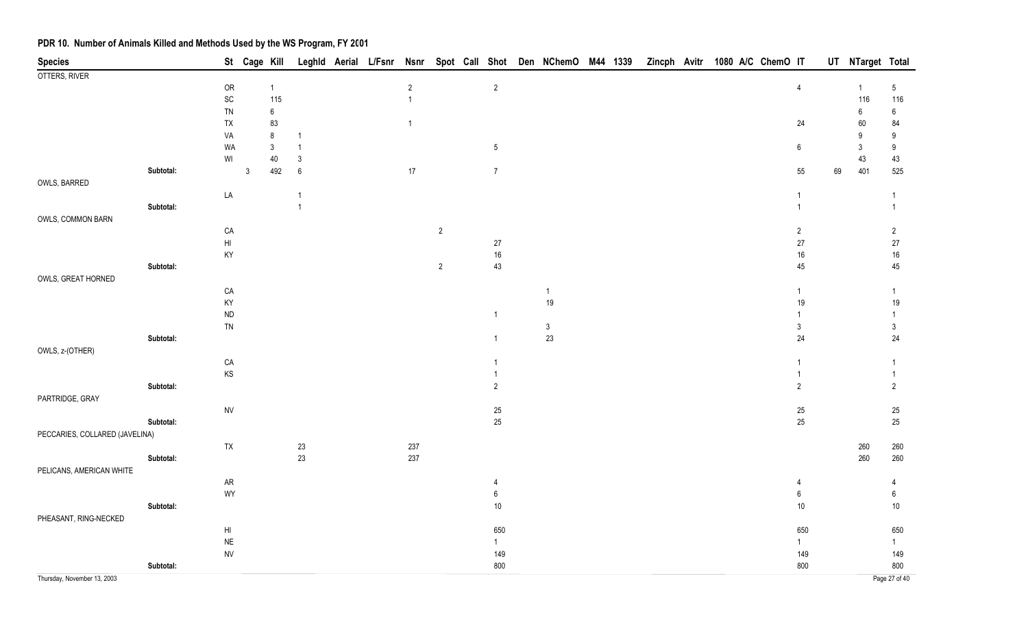| <b>Species</b>                 |           |                              | St Cage Kill   |                |                |  |                |                |                              | Leghld Aerial L/Fsnr Nsnr Spot Call Shot Den NChemO M44 1339 |  |  |  | Zincph Avitr 1080 A/C ChemO IT |                                |    | UT NTarget Total |                              |
|--------------------------------|-----------|------------------------------|----------------|----------------|----------------|--|----------------|----------------|------------------------------|--------------------------------------------------------------|--|--|--|--------------------------------|--------------------------------|----|------------------|------------------------------|
| OTTERS, RIVER                  |           |                              |                |                |                |  |                |                |                              |                                                              |  |  |  |                                |                                |    |                  |                              |
|                                |           | ${\sf OR}$                   |                | $\overline{1}$ |                |  | $\sqrt{2}$     |                | $\sqrt{2}$                   |                                                              |  |  |  |                                | $\sqrt{4}$                     |    | $\overline{1}$   | $\sqrt{5}$                   |
|                                |           | $\operatorname{\textsf{SC}}$ |                | 115            |                |  | $\overline{1}$ |                |                              |                                                              |  |  |  |                                |                                |    | 116              | 116                          |
|                                |           | TN                           |                | $\,6\,$        |                |  |                |                |                              |                                                              |  |  |  |                                |                                |    | 6                | $\boldsymbol{6}$             |
|                                |           | ${\sf TX}$                   |                | 83             |                |  | $\overline{1}$ |                |                              |                                                              |  |  |  |                                | 24                             |    | 60               | 84                           |
|                                |           | VA                           |                | $\bf 8$        | $\mathbf 1$    |  |                |                |                              |                                                              |  |  |  |                                |                                |    | 9                | 9                            |
|                                |           | WA                           |                | $\sqrt{3}$     | $\overline{1}$ |  |                |                | $5\phantom{.0}$              |                                                              |  |  |  |                                | $\boldsymbol{6}$               |    | $\mathbf{3}$     | $\boldsymbol{9}$             |
|                                |           | WI                           |                | 40             | $\mathfrak{3}$ |  |                |                |                              |                                                              |  |  |  |                                |                                |    | 43               | 43                           |
|                                | Subtotal: |                              | $\mathfrak{Z}$ | 492            | $\,6\,$        |  | $17\,$         |                | $\overline{7}$               |                                                              |  |  |  |                                | 55                             | 69 | 401              | 525                          |
| OWLS, BARRED                   |           |                              |                |                |                |  |                |                |                              |                                                              |  |  |  |                                |                                |    |                  |                              |
|                                |           | LA                           |                |                | $\mathbf{1}$   |  |                |                |                              |                                                              |  |  |  |                                | $\mathbf{1}$                   |    |                  | $\overline{1}$               |
|                                | Subtotal: |                              |                |                | $\mathbf{1}$   |  |                |                |                              |                                                              |  |  |  |                                | $\mathbf{1}$                   |    |                  | $\mathbf{1}$                 |
| OWLS, COMMON BARN              |           |                              |                |                |                |  |                |                |                              |                                                              |  |  |  |                                |                                |    |                  |                              |
|                                |           | ${\sf CA}$                   |                |                |                |  |                | $\overline{2}$ |                              |                                                              |  |  |  |                                | $\overline{2}$                 |    |                  | $\overline{2}$               |
|                                |           | $\mathsf{H}\mathsf{I}$       |                |                |                |  |                |                | $27\,$                       |                                                              |  |  |  |                                | $27\,$                         |    |                  | 27                           |
|                                |           | KY                           |                |                |                |  |                |                | $16\,$                       |                                                              |  |  |  |                                | $16\,$                         |    |                  | $16\,$                       |
|                                | Subtotal: |                              |                |                |                |  |                | $\overline{2}$ | 43                           |                                                              |  |  |  |                                | 45                             |    |                  | 45                           |
| OWLS, GREAT HORNED             |           |                              |                |                |                |  |                |                |                              |                                                              |  |  |  |                                |                                |    |                  |                              |
|                                |           | ${\sf CA}$                   |                |                |                |  |                |                |                              | $\mathbf{1}$                                                 |  |  |  |                                | $\mathbf{1}$                   |    |                  | $\mathbf{1}$                 |
|                                |           | KY                           |                |                |                |  |                |                |                              | 19                                                           |  |  |  |                                | 19                             |    |                  | 19                           |
|                                |           | ${\sf ND}$                   |                |                |                |  |                |                | $\mathbf{1}$                 |                                                              |  |  |  |                                | $\mathbf{1}$                   |    |                  | $\mathbf{1}$                 |
|                                |           | TN                           |                |                |                |  |                |                |                              | $\sqrt{3}$                                                   |  |  |  |                                | $\mathfrak{Z}$                 |    |                  | $\mathfrak{Z}$               |
|                                | Subtotal: |                              |                |                |                |  |                |                | $\mathbf{1}$                 | 23                                                           |  |  |  |                                | 24                             |    |                  | 24                           |
| OWLS, z-(OTHER)                |           |                              |                |                |                |  |                |                |                              |                                                              |  |  |  |                                |                                |    |                  |                              |
|                                |           | ${\sf CA}$                   |                |                |                |  |                |                | $\mathbf{1}$<br>$\mathbf{1}$ |                                                              |  |  |  |                                | $\overline{1}$<br>$\mathbf{1}$ |    |                  | $\mathbf{1}$<br>$\mathbf{1}$ |
|                                | Subtotal: | $\mathsf{KS}$                |                |                |                |  |                |                | $\overline{2}$               |                                                              |  |  |  |                                | $\overline{2}$                 |    |                  | $\overline{2}$               |
|                                |           |                              |                |                |                |  |                |                |                              |                                                              |  |  |  |                                |                                |    |                  |                              |
| PARTRIDGE, GRAY                |           |                              |                |                |                |  |                |                |                              |                                                              |  |  |  |                                |                                |    |                  |                              |
|                                | Subtotal: | ${\sf NV}$                   |                |                |                |  |                |                | $25\,$<br>25                 |                                                              |  |  |  |                                | 25<br>$25\,$                   |    |                  | 25<br>25                     |
| PECCARIES, COLLARED (JAVELINA) |           |                              |                |                |                |  |                |                |                              |                                                              |  |  |  |                                |                                |    |                  |                              |
|                                |           | ${\sf TX}$                   |                |                | $23\,$         |  | 237            |                |                              |                                                              |  |  |  |                                |                                |    | 260              | 260                          |
|                                | Subtotal: |                              |                |                | 23             |  | 237            |                |                              |                                                              |  |  |  |                                |                                |    | 260              | 260                          |
| PELICANS, AMERICAN WHITE       |           |                              |                |                |                |  |                |                |                              |                                                              |  |  |  |                                |                                |    |                  |                              |
|                                |           | ${\sf AR}$                   |                |                |                |  |                |                | 4                            |                                                              |  |  |  |                                | 4                              |    |                  | 4                            |
|                                |           | WY                           |                |                |                |  |                |                | 6                            |                                                              |  |  |  |                                | $\boldsymbol{6}$               |    |                  | $6\phantom{.}6$              |
|                                | Subtotal: |                              |                |                |                |  |                |                | $10\,$                       |                                                              |  |  |  |                                | $10$                           |    |                  | $10$                         |
| PHEASANT, RING-NECKED          |           |                              |                |                |                |  |                |                |                              |                                                              |  |  |  |                                |                                |    |                  |                              |
|                                |           | H1                           |                |                |                |  |                |                | 650                          |                                                              |  |  |  |                                | 650                            |    |                  | 650                          |
|                                |           | $\sf NE$                     |                |                |                |  |                |                | 1                            |                                                              |  |  |  |                                | $\mathbf{1}$                   |    |                  | $\mathbf{1}$                 |
|                                |           | ${\sf NV}$                   |                |                |                |  |                |                | 149                          |                                                              |  |  |  |                                | 149                            |    |                  | 149                          |
|                                | Subtotal: |                              |                |                |                |  |                |                | 800                          |                                                              |  |  |  |                                | 800                            |    |                  | 800                          |
| Thursday, November 13, 2003    |           |                              |                |                |                |  |                |                |                              |                                                              |  |  |  |                                |                                |    |                  | Page 27 of 40                |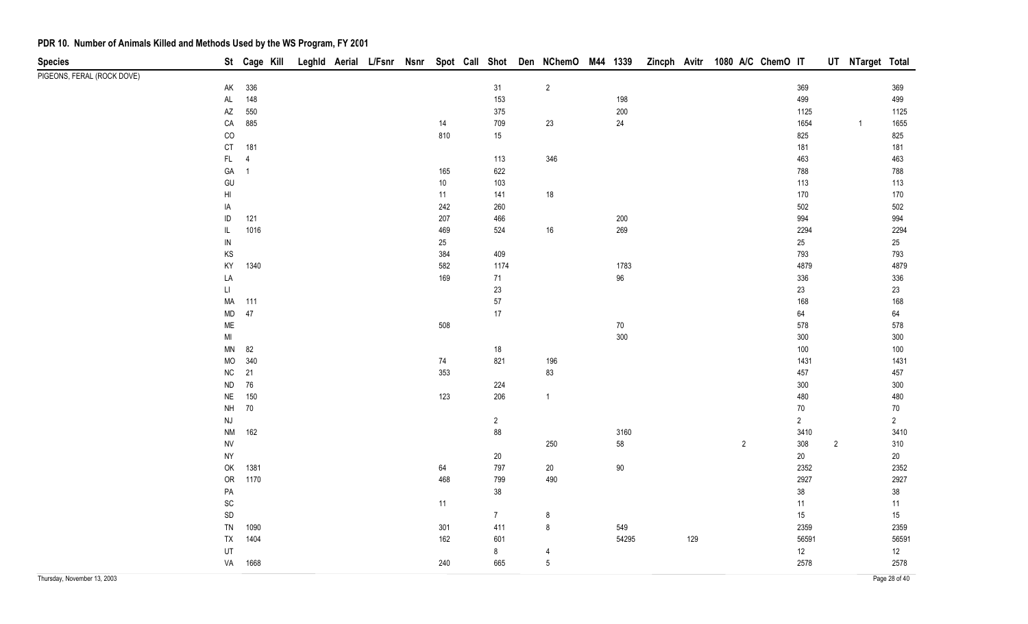| <b>Species</b>              |                              | St Cage Kill   |  |  |        | Leghld Aerial L/Fsnr Nsnr Spot Call Shot Den NChemO M44 1339 |        |                |        | Zincph Avitr 1080 A/C ChemO IT |     |                |                |       |                | UT NTarget Total |               |
|-----------------------------|------------------------------|----------------|--|--|--------|--------------------------------------------------------------|--------|----------------|--------|--------------------------------|-----|----------------|----------------|-------|----------------|------------------|---------------|
| PIGEONS, FERAL (ROCK DOVE)  |                              |                |  |  |        |                                                              |        |                |        |                                |     |                |                |       |                |                  |               |
|                             | AK                           | 336            |  |  |        | 31                                                           |        | $\overline{2}$ |        |                                |     |                | 369            |       |                |                  | 369           |
|                             | $\mathsf{AL}$                | 148            |  |  |        |                                                              | 153    |                | 198    |                                |     |                | 499            |       |                |                  | 499           |
|                             | AZ                           | 550            |  |  |        |                                                              | 375    |                | 200    |                                |     |                |                | 1125  |                |                  | 1125          |
|                             | ${\sf CA}$                   | 885            |  |  | 14     |                                                              | 709    | 23             | $24\,$ |                                |     |                |                | 1654  |                | $\mathbf{1}$     | 1655          |
|                             | $_{\rm CO}$                  |                |  |  | 810    |                                                              | 15     |                |        |                                |     |                | 825            |       |                |                  | 825           |
|                             | CT                           | 181            |  |  |        |                                                              |        |                |        |                                |     |                | 181            |       |                |                  | 181           |
|                             | $\mathsf{FL}^-$              | $\overline{4}$ |  |  |        |                                                              | 113    | 346            |        |                                |     |                | 463            |       |                |                  | 463           |
|                             | $\mathsf{GA}$                | $\overline{1}$ |  |  | 165    |                                                              | 622    |                |        |                                |     |                | 788            |       |                |                  | 788           |
|                             | GU                           |                |  |  | $10\,$ |                                                              | 103    |                |        |                                |     |                | 113            |       |                |                  | 113           |
|                             | $\mathsf{H}\mathsf{I}$       |                |  |  | 11     |                                                              | 141    | $18$           |        |                                |     |                | 170            |       |                |                  | 170           |
|                             | IA                           |                |  |  | 242    |                                                              | 260    |                |        |                                |     |                | 502            |       |                |                  | 502           |
|                             | $\sf ID$                     | 121            |  |  | 207    |                                                              | 466    |                | 200    |                                |     |                | 994            |       |                |                  | 994           |
|                             | $\mathsf{IL}$                | 1016           |  |  | 469    |                                                              | 524    | $16\,$         | 269    |                                |     |                | 2294           |       |                |                  | 2294          |
|                             | ${\sf IN}$                   |                |  |  | 25     |                                                              |        |                |        |                                |     |                | 25             |       |                |                  | $25\,$        |
|                             | KS                           |                |  |  | 384    |                                                              | 409    |                |        |                                |     |                | 793            |       |                |                  | 793           |
|                             | KY                           | 1340           |  |  | 582    |                                                              | 1174   |                | 1783   |                                |     |                | 4879           |       |                |                  | 4879          |
|                             | LA                           |                |  |  | 169    | 71                                                           |        |                | 96     |                                |     |                | 336            |       |                |                  | 336           |
|                             | $\mathsf{L}\mathsf{L}$       |                |  |  |        |                                                              | 23     |                |        |                                |     |                | 23             |       |                |                  | 23            |
|                             | MA                           | 111            |  |  |        | $57\,$                                                       |        |                |        |                                |     |                | 168            |       |                |                  | 168           |
|                             | $\sf MD$                     | 47             |  |  |        |                                                              | 17     |                |        |                                |     |                | 64             |       |                |                  | 64            |
|                             | ME                           |                |  |  | 508    |                                                              |        |                | $70\,$ |                                |     |                | 578            |       |                |                  | 578           |
|                             | MI                           |                |  |  |        |                                                              |        |                | 300    |                                |     |                | 300            |       |                |                  | 300           |
|                             | $\textsf{MN}{}$              | 82             |  |  |        |                                                              | 18     |                |        |                                |     |                | 100            |       |                |                  | 100           |
|                             | MO                           | 340            |  |  | 74     |                                                              | 821    | 196            |        |                                |     |                | 1431           |       |                |                  | 1431          |
|                             | ${\sf NC}$                   | 21             |  |  | 353    |                                                              |        | 83             |        |                                |     |                | 457            |       |                |                  | 457           |
|                             | ND                           | $76\,$         |  |  |        |                                                              | 224    |                |        |                                |     |                | $300\,$        |       |                |                  | 300           |
|                             | $\sf NE$                     | 150            |  |  | 123    |                                                              | 206    | $\overline{1}$ |        |                                |     |                | 480            |       |                |                  | 480           |
|                             | <b>NH</b>                    | $70\,$         |  |  |        |                                                              |        |                |        |                                |     |                | $70\,$         |       |                |                  | $70\,$        |
|                             | $\mathsf{N}\mathsf{J}$       |                |  |  |        | $\overline{2}$                                               |        |                |        |                                |     |                | $\overline{2}$ |       |                |                  | $2^{\circ}$   |
|                             | <b>NM</b>                    | 162            |  |  |        |                                                              | 88     |                | 3160   |                                |     |                |                | 3410  |                |                  | 3410          |
|                             | ${\sf NV}$                   |                |  |  |        |                                                              |        | 250            | 58     |                                |     | $\overline{2}$ | 308            |       | $\overline{2}$ |                  | 310           |
|                             | ${\sf NY}$                   |                |  |  |        |                                                              | $20\,$ |                |        |                                |     |                | $20\,$         |       |                |                  | 20            |
|                             | OK                           | 1381           |  |  | 64     |                                                              | 797    | $20\,$         | $90\,$ |                                |     |                |                | 2352  |                |                  | 2352          |
|                             | OR                           | 1170           |  |  | 468    |                                                              | 799    | 490            |        |                                |     |                | 2927           |       |                |                  | 2927          |
|                             | PA                           |                |  |  |        |                                                              | 38     |                |        |                                |     |                | $38\,$         |       |                |                  | 38            |
|                             | $\operatorname{\textsf{SC}}$ |                |  |  | 11     |                                                              |        |                |        |                                |     |                | 11             |       |                |                  | 11            |
|                             | $\mathsf{SD}$                |                |  |  |        | 7                                                            |        | $\bf 8$        |        |                                |     |                | 15             |       |                |                  | 15            |
|                             | TN                           | 1090           |  |  | 301    |                                                              | 411    | $\bf 8$        | 549    |                                |     |                |                | 2359  |                |                  | 2359          |
|                             | <b>TX</b>                    | 1404           |  |  | 162    |                                                              | 601    |                | 54295  |                                | 129 |                |                | 56591 |                |                  | 56591         |
|                             | UT                           |                |  |  |        | 8                                                            |        | $\overline{4}$ |        |                                |     |                | 12             |       |                |                  | 12            |
|                             | VA                           | 1668           |  |  | 240    |                                                              | 665    | $\sqrt{5}$     |        |                                |     |                |                | 2578  |                |                  | 2578          |
| Thursday, November 13, 2003 |                              |                |  |  |        |                                                              |        |                |        |                                |     |                |                |       |                |                  | Page 28 of 40 |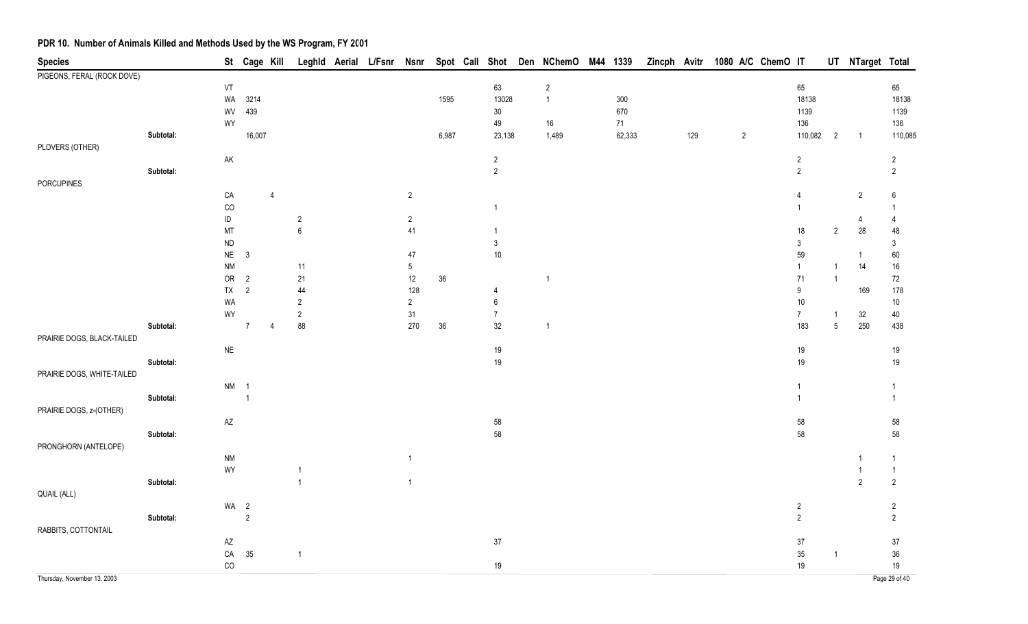| <b>Species</b>              |           |                        |                | St Cage Kill   |                  | Leghld Aerial L/Fsnr Nsnr |                      |        |                                      | Spot Call Shot Den NChemO M44 1339 |         |     |                | Zincph Avitr 1080 A/C ChemO IT |                          |                       | UT NTarget Total |                |
|-----------------------------|-----------|------------------------|----------------|----------------|------------------|---------------------------|----------------------|--------|--------------------------------------|------------------------------------|---------|-----|----------------|--------------------------------|--------------------------|-----------------------|------------------|----------------|
| PIGEONS, FERAL (ROCK DOVE)  |           |                        |                |                |                  |                           |                      |        |                                      |                                    |         |     |                |                                |                          |                       |                  |                |
|                             |           | VT                     |                |                |                  |                           |                      |        | 63                                   | $\overline{2}$                     |         |     |                |                                | 65                       |                       |                  | 65             |
|                             |           | WA                     | 3214           |                |                  |                           |                      | 1595   | 13028                                | $\mathbf{1}$                       | $300\,$ |     |                |                                | 18138                    |                       |                  | 18138          |
|                             |           | WV                     | 439            |                |                  |                           |                      |        | $30\,$                               |                                    | 670     |     |                |                                | 1139                     |                       |                  | 1139           |
|                             |           | WY                     |                |                |                  |                           |                      |        | 49                                   | $16\,$                             | 71      |     |                |                                | 136                      |                       |                  | 136            |
|                             | Subtotal: |                        | 16,007         |                |                  |                           |                      | 6,987  | 23,138                               | 1,489                              | 62,333  | 129 | $\overline{c}$ |                                | 110,082                  | $\overline{2}$        | $\overline{1}$   | 110,085        |
| PLOVERS (OTHER)             |           |                        |                |                |                  |                           |                      |        |                                      |                                    |         |     |                |                                |                          |                       |                  |                |
|                             |           | AK                     |                |                |                  |                           |                      |        | $\sqrt{2}$                           |                                    |         |     |                |                                | $\overline{2}$           |                       |                  | $\overline{2}$ |
|                             | Subtotal: |                        |                |                |                  |                           |                      |        | $\overline{2}$                       |                                    |         |     |                |                                | $\overline{2}$           |                       |                  | $\overline{2}$ |
| PORCUPINES                  |           |                        |                |                |                  |                           |                      |        |                                      |                                    |         |     |                |                                |                          |                       |                  |                |
|                             |           | CA                     |                | $\overline{4}$ |                  |                           | $\overline{2}$       |        |                                      |                                    |         |     |                |                                | 4                        |                       | $\overline{2}$   | 6              |
|                             |           | $_{\rm CO}$            |                |                |                  |                           |                      |        | $\mathbf{1}$                         |                                    |         |     |                |                                | $\mathbf 1$              |                       |                  | -1             |
|                             |           | $\sf ID$               |                |                | $\sqrt{2}$       |                           | $\overline{2}$       |        |                                      |                                    |         |     |                |                                |                          |                       | 4                | $\overline{4}$ |
|                             |           | MT                     |                |                | $\boldsymbol{6}$ |                           | $41$                 |        | $\mathbf{1}$                         |                                    |         |     |                |                                | 18                       | $\overline{2}$        | $28\,$           | 48             |
|                             |           | ND                     |                |                |                  |                           |                      |        | $\ensuremath{\mathsf{3}}$            |                                    |         |     |                |                                | $\mathfrak{Z}$           |                       |                  | 3              |
|                             |           | $\sf NE$               | $\mathbf{3}$   |                |                  |                           | 47                   |        | $10$                                 |                                    |         |     |                |                                | 59                       |                       | $\mathbf{1}$     | 60             |
|                             |           | <b>NM</b>              |                |                | 11               |                           | $\sqrt{5}$           |        |                                      |                                    |         |     |                |                                | $\overline{1}$           |                       | 14               | $16\,$         |
|                             |           | ${\sf OR}$             | $\overline{2}$ |                | $21\,$           |                           | $12\,$               | 36     |                                      | $\overline{1}$                     |         |     |                |                                | 71                       | $\mathbf{1}$          |                  | $72\,$         |
|                             |           | TX                     | $\sqrt{2}$     |                | 44               |                           | 128                  |        | 4                                    |                                    |         |     |                |                                | $\boldsymbol{9}$         |                       | 169              | 178            |
|                             |           | WA                     |                |                | $\overline{2}$   |                           | $\overline{2}$<br>31 |        | $\boldsymbol{6}$<br>$\boldsymbol{7}$ |                                    |         |     |                |                                | $10\,$<br>$\overline{7}$ |                       |                  | $10\,$         |
|                             | Subtotal: | WY                     | $\overline{7}$ | $\overline{4}$ | $\sqrt{2}$<br>88 |                           | 270                  | $36\,$ | 32                                   | $\overline{1}$                     |         |     |                |                                | 183                      | -1<br>$5\phantom{.0}$ | 32<br>250        | 40<br>438      |
| PRAIRIE DOGS, BLACK-TAILED  |           |                        |                |                |                  |                           |                      |        |                                      |                                    |         |     |                |                                |                          |                       |                  |                |
|                             |           | $\sf NE$               |                |                |                  |                           |                      |        | 19                                   |                                    |         |     |                |                                | 19                       |                       |                  | 19             |
|                             | Subtotal: |                        |                |                |                  |                           |                      |        | $19$                                 |                                    |         |     |                |                                | 19                       |                       |                  | 19             |
| PRAIRIE DOGS, WHITE-TAILED  |           |                        |                |                |                  |                           |                      |        |                                      |                                    |         |     |                |                                |                          |                       |                  |                |
|                             |           | <b>NM</b>              | $\overline{1}$ |                |                  |                           |                      |        |                                      |                                    |         |     |                |                                | $\overline{1}$           |                       |                  | $\mathbf{1}$   |
|                             | Subtotal: |                        | $\overline{1}$ |                |                  |                           |                      |        |                                      |                                    |         |     |                |                                | $\overline{1}$           |                       |                  | $\mathbf{1}$   |
| PRAIRIE DOGS, z-(OTHER)     |           |                        |                |                |                  |                           |                      |        |                                      |                                    |         |     |                |                                |                          |                       |                  |                |
|                             |           | $\mathsf{A}\mathsf{Z}$ |                |                |                  |                           |                      |        | 58                                   |                                    |         |     |                |                                | 58                       |                       |                  | 58             |
|                             | Subtotal: |                        |                |                |                  |                           |                      |        | 58                                   |                                    |         |     |                |                                | 58                       |                       |                  | 58             |
| PRONGHORN (ANTELOPE)        |           |                        |                |                |                  |                           |                      |        |                                      |                                    |         |     |                |                                |                          |                       |                  |                |
|                             |           | <b>NM</b>              |                |                |                  |                           | $\overline{1}$       |        |                                      |                                    |         |     |                |                                |                          |                       |                  | 1              |
|                             |           | WY                     |                |                | $\overline{1}$   |                           |                      |        |                                      |                                    |         |     |                |                                |                          |                       |                  | $\overline{1}$ |
|                             | Subtotal: |                        |                |                | $\mathbf{1}$     |                           | $\overline{1}$       |        |                                      |                                    |         |     |                |                                |                          |                       | $\overline{2}$   | $\sqrt{2}$     |
| QUAIL (ALL)                 |           |                        |                |                |                  |                           |                      |        |                                      |                                    |         |     |                |                                |                          |                       |                  |                |
|                             |           | WA <sub>2</sub>        |                |                |                  |                           |                      |        |                                      |                                    |         |     |                |                                | $\overline{2}$           |                       |                  | $\overline{2}$ |
|                             | Subtotal: |                        | $\sqrt{2}$     |                |                  |                           |                      |        |                                      |                                    |         |     |                |                                | $\overline{2}$           |                       |                  | $\overline{2}$ |
| RABBITS, COTTONTAIL         |           |                        |                |                |                  |                           |                      |        |                                      |                                    |         |     |                |                                |                          |                       |                  |                |
|                             |           | $\mathsf{A}\mathsf{Z}$ |                |                |                  |                           |                      |        | 37                                   |                                    |         |     |                |                                | $37\,$                   |                       |                  | $37\,$         |
|                             |           | ${\sf CA}$             | 35             |                | $\mathbf{1}$     |                           |                      |        |                                      |                                    |         |     |                |                                | $35\,$                   | $\overline{1}$        |                  | $36\,$         |
|                             |           | CO                     |                |                |                  |                           |                      |        | $19$                                 |                                    |         |     |                |                                | 19                       |                       |                  | 19             |
| Thursday, November 13, 2003 |           |                        |                |                |                  |                           |                      |        |                                      |                                    |         |     |                |                                |                          |                       |                  | Page 29 of 40  |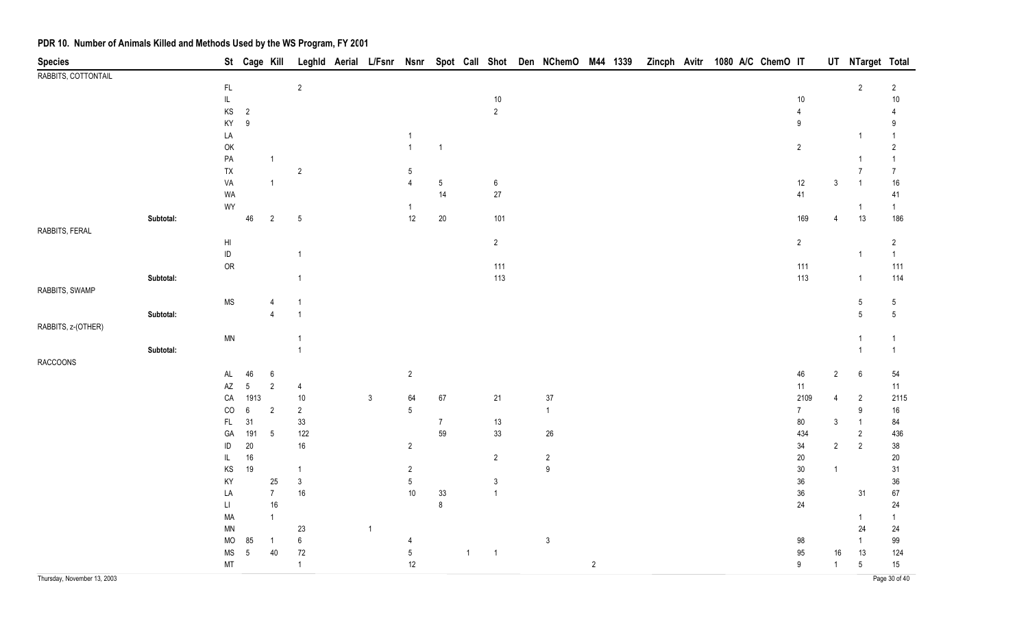| <b>Species</b>              |           |                                         | St Cage Kill     |                           |                  |                |                |                 |              |                  | Leghld Aerial L/Fsnr Nsnr Spot Call Shot Den NChemO M44 1339 |                |  |  | Zincph Avitr 1080 A/C ChemO IT |                |                | UT NTarget Total |                      |
|-----------------------------|-----------|-----------------------------------------|------------------|---------------------------|------------------|----------------|----------------|-----------------|--------------|------------------|--------------------------------------------------------------|----------------|--|--|--------------------------------|----------------|----------------|------------------|----------------------|
| RABBITS, COTTONTAIL         |           |                                         |                  |                           |                  |                |                |                 |              |                  |                                                              |                |  |  |                                |                |                |                  |                      |
|                             |           | $\mathsf{FL}$                           |                  |                           | $\sqrt{2}$       |                |                |                 |              |                  |                                                              |                |  |  |                                |                |                | $\overline{2}$   | $\overline{2}$       |
|                             |           | $\mathsf{IL}$                           |                  |                           |                  |                |                |                 |              | $10\,$           |                                                              |                |  |  |                                | 10             |                |                  | 10                   |
|                             |           | $\mathsf{KS}$                           | $\overline{2}$   |                           |                  |                |                |                 |              | $\overline{2}$   |                                                              |                |  |  |                                | $\overline{4}$ |                |                  |                      |
|                             |           | KY                                      | $\boldsymbol{9}$ |                           |                  |                |                |                 |              |                  |                                                              |                |  |  |                                | 9              |                |                  | 9                    |
|                             |           | LA                                      |                  |                           |                  |                | $\overline{1}$ | $\overline{1}$  |              |                  |                                                              |                |  |  |                                | $\overline{2}$ |                |                  | -1<br>$\overline{2}$ |
|                             |           | $\mathsf{OK}$<br>PA                     |                  | $\mathbf{1}$              |                  |                |                |                 |              |                  |                                                              |                |  |  |                                |                |                |                  |                      |
|                             |           | ${\sf TX}$                              |                  |                           | $\sqrt{2}$       |                | 5              |                 |              |                  |                                                              |                |  |  |                                |                |                | 7                | $\overline{7}$       |
|                             |           | VA                                      |                  | $\mathbf{1}$              |                  |                | 4              | $5\phantom{.0}$ |              | $\boldsymbol{6}$ |                                                              |                |  |  |                                | 12             | $\mathsf 3$    |                  | $16\,$               |
|                             |           | WA                                      |                  |                           |                  |                |                | 14              |              | $27\,$           |                                                              |                |  |  |                                | 41             |                |                  | 41                   |
|                             |           | WY                                      |                  |                           |                  |                | $\overline{1}$ |                 |              |                  |                                                              |                |  |  |                                |                |                | -1               | $\overline{1}$       |
|                             | Subtotal: |                                         | 46               | $\overline{2}$            | $5\,$            |                | $12$           | $20\,$          |              | 101              |                                                              |                |  |  |                                | 169            | 4              | 13               | 186                  |
| RABBITS, FERAL              |           |                                         |                  |                           |                  |                |                |                 |              |                  |                                                              |                |  |  |                                |                |                |                  |                      |
|                             |           | $\mathsf{HI}$                           |                  |                           |                  |                |                |                 |              | $2\overline{ }$  |                                                              |                |  |  |                                | $\overline{2}$ |                |                  | $\overline{2}$       |
|                             |           | $\sf ID$                                |                  |                           | $\overline{1}$   |                |                |                 |              |                  |                                                              |                |  |  |                                |                |                |                  | $\overline{1}$       |
|                             |           | OR                                      |                  |                           |                  |                |                |                 |              | 111              |                                                              |                |  |  |                                | 111            |                |                  | 111                  |
|                             | Subtotal: |                                         |                  |                           | $\overline{1}$   |                |                |                 |              | 113              |                                                              |                |  |  |                                | 113            |                | $\overline{1}$   | 114                  |
| RABBITS, SWAMP              |           |                                         |                  |                           |                  |                |                |                 |              |                  |                                                              |                |  |  |                                |                |                |                  |                      |
|                             |           | <b>MS</b>                               |                  |                           | -1               |                |                |                 |              |                  |                                                              |                |  |  |                                |                |                | $\sqrt{5}$       | $\sqrt{5}$           |
|                             | Subtotal: |                                         |                  | $\boldsymbol{\Lambda}$    | $\overline{1}$   |                |                |                 |              |                  |                                                              |                |  |  |                                |                |                | $5\,$            | $5\phantom{.0}$      |
| RABBITS, z-(OTHER)          |           |                                         |                  |                           |                  |                |                |                 |              |                  |                                                              |                |  |  |                                |                |                |                  |                      |
|                             |           | $\textsf{MN}{}$                         |                  |                           | $\overline{1}$   |                |                |                 |              |                  |                                                              |                |  |  |                                |                |                |                  | $\overline{1}$       |
|                             | Subtotal: |                                         |                  |                           | $\overline{1}$   |                |                |                 |              |                  |                                                              |                |  |  |                                |                |                |                  | $\overline{1}$       |
| <b>RACCOONS</b>             |           |                                         |                  |                           |                  |                |                |                 |              |                  |                                                              |                |  |  |                                |                |                |                  |                      |
|                             |           | $\mathsf{AL}$<br>$\mathsf{A}\mathsf{Z}$ | 46<br>$\sqrt{5}$ | $\,6\,$<br>$\overline{2}$ |                  |                | $\overline{2}$ |                 |              |                  |                                                              |                |  |  |                                | 46<br>11       | $\overline{2}$ | 6                | 54                   |
|                             |           | CA                                      | 1913             |                           | 4<br>$10\,$      | $\mathbf{3}$   | 64             | 67              |              | 21               | $37\,$                                                       |                |  |  |                                | 2109           | 4              | $\overline{2}$   | 11<br>2115           |
|                             |           | $_{\rm CO}$                             | $\boldsymbol{6}$ | $\overline{c}$            | $\sqrt{2}$       |                | 5              |                 |              |                  | $\mathbf{1}$                                                 |                |  |  |                                | $\overline{7}$ |                | 9                | 16                   |
|                             |           | $\mathsf{FL}$                           | 31               |                           | $33\,$           |                |                | $\overline{7}$  |              | 13               |                                                              |                |  |  |                                | 80             | $\mathfrak{Z}$ |                  | 84                   |
|                             |           | GA                                      | 191              | $5\phantom{.0}$           | 122              |                |                | 59              |              | $33\,$           | $26\,$                                                       |                |  |  |                                | 434            |                | $\overline{2}$   | 436                  |
|                             |           | ID                                      | $20\,$           |                           | $16\,$           |                | $\overline{2}$ |                 |              |                  |                                                              |                |  |  |                                | 34             | $\overline{2}$ | $\overline{2}$   | 38                   |
|                             |           | IL                                      | $16\,$           |                           |                  |                |                |                 |              | $\overline{2}$   | $\overline{2}$                                               |                |  |  |                                | 20             |                |                  | $20\,$               |
|                             |           | KS                                      | 19               |                           | $\overline{1}$   |                | $\overline{2}$ |                 |              |                  | $\boldsymbol{9}$                                             |                |  |  |                                | $30\,$         | $\mathbf{1}$   |                  | 31                   |
|                             |           | KY                                      |                  | 25                        | $\mathsf 3$      |                | 5              |                 |              | $\mathfrak{Z}$   |                                                              |                |  |  |                                | $36\,$         |                |                  | $36\,$               |
|                             |           | LA                                      |                  | $\overline{7}$            | $16\,$           |                | $10\,$         | $33\,$          |              | $\mathbf{1}$     |                                                              |                |  |  |                                | $36\,$         |                | 31               | 67                   |
|                             |           | $\mathsf{L}\mathsf{I}$                  |                  | $16\,$                    |                  |                |                | $\bf 8$         |              |                  |                                                              |                |  |  |                                | 24             |                |                  | 24                   |
|                             |           | MA                                      |                  | $\overline{1}$            |                  |                |                |                 |              |                  |                                                              |                |  |  |                                |                |                | -1               | $\overline{1}$       |
|                             |           | MN                                      |                  |                           | 23               | $\overline{1}$ |                |                 |              |                  |                                                              |                |  |  |                                |                |                | 24               | 24                   |
|                             |           | MO                                      | 85               | $\overline{1}$            | $\boldsymbol{6}$ |                | 4              |                 |              |                  | $\mathsf 3$                                                  |                |  |  |                                | 98             |                |                  | 99                   |
|                             |           | <b>MS</b>                               | $\sqrt{5}$       | 40                        | $72\,$           |                | $\sqrt{5}$     |                 | $\mathbf{1}$ | $\overline{1}$   |                                                              |                |  |  |                                | 95             | 16             | 13               | 124                  |
|                             |           | MT                                      |                  |                           | $\overline{1}$   |                | $12\,$         |                 |              |                  |                                                              | $\overline{2}$ |  |  |                                | 9              | $\mathbf{1}$   | 5                | 15 <sub>15</sub>     |
| Thursday, November 13, 2003 |           |                                         |                  |                           |                  |                |                |                 |              |                  |                                                              |                |  |  |                                |                |                |                  | Page 30 of 40        |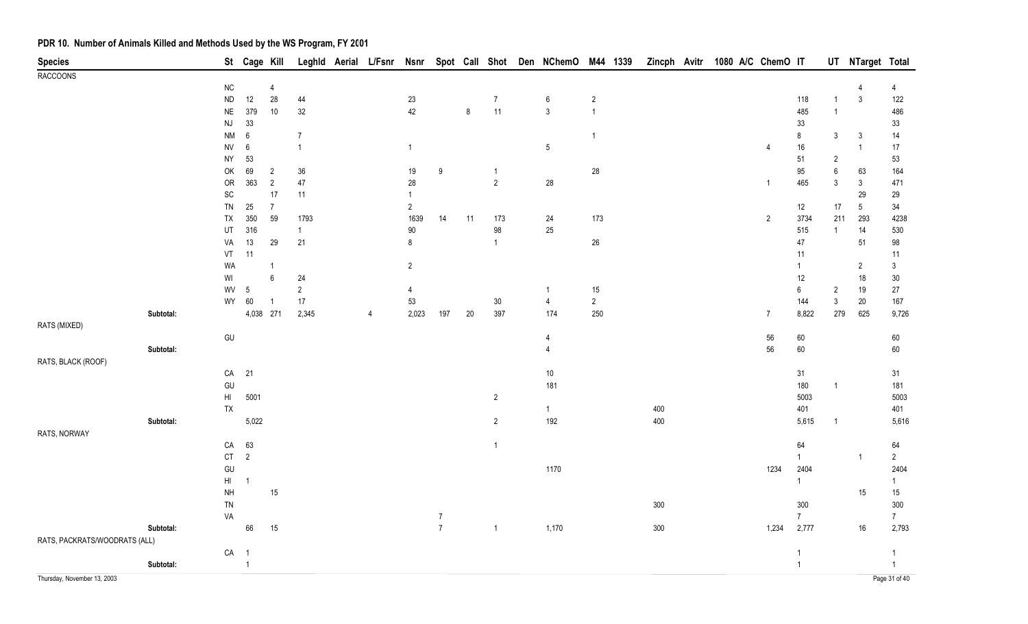| <b>Species</b>                |           |                                                            | St Cage Kill   |                                  | Leghld         | Aerial | L/Fsnr | <b>Nsnr</b>    |                                  |         | Spot Call Shot | Den NChemO      | M44 1339       | Zincph Avitr |  | 1080 A/C ChemO IT |                       |                           | UT NTarget Total |                         |
|-------------------------------|-----------|------------------------------------------------------------|----------------|----------------------------------|----------------|--------|--------|----------------|----------------------------------|---------|----------------|-----------------|----------------|--------------|--|-------------------|-----------------------|---------------------------|------------------|-------------------------|
| <b>RACCOONS</b>               |           |                                                            |                |                                  |                |        |        |                |                                  |         |                |                 |                |              |  |                   |                       |                           |                  |                         |
|                               |           | ${\sf NC}$                                                 |                | $\overline{4}$                   |                |        |        |                |                                  |         |                |                 |                |              |  |                   |                       |                           | 4                | 4                       |
|                               |           | ${\sf ND}$                                                 | 12             | 28                               | 44             |        |        | 23             |                                  |         | $\overline{7}$ | $6\phantom{.}6$ | $\overline{c}$ |              |  |                   | 118                   | $\mathbf{1}$              | $\mathbf{3}$     | 122                     |
|                               |           | $\sf NE$                                                   | 379            | 10 <sub>1</sub>                  | $32\,$         |        |        | 42             |                                  | $\bf 8$ | $11$           | $\mathbf{3}$    | $\overline{1}$ |              |  |                   | 485                   | $\overline{1}$            |                  | 486                     |
|                               |           | $\mathsf{N}\mathsf{J}$                                     | 33             |                                  |                |        |        |                |                                  |         |                |                 |                |              |  |                   | $33\,$                |                           |                  | 33                      |
|                               |           | <b>NM</b>                                                  | $\,6\,$        |                                  | $\overline{7}$ |        |        |                |                                  |         |                |                 | $\overline{1}$ |              |  |                   | $\bf 8$               | $\mathbf{3}$              | 3                | 14                      |
|                               |           | ${\sf NV}$                                                 | $\,6\,$        |                                  | $\mathbf{1}$   |        |        | $\overline{1}$ |                                  |         |                | $5\phantom{.0}$ |                |              |  | 4                 | $16\,$                |                           | $\overline{1}$   | 17                      |
|                               |           | <b>NY</b><br>OK                                            | 53<br>69       |                                  | $36\,$         |        |        | 19             | 9                                |         | $\overline{1}$ |                 |                |              |  |                   | 51<br>95              | $\overline{2}$<br>$\,6\,$ |                  | 53<br>164               |
|                               |           | OR                                                         | 363            | $\overline{2}$<br>$\overline{2}$ | $47\,$         |        |        | $28\,$         |                                  |         | $\overline{2}$ | 28              | 28             |              |  | $\mathbf 1$       | 465                   | 3                         | 63<br>3          | 471                     |
|                               |           | $\operatorname{SC}$                                        |                | $17\,$                           | 11             |        |        |                |                                  |         |                |                 |                |              |  |                   |                       |                           | 29               | 29                      |
|                               |           | TN                                                         | 25             | $\overline{7}$                   |                |        |        | $\overline{2}$ |                                  |         |                |                 |                |              |  |                   | 12                    | 17                        | $\sqrt{5}$       | $34\,$                  |
|                               |           | TX                                                         | 350            | 59                               | 1793           |        |        | 1639           | 14                               | 11      | 173            | 24              | 173            |              |  | $\overline{2}$    | 3734                  | 211                       | 293              | 4238                    |
|                               |           | UT                                                         | 316            |                                  | $\mathbf{1}$   |        |        | $90\,$         |                                  |         | $98\,$         | 25              |                |              |  |                   | 515                   | $\overline{1}$            | 14               | 530                     |
|                               |           | VA                                                         | $13$           | 29                               | 21             |        |        | 8              |                                  |         | $\mathbf{1}$   |                 | $26\,$         |              |  |                   | $47\,$                |                           | 51               | 98                      |
|                               |           | VT                                                         | 11             |                                  |                |        |        |                |                                  |         |                |                 |                |              |  |                   | 11                    |                           |                  | 11                      |
|                               |           | WA                                                         |                | $\mathbf{1}$                     |                |        |        | $\overline{2}$ |                                  |         |                |                 |                |              |  |                   | 1                     |                           | $\overline{2}$   | $\mathfrak{Z}$          |
|                               |           | $\ensuremath{\mathsf{W}}\xspace\ensuremath{\mathsf{I}}$    |                | $6\phantom{a}$                   | 24             |        |        |                |                                  |         |                |                 |                |              |  |                   | 12                    |                           | $18$             | $30\,$                  |
|                               |           | WV                                                         | 5              |                                  | $\overline{2}$ |        |        | 4              |                                  |         |                | 1               | 15             |              |  |                   | $\boldsymbol{6}$      | $\overline{2}$            | 19               | 27                      |
|                               |           | WY                                                         | 60             | $\overline{1}$                   | 17             |        |        | 53             |                                  |         | $30\,$         | $\overline{4}$  | $\overline{2}$ |              |  |                   | 144                   | $\mathfrak{Z}$            | $20\,$           | 167                     |
|                               | Subtotal: |                                                            | 4,038 271      |                                  | 2,345          |        | 4      | 2,023          | 197                              | $20\,$  | 397            | 174             | 250            |              |  | $\overline{7}$    | 8,822                 | 279                       | 625              | 9,726                   |
| RATS (MIXED)                  |           |                                                            |                |                                  |                |        |        |                |                                  |         |                |                 |                |              |  |                   |                       |                           |                  |                         |
|                               |           | GU                                                         |                |                                  |                |        |        |                |                                  |         |                | 4               |                |              |  | $56\,$            | 60                    |                           |                  | 60                      |
|                               | Subtotal: |                                                            |                |                                  |                |        |        |                |                                  |         |                | $\overline{4}$  |                |              |  | 56                | 60                    |                           |                  | $60\,$                  |
| RATS, BLACK (ROOF)            |           |                                                            |                |                                  |                |        |        |                |                                  |         |                |                 |                |              |  |                   |                       |                           |                  |                         |
|                               |           | CA                                                         | 21             |                                  |                |        |        |                |                                  |         |                | $10$            |                |              |  |                   | 31                    |                           |                  | 31                      |
|                               |           | $\mathsf{GU}% _{\mathsf{C}}^{\mathsf{C}}(\mathcal{N}_{0})$ |                |                                  |                |        |        |                |                                  |         |                | 181             |                |              |  |                   | 180                   | $\overline{1}$            |                  | 181                     |
|                               |           | $\mathsf{HI}$                                              | 5001           |                                  |                |        |        |                |                                  |         | $\overline{2}$ |                 |                |              |  |                   | 5003                  |                           |                  | 5003                    |
|                               |           | TX                                                         |                |                                  |                |        |        |                |                                  |         |                | $\mathbf{1}$    |                | 400          |  |                   | 401                   |                           |                  | 401                     |
|                               | Subtotal: |                                                            | 5,022          |                                  |                |        |        |                |                                  |         | $\overline{2}$ | 192             |                | 400          |  |                   | 5,615                 | $\overline{1}$            |                  | 5,616                   |
| RATS, NORWAY                  |           |                                                            |                |                                  |                |        |        |                |                                  |         |                |                 |                |              |  |                   |                       |                           |                  |                         |
|                               |           | CA                                                         | 63             |                                  |                |        |        |                |                                  |         | $\mathbf{1}$   |                 |                |              |  |                   | 64                    |                           |                  | 64                      |
|                               |           | CT                                                         | $\overline{2}$ |                                  |                |        |        |                |                                  |         |                |                 |                |              |  |                   | $\mathbf{1}$          |                           | -1               | $\overline{2}$          |
|                               |           | GU                                                         |                |                                  |                |        |        |                |                                  |         |                | 1170            |                |              |  | 1234              | 2404                  |                           |                  | 2404                    |
|                               |           | $\mathsf{H}\mathsf{I}$                                     | $\overline{1}$ |                                  |                |        |        |                |                                  |         |                |                 |                |              |  |                   | $\mathbf{1}$          |                           |                  | -1                      |
|                               |           | <b>NH</b>                                                  |                | 15                               |                |        |        |                |                                  |         |                |                 |                |              |  |                   |                       |                           | 15               | 15                      |
|                               |           | TN                                                         |                |                                  |                |        |        |                |                                  |         |                |                 |                | 300          |  |                   | 300<br>$\overline{7}$ |                           |                  | 300                     |
|                               | Subtotal: | VA                                                         |                |                                  |                |        |        |                | $\overline{7}$<br>$\overline{7}$ |         | $\mathbf{1}$   | 1,170           |                | $300\,$      |  | 1,234             | 2,777                 |                           | $16\,$           | $7\phantom{.}$<br>2,793 |
| RATS, PACKRATS/WOODRATS (ALL) |           |                                                            | 66             | 15                               |                |        |        |                |                                  |         |                |                 |                |              |  |                   |                       |                           |                  |                         |
|                               |           | ${\sf CA}$                                                 | $\overline{1}$ |                                  |                |        |        |                |                                  |         |                |                 |                |              |  |                   | $\overline{1}$        |                           |                  | -1                      |
|                               | Subtotal: |                                                            | $\overline{1}$ |                                  |                |        |        |                |                                  |         |                |                 |                |              |  |                   | $\mathbf{1}$          |                           |                  | $\overline{1}$          |
| Thursday, November 13, 2003   |           |                                                            |                |                                  |                |        |        |                |                                  |         |                |                 |                |              |  |                   |                       |                           |                  | Page 31 of 40           |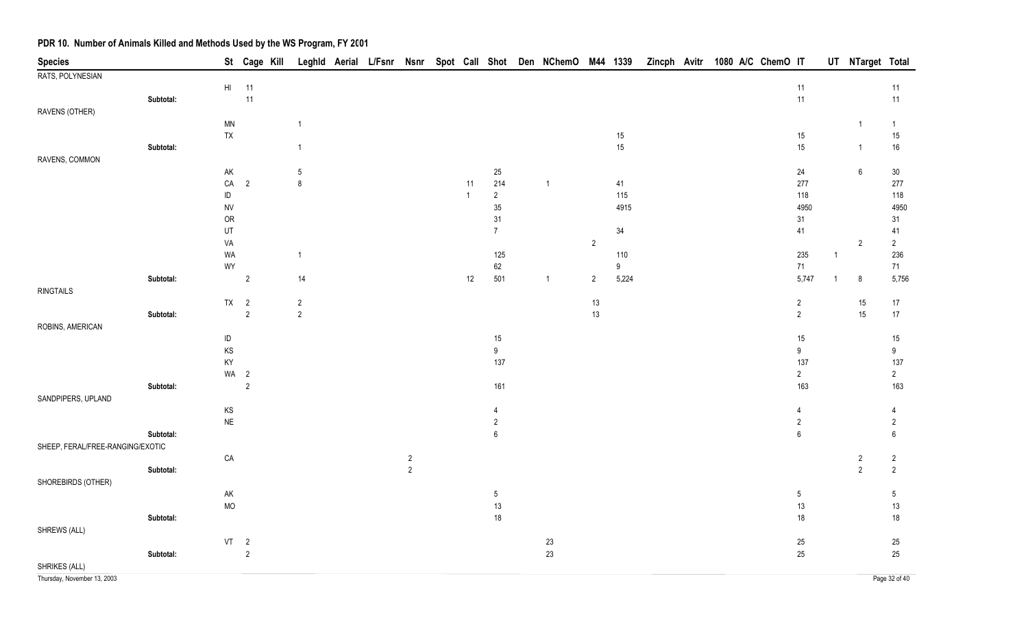| <b>Species</b>                   |           |               | St Cage Kill             |              |  |                |              |                      | Leghld Aerial L/Fsnr Nsnr Spot Call Shot Den NChemO M44 1339 |                |                  | Zincph Avitr 1080 A/C ChemO IT |  |  |                  |                | UT NTarget Total |                       |
|----------------------------------|-----------|---------------|--------------------------|--------------|--|----------------|--------------|----------------------|--------------------------------------------------------------|----------------|------------------|--------------------------------|--|--|------------------|----------------|------------------|-----------------------|
| RATS, POLYNESIAN                 |           |               |                          |              |  |                |              |                      |                                                              |                |                  |                                |  |  |                  |                |                  |                       |
|                                  |           |               | HI 11                    |              |  |                |              |                      |                                                              |                |                  |                                |  |  | 11               |                |                  | 11                    |
|                                  | Subtotal: |               | 11                       |              |  |                |              |                      |                                                              |                |                  |                                |  |  | 11               |                |                  | $11$                  |
| RAVENS (OTHER)                   |           |               |                          |              |  |                |              |                      |                                                              |                |                  |                                |  |  |                  |                |                  |                       |
|                                  |           | <b>MN</b>     |                          | $\mathbf{1}$ |  |                |              |                      |                                                              |                |                  |                                |  |  |                  |                | $\overline{1}$   | $\mathbf{1}$          |
|                                  |           | ${\sf TX}$    |                          |              |  |                |              |                      |                                                              |                | $15\,$           |                                |  |  | 15               |                |                  | 15                    |
|                                  | Subtotal: |               |                          | $\mathbf{1}$ |  |                |              |                      |                                                              |                | 15               |                                |  |  | 15               |                | $\mathbf{1}$     | $16\,$                |
| RAVENS, COMMON                   |           |               |                          |              |  |                |              |                      |                                                              |                |                  |                                |  |  |                  |                |                  |                       |
|                                  |           | $\mathsf{AK}$ |                          | $5\,$        |  |                |              | 25                   |                                                              |                |                  |                                |  |  | $24\,$           |                | $6\phantom{1}$   | $30\,$                |
|                                  |           | ${\sf CA}$    | $\overline{2}$           | $\bf 8$      |  |                | 11           | $214\,$              | $\mathbf{1}$                                                 |                | 41               |                                |  |  | 277              |                |                  | 277                   |
|                                  |           | $\sf ID$      |                          |              |  |                | $\mathbf{1}$ | $\overline{2}$       |                                                              |                | 115              |                                |  |  | 118              |                |                  | 118                   |
|                                  |           | ${\sf NV}$    |                          |              |  |                |              | 35                   |                                                              |                | 4915             |                                |  |  | 4950             |                |                  | 4950                  |
|                                  |           | OR            |                          |              |  |                |              | 31<br>$\overline{7}$ |                                                              |                |                  |                                |  |  | 31               |                |                  | 31                    |
|                                  |           | $\sf{UT}$     |                          |              |  |                |              |                      |                                                              | $\overline{2}$ | $34\,$           |                                |  |  | 41               |                |                  | 41                    |
|                                  |           | VA            |                          |              |  |                |              | 125                  |                                                              |                | 110              |                                |  |  | 235              |                | $\overline{2}$   | $\overline{2}$<br>236 |
|                                  |           | WA<br>WY      |                          | $\mathbf{1}$ |  |                |              | 62                   |                                                              |                | $\boldsymbol{9}$ |                                |  |  | $71\,$           | $\overline{1}$ |                  | 71                    |
|                                  | Subtotal: |               | $\overline{2}$           | 14           |  |                | 12           | 501                  | $\mathbf{1}$                                                 | $\overline{2}$ | 5,224            |                                |  |  | 5,747            | $\overline{1}$ | $\bf 8$          | 5,756                 |
| <b>RINGTAILS</b>                 |           |               |                          |              |  |                |              |                      |                                                              |                |                  |                                |  |  |                  |                |                  |                       |
|                                  |           | $TX$ 2        |                          | $\sqrt{2}$   |  |                |              |                      |                                                              | 13             |                  |                                |  |  | $\overline{2}$   |                | 15               | 17                    |
|                                  | Subtotal: |               | $\overline{2}$           | $\sqrt{2}$   |  |                |              |                      |                                                              | 13             |                  |                                |  |  | $\overline{2}$   |                | 15               | $17$                  |
| ROBINS, AMERICAN                 |           |               |                          |              |  |                |              |                      |                                                              |                |                  |                                |  |  |                  |                |                  |                       |
|                                  |           | $\sf ID$      |                          |              |  |                |              | $15\,$               |                                                              |                |                  |                                |  |  | 15               |                |                  | 15                    |
|                                  |           | $\mathsf{KS}$ |                          |              |  |                |              | 9                    |                                                              |                |                  |                                |  |  | $\boldsymbol{9}$ |                |                  | $\boldsymbol{9}$      |
|                                  |           | KY            |                          |              |  |                |              | 137                  |                                                              |                |                  |                                |  |  | 137              |                |                  | 137                   |
|                                  |           | WA            | $\overline{\phantom{a}}$ |              |  |                |              |                      |                                                              |                |                  |                                |  |  | $\overline{2}$   |                |                  | $\overline{2}$        |
|                                  | Subtotal: |               | $\sqrt{2}$               |              |  |                |              | 161                  |                                                              |                |                  |                                |  |  | 163              |                |                  | 163                   |
| SANDPIPERS, UPLAND               |           |               |                          |              |  |                |              |                      |                                                              |                |                  |                                |  |  |                  |                |                  |                       |
|                                  |           | $\mathsf{KS}$ |                          |              |  |                |              | 4                    |                                                              |                |                  |                                |  |  | $\overline{4}$   |                |                  | 4                     |
|                                  |           | $\sf NE$      |                          |              |  |                |              | $\sqrt{2}$           |                                                              |                |                  |                                |  |  | $\overline{2}$   |                |                  | $\overline{2}$        |
|                                  | Subtotal: |               |                          |              |  |                |              | $\,6\,$              |                                                              |                |                  |                                |  |  | $\,6\,$          |                |                  | $\boldsymbol{6}$      |
| SHEEP, FERAL/FREE-RANGING/EXOTIC |           |               |                          |              |  |                |              |                      |                                                              |                |                  |                                |  |  |                  |                |                  |                       |
|                                  |           | ${\sf CA}$    |                          |              |  | $\overline{2}$ |              |                      |                                                              |                |                  |                                |  |  |                  |                | $\overline{2}$   | $\overline{2}$        |
|                                  | Subtotal: |               |                          |              |  | $\overline{2}$ |              |                      |                                                              |                |                  |                                |  |  |                  |                | $\overline{2}$   | $\sqrt{2}$            |
| SHOREBIRDS (OTHER)               |           |               |                          |              |  |                |              |                      |                                                              |                |                  |                                |  |  |                  |                |                  |                       |
|                                  |           | $\mathsf{AK}$ |                          |              |  |                |              | $\mathbf 5$          |                                                              |                |                  |                                |  |  | $\sqrt{5}$       |                |                  | $\sqrt{5}$            |
|                                  |           | <b>MO</b>     |                          |              |  |                |              | 13                   |                                                              |                |                  |                                |  |  | $13$             |                |                  | $13$                  |
|                                  | Subtotal: |               |                          |              |  |                |              | 18                   |                                                              |                |                  |                                |  |  | 18               |                |                  | $18$                  |
| SHREWS (ALL)                     |           |               |                          |              |  |                |              |                      |                                                              |                |                  |                                |  |  |                  |                |                  |                       |
|                                  |           | VT 2          |                          |              |  |                |              |                      | 23                                                           |                |                  |                                |  |  | 25               |                |                  | 25                    |
|                                  | Subtotal: |               | $\sqrt{2}$               |              |  |                |              |                      | 23                                                           |                |                  |                                |  |  | $25\,$           |                |                  | 25                    |
| SHRIKES (ALL)                    |           |               |                          |              |  |                |              |                      |                                                              |                |                  |                                |  |  |                  |                |                  |                       |

Thursday, November 13, 2003 Page 32 of 40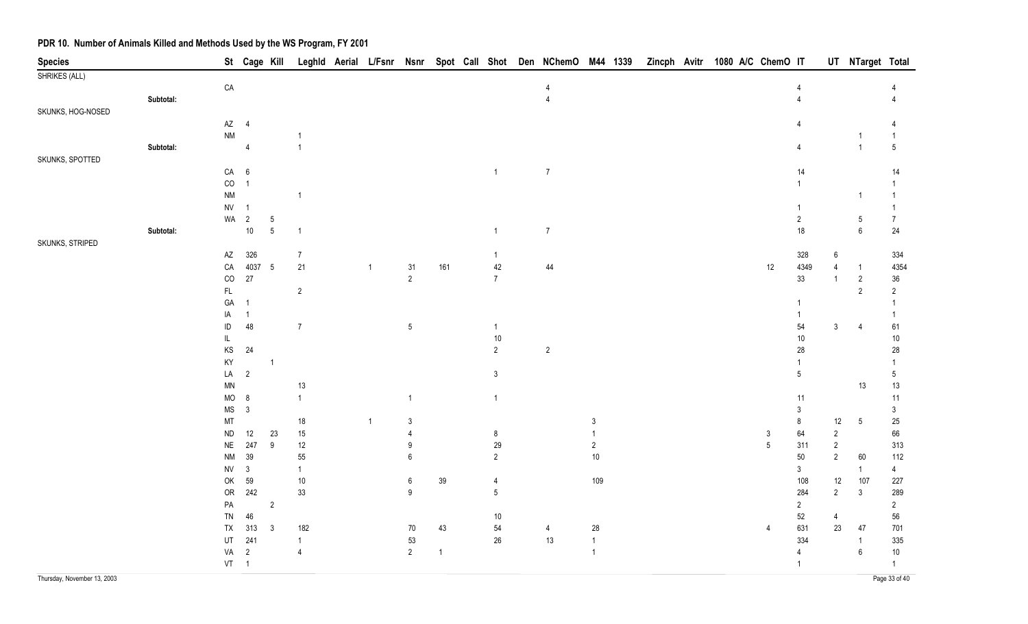| <b>Species</b>              |           |                                      | St Cage Kill             |                          |                      |                |                      |              |                 | Leghld Aerial L/Fsnr Nsnr Spot Call Shot Den NChemO M44 1339 |                | Zincph Avitr | 1080 A/C ChemO IT |      |                 |                                | UT NTarget Total                    |                 |
|-----------------------------|-----------|--------------------------------------|--------------------------|--------------------------|----------------------|----------------|----------------------|--------------|-----------------|--------------------------------------------------------------|----------------|--------------|-------------------|------|-----------------|--------------------------------|-------------------------------------|-----------------|
| SHRIKES (ALL)               |           |                                      |                          |                          |                      |                |                      |              |                 |                                                              |                |              |                   |      |                 |                                |                                     |                 |
|                             |           | ${\sf CA}$                           |                          |                          |                      |                |                      |              |                 | 4                                                            |                |              |                   |      | 4               |                                |                                     |                 |
|                             | Subtotal: |                                      |                          |                          |                      |                |                      |              |                 | 4                                                            |                |              |                   |      | 4               |                                |                                     |                 |
| SKUNKS, HOG-NOSED           |           |                                      |                          |                          |                      |                |                      |              |                 |                                                              |                |              |                   |      |                 |                                |                                     |                 |
|                             |           | $AZ$ 4                               |                          |                          |                      |                |                      |              |                 |                                                              |                |              |                   |      |                 |                                |                                     |                 |
|                             |           | $\mathsf{N}\mathsf{M}$               |                          |                          |                      |                |                      |              |                 |                                                              |                |              |                   |      |                 |                                | -1                                  | $\mathbf{1}$    |
|                             | Subtotal: |                                      | $\overline{4}$           |                          | $\overline{1}$       |                |                      |              |                 |                                                              |                |              |                   |      | 4               |                                | $\overline{1}$                      | $5\phantom{.0}$ |
| SKUNKS, SPOTTED             |           |                                      |                          |                          |                      |                |                      |              |                 |                                                              |                |              |                   |      |                 |                                |                                     |                 |
|                             |           | CA 6                                 |                          |                          |                      |                |                      |              | $\mathbf{1}$    | $\overline{7}$                                               |                |              |                   |      | 14              |                                |                                     | 14              |
|                             |           | $CO$ 1                               |                          |                          |                      |                |                      |              |                 |                                                              |                |              |                   |      | $\mathbf{1}$    |                                |                                     |                 |
|                             |           | $\mathsf{N}\mathsf{M}$               |                          |                          | $\overline{1}$       |                |                      |              |                 |                                                              |                |              |                   |      |                 |                                | -1                                  | 1               |
|                             |           | <b>NV</b>                            | $\overline{\phantom{1}}$ |                          |                      |                |                      |              |                 |                                                              |                |              |                   |      | 1               |                                |                                     | 1               |
|                             |           | WA                                   | $\overline{2}$           | $5\phantom{.0}$<br>$5\,$ |                      |                |                      |              |                 | $\overline{7}$                                               |                |              |                   |      | $\overline{2}$  |                                | $5\phantom{.0}$<br>$\boldsymbol{6}$ | $\overline{7}$  |
| SKUNKS, STRIPED             | Subtotal: |                                      | $10\,$                   |                          | $\overline{1}$       |                |                      |              | $\overline{1}$  |                                                              |                |              |                   |      | 18              |                                |                                     | 24              |
|                             |           |                                      |                          |                          |                      |                |                      |              |                 |                                                              |                |              |                   |      |                 |                                |                                     |                 |
|                             |           | $\mathsf{A}\mathsf{Z}$<br>${\sf CA}$ | 326<br>4037 5            |                          | $\overline{7}$<br>21 |                |                      | 161          | 1<br>42         | 44                                                           |                |              |                   | $12$ | 328<br>4349     | $6\phantom{.}6$                |                                     | 334<br>4354     |
|                             |           | $_{\rm CO}$                          | 27                       |                          |                      | $\mathbf{1}$   | 31<br>$\overline{2}$ |              | $\overline{7}$  |                                                              |                |              |                   |      | 33              | $\overline{4}$<br>$\mathbf{1}$ | $\overline{1}$<br>$\overline{2}$    | $36\,$          |
|                             |           | FL.                                  |                          |                          | $\overline{2}$       |                |                      |              |                 |                                                              |                |              |                   |      |                 |                                | $\overline{2}$                      | $\overline{2}$  |
|                             |           | GA                                   | $\overline{1}$           |                          |                      |                |                      |              |                 |                                                              |                |              |                   |      | 1               |                                |                                     | -1              |
|                             |           | IA                                   | $\overline{1}$           |                          |                      |                |                      |              |                 |                                                              |                |              |                   |      | 1               |                                |                                     | $\mathbf{1}$    |
|                             |           | ID                                   | 48                       |                          | $\overline{7}$       |                | $\sqrt{5}$           |              | $\overline{1}$  |                                                              |                |              |                   |      | 54              | $\mathbf{3}$                   | 4                                   | 61              |
|                             |           | IL                                   |                          |                          |                      |                |                      |              | $10\,$          |                                                              |                |              |                   |      | $10$            |                                |                                     | $10$            |
|                             |           | $\mathsf{KS}$                        | $24\,$                   |                          |                      |                |                      |              | $\overline{2}$  | $\sqrt{2}$                                                   |                |              |                   |      | 28              |                                |                                     | 28              |
|                             |           | KY                                   |                          | $\overline{1}$           |                      |                |                      |              |                 |                                                              |                |              |                   |      | 1               |                                |                                     | 1               |
|                             |           | LA                                   | $\overline{2}$           |                          |                      |                |                      |              | 3               |                                                              |                |              |                   |      | $5\phantom{.0}$ |                                |                                     | $5\phantom{.0}$ |
|                             |           | $\textsf{MN}{}$                      |                          |                          | 13                   |                |                      |              |                 |                                                              |                |              |                   |      |                 |                                | 13                                  | 13              |
|                             |           | MO                                   | 8                        |                          | $\overline{1}$       |                | $\overline{1}$       |              | $\mathbf{1}$    |                                                              |                |              |                   |      | 11              |                                |                                     | 11              |
|                             |           | <b>MS</b>                            | $\mathbf{3}$             |                          |                      |                |                      |              |                 |                                                              |                |              |                   |      | $\mathbf{3}$    |                                |                                     | $\mathfrak{Z}$  |
|                             |           | MT                                   |                          |                          | $18$                 | $\overline{1}$ | 3                    |              |                 |                                                              | 3              |              |                   |      | $\bf 8$         | 12                             | $5\phantom{.0}$                     | 25              |
|                             |           | ${\sf ND}$                           | 12                       | 23                       | 15                   |                | $\overline{4}$       |              | 8               |                                                              |                |              |                   | 3    | 64              | $\overline{2}$                 |                                     | 66              |
|                             |           | <b>NE</b>                            | 247                      | $\boldsymbol{9}$         | 12                   |                | 9                    |              | 29              |                                                              | $\overline{2}$ |              |                   | 5    | 311             | $\overline{2}$                 |                                     | 313             |
|                             |           | $\mathsf{N}\mathsf{M}$               | 39                       |                          | $55\,$               |                | 6                    |              | $\overline{2}$  |                                                              | $10\,$         |              |                   |      | $50\,$          | $\overline{2}$                 | 60                                  | 112             |
|                             |           | <b>NV</b>                            | $\mathbf{3}$             |                          | $\mathbf{1}$         |                |                      |              |                 |                                                              |                |              |                   |      | $\mathbf{3}$    |                                | $\overline{1}$                      | $\overline{4}$  |
|                             |           | OK                                   | 59                       |                          | $10\,$               |                | 6                    | $39\,$       | 4               |                                                              | 109            |              |                   |      | 108             | 12                             | 107                                 | 227             |
|                             |           | OR                                   | 242                      |                          | 33                   |                | $\boldsymbol{9}$     |              | $5\phantom{.0}$ |                                                              |                |              |                   |      | 284             | $\overline{2}$                 | $\mathbf{3}$                        | 289             |
|                             |           | PA                                   |                          | $\overline{2}$           |                      |                |                      |              |                 |                                                              |                |              |                   |      | $\overline{2}$  |                                |                                     | $\overline{2}$  |
|                             |           | TN                                   | 46                       |                          |                      |                |                      |              | 10 <sub>1</sub> |                                                              |                |              |                   |      | 52              | 4                              |                                     | 56              |
|                             |           | TX                                   | 313                      | 3                        | 182                  |                | 70                   | 43           | 54              | 4                                                            | 28             |              |                   | 4    | 631             | 23                             | 47                                  | 701             |
|                             |           | UT                                   | 241                      |                          | $\mathbf{1}$         |                | 53                   |              | 26              | 13                                                           | $\overline{1}$ |              |                   |      | 334             |                                | -1                                  | 335             |
|                             |           | VA                                   | $\overline{2}$           |                          | $\overline{4}$       |                | $\overline{2}$       | $\mathbf{1}$ |                 |                                                              | $\overline{1}$ |              |                   |      | 4               |                                | 6                                   | $10$            |
|                             |           | $VT \t1$                             |                          |                          |                      |                |                      |              |                 |                                                              |                |              |                   |      | $\overline{1}$  |                                |                                     | $\overline{1}$  |
| Thursday, November 13, 2003 |           |                                      |                          |                          |                      |                |                      |              |                 |                                                              |                |              |                   |      |                 |                                |                                     | Page 33 of 40   |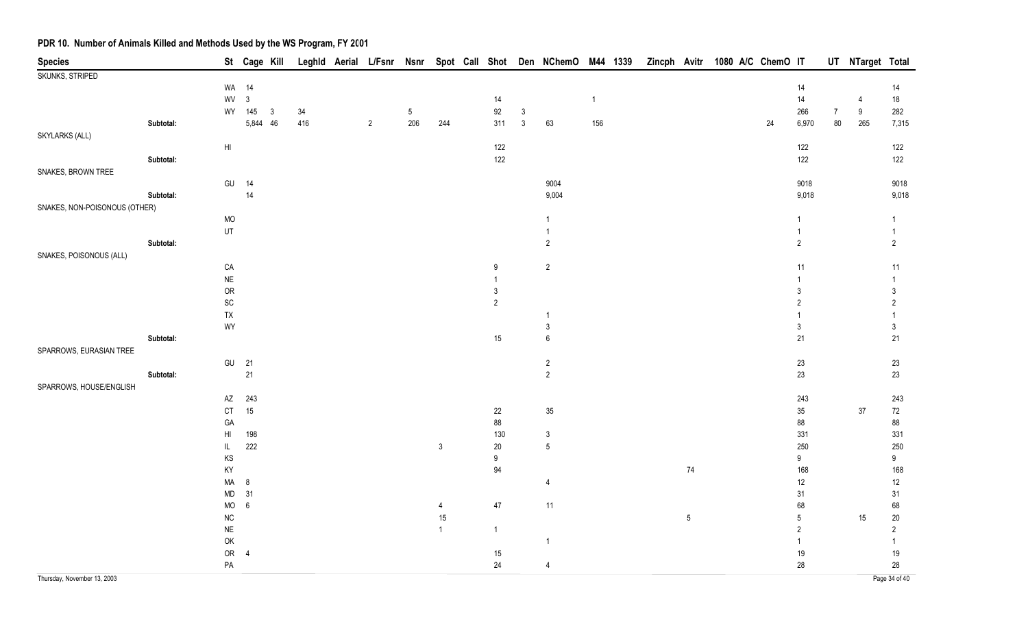| <b>Species</b>                |           |                              | St Cage Kill   |              |     |                |     |                |              |                | Leghld Aerial L/Fsnr Nsnr Spot Call Shot Den NChemO M44 1339 |              | Zincph Avitr |            | 1080 A/C ChemO IT |    |                |                | UT NTarget Total |                |
|-------------------------------|-----------|------------------------------|----------------|--------------|-----|----------------|-----|----------------|--------------|----------------|--------------------------------------------------------------|--------------|--------------|------------|-------------------|----|----------------|----------------|------------------|----------------|
| SKUNKS, STRIPED               |           |                              |                |              |     |                |     |                |              |                |                                                              |              |              |            |                   |    |                |                |                  |                |
|                               |           |                              | WA 14          |              |     |                |     |                |              |                |                                                              |              |              |            |                   |    | 14             |                |                  | 14             |
|                               |           | WV                           | $\mathbf{3}$   |              |     |                |     |                | 14           |                |                                                              | $\mathbf{1}$ |              |            |                   |    | 14             |                | 4                | 18             |
|                               |           |                              | WY 145         | $\mathbf{3}$ | 34  |                | 5   |                | 92           | $\mathfrak{Z}$ |                                                              |              |              |            |                   |    | 266            | $\overline{7}$ | $\boldsymbol{9}$ | 282            |
|                               | Subtotal: |                              | 5,844 46       |              | 416 | $\overline{2}$ | 206 | 244            | 311          | $\mathfrak{Z}$ | 63                                                           | 156          |              |            |                   | 24 | 6,970          | $80\,$         | 265              | 7,315          |
| SKYLARKS (ALL)                |           |                              |                |              |     |                |     |                |              |                |                                                              |              |              |            |                   |    |                |                |                  |                |
|                               | Subtotal: | $\mathsf{H}\mathsf{I}$       |                |              |     |                |     |                | 122<br>122   |                |                                                              |              |              |            |                   |    | 122<br>122     |                |                  | 122<br>122     |
| SNAKES, BROWN TREE            |           |                              |                |              |     |                |     |                |              |                |                                                              |              |              |            |                   |    |                |                |                  |                |
|                               |           |                              | GU 14          |              |     |                |     |                |              |                | 9004                                                         |              |              |            |                   |    | 9018           |                |                  | 9018           |
|                               | Subtotal: |                              | $14$           |              |     |                |     |                |              |                | 9,004                                                        |              |              |            |                   |    | 9,018          |                |                  | 9,018          |
| SNAKES, NON-POISONOUS (OTHER) |           |                              |                |              |     |                |     |                |              |                |                                                              |              |              |            |                   |    |                |                |                  |                |
|                               |           | <b>MO</b>                    |                |              |     |                |     |                |              |                | $\overline{1}$                                               |              |              |            |                   |    | $\mathbf{1}$   |                |                  | $\mathbf{1}$   |
|                               |           | UT                           |                |              |     |                |     |                |              |                | $\overline{1}$                                               |              |              |            |                   |    | $\mathbf{1}$   |                |                  | $\mathbf{1}$   |
|                               | Subtotal: |                              |                |              |     |                |     |                |              |                | $\overline{2}$                                               |              |              |            |                   |    | $\overline{2}$ |                |                  | $\overline{2}$ |
| SNAKES, POISONOUS (ALL)       |           |                              |                |              |     |                |     |                |              |                |                                                              |              |              |            |                   |    |                |                |                  |                |
|                               |           | ${\sf CA}$                   |                |              |     |                |     |                | 9            |                | $\overline{2}$                                               |              |              |            |                   |    | 11             |                |                  | 11             |
|                               |           | $\sf NE$                     |                |              |     |                |     |                | $\mathbf{1}$ |                |                                                              |              |              |            |                   |    |                |                |                  | $\mathbf{1}$   |
|                               |           | <b>OR</b>                    |                |              |     |                |     |                | 3            |                |                                                              |              |              |            |                   |    | 3              |                |                  | $\mathfrak{Z}$ |
|                               |           | $\operatorname{\textsf{SC}}$ |                |              |     |                |     |                | $\sqrt{2}$   |                |                                                              |              |              |            |                   |    | $\overline{2}$ |                |                  | $\overline{c}$ |
|                               |           | ${\sf TX}$                   |                |              |     |                |     |                |              |                | $\overline{1}$                                               |              |              |            |                   |    |                |                |                  | 1              |
|                               |           | WY                           |                |              |     |                |     |                |              |                | $\mathbf{3}$                                                 |              |              |            |                   |    | $\mathsf 3$    |                |                  | $\mathsf 3$    |
|                               | Subtotal: |                              |                |              |     |                |     |                | 15           |                | $\,6\,$                                                      |              |              |            |                   |    | 21             |                |                  | 21             |
| SPARROWS, EURASIAN TREE       |           |                              |                |              |     |                |     |                |              |                |                                                              |              |              |            |                   |    |                |                |                  |                |
|                               |           | GU                           | 21             |              |     |                |     |                |              |                | $\overline{c}$                                               |              |              |            |                   |    | 23             |                |                  | 23             |
|                               | Subtotal: |                              | $21$           |              |     |                |     |                |              |                | $\overline{2}$                                               |              |              |            |                   |    | 23             |                |                  | 23             |
| SPARROWS, HOUSE/ENGLISH       |           |                              |                |              |     |                |     |                |              |                |                                                              |              |              |            |                   |    |                |                |                  |                |
|                               |           | AZ<br>$\mathsf{C}\mathsf{T}$ | 243<br>15      |              |     |                |     |                | 22           |                | $35\,$                                                       |              |              |            |                   |    | 243<br>$35\,$  |                | $37\,$           | 243<br>$72\,$  |
|                               |           | GA                           |                |              |     |                |     |                | 88           |                |                                                              |              |              |            |                   |    | 88             |                |                  | 88             |
|                               |           | HI                           | 198            |              |     |                |     |                | 130          |                | $\sqrt{3}$                                                   |              |              |            |                   |    | 331            |                |                  | 331            |
|                               |           | $\mathsf{IL}$                | 222            |              |     |                |     | $\mathfrak{Z}$ | $20\,$       |                | $\sqrt{5}$                                                   |              |              |            |                   |    | 250            |                |                  | 250            |
|                               |           | $\mathsf{KS}$                |                |              |     |                |     |                | 9            |                |                                                              |              |              |            |                   |    | 9              |                |                  | $9\,$          |
|                               |           | KY                           |                |              |     |                |     |                | 94           |                |                                                              |              |              | $74$       |                   |    | 168            |                |                  | 168            |
|                               |           | MA                           | $\bf 8$        |              |     |                |     |                |              |                | $\overline{4}$                                               |              |              |            |                   |    | 12             |                |                  | 12             |
|                               |           | MD                           | 31             |              |     |                |     |                |              |                |                                                              |              |              |            |                   |    | 31             |                |                  | 31             |
|                               |           | $\rm MO$                     | $\,6\,$        |              |     |                |     | 4              | $47\,$       |                | 11                                                           |              |              |            |                   |    | 68             |                |                  | 68             |
|                               |           | ${\sf NC}$                   |                |              |     |                |     | 15             |              |                |                                                              |              |              | $\sqrt{5}$ |                   |    | $\mathbf 5$    |                | $15\,$           | $20\,$         |
|                               |           | NE                           |                |              |     |                |     | $\mathbf{1}$   | $\mathbf{1}$ |                |                                                              |              |              |            |                   |    | $\sqrt{2}$     |                |                  | $\overline{2}$ |
|                               |           | OK                           |                |              |     |                |     |                |              |                | $\overline{1}$                                               |              |              |            |                   |    | 1              |                |                  | $\mathbf{1}$   |
|                               |           | OR                           | $\overline{4}$ |              |     |                |     |                | 15           |                |                                                              |              |              |            |                   |    | $19$           |                |                  | 19             |
|                               |           | ${\sf PA}$                   |                |              |     |                |     |                | 24           |                | $\overline{4}$                                               |              |              |            |                   |    | 28             |                |                  | 28             |
| Thursday, November 13, 2003   |           |                              |                |              |     |                |     |                |              |                |                                                              |              |              |            |                   |    |                |                |                  | Page 34 of 40  |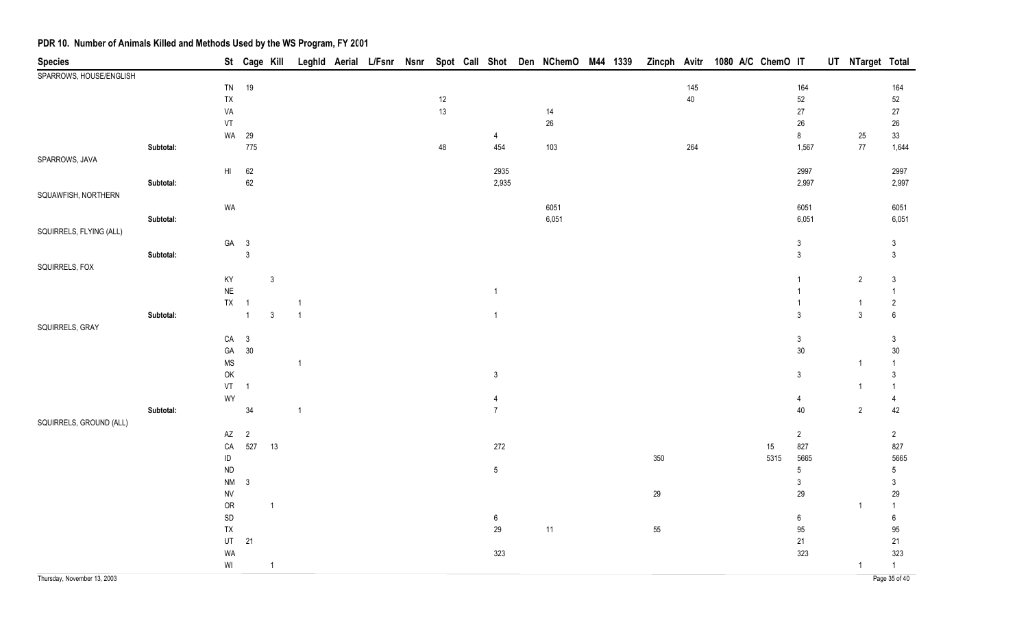| <b>Species</b>              |           |                                                         |                | St Cage Kill   |                |  |        |                  | Leghld Aerial L/Fsnr Nsnr Spot Call Shot Den NChemO M44 1339 |  |     |     | Zincph Avitr 1080 A/C ChemO IT |        |                  | UT NTarget Total |                  |
|-----------------------------|-----------|---------------------------------------------------------|----------------|----------------|----------------|--|--------|------------------|--------------------------------------------------------------|--|-----|-----|--------------------------------|--------|------------------|------------------|------------------|
| SPARROWS, HOUSE/ENGLISH     |           |                                                         |                |                |                |  |        |                  |                                                              |  |     |     |                                |        |                  |                  |                  |
|                             |           |                                                         | TN 19          |                |                |  |        |                  |                                                              |  |     | 145 |                                |        | 164              |                  | 164              |
|                             |           | TX                                                      |                |                |                |  | $12\,$ |                  |                                                              |  |     | 40  |                                |        | $52\,$           |                  | $52\,$           |
|                             |           | VA                                                      |                |                |                |  | 13     |                  | 14                                                           |  |     |     |                                |        | $27\,$           |                  | $27\,$           |
|                             |           | VT                                                      |                |                |                |  |        |                  | $26\,$                                                       |  |     |     |                                |        | $26\,$           |                  | $26\,$           |
|                             |           | WA                                                      | 29             |                |                |  |        | 4                |                                                              |  |     |     |                                |        | $\bf 8$          | 25               | $33\,$           |
|                             | Subtotal: |                                                         | 775            |                |                |  | 48     | 454              | 103                                                          |  |     | 264 |                                |        | 1,567            | 77               | 1,644            |
| SPARROWS, JAVA              |           |                                                         |                |                |                |  |        |                  |                                                              |  |     |     |                                |        |                  |                  |                  |
|                             |           | $H\parallel$                                            | 62             |                |                |  |        | 2935             |                                                              |  |     |     |                                |        | 2997             |                  | 2997             |
|                             | Subtotal: |                                                         | $62\,$         |                |                |  |        | 2,935            |                                                              |  |     |     |                                |        | 2,997            |                  | 2,997            |
| SQUAWFISH, NORTHERN         |           |                                                         |                |                |                |  |        |                  |                                                              |  |     |     |                                |        |                  |                  |                  |
|                             |           | WA                                                      |                |                |                |  |        |                  | 6051                                                         |  |     |     |                                |        | 6051             |                  | 6051             |
|                             | Subtotal: |                                                         |                |                |                |  |        |                  | 6,051                                                        |  |     |     |                                |        | 6,051            |                  | 6,051            |
| SQUIRRELS, FLYING (ALL)     |           |                                                         |                |                |                |  |        |                  |                                                              |  |     |     |                                |        |                  |                  |                  |
|                             |           |                                                         | GA 3           |                |                |  |        |                  |                                                              |  |     |     |                                |        | $\mathbf{3}$     |                  | $\mathfrak{Z}$   |
|                             | Subtotal: |                                                         | $\mathbf{3}$   |                |                |  |        |                  |                                                              |  |     |     |                                |        | $\mathfrak{Z}$   |                  | $\mathfrak{Z}$   |
| SQUIRRELS, FOX              |           |                                                         |                |                |                |  |        |                  |                                                              |  |     |     |                                |        |                  |                  |                  |
|                             |           | KY                                                      |                | $\mathbf{3}$   |                |  |        |                  |                                                              |  |     |     |                                |        | $\mathbf{1}$     | $\overline{2}$   | $\mathfrak{Z}$   |
|                             |           | $\sf NE$                                                |                |                |                |  |        | $\mathbf{1}$     |                                                              |  |     |     |                                |        | $\mathbf{1}$     |                  | $\mathbf{1}$     |
|                             |           | <b>TX</b>                                               | $\overline{1}$ |                | $\overline{1}$ |  |        |                  |                                                              |  |     |     |                                |        | $\mathbf{1}$     | $\overline{1}$   | $\overline{c}$   |
|                             | Subtotal: |                                                         | $\overline{1}$ | $\mathfrak{Z}$ | $\overline{1}$ |  |        | $\mathbf{1}$     |                                                              |  |     |     |                                |        | $\mathbf{3}$     | $\mathfrak{Z}$   | $\,6\,$          |
| SQUIRRELS, GRAY             |           |                                                         |                |                |                |  |        |                  |                                                              |  |     |     |                                |        |                  |                  |                  |
|                             |           |                                                         | $CA$ 3         |                |                |  |        |                  |                                                              |  |     |     |                                |        | $\mathbf{3}$     |                  | $\mathfrak{Z}$   |
|                             |           | GA                                                      | 30             |                |                |  |        |                  |                                                              |  |     |     |                                |        | 30               |                  | 30               |
|                             |           | $\mathsf{MS}\xspace$                                    |                |                | $\mathbf{1}$   |  |        |                  |                                                              |  |     |     |                                |        |                  | $\overline{1}$   | $\overline{1}$   |
|                             |           | OK                                                      |                |                |                |  |        | $\mathbf{3}$     |                                                              |  |     |     |                                |        | $\mathbf{3}$     |                  | $\mathbf{3}$     |
|                             |           | $VT \t1$                                                |                |                |                |  |        |                  |                                                              |  |     |     |                                |        |                  | $\overline{1}$   | $\mathbf{1}$     |
|                             |           | WY                                                      |                |                |                |  |        | 4                |                                                              |  |     |     |                                |        | 4                |                  | $\overline{4}$   |
|                             | Subtotal: |                                                         | $34\,$         |                | $\mathbf{1}$   |  |        | $\overline{7}$   |                                                              |  |     |     |                                |        | 40               | $\overline{2}$   | 42               |
| SQUIRRELS, GROUND (ALL)     |           |                                                         |                |                |                |  |        |                  |                                                              |  |     |     |                                |        |                  |                  |                  |
|                             |           | AZ                                                      | $\overline{2}$ |                |                |  |        |                  |                                                              |  |     |     |                                |        | $\overline{2}$   |                  | $\overline{2}$   |
|                             |           | ${\sf CA}$                                              | 527            | 13             |                |  |        | $272\,$          |                                                              |  |     |     |                                | $15\,$ | 827              |                  | 827              |
|                             |           | $\sf ID$                                                |                |                |                |  |        |                  |                                                              |  | 350 |     |                                | 5315   | 5665             |                  | 5665             |
|                             |           | <b>ND</b>                                               |                |                |                |  |        | $5\phantom{.0}$  |                                                              |  |     |     |                                |        | $5\phantom{.0}$  |                  | $5\phantom{.0}$  |
|                             |           | $\mathsf{N}\mathsf{M}$                                  | $\mathbf{3}$   |                |                |  |        |                  |                                                              |  |     |     |                                |        | $\mathbf{3}$     |                  | $\mathfrak{Z}$   |
|                             |           | <b>NV</b>                                               |                |                |                |  |        |                  |                                                              |  | 29  |     |                                |        | 29               |                  | 29               |
|                             |           | <b>OR</b>                                               |                | $\overline{1}$ |                |  |        |                  |                                                              |  |     |     |                                |        |                  | $\overline{1}$   | $\mathbf{1}$     |
|                             |           | $\mathsf{SD}$                                           |                |                |                |  |        | $\boldsymbol{6}$ |                                                              |  |     |     |                                |        | $\boldsymbol{6}$ |                  | $\boldsymbol{6}$ |
|                             |           | TX                                                      |                |                |                |  |        | 29               | 11                                                           |  | 55  |     |                                |        | 95               |                  | 95               |
|                             |           | UT                                                      | 21             |                |                |  |        |                  |                                                              |  |     |     |                                |        | $21$             |                  | 21               |
|                             |           | WA                                                      |                |                |                |  |        | 323              |                                                              |  |     |     |                                |        | 323              |                  | 323              |
|                             |           | $\ensuremath{\mathsf{W}}\xspace\ensuremath{\mathsf{I}}$ |                | $\overline{1}$ |                |  |        |                  |                                                              |  |     |     |                                |        |                  | $\overline{1}$   | $\overline{1}$   |
| Thursday, November 13, 2003 |           |                                                         |                |                |                |  |        |                  |                                                              |  |     |     |                                |        |                  |                  | Page 35 of 40    |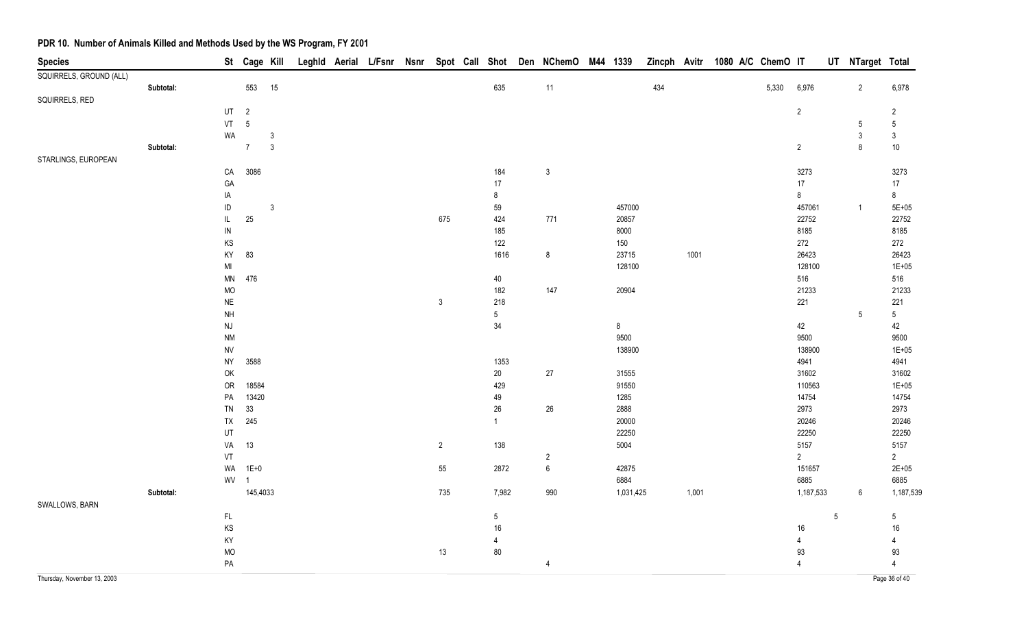| <b>Species</b>          |           |                                   | St Cage Kill   |                |  |  |                |                 | Leghld Aerial L/Fsnr Nsnr Spot Call Shot Den NChemO M44 1339 |           |     |       | Zincph Avitr 1080 A/C ChemO IT |       |                |            | UT NTarget Total |                 |
|-------------------------|-----------|-----------------------------------|----------------|----------------|--|--|----------------|-----------------|--------------------------------------------------------------|-----------|-----|-------|--------------------------------|-------|----------------|------------|------------------|-----------------|
| SQUIRRELS, GROUND (ALL) |           |                                   |                |                |  |  |                |                 |                                                              |           |     |       |                                |       |                |            |                  |                 |
|                         | Subtotal: |                                   | 553 15         |                |  |  |                | 635             | $11$                                                         |           | 434 |       |                                | 5,330 | 6,976          |            | $\overline{2}$   | 6,978           |
| SQUIRRELS, RED          |           |                                   |                |                |  |  |                |                 |                                                              |           |     |       |                                |       |                |            |                  |                 |
|                         |           | UT                                | $\overline{2}$ |                |  |  |                |                 |                                                              |           |     |       |                                |       | $\overline{2}$ |            |                  | $\overline{2}$  |
|                         |           |                                   | VT 5           |                |  |  |                |                 |                                                              |           |     |       |                                |       |                |            | 5                | $\sqrt{5}$      |
|                         |           | WA                                |                | $\mathfrak{Z}$ |  |  |                |                 |                                                              |           |     |       |                                |       |                |            | $\mathbf{3}$     | $\mathfrak{Z}$  |
|                         | Subtotal: |                                   | $\overline{7}$ | $\mathbf{3}$   |  |  |                |                 |                                                              |           |     |       |                                |       | $\overline{2}$ |            | 8                | $10$            |
| STARLINGS, EUROPEAN     |           |                                   |                |                |  |  |                |                 |                                                              |           |     |       |                                |       |                |            |                  |                 |
|                         |           | CA                                | 3086           |                |  |  |                | 184             | $\mathbf{3}$                                                 |           |     |       |                                |       | 3273           |            |                  | 3273            |
|                         |           | GA                                |                |                |  |  |                | 17              |                                                              |           |     |       |                                |       | 17             |            |                  | 17              |
|                         |           | IA                                |                |                |  |  |                | 8               |                                                              |           |     |       |                                |       | 8              |            |                  | 8               |
|                         |           | $\sf ID$                          |                | $\mathfrak{Z}$ |  |  |                | 59              |                                                              | 457000    |     |       |                                |       | 457061         |            | $\overline{1}$   | $5E + 05$       |
|                         |           | $\ensuremath{\mathsf{IL}}\xspace$ | $25\,$         |                |  |  | 675            | 424             | 771                                                          | 20857     |     |       |                                |       | 22752          |            |                  | 22752           |
|                         |           | $\sf IN$                          |                |                |  |  |                | 185             |                                                              | 8000      |     |       |                                |       | 8185           |            |                  | 8185            |
|                         |           | KS                                |                |                |  |  |                | 122             |                                                              | 150       |     |       |                                |       | 272            |            |                  | 272             |
|                         |           | KY                                | 83             |                |  |  |                | 1616            | $\bf 8$                                                      | 23715     |     | 1001  |                                |       | 26423          |            |                  | 26423           |
|                         |           | MI                                |                |                |  |  |                |                 |                                                              | 128100    |     |       |                                |       | 128100         |            |                  | $1E + 05$       |
|                         |           | MN                                | 476            |                |  |  |                | 40              |                                                              |           |     |       |                                |       | 516            |            |                  | 516             |
|                         |           | <b>MO</b>                         |                |                |  |  |                | 182             | 147                                                          | 20904     |     |       |                                |       | 21233          |            |                  | 21233           |
|                         |           | <b>NE</b>                         |                |                |  |  | $\mathfrak{Z}$ | 218             |                                                              |           |     |       |                                |       | 221            |            |                  | 221             |
|                         |           | <b>NH</b>                         |                |                |  |  |                | $5\phantom{.0}$ |                                                              |           |     |       |                                |       |                |            | 5                | $5\overline{)}$ |
|                         |           | $\mathsf{N}\mathsf{J}$            |                |                |  |  |                | 34              |                                                              | 8         |     |       |                                |       | 42             |            |                  | 42              |
|                         |           | <b>NM</b>                         |                |                |  |  |                |                 |                                                              | 9500      |     |       |                                |       | 9500           |            |                  | 9500            |
|                         |           | ${\sf NV}$                        |                |                |  |  |                |                 |                                                              | 138900    |     |       |                                |       | 138900         |            |                  | $1E + 05$       |
|                         |           | <b>NY</b>                         | 3588           |                |  |  |                | 1353            |                                                              |           |     |       |                                |       | 4941           |            |                  | 4941            |
|                         |           | $\mathsf{OK}$                     |                |                |  |  |                | $20\,$          | $27\,$                                                       | 31555     |     |       |                                |       | 31602          |            |                  | 31602           |
|                         |           | OR                                | 18584          |                |  |  |                | 429             |                                                              | 91550     |     |       |                                |       | 110563         |            |                  | $1E + 05$       |
|                         |           | PA                                | 13420          |                |  |  |                | 49              |                                                              | 1285      |     |       |                                |       | 14754          |            |                  | 14754           |
|                         |           | TN                                | 33             |                |  |  |                | $26\,$          | $26\,$                                                       | 2888      |     |       |                                |       | 2973           |            |                  | 2973            |
|                         |           | <b>TX</b>                         | 245            |                |  |  |                | $\overline{1}$  |                                                              | 20000     |     |       |                                |       | 20246          |            |                  | 20246           |
|                         |           | UT                                |                |                |  |  |                |                 |                                                              | 22250     |     |       |                                |       | 22250          |            |                  | 22250           |
|                         |           | VA                                | 13             |                |  |  | $\overline{2}$ | 138             |                                                              | 5004      |     |       |                                |       | 5157           |            |                  | 5157            |
|                         |           | VT                                |                |                |  |  |                |                 | $\overline{2}$                                               |           |     |       |                                |       | $\overline{2}$ |            |                  | $\overline{2}$  |
|                         |           | WA                                | $1E+0$         |                |  |  | 55             | 2872            | $\,6\,$                                                      | 42875     |     |       |                                |       | 151657         |            |                  | $2E + 05$       |
|                         |           | WV 1                              |                |                |  |  |                |                 |                                                              | 6884      |     |       |                                |       | 6885           |            |                  | 6885            |
|                         | Subtotal: |                                   | 145,4033       |                |  |  | 735            | 7,982           | 990                                                          | 1,031,425 |     | 1,001 |                                |       | 1,187,533      |            | 6                | 1,187,539       |
| SWALLOWS, BARN          |           |                                   |                |                |  |  |                |                 |                                                              |           |     |       |                                |       |                |            |                  |                 |
|                         |           | $\mathsf{FL}$                     |                |                |  |  |                | $5\phantom{.0}$ |                                                              |           |     |       |                                |       |                | $\sqrt{5}$ |                  | $\sqrt{5}$      |
|                         |           | $\mathsf{KS}$                     |                |                |  |  |                | 16              |                                                              |           |     |       |                                |       | $16\,$         |            |                  | $16\,$          |
|                         |           | KY                                |                |                |  |  |                | $\overline{4}$  |                                                              |           |     |       |                                |       | $\overline{4}$ |            |                  | 4               |
|                         |           | <b>MO</b>                         |                |                |  |  | 13             | 80              |                                                              |           |     |       |                                |       | 93             |            |                  | 93              |
|                         |           | ${\sf PA}$                        |                |                |  |  |                |                 | 4                                                            |           |     |       |                                |       | $\overline{4}$ |            |                  | $\overline{4}$  |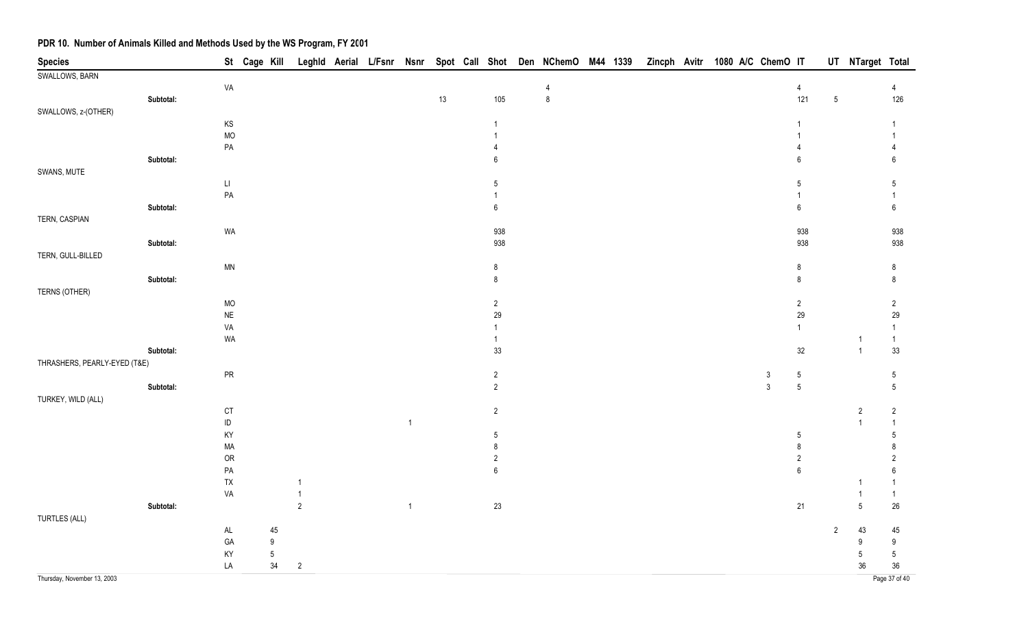| <b>Species</b>               |           |                        | St Cage Kill |        |                |  |                         |      |                  | Leghld Aerial L/Fsnr Nsnr Spot Call Shot Den NChemO M44 1339 |  | Zincph Avitr 1080 A/C ChemO IT |  |              |                  |                | UT NTarget Total         |                  |
|------------------------------|-----------|------------------------|--------------|--------|----------------|--|-------------------------|------|------------------|--------------------------------------------------------------|--|--------------------------------|--|--------------|------------------|----------------|--------------------------|------------------|
| SWALLOWS, BARN               |           |                        |              |        |                |  |                         |      |                  |                                                              |  |                                |  |              |                  |                |                          |                  |
|                              |           | VA                     |              |        |                |  |                         |      |                  | 4                                                            |  |                                |  |              | $\overline{4}$   |                |                          | $\overline{4}$   |
|                              | Subtotal: |                        |              |        |                |  |                         | $13$ | 105              | $\,8\,$                                                      |  |                                |  |              | 121              | $\sqrt{5}$     |                          | 126              |
| SWALLOWS, z-(OTHER)          |           |                        |              |        |                |  |                         |      |                  |                                                              |  |                                |  |              |                  |                |                          |                  |
|                              |           | $\mathsf{KS}$          |              |        |                |  |                         |      |                  |                                                              |  |                                |  |              |                  |                |                          |                  |
|                              |           | <b>MO</b>              |              |        |                |  |                         |      |                  |                                                              |  |                                |  |              |                  |                |                          |                  |
|                              |           | $\mathsf{PA}$          |              |        |                |  |                         |      |                  |                                                              |  |                                |  |              | 4                |                |                          |                  |
|                              | Subtotal: |                        |              |        |                |  |                         |      | 6                |                                                              |  |                                |  |              | $\boldsymbol{6}$ |                |                          | 6                |
| SWANS, MUTE                  |           |                        |              |        |                |  |                         |      |                  |                                                              |  |                                |  |              |                  |                |                          |                  |
|                              |           | $\mathsf{L}\mathsf{L}$ |              |        |                |  |                         |      | 5                |                                                              |  |                                |  |              | 5                |                |                          | $5\phantom{.0}$  |
|                              |           | $\mathsf{PA}$          |              |        |                |  |                         |      |                  |                                                              |  |                                |  |              |                  |                |                          | $\overline{1}$   |
|                              | Subtotal: |                        |              |        |                |  |                         |      | 6                |                                                              |  |                                |  |              | $\boldsymbol{6}$ |                |                          | $\,6\,$          |
| TERN, CASPIAN                |           |                        |              |        |                |  |                         |      |                  |                                                              |  |                                |  |              |                  |                |                          |                  |
|                              |           | WA                     |              |        |                |  |                         |      | 938              |                                                              |  |                                |  |              | 938              |                |                          | 938              |
|                              | Subtotal: |                        |              |        |                |  |                         |      | 938              |                                                              |  |                                |  |              | 938              |                |                          | 938              |
| TERN, GULL-BILLED            |           |                        |              |        |                |  |                         |      |                  |                                                              |  |                                |  |              |                  |                |                          |                  |
|                              |           | <b>MN</b>              |              |        |                |  |                         |      | 8                |                                                              |  |                                |  |              | $\,8\,$          |                |                          | 8                |
|                              | Subtotal: |                        |              |        |                |  |                         |      | 8                |                                                              |  |                                |  |              | $\,8\,$          |                |                          | $\,8\,$          |
| TERNS (OTHER)                |           |                        |              |        |                |  |                         |      |                  |                                                              |  |                                |  |              |                  |                |                          |                  |
|                              |           | $MO$                   |              |        |                |  |                         |      | $\overline{c}$   |                                                              |  |                                |  |              | $\sqrt{2}$       |                |                          | $\overline{2}$   |
|                              |           | $\sf NE$               |              |        |                |  |                         |      | 29               |                                                              |  |                                |  |              | 29               |                |                          | 29               |
|                              |           | VA                     |              |        |                |  |                         |      |                  |                                                              |  |                                |  |              | $\overline{1}$   |                |                          | $\mathbf{1}$     |
|                              |           | WA                     |              |        |                |  |                         |      |                  |                                                              |  |                                |  |              |                  |                |                          | $\overline{1}$   |
|                              | Subtotal: |                        |              |        |                |  |                         |      | 33               |                                                              |  |                                |  |              | 32               |                | $\mathbf{1}$             | 33               |
| THRASHERS, PEARLY-EYED (T&E) |           |                        |              |        |                |  |                         |      |                  |                                                              |  |                                |  |              |                  |                |                          |                  |
|                              |           | ${\sf PR}$             |              |        |                |  |                         |      | 2                |                                                              |  |                                |  | $\mathbf{3}$ | $\overline{5}$   |                |                          | 5                |
|                              | Subtotal: |                        |              |        |                |  |                         |      | $\overline{2}$   |                                                              |  |                                |  | $\mathbf{3}$ | $\overline{5}$   |                |                          | $\overline{5}$   |
| TURKEY, WILD (ALL)           |           |                        |              |        |                |  |                         |      |                  |                                                              |  |                                |  |              |                  |                |                          |                  |
|                              |           | $C$ T                  |              |        |                |  |                         |      | $\overline{c}$   |                                                              |  |                                |  |              |                  |                | $\overline{2}$           | $\overline{2}$   |
|                              |           | $\sf ID$               |              |        |                |  | $\overline{1}$          |      |                  |                                                              |  |                                |  |              |                  |                | $\overline{\phantom{a}}$ | $\mathbf{1}$     |
|                              |           | KY                     |              |        |                |  |                         |      | 5                |                                                              |  |                                |  |              | $\overline{5}$   |                |                          | 5                |
|                              |           | MA                     |              |        |                |  |                         |      | 8                |                                                              |  |                                |  |              | $\bf 8$          |                |                          | 8                |
|                              |           | OR                     |              |        |                |  |                         |      | $\sqrt{2}$       |                                                              |  |                                |  |              | $\sqrt{2}$       |                |                          | $\overline{2}$   |
|                              |           | $\mathsf{PA}$          |              |        |                |  |                         |      | $\boldsymbol{6}$ |                                                              |  |                                |  |              | $\,6\,$          |                |                          | $\boldsymbol{6}$ |
|                              |           | ${\sf TX}$             |              |        |                |  |                         |      |                  |                                                              |  |                                |  |              |                  |                |                          | 1                |
|                              |           | VA                     |              |        |                |  |                         |      |                  |                                                              |  |                                |  |              |                  |                |                          | $\mathbf{1}$     |
|                              | Subtotal: |                        |              |        | $\overline{2}$ |  | $\overline{\mathbf{1}}$ |      | 23               |                                                              |  |                                |  |              | 21               |                | $5\phantom{.0}$          | $26\,$           |
| TURTLES (ALL)                |           |                        |              |        |                |  |                         |      |                  |                                                              |  |                                |  |              |                  |                |                          |                  |
|                              |           | $\mathsf{AL}$          |              | 45     |                |  |                         |      |                  |                                                              |  |                                |  |              |                  | $\overline{2}$ | 43                       | 45               |
|                              |           | GA                     |              | $9\,$  |                |  |                         |      |                  |                                                              |  |                                |  |              |                  |                | 9                        | 9                |
|                              |           | KY                     |              | $5\,$  |                |  |                         |      |                  |                                                              |  |                                |  |              |                  |                | 5                        | $\sqrt{5}$       |
|                              |           | LA                     |              | $34\,$ | $\sqrt{2}$     |  |                         |      |                  |                                                              |  |                                |  |              |                  |                | 36                       | 36               |
| Thursday, November 13, 2003  |           |                        |              |        |                |  |                         |      |                  |                                                              |  |                                |  |              |                  |                |                          | Page 37 of 40    |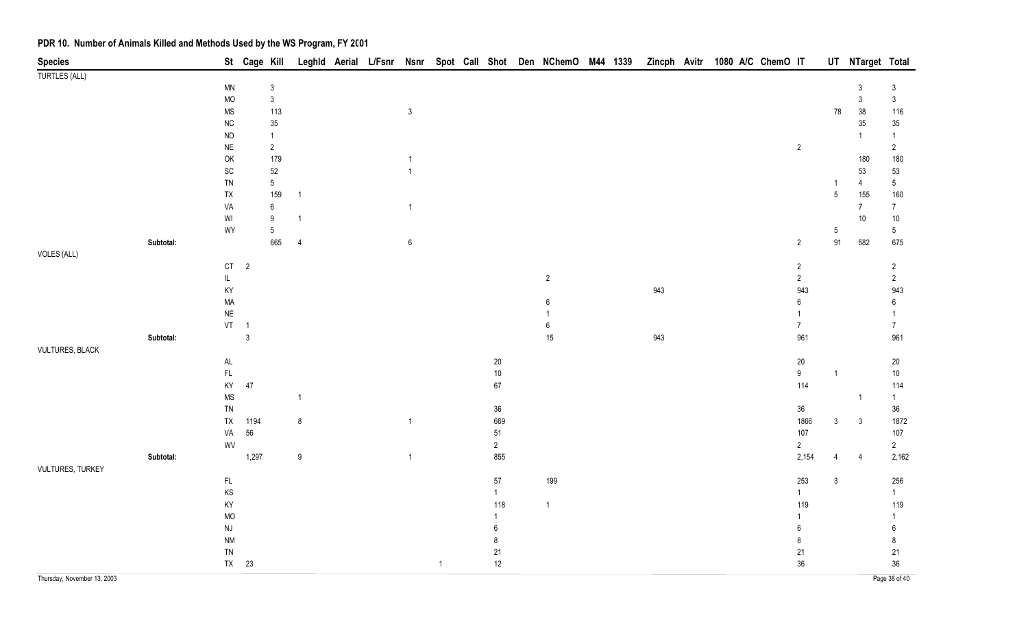| <b>Species</b>         |           |                                                  | St Cage Kill   |                                |                  |  |                  |                |                | Leghld Aerial L/Fsnr Nsnr Spot Call Shot Den NChemO M44 1339 Zincph Avitr 1080 A/C ChemO IT |  |     |  |  |                |                  | UT NTarget Total |                  |
|------------------------|-----------|--------------------------------------------------|----------------|--------------------------------|------------------|--|------------------|----------------|----------------|---------------------------------------------------------------------------------------------|--|-----|--|--|----------------|------------------|------------------|------------------|
| <b>TURTLES (ALL)</b>   |           |                                                  |                |                                |                  |  |                  |                |                |                                                                                             |  |     |  |  |                |                  |                  |                  |
|                        |           | $\textsf{MN}{}$                                  |                | $\sqrt{3}$                     |                  |  |                  |                |                |                                                                                             |  |     |  |  |                |                  | 3                | 3                |
|                        |           | $\sf MO$                                         |                | $\sqrt{3}$                     |                  |  |                  |                |                |                                                                                             |  |     |  |  |                |                  | $\mathfrak{Z}$   | $\mathfrak{Z}$   |
|                        |           | <b>MS</b>                                        |                | 113                            |                  |  | $\mathsf 3$      |                |                |                                                                                             |  |     |  |  |                | 78               | 38               | 116              |
|                        |           | ${\sf NC}$                                       |                | 35                             |                  |  |                  |                |                |                                                                                             |  |     |  |  |                |                  | $35\,$           | $35\,$           |
|                        |           | ${\sf ND}$                                       |                | $\mathbf{1}$                   |                  |  |                  |                |                |                                                                                             |  |     |  |  |                |                  | $\overline{1}$   | $\mathbf{1}$     |
|                        |           | $\sf NE$                                         |                | $\overline{c}$                 |                  |  |                  |                |                |                                                                                             |  |     |  |  | $\overline{2}$ |                  |                  | $\overline{2}$   |
|                        |           | OK                                               |                | 179                            |                  |  | -1               |                |                |                                                                                             |  |     |  |  |                |                  | 180              | 180              |
|                        |           | SC                                               |                | $52\,$                         |                  |  | $\mathbf{1}$     |                |                |                                                                                             |  |     |  |  |                |                  | 53               | 53               |
|                        |           | ${\sf TN}$                                       |                | $\sqrt{5}$                     |                  |  |                  |                |                |                                                                                             |  |     |  |  |                | $\mathbf{1}$     | $\overline{4}$   | $\sqrt{5}$       |
|                        |           | ${\sf TX}$                                       |                | 159                            | $\overline{1}$   |  |                  |                |                |                                                                                             |  |     |  |  |                | $\sqrt{5}$       | 155              | 160              |
|                        |           | VA                                               |                | $\boldsymbol{6}$               | $\overline{1}$   |  | $\mathbf{1}$     |                |                |                                                                                             |  |     |  |  |                |                  | $\overline{7}$   | $7\overline{ }$  |
|                        |           | WI<br>WY                                         |                | $\boldsymbol{9}$<br>$\sqrt{5}$ |                  |  |                  |                |                |                                                                                             |  |     |  |  |                |                  | 10               | $10\,$<br>$5\,$  |
|                        | Subtotal: |                                                  |                | 665                            | $\overline{4}$   |  | $\boldsymbol{6}$ |                |                |                                                                                             |  |     |  |  | $\overline{2}$ | $\sqrt{5}$<br>91 | 582              | 675              |
| VOLES (ALL)            |           |                                                  |                |                                |                  |  |                  |                |                |                                                                                             |  |     |  |  |                |                  |                  |                  |
|                        |           | $\mathsf{C}\mathsf{T}$                           | $\overline{2}$ |                                |                  |  |                  |                |                |                                                                                             |  |     |  |  | $\overline{c}$ |                  |                  | $\overline{2}$   |
|                        |           | $\mathsf{IL}$                                    |                |                                |                  |  |                  |                |                | $\overline{2}$                                                                              |  |     |  |  | $\overline{2}$ |                  |                  | $\overline{2}$   |
|                        |           | KY                                               |                |                                |                  |  |                  |                |                |                                                                                             |  | 943 |  |  | 943            |                  |                  | 943              |
|                        |           | $\sf MA$                                         |                |                                |                  |  |                  |                |                | 6                                                                                           |  |     |  |  | 6              |                  |                  | $\boldsymbol{6}$ |
|                        |           | $\sf NE$                                         |                |                                |                  |  |                  |                |                |                                                                                             |  |     |  |  |                |                  |                  | 1                |
|                        |           | $VT \t1$                                         |                |                                |                  |  |                  |                |                | $6\phantom{1}$                                                                              |  |     |  |  | $\overline{7}$ |                  |                  | 7 <sup>7</sup>   |
|                        | Subtotal: |                                                  | $\mathfrak{Z}$ |                                |                  |  |                  |                |                | 15                                                                                          |  | 943 |  |  | 961            |                  |                  | 961              |
| <b>VULTURES, BLACK</b> |           |                                                  |                |                                |                  |  |                  |                |                |                                                                                             |  |     |  |  |                |                  |                  |                  |
|                        |           | $\mathsf{AL}$                                    |                |                                |                  |  |                  |                | $20\,$         |                                                                                             |  |     |  |  | $20\,$         |                  |                  | 20               |
|                        |           | $\mathsf{FL}$                                    |                |                                |                  |  |                  |                | $10\,$         |                                                                                             |  |     |  |  | $9^{\circ}$    | $\overline{1}$   |                  | $10\,$           |
|                        |           | KY                                               | $47\,$         |                                |                  |  |                  |                | $67\,$         |                                                                                             |  |     |  |  | 114            |                  |                  | 114              |
|                        |           | $\rm MS$                                         |                |                                | $\overline{1}$   |  |                  |                |                |                                                                                             |  |     |  |  |                |                  | $\overline{1}$   | $\mathbf{1}$     |
|                        |           | TN                                               |                |                                |                  |  |                  |                | $36\,$         |                                                                                             |  |     |  |  | 36             |                  |                  | $36\,$           |
|                        |           | TX                                               | 1194           |                                | $\bf 8$          |  | $\mathbf{1}$     |                | 669            |                                                                                             |  |     |  |  | 1866           | $\mathfrak{Z}$   | $\mathbf{3}$     | 1872             |
|                        |           | VA                                               | $56\,$         |                                |                  |  |                  |                | $51\,$         |                                                                                             |  |     |  |  | 107            |                  |                  | 107              |
|                        |           | WV                                               |                |                                |                  |  |                  |                | $\overline{2}$ |                                                                                             |  |     |  |  | $\overline{2}$ |                  |                  | $\overline{2}$   |
|                        | Subtotal: |                                                  | 1,297          |                                | $\boldsymbol{9}$ |  | $\mathbf{1}$     |                | 855            |                                                                                             |  |     |  |  | 2,154          |                  | $\overline{4}$   | 2,162            |
| VULTURES, TURKEY       |           |                                                  |                |                                |                  |  |                  |                |                |                                                                                             |  |     |  |  |                |                  |                  |                  |
|                        |           | $\mathsf{FL}$                                    |                |                                |                  |  |                  |                | $57\,$         | 199                                                                                         |  |     |  |  | 253            | $\mathbf{3}$     |                  | 256              |
|                        |           | KS                                               |                |                                |                  |  |                  |                | $\mathbf{1}$   |                                                                                             |  |     |  |  | 1              |                  |                  | 1                |
|                        |           | KY<br>MO                                         |                |                                |                  |  |                  |                | 118            | $\overline{1}$                                                                              |  |     |  |  | 119            |                  |                  | 119<br>1         |
|                        |           |                                                  |                |                                |                  |  |                  |                | 6              |                                                                                             |  |     |  |  | 6              |                  |                  |                  |
|                        |           | $\mathsf{N}\mathsf{J}$<br>$\mathsf{N}\mathsf{M}$ |                |                                |                  |  |                  |                | 8              |                                                                                             |  |     |  |  | 8              |                  |                  | 6<br>8           |
|                        |           | ${\sf TN}$                                       |                |                                |                  |  |                  |                | 21             |                                                                                             |  |     |  |  | 21             |                  |                  | 21               |
|                        |           |                                                  | TX 23          |                                |                  |  |                  | $\overline{1}$ | 12             |                                                                                             |  |     |  |  | 36             |                  |                  | 36               |
|                        |           |                                                  |                |                                |                  |  |                  |                |                |                                                                                             |  |     |  |  |                |                  |                  |                  |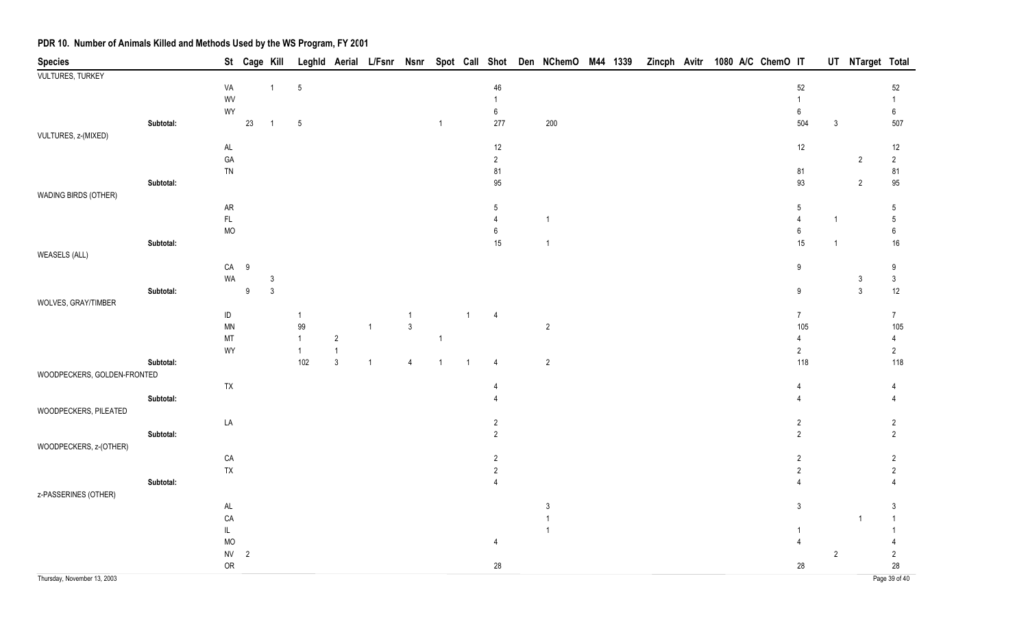| <b>Species</b>              |           |                 | St Cage Kill   |                |                        |                                         |              |                     |              |                |                | Leghld Aerial L/Fsnr Nsnr Spot Call Shot Den NChemO M44 1339 Zincph Avitr 1080 A/C ChemO IT |  |  |  |                         |                | UT NTarget Total |                       |
|-----------------------------|-----------|-----------------|----------------|----------------|------------------------|-----------------------------------------|--------------|---------------------|--------------|----------------|----------------|---------------------------------------------------------------------------------------------|--|--|--|-------------------------|----------------|------------------|-----------------------|
| <b>VULTURES, TURKEY</b>     |           |                 |                |                |                        |                                         |              |                     |              |                |                |                                                                                             |  |  |  |                         |                |                  |                       |
|                             |           | VA              |                | $\mathbf{1}$   | $\sqrt{5}$             |                                         |              |                     |              |                | 46             |                                                                                             |  |  |  | 52                      |                |                  | 52                    |
|                             |           | WV              |                |                |                        |                                         |              |                     |              |                | $\mathbf{1}$   |                                                                                             |  |  |  | $\mathbf{1}$            |                |                  | $\mathbf{1}$          |
|                             |           | WY              |                |                |                        |                                         |              |                     |              |                | $\,6\,$        |                                                                                             |  |  |  | $\bf 6$                 |                |                  | $\boldsymbol{6}$      |
|                             | Subtotal: |                 | 23             | $\overline{1}$ | $\sqrt{5}$             |                                         |              |                     | $\mathbf{1}$ |                | 277            | 200                                                                                         |  |  |  | 504                     | $\mathfrak{Z}$ |                  | 507                   |
| VULTURES, z-(MIXED)         |           |                 |                |                |                        |                                         |              |                     |              |                |                |                                                                                             |  |  |  |                         |                |                  |                       |
|                             |           | $\mathsf{AL}$   |                |                |                        |                                         |              |                     |              |                | 12             |                                                                                             |  |  |  | 12                      |                |                  | 12                    |
|                             |           | GA              |                |                |                        |                                         |              |                     |              |                | $\overline{2}$ |                                                                                             |  |  |  |                         |                | $\overline{2}$   | $\overline{2}$        |
|                             |           | ${\sf TN}$      |                |                |                        |                                         |              |                     |              |                | 81             |                                                                                             |  |  |  | ${\bf 81}$              |                |                  | 81                    |
|                             | Subtotal: |                 |                |                |                        |                                         |              |                     |              |                | 95             |                                                                                             |  |  |  | 93                      |                | $\overline{2}$   | $95\,$                |
| WADING BIRDS (OTHER)        |           |                 |                |                |                        |                                         |              |                     |              |                |                |                                                                                             |  |  |  |                         |                |                  |                       |
|                             |           | ${\sf AR}$      |                |                |                        |                                         |              |                     |              |                | 5              |                                                                                             |  |  |  | $5\,$                   |                |                  | $5\,$                 |
|                             |           | $\mathsf{FL}$   |                |                |                        |                                         |              |                     |              |                | $\overline{4}$ | $\overline{1}$                                                                              |  |  |  | $\overline{4}$          | $\mathbf{1}$   |                  | $\sqrt{5}$            |
|                             |           | <b>MO</b>       |                |                |                        |                                         |              |                     |              |                | 6              |                                                                                             |  |  |  | $\,6\,$                 |                |                  | $\boldsymbol{6}$      |
|                             | Subtotal: |                 |                |                |                        |                                         |              |                     |              |                | $15\,$         | $\overline{1}$                                                                              |  |  |  | 15                      | $\mathbf{1}$   |                  | $16\,$                |
| <b>WEASELS (ALL)</b>        |           |                 |                |                |                        |                                         |              |                     |              |                |                |                                                                                             |  |  |  |                         |                |                  |                       |
|                             |           | ${\sf CA}$      | $9\,$          |                |                        |                                         |              |                     |              |                |                |                                                                                             |  |  |  | 9                       |                |                  | 9                     |
|                             |           | WA              |                | 3              |                        |                                         |              |                     |              |                |                |                                                                                             |  |  |  |                         |                | $\mathfrak{Z}$   | $\mathfrak{Z}$        |
|                             | Subtotal: |                 | 9              | $\mathbf{3}$   |                        |                                         |              |                     |              |                |                |                                                                                             |  |  |  | 9                       |                | $\mathfrak{Z}$   | 12                    |
| WOLVES, GRAY/TIMBER         |           |                 |                |                |                        |                                         |              |                     |              |                |                |                                                                                             |  |  |  |                         |                |                  |                       |
|                             |           | $\sf ID$        |                |                | $\mathbf{1}$           |                                         |              | 1<br>$\mathfrak{Z}$ |              | $\overline{1}$ | $\overline{4}$ |                                                                                             |  |  |  | 7 <sup>7</sup><br>105   |                |                  | 7 <sup>7</sup>        |
|                             |           | $\textsf{MN}{}$ |                |                | $99\,$<br>$\mathbf{1}$ |                                         | $\mathbf{1}$ |                     |              |                |                | $\overline{2}$                                                                              |  |  |  | 4                       |                |                  | 105                   |
|                             |           | MT<br>WY        |                |                | $\overline{1}$         | $\overline{c}$                          |              |                     | $\mathbf{1}$ |                |                |                                                                                             |  |  |  |                         |                |                  | $\overline{4}$        |
|                             | Subtotal: |                 |                |                | 102                    | $\overline{\mathbf{1}}$<br>$\mathbf{3}$ | $\mathbf{1}$ | $\overline{4}$      | $\mathbf{1}$ | $\overline{1}$ | $\overline{4}$ | $\sqrt{2}$                                                                                  |  |  |  | $\overline{2}$<br>118   |                |                  | $\overline{2}$<br>118 |
| WOODPECKERS, GOLDEN-FRONTED |           |                 |                |                |                        |                                         |              |                     |              |                |                |                                                                                             |  |  |  |                         |                |                  |                       |
|                             |           | TX              |                |                |                        |                                         |              |                     |              |                | 4              |                                                                                             |  |  |  | 4                       |                |                  | 4                     |
|                             | Subtotal: |                 |                |                |                        |                                         |              |                     |              |                |                |                                                                                             |  |  |  |                         |                |                  |                       |
| WOODPECKERS, PILEATED       |           |                 |                |                |                        |                                         |              |                     |              |                |                |                                                                                             |  |  |  |                         |                |                  |                       |
|                             |           | LA              |                |                |                        |                                         |              |                     |              |                | $\overline{2}$ |                                                                                             |  |  |  | $\overline{\mathbf{c}}$ |                |                  | $\overline{c}$        |
|                             | Subtotal: |                 |                |                |                        |                                         |              |                     |              |                | $\overline{2}$ |                                                                                             |  |  |  | $\overline{c}$          |                |                  | $\overline{2}$        |
| WOODPECKERS, z-(OTHER)      |           |                 |                |                |                        |                                         |              |                     |              |                |                |                                                                                             |  |  |  |                         |                |                  |                       |
|                             |           | CA              |                |                |                        |                                         |              |                     |              |                | $\overline{2}$ |                                                                                             |  |  |  | 2                       |                |                  | $\overline{2}$        |
|                             |           | ${\sf TX}$      |                |                |                        |                                         |              |                     |              |                | $\overline{2}$ |                                                                                             |  |  |  | $\overline{2}$          |                |                  | $\overline{2}$        |
|                             | Subtotal: |                 |                |                |                        |                                         |              |                     |              |                |                |                                                                                             |  |  |  |                         |                |                  |                       |
| z-PASSERINES (OTHER)        |           |                 |                |                |                        |                                         |              |                     |              |                |                |                                                                                             |  |  |  |                         |                |                  |                       |
|                             |           | $\mathsf{AL}$   |                |                |                        |                                         |              |                     |              |                |                | $\sqrt{3}$                                                                                  |  |  |  | $\mathfrak{Z}$          |                |                  | $\mathfrak{Z}$        |
|                             |           | ${\sf CA}$      |                |                |                        |                                         |              |                     |              |                |                | $\overline{1}$                                                                              |  |  |  |                         |                | $\overline{1}$   | $\overline{1}$        |
|                             |           | $\mathsf{IL}$   |                |                |                        |                                         |              |                     |              |                |                | $\overline{1}$                                                                              |  |  |  |                         |                |                  |                       |
|                             |           | <b>MO</b>       |                |                |                        |                                         |              |                     |              |                | 4              |                                                                                             |  |  |  |                         |                |                  |                       |
|                             |           | ${\sf NV}$      | $\overline{2}$ |                |                        |                                         |              |                     |              |                |                |                                                                                             |  |  |  |                         | $\overline{2}$ |                  | $\overline{c}$        |
|                             |           | ${\sf OR}$      |                |                |                        |                                         |              |                     |              |                | 28             |                                                                                             |  |  |  | 28                      |                |                  | 28                    |
|                             |           |                 |                |                |                        |                                         |              |                     |              |                |                |                                                                                             |  |  |  |                         |                |                  |                       |